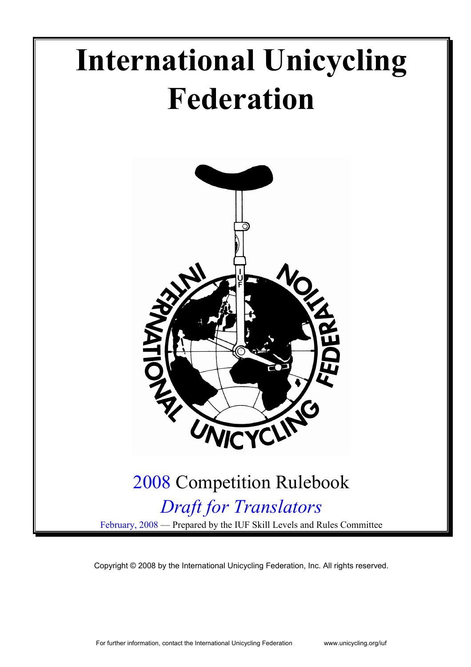

Copyright © 2008 by the International Unicycling Federation, Inc. All rights reserved.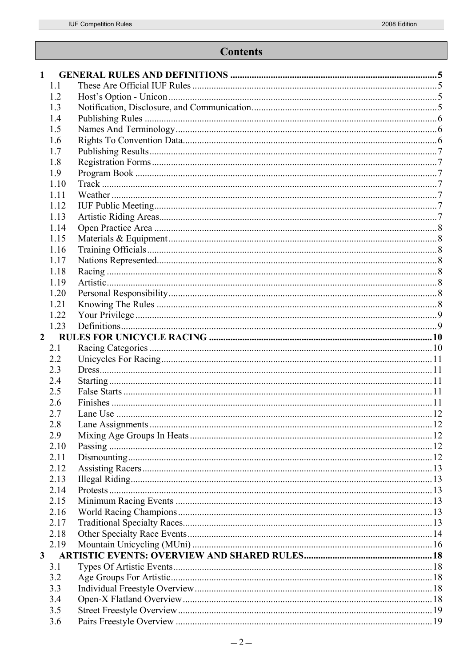# **Contents**

| $\mathbf{1}$ |      |  |
|--------------|------|--|
|              | 1.1  |  |
|              | 1.2  |  |
|              | 1.3  |  |
|              | 1.4  |  |
|              | 1.5  |  |
|              | 1.6  |  |
|              | 1.7  |  |
|              | 1.8  |  |
|              | 1.9  |  |
|              | 1.10 |  |
|              | 1.11 |  |
|              | 1.12 |  |
|              | 1.13 |  |
|              | 1.14 |  |
|              | 1.15 |  |
|              |      |  |
|              | 1.16 |  |
|              | 1.17 |  |
|              | 1.18 |  |
|              | 1.19 |  |
|              | 1.20 |  |
|              | 1.21 |  |
|              | 1.22 |  |
|              | 1.23 |  |
| $2^{\circ}$  |      |  |
|              | 2.1  |  |
|              | 2.2  |  |
|              | 2.3  |  |
|              | 2.4  |  |
|              | 2.5  |  |
|              | 2.6  |  |
|              | 2.7  |  |
|              | 2.8  |  |
|              | 2.9  |  |
|              | 2.10 |  |
|              | 2.11 |  |
|              | 2.12 |  |
|              | 2.13 |  |
|              | 2.14 |  |
|              | 2.15 |  |
|              | 2.16 |  |
|              | 2.17 |  |
|              | 2.18 |  |
|              | 2.19 |  |
| $\mathbf{3}$ |      |  |
|              | 3.1  |  |
|              | 3.2  |  |
|              | 3.3  |  |
|              | 3.4  |  |
|              | 3.5  |  |
|              | 3.6  |  |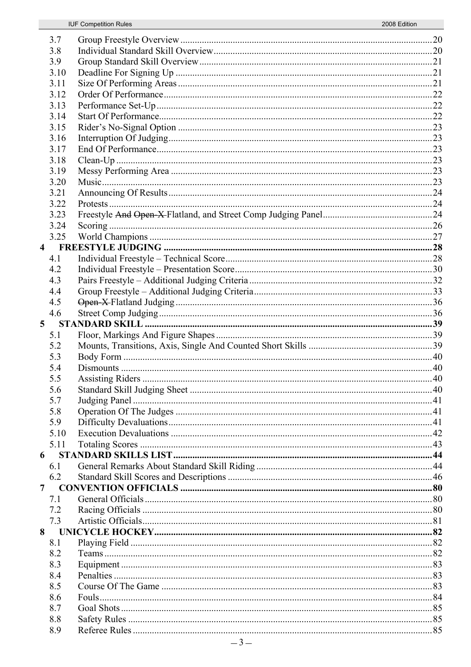|   | 3.7  |  |
|---|------|--|
|   | 3.8  |  |
|   | 3.9  |  |
|   | 3.10 |  |
|   | 3.11 |  |
|   |      |  |
|   | 3.12 |  |
|   | 3.13 |  |
|   | 3.14 |  |
|   | 3.15 |  |
|   | 3.16 |  |
|   | 3.17 |  |
|   | 3.18 |  |
|   | 3.19 |  |
|   | 3.20 |  |
|   | 3.21 |  |
|   | 3.22 |  |
|   | 3.23 |  |
|   | 3.24 |  |
|   | 3.25 |  |
|   |      |  |
|   | 4.1  |  |
|   | 4.2  |  |
|   | 4.3  |  |
|   | 4.4  |  |
|   | 4.5  |  |
|   |      |  |
|   | 4.6  |  |
| 5 |      |  |
|   | 5.1  |  |
|   | 5.2  |  |
|   | 5.3  |  |
|   | 5.4  |  |
|   | 5.5  |  |
|   | 5.6  |  |
|   | 5.7  |  |
|   | 5.8  |  |
|   | 5.9  |  |
|   | 5.10 |  |
|   | 5.11 |  |
|   | 6    |  |
|   | 6.1  |  |
|   | 6.2  |  |
| 7 |      |  |
|   | 7.1  |  |
|   | 7.2  |  |
|   | 7.3  |  |
| 8 |      |  |
|   | 8.1  |  |
|   | 8.2  |  |
|   | 8.3  |  |
|   | 8.4  |  |
|   | 8.5  |  |
|   | 8.6  |  |
|   | 8.7  |  |
|   |      |  |
|   | 8.8  |  |
|   | 8.9  |  |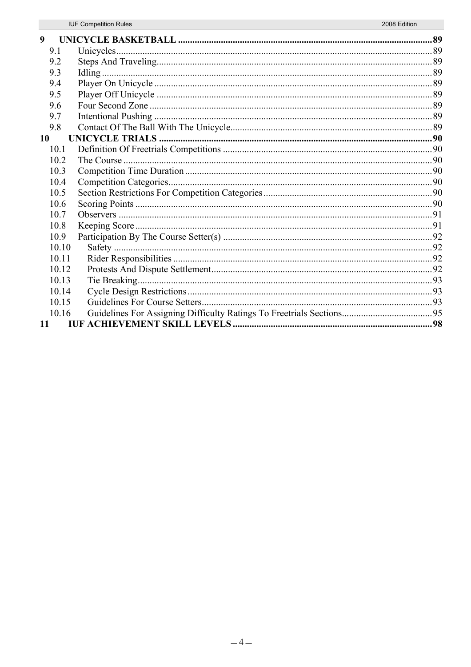| 9     |  |
|-------|--|
| 9.1   |  |
| 9.2   |  |
| 9.3   |  |
| 9.4   |  |
| 9.5   |  |
| 9.6   |  |
| 9.7   |  |
| 9.8   |  |
| 10    |  |
| 10.1  |  |
| 10.2  |  |
| 10.3  |  |
| 10.4  |  |
| 10.5  |  |
| 10.6  |  |
| 10.7  |  |
| 10.8  |  |
| 10.9  |  |
| 10.10 |  |
| 10.11 |  |
| 10.12 |  |
| 10.13 |  |
| 10.14 |  |
| 10.15 |  |
| 10.16 |  |
| 11    |  |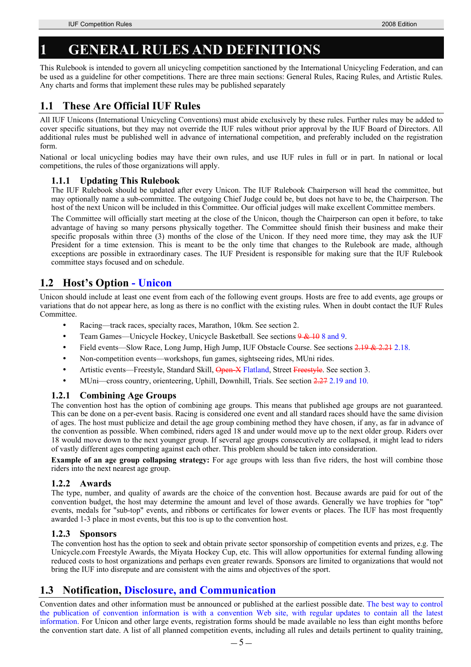# **1 GENERAL RULES AND DEFINITIONS**

This Rulebook is intended to govern all unicycling competition sanctioned by the International Unicycling Federation, and can be used as a guideline for other competitions. There are three main sections: General Rules, Racing Rules, and Artistic Rules. Any charts and forms that implement these rules may be published separately

# **1.1 These Are Official IUF Rules**

All IUF Unicons (International Unicycling Conventions) must abide exclusively by these rules. Further rules may be added to cover specific situations, but they may not override the IUF rules without prior approval by the IUF Board of Directors. All additional rules must be published well in advance of international competition, and preferably included on the registration form.

National or local unicycling bodies may have their own rules, and use IUF rules in full or in part. In national or local competitions, the rules of those organizations will apply.

## **1.1.1 Updating This Rulebook**

The IUF Rulebook should be updated after every Unicon. The IUF Rulebook Chairperson will head the committee, but may optionally name a sub-committee. The outgoing Chief Judge could be, but does not have to be, the Chairperson. The host of the next Unicon will be included in this Committee. Our official judges will make excellent Committee members.

The Committee will officially start meeting at the close of the Unicon, though the Chairperson can open it before, to take advantage of having so many persons physically together. The Committee should finish their business and make their specific proposals within three (3) months of the close of the Unicon. If they need more time, they may ask the IUF President for a time extension. This is meant to be the only time that changes to the Rulebook are made, although exceptions are possible in extraordinary cases. The IUF President is responsible for making sure that the IUF Rulebook committee stays focused and on schedule.

# **1.2 Host's Option - Unicon**

Unicon should include at least one event from each of the following event groups. Hosts are free to add events, age groups or variations that do not appear here, as long as there is no conflict with the existing rules. When in doubt contact the IUF Rules **Committee** 

- Racing—track races, specialty races, Marathon, 10km. See section 2.
- Team Games—Unicycle Hockey, Unicycle Basketball. See sections  $9 < 108$  and 9.
- Field events—Slow Race, Long Jump, High Jump, IUF Obstacle Course. See sections 2.19 & 2.21 2.18.
- Non-competition events—workshops, fun games, sightseeing rides, MUni rides.
- Artistic events—Freestyle, Standard Skill, Open-X Flatland, Street Freestyle. See section 3.
- MUni—cross country, orienteering, Uphill, Downhill, Trials. See section 2.27 2.19 and 10.

## **1.2.1 Combining Age Groups**

The convention host has the option of combining age groups. This means that published age groups are not guaranteed. This can be done on a per-event basis. Racing is considered one event and all standard races should have the same division of ages. The host must publicize and detail the age group combining method they have chosen, if any, as far in advance of the convention as possible. When combined, riders aged 18 and under would move up to the next older group. Riders over 18 would move down to the next younger group. If several age groups consecutively are collapsed, it might lead to riders of vastly different ages competing against each other. This problem should be taken into consideration.

**Example of an age group collapsing strategy:** For age groups with less than five riders, the host will combine those riders into the next nearest age group.

## **1.2.2 Awards**

The type, number, and quality of awards are the choice of the convention host. Because awards are paid for out of the convention budget, the host may determine the amount and level of those awards. Generally we have trophies for "top" events, medals for "sub-top" events, and ribbons or certificates for lower events or places. The IUF has most frequently awarded 1-3 place in most events, but this too is up to the convention host.

## **1.2.3 Sponsors**

The convention host has the option to seek and obtain private sector sponsorship of competition events and prizes, e.g. The Unicycle.com Freestyle Awards, the Miyata Hockey Cup, etc. This will allow opportunities for external funding allowing reduced costs to host organizations and perhaps even greater rewards. Sponsors are limited to organizations that would not bring the IUF into disrepute and are consistent with the aims and objectives of the sport.

# **1.3 Notification, Disclosure, and Communication**

Convention dates and other information must be announced or published at the earliest possible date. The best way to control the publication of convention information is with a convention Web site, with regular updates to contain all the latest information. For Unicon and other large events, registration forms should be made available no less than eight months before the convention start date. A list of all planned competition events, including all rules and details pertinent to quality training,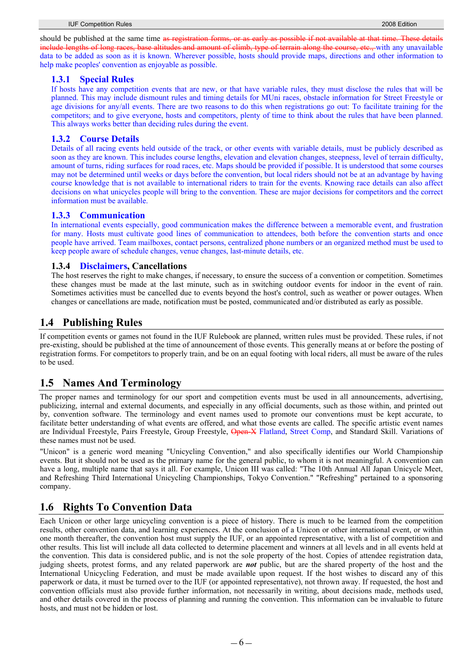should be published at the same time as registration forms, or as early as possible if not available at that time. These details include lengths of long races, base altitudes and amount of climb, type of terrain along the course, etc., with any unavailable data to be added as soon as it is known. Wherever possible, hosts should provide maps, directions and other information to help make peoples' convention as enjoyable as possible.

### **1.3.1 Special Rules**

If hosts have any competition events that are new, or that have variable rules, they must disclose the rules that will be planned. This may include dismount rules and timing details for MUni races, obstacle information for Street Freestyle or age divisions for any/all events. There are two reasons to do this when registrations go out: To facilitate training for the competitors; and to give everyone, hosts and competitors, plenty of time to think about the rules that have been planned. This always works better than deciding rules during the event.

## **1.3.2 Course Details**

Details of all racing events held outside of the track, or other events with variable details, must be publicly described as soon as they are known. This includes course lengths, elevation and elevation changes, steepness, level of terrain difficulty, amount of turns, riding surfaces for road races, etc. Maps should be provided if possible. It is understood that some courses may not be determined until weeks or days before the convention, but local riders should not be at an advantage by having course knowledge that is not available to international riders to train for the events. Knowing race details can also affect decisions on what unicycles people will bring to the convention. These are major decisions for competitors and the correct information must be available.

## **1.3.3 Communication**

In international events especially, good communication makes the difference between a memorable event, and frustration for many. Hosts must cultivate good lines of communication to attendees, both before the convention starts and once people have arrived. Team mailboxes, contact persons, centralized phone numbers or an organized method must be used to keep people aware of schedule changes, venue changes, last-minute details, etc.

## **1.3.4 Disclaimers, Cancellations**

The host reserves the right to make changes, if necessary, to ensure the success of a convention or competition. Sometimes these changes must be made at the last minute, such as in switching outdoor events for indoor in the event of rain. Sometimes activities must be cancelled due to events beyond the host's control, such as weather or power outages. When changes or cancellations are made, notification must be posted, communicated and/or distributed as early as possible.

## **1.4 Publishing Rules**

If competition events or games not found in the IUF Rulebook are planned, written rules must be provided. These rules, if not pre-existing, should be published at the time of announcement of those events. This generally means at or before the posting of registration forms. For competitors to properly train, and be on an equal footing with local riders, all must be aware of the rules to be used.

# **1.5 Names And Terminology**

The proper names and terminology for our sport and competition events must be used in all announcements, advertising, publicizing, internal and external documents, and especially in any official documents, such as those within, and printed out by, convention software. The terminology and event names used to promote our conventions must be kept accurate, to facilitate better understanding of what events are offered, and what those events are called. The specific artistic event names are Individual Freestyle, Pairs Freestyle, Group Freestyle, Open X Flatland, Street Comp, and Standard Skill. Variations of these names must not be used.

"Unicon" is a generic word meaning "Unicycling Convention," and also specifically identifies our World Championship events. But it should not be used as the primary name for the general public, to whom it is not meaningful. A convention can have a long, multiple name that says it all. For example, Unicon III was called: "The 10th Annual All Japan Unicycle Meet, and Refreshing Third International Unicycling Championships, Tokyo Convention." "Refreshing" pertained to a sponsoring company.

# **1.6 Rights To Convention Data**

Each Unicon or other large unicycling convention is a piece of history. There is much to be learned from the competition results, other convention data, and learning experiences. At the conclusion of a Unicon or other international event, or within one month thereafter, the convention host must supply the IUF, or an appointed representative, with a list of competition and other results. This list will include all data collected to determine placement and winners at all levels and in all events held at the convention. This data is considered public, and is not the sole property of the host. Copies of attendee registration data, judging sheets, protest forms, and any related paperwork are *not* public, but are the shared property of the host and the International Unicycling Federation, and must be made available upon request. If the host wishes to discard any of this paperwork or data, it must be turned over to the IUF (or appointed representative), not thrown away. If requested, the host and convention officials must also provide further information, not necessarily in writing, about decisions made, methods used, and other details covered in the process of planning and running the convention. This information can be invaluable to future hosts, and must not be hidden or lost.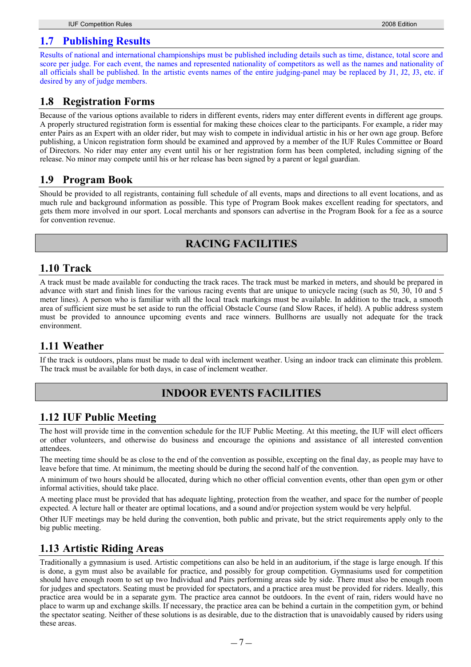## **1.7 Publishing Results**

Results of national and international championships must be published including details such as time, distance, total score and score per judge. For each event, the names and represented nationality of competitors as well as the names and nationality of all officials shall be published. In the artistic events names of the entire judging-panel may be replaced by J1, J2, J3, etc. if desired by any of judge members.

## **1.8 Registration Forms**

Because of the various options available to riders in different events, riders may enter different events in different age groups. A properly structured registration form is essential for making these choices clear to the participants. For example, a rider may enter Pairs as an Expert with an older rider, but may wish to compete in individual artistic in his or her own age group. Before publishing, a Unicon registration form should be examined and approved by a member of the IUF Rules Committee or Board of Directors. No rider may enter any event until his or her registration form has been completed, including signing of the release. No minor may compete until his or her release has been signed by a parent or legal guardian.

# **1.9 Program Book**

Should be provided to all registrants, containing full schedule of all events, maps and directions to all event locations, and as much rule and background information as possible. This type of Program Book makes excellent reading for spectators, and gets them more involved in our sport. Local merchants and sponsors can advertise in the Program Book for a fee as a source for convention revenue.

# **RACING FACILITIES**

## **1.10 Track**

A track must be made available for conducting the track races. The track must be marked in meters, and should be prepared in advance with start and finish lines for the various racing events that are unique to unicycle racing (such as 50, 30, 10 and 5 meter lines). A person who is familiar with all the local track markings must be available. In addition to the track, a smooth area of sufficient size must be set aside to run the official Obstacle Course (and Slow Races, if held). A public address system must be provided to announce upcoming events and race winners. Bullhorns are usually not adequate for the track environment.

# **1.11 Weather**

If the track is outdoors, plans must be made to deal with inclement weather. Using an indoor track can eliminate this problem. The track must be available for both days, in case of inclement weather.

# **INDOOR EVENTS FACILITIES**

# **1.12 IUF Public Meeting**

The host will provide time in the convention schedule for the IUF Public Meeting. At this meeting, the IUF will elect officers or other volunteers, and otherwise do business and encourage the opinions and assistance of all interested convention attendees.

The meeting time should be as close to the end of the convention as possible, excepting on the final day, as people may have to leave before that time. At minimum, the meeting should be during the second half of the convention.

A minimum of two hours should be allocated, during which no other official convention events, other than open gym or other informal activities, should take place.

A meeting place must be provided that has adequate lighting, protection from the weather, and space for the number of people expected. A lecture hall or theater are optimal locations, and a sound and/or projection system would be very helpful.

Other IUF meetings may be held during the convention, both public and private, but the strict requirements apply only to the big public meeting.

# **1.13 Artistic Riding Areas**

Traditionally a gymnasium is used. Artistic competitions can also be held in an auditorium, if the stage is large enough. If this is done, a gym must also be available for practice, and possibly for group competition. Gymnasiums used for competition should have enough room to set up two Individual and Pairs performing areas side by side. There must also be enough room for judges and spectators. Seating must be provided for spectators, and a practice area must be provided for riders. Ideally, this practice area would be in a separate gym. The practice area cannot be outdoors. In the event of rain, riders would have no place to warm up and exchange skills. If necessary, the practice area can be behind a curtain in the competition gym, or behind the spectator seating. Neither of these solutions is as desirable, due to the distraction that is unavoidably caused by riders using these areas.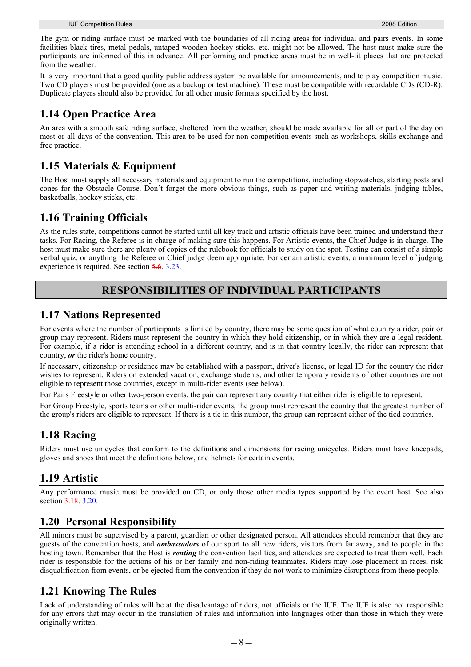The gym or riding surface must be marked with the boundaries of all riding areas for individual and pairs events. In some facilities black tires, metal pedals, untaped wooden hockey sticks, etc. might not be allowed. The host must make sure the participants are informed of this in advance. All performing and practice areas must be in well-lit places that are protected from the weather.

It is very important that a good quality public address system be available for announcements, and to play competition music. Two CD players must be provided (one as a backup or test machine). These must be compatible with recordable CDs (CD-R). Duplicate players should also be provided for all other music formats specified by the host.

# **1.14 Open Practice Area**

An area with a smooth safe riding surface, sheltered from the weather, should be made available for all or part of the day on most or all days of the convention. This area to be used for non-competition events such as workshops, skills exchange and free practice.

# **1.15 Materials & Equipment**

The Host must supply all necessary materials and equipment to run the competitions, including stopwatches, starting posts and cones for the Obstacle Course. Don't forget the more obvious things, such as paper and writing materials, judging tables, basketballs, hockey sticks, etc.

# **1.16 Training Officials**

As the rules state, competitions cannot be started until all key track and artistic officials have been trained and understand their tasks. For Racing, the Referee is in charge of making sure this happens. For Artistic events, the Chief Judge is in charge. The host must make sure there are plenty of copies of the rulebook for officials to study on the spot. Testing can consist of a simple verbal quiz, or anything the Referee or Chief judge deem appropriate. For certain artistic events, a minimum level of judging experience is required. See section 5.6. 3.23.

# **RESPONSIBILITIES OF INDIVIDUAL PARTICIPANTS**

# **1.17 Nations Represented**

For events where the number of participants is limited by country, there may be some question of what country a rider, pair or group may represent. Riders must represent the country in which they hold citizenship, or in which they are a legal resident. For example, if a rider is attending school in a different country, and is in that country legally, the rider can represent that country, *or* the rider's home country.

If necessary, citizenship or residence may be established with a passport, driver's license, or legal ID for the country the rider wishes to represent. Riders on extended vacation, exchange students, and other temporary residents of other countries are not eligible to represent those countries, except in multi-rider events (see below).

For Pairs Freestyle or other two-person events, the pair can represent any country that either rider is eligible to represent.

For Group Freestyle, sports teams or other multi-rider events, the group must represent the country that the greatest number of the group's riders are eligible to represent. If there is a tie in this number, the group can represent either of the tied countries.

# **1.18 Racing**

Riders must use unicycles that conform to the definitions and dimensions for racing unicycles. Riders must have kneepads, gloves and shoes that meet the definitions below, and helmets for certain events.

# **1.19 Artistic**

Any performance music must be provided on CD, or only those other media types supported by the event host. See also section 3.18, 3.20.

# **1.20 Personal Responsibility**

All minors must be supervised by a parent, guardian or other designated person. All attendees should remember that they are guests of the convention hosts, and *ambassadors* of our sport to all new riders, visitors from far away, and to people in the hosting town. Remember that the Host is *renting* the convention facilities, and attendees are expected to treat them well. Each rider is responsible for the actions of his or her family and non-riding teammates. Riders may lose placement in races, risk disqualification from events, or be ejected from the convention if they do not work to minimize disruptions from these people.

# **1.21 Knowing The Rules**

Lack of understanding of rules will be at the disadvantage of riders, not officials or the IUF. The IUF is also not responsible for any errors that may occur in the translation of rules and information into languages other than those in which they were originally written.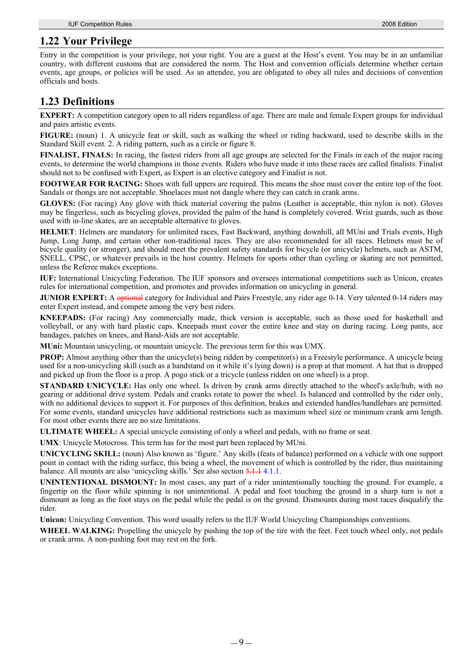# **1.22 Your Privilege**

Entry in the competition is your privilege, not your right. You are a guest at the Host's event. You may be in an unfamiliar country, with different customs that are considered the norm. The Host and convention officials determine whether certain events, age groups, or policies will be used. As an attendee, you are obligated to obey all rules and decisions of convention officials and hosts.

# **1.23 Definitions**

**EXPERT:** A competition category open to all riders regardless of age. There are male and female Expert groups for individual and pairs artistic events.

**FIGURE:** (noun) 1. A unicycle feat or skill, such as walking the wheel or riding backward, used to describe skills in the Standard Skill event. 2. A riding pattern, such as a circle or figure 8.

**FINALIST, FINALS:** In racing, the fastest riders from all age groups are selected for the Finals in each of the major racing events, to determine the world champions in those events. Riders who have made it into these races are called finalists. Finalist should not to be confused with Expert, as Expert is an elective category and Finalist is not.

**FOOTWEAR FOR RACING:** Shoes with full uppers are required. This means the shoe must cover the entire top of the foot. Sandals or thongs are not acceptable. Shoelaces must not dangle where they can catch in crank arms.

**GLOVES:** (For racing) Any glove with thick material covering the palms (Leather is acceptable, thin nylon is not). Gloves may be fingerless, such as bicycling gloves, provided the palm of the hand is completely covered. Wrist guards, such as those used with in-line skates, are an acceptable alternative to gloves.

**HELMET**: Helmets are mandatory for unlimited races, Fast Backward, anything downhill, all MUni and Trials events, High Jump, Long Jump, and certain other non-traditional races. They are also recommended for all races. Helmets must be of bicycle quality (or stronger), and should meet the prevalent safety standards for bicycle (or unicycle) helmets, such as ASTM, SNELL, CPSC, or whatever prevails in the host country. Helmets for sports other than cycling or skating are not permitted, unless the Referee makes exceptions.

**IUF:** International Unicycling Federation. The IUF sponsors and oversees international competitions such as Unicon, creates rules for international competition, and promotes and provides information on unicycling in general.

**JUNIOR EXPERT:** A optional category for Individual and Pairs Freestyle, any rider age 0-14. Very talented 0-14 riders may enter Expert instead, and compete among the very best riders.

**KNEEPADS:** (For racing) Any commercially made, thick version is acceptable, such as those used for basketball and volleyball, or any with hard plastic caps. Kneepads must cover the entire knee and stay on during racing. Long pants, ace bandages, patches on knees, and Band-Aids are not acceptable.

**MUni:** Mountain unicycling, or mountain unicycle. The previous term for this was UMX.

**PROP:** Almost anything other than the unicycle(s) being ridden by competitor(s) in a Freestyle performance. A unicycle being used for a non-unicycling skill (such as a handstand on it while it's lying down) is a prop at that moment. A hat that is dropped and picked up from the floor is a prop. A pogo stick or a tricycle (unless ridden on one wheel) is a prop.

**STANDARD UNICYCLE:** Has only one wheel. Is driven by crank arms directly attached to the wheel's axle/hub, with no gearing or additional drive system. Pedals and cranks rotate to power the wheel. Is balanced and controlled by the rider only, with no additional devices to support it. For purposes of this definition, brakes and extended handles/handlebars are permitted. For some events, standard unicycles have additional restrictions such as maximum wheel size or minimum crank arm length. For most other events there are no size limitations.

**ULTIMATE WHEEL:** A special unicycle consisting of only a wheel and pedals, with no frame or seat.

**UMX**: Unicycle Motocross. This term has for the most part been replaced by MUni.

**UNICYCLING SKILL:** (noun) Also known as 'figure.' Any skills (feats of balance) performed on a vehicle with one support point in contact with the riding surface, this being a wheel, the movement of which is controlled by the rider, thus maintaining balance. All mounts are also 'unicycling skills.' See also section 5.1.1 4.1.1.

**UNINTENTIONAL DISMOUNT:** In most cases, any part of a rider unintentionally touching the ground. For example, a fingertip on the floor while spinning is not unintentional. A pedal and foot touching the ground in a sharp turn is not a dismount as long as the foot stays on the pedal while the pedal is on the ground. Dismounts during most races disqualify the rider.

**Unicon:** Unicycling Convention. This word usually refers to the IUF World Unicycling Championships conventions.

**WHEEL WALKING:** Propelling the unicycle by pushing the top of the tire with the feet. Feet touch wheel only, not pedals or crank arms. A non-pushing foot may rest on the fork.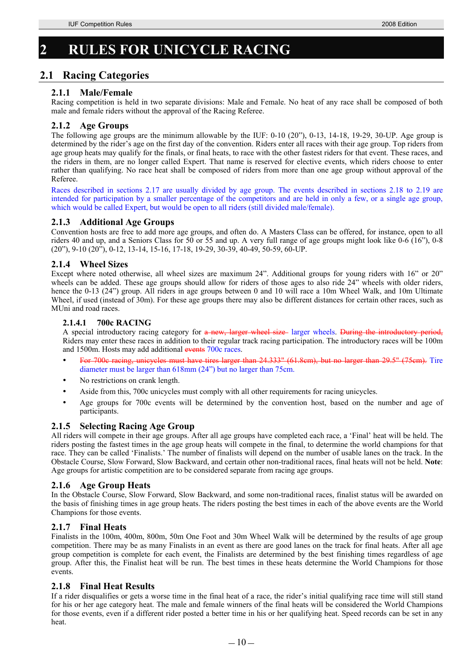# **2 RULES FOR UNICYCLE RACING**

# **2.1 Racing Categories**

## **2.1.1 Male/Female**

Racing competition is held in two separate divisions: Male and Female. No heat of any race shall be composed of both male and female riders without the approval of the Racing Referee.

## **2.1.2 Age Groups**

The following age groups are the minimum allowable by the IUF: 0-10 (20"), 0-13, 14-18, 19-29, 30-UP. Age group is determined by the rider's age on the first day of the convention. Riders enter all races with their age group. Top riders from age group heats may qualify for the finals, or final heats, to race with the other fastest riders for that event. These races, and the riders in them, are no longer called Expert. That name is reserved for elective events, which riders choose to enter rather than qualifying. No race heat shall be composed of riders from more than one age group without approval of the Referee.

Races described in sections 2.17 are usually divided by age group. The events described in sections 2.18 to 2.19 are intended for participation by a smaller percentage of the competitors and are held in only a few, or a single age group, which would be called Expert, but would be open to all riders (still divided male/female).

## **2.1.3 Additional Age Groups**

Convention hosts are free to add more age groups, and often do. A Masters Class can be offered, for instance, open to all riders 40 and up, and a Seniors Class for 50 or 55 and up. A very full range of age groups might look like 0-6 (16"), 0-8 (20"), 9-10 (20"), 0-12, 13-14, 15-16, 17-18, 19-29, 30-39, 40-49, 50-59, 60-UP.

## **2.1.4 Wheel Sizes**

Except where noted otherwise, all wheel sizes are maximum 24". Additional groups for young riders with 16" or 20" wheels can be added. These age groups should allow for riders of those ages to also ride 24" wheels with older riders, hence the 0-13 (24") group. All riders in age groups between 0 and 10 will race a 10m Wheel Walk, and 10m Ultimate Wheel, if used (instead of 30m). For these age groups there may also be different distances for certain other races, such as MUni and road races.

## **2.1.4.1 700c RACING**

A special introductory racing category for a new, larger wheel size larger wheels. During the introductory period, Riders may enter these races in addition to their regular track racing participation. The introductory races will be 100m and 1500m. Hosts may add additional events 700c races.

- unicycles must have tires larger than 24.333" (61.8cm), but no larger than 29.5" (75cm). Tire diameter must be larger than 618mm (24") but no larger than 75cm.
- No restrictions on crank length.
- Aside from this, 700c unicycles must comply with all other requirements for racing unicycles.
- Age groups for 700c events will be determined by the convention host, based on the number and age of participants.

## **2.1.5 Selecting Racing Age Group**

All riders will compete in their age groups. After all age groups have completed each race, a 'Final' heat will be held. The riders posting the fastest times in the age group heats will compete in the final, to determine the world champions for that race. They can be called 'Finalists.' The number of finalists will depend on the number of usable lanes on the track. In the Obstacle Course, Slow Forward, Slow Backward, and certain other non-traditional races, final heats will not be held. **Note**: Age groups for artistic competition are to be considered separate from racing age groups.

## **2.1.6 Age Group Heats**

In the Obstacle Course, Slow Forward, Slow Backward, and some non-traditional races, finalist status will be awarded on the basis of finishing times in age group heats. The riders posting the best times in each of the above events are the World Champions for those events.

## **2.1.7 Final Heats**

Finalists in the 100m, 400m, 800m, 50m One Foot and 30m Wheel Walk will be determined by the results of age group competition. There may be as many Finalists in an event as there are good lanes on the track for final heats. After all age group competition is complete for each event, the Finalists are determined by the best finishing times regardless of age group. After this, the Finalist heat will be run. The best times in these heats determine the World Champions for those events.

## **2.1.8 Final Heat Results**

If a rider disqualifies or gets a worse time in the final heat of a race, the rider's initial qualifying race time will still stand for his or her age category heat. The male and female winners of the final heats will be considered the World Champions for those events, even if a different rider posted a better time in his or her qualifying heat. Speed records can be set in any heat.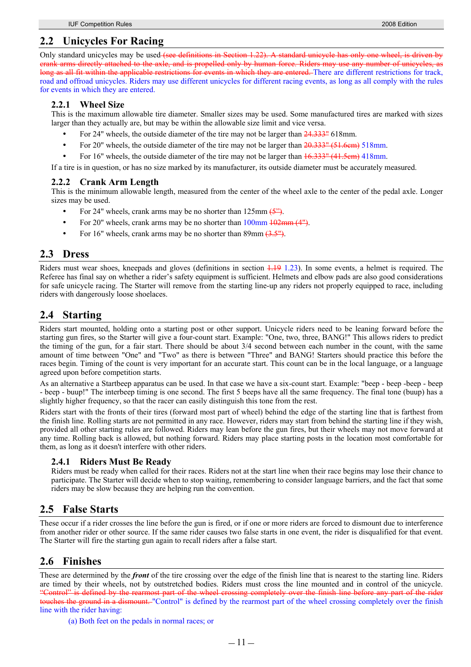# **2.2.1 Wheel Size**

This is the maximum allowable tire diameter. Smaller sizes may be used. Some manufactured tires are marked with sizes larger than they actually are, but may be within the allowable size limit and vice versa.

- For 24" wheels, the outside diameter of the tire may not be larger than  $24.333$ " 618mm.
- For 20" wheels, the outside diameter of the tire may not be larger than  $20.333$ " (51.6cm) 518mm.
- For 16" wheels, the outside diameter of the tire may not be larger than  $16.333$ " (41.5cm) 418mm.

If a tire is in question, or has no size marked by its manufacturer, its outside diameter must be accurately measured.

## **2.2.2 Crank Arm Length**

This is the minimum allowable length, measured from the center of the wheel axle to the center of the pedal axle. Longer sizes may be used.

- For 24" wheels, crank arms may be no shorter than  $125 \text{mm}$   $\left(5\right)$ .
- For 20" wheels, crank arms may be no shorter than 100mm  $\frac{102 \text{mm}}{4}$ .
- For 16" wheels, crank arms may be no shorter than 89mm  $(3.5")$ .

# **2.3 Dress**

Riders must wear shoes, kneepads and gloves (definitions in section  $\frac{1}{1!}9$  1.23). In some events, a helmet is required. The Referee has final say on whether a rider's safety equipment is sufficient. Helmets and elbow pads are also good considerations for safe unicycle racing. The Starter will remove from the starting line-up any riders not properly equipped to race, including riders with dangerously loose shoelaces.

# **2.4 Starting**

Riders start mounted, holding onto a starting post or other support. Unicycle riders need to be leaning forward before the starting gun fires, so the Starter will give a four-count start. Example: "One, two, three, BANG!" This allows riders to predict the timing of the gun, for a fair start. There should be about 3/4 second between each number in the count, with the same amount of time between "One" and "Two" as there is between "Three" and BANG! Starters should practice this before the races begin. Timing of the count is very important for an accurate start. This count can be in the local language, or a language agreed upon before competition starts.

As an alternative a Startbeep apparatus can be used. In that case we have a six-count start. Example: "beep - beep -beep - beep - beep - buup!" The interbeep timing is one second. The first 5 beeps have all the same frequency. The final tone (buup) has a slightly higher frequency, so that the racer can easily distinguish this tone from the rest.

Riders start with the fronts of their tires (forward most part of wheel) behind the edge of the starting line that is farthest from the finish line. Rolling starts are not permitted in any race. However, riders may start from behind the starting line if they wish, provided all other starting rules are followed. Riders may lean before the gun fires, but their wheels may not move forward at any time. Rolling back is allowed, but nothing forward. Riders may place starting posts in the location most comfortable for them, as long as it doesn't interfere with other riders.

## **2.4.1 Riders Must Be Ready**

Riders must be ready when called for their races. Riders not at the start line when their race begins may lose their chance to participate. The Starter will decide when to stop waiting, remembering to consider language barriers, and the fact that some riders may be slow because they are helping run the convention.

# **2.5 False Starts**

These occur if a rider crosses the line before the gun is fired, or if one or more riders are forced to dismount due to interference from another rider or other source. If the same rider causes two false starts in one event, the rider is disqualified for that event. The Starter will fire the starting gun again to recall riders after a false start.

# **2.6 Finishes**

These are determined by the *front* of the tire crossing over the edge of the finish line that is nearest to the starting line. Riders are timed by their wheels, not by outstretched bodies. Riders must cross the line mounted and in control of the unicycle. "Control" is defined by the rearmost part of the wheel crossing completely over the finish line before any part of the rider touches the ground in a dismount. "Control" is defined by the rearmost part of the wheel crossing completely over the finish line with the rider having:

(a) Both feet on the pedals in normal races; or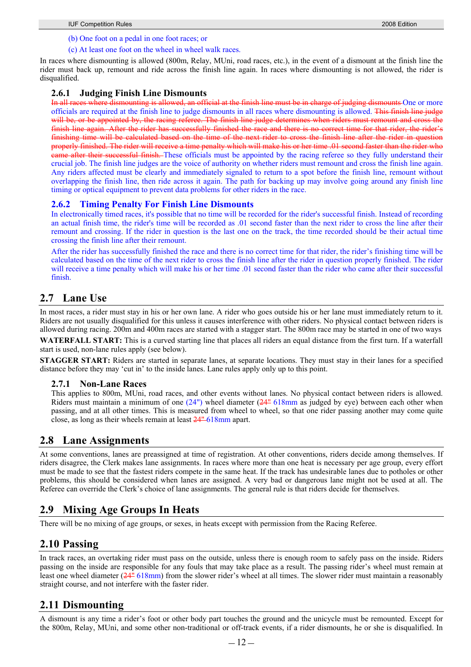### (b) One foot on a pedal in one foot races; or

### (c) At least one foot on the wheel in wheel walk races.

In races where dismounting is allowed (800m, Relay, MUni, road races, etc.), in the event of a dismount at the finish line the rider must back up, remount and ride across the finish line again. In races where dismounting is not allowed, the rider is disqualified.

## **2.6.1 Judging Finish Line Dismounts**

In all races where dismounting is allowed, an official at the finish line must be in charge of judging dismounts One or more officials are required at the finish line to judge dismounts in all races where dismounting is allowed. This finish line judge will be, or be appointed by, the racing referee. The finish line judge determines when riders must remount and cross the finish line again. After the rider has successfully finished the race and there is no correct time for that rider, the rider's finishing time will be calculated based on the time of the next rider to cross the finish line after the rider in question properly finished. The rider will receive a time penalty which will make his or her time .01 second faster than the rider who came after their successful finish. These officials must be appointed by the racing referee so they fully understand their crucial job. The finish line judges are the voice of authority on whether riders must remount and cross the finish line again. Any riders affected must be clearly and immediately signaled to return to a spot before the finish line, remount without overlapping the finish line, then ride across it again. The path for backing up may involve going around any finish line timing or optical equipment to prevent data problems for other riders in the race.

## **2.6.2 Timing Penalty For Finish Line Dismounts**

In electronically timed races, it's possible that no time will be recorded for the rider's successful finish. Instead of recording an actual finish time, the rider's time will be recorded as .01 second faster than the next rider to cross the line after their remount and crossing. If the rider in question is the last one on the track, the time recorded should be their actual time crossing the finish line after their remount.

After the rider has successfully finished the race and there is no correct time for that rider, the rider's finishing time will be calculated based on the time of the next rider to cross the finish line after the rider in question properly finished. The rider will receive a time penalty which will make his or her time .01 second faster than the rider who came after their successful finish.

# **2.7 Lane Use**

In most races, a rider must stay in his or her own lane. A rider who goes outside his or her lane must immediately return to it. Riders are not usually disqualified for this unless it causes interference with other riders. No physical contact between riders is allowed during racing. 200m and 400m races are started with a stagger start. The 800m race may be started in one of two ways

**WATERFALL START:** This is a curved starting line that places all riders an equal distance from the first turn. If a waterfall start is used, non-lane rules apply (see below).

**STAGGER START:** Riders are started in separate lanes, at separate locations. They must stay in their lanes for a specified distance before they may 'cut in' to the inside lanes. Lane rules apply only up to this point.

## **2.7.1 Non-Lane Races**

This applies to 800m, MUni, road races, and other events without lanes. No physical contact between riders is allowed. Riders must maintain a minimum of one  $(24)$  wheel diameter  $(24)$  618mm as judged by eye) between each other when passing, and at all other times. This is measured from wheel to wheel, so that one rider passing another may come quite close, as long as their wheels remain at least 24" 618mm apart.

# **2.8 Lane Assignments**

At some conventions, lanes are preassigned at time of registration. At other conventions, riders decide among themselves. If riders disagree, the Clerk makes lane assignments. In races where more than one heat is necessary per age group, every effort must be made to see that the fastest riders compete in the same heat. If the track has undesirable lanes due to potholes or other problems, this should be considered when lanes are assigned. A very bad or dangerous lane might not be used at all. The Referee can override the Clerk's choice of lane assignments. The general rule is that riders decide for themselves.

# **2.9 Mixing Age Groups In Heats**

There will be no mixing of age groups, or sexes, in heats except with permission from the Racing Referee.

# **2.10 Passing**

In track races, an overtaking rider must pass on the outside, unless there is enough room to safely pass on the inside. Riders passing on the inside are responsible for any fouls that may take place as a result. The passing rider's wheel must remain at least one wheel diameter  $(24^{\frac{n}{2}} 618$ mm) from the slower rider's wheel at all times. The slower rider must maintain a reasonably straight course, and not interfere with the faster rider.

# **2.11 Dismounting**

A dismount is any time a rider's foot or other body part touches the ground and the unicycle must be remounted. Except for the 800m, Relay, MUni, and some other non-traditional or off-track events, if a rider dismounts, he or she is disqualified. In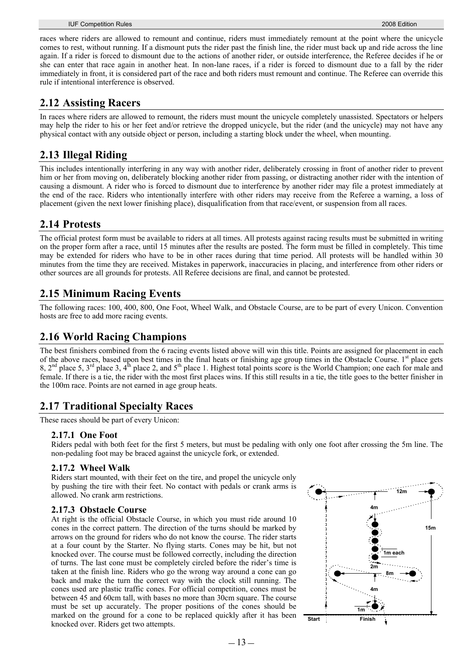races where riders are allowed to remount and continue, riders must immediately remount at the point where the unicycle comes to rest, without running. If a dismount puts the rider past the finish line, the rider must back up and ride across the line again. If a rider is forced to dismount due to the actions of another rider, or outside interference, the Referee decides if he or she can enter that race again in another heat. In non-lane races, if a rider is forced to dismount due to a fall by the rider immediately in front, it is considered part of the race and both riders must remount and continue. The Referee can override this rule if intentional interference is observed.

# **2.12 Assisting Racers**

In races where riders are allowed to remount, the riders must mount the unicycle completely unassisted. Spectators or helpers may help the rider to his or her feet and/or retrieve the dropped unicycle, but the rider (and the unicycle) may not have any physical contact with any outside object or person, including a starting block under the wheel, when mounting.

# **2.13 Illegal Riding**

This includes intentionally interfering in any way with another rider, deliberately crossing in front of another rider to prevent him or her from moving on, deliberately blocking another rider from passing, or distracting another rider with the intention of causing a dismount. A rider who is forced to dismount due to interference by another rider may file a protest immediately at the end of the race. Riders who intentionally interfere with other riders may receive from the Referee a warning, a loss of placement (given the next lower finishing place), disqualification from that race/event, or suspension from all races.

# **2.14 Protests**

The official protest form must be available to riders at all times. All protests against racing results must be submitted in writing on the proper form after a race, until 15 minutes after the results are posted. The form must be filled in completely. This time may be extended for riders who have to be in other races during that time period. All protests will be handled within 30 minutes from the time they are received. Mistakes in paperwork, inaccuracies in placing, and interference from other riders or other sources are all grounds for protests. All Referee decisions are final, and cannot be protested.

# **2.15 Minimum Racing Events**

The following races: 100, 400, 800, One Foot, Wheel Walk, and Obstacle Course, are to be part of every Unicon. Convention hosts are free to add more racing events.

# **2.16 World Racing Champions**

The best finishers combined from the 6 racing events listed above will win this title. Points are assigned for placement in each of the above races, based upon best times in the final heats or finishing age group times in the Obstacle Course. I<sup>st</sup> place gets 8,  $2<sup>nd</sup>$  place 5,  $3<sup>rd</sup>$  place 3,  $4<sup>th</sup>$  place 2, and  $5<sup>th</sup>$  place 1. Highest total points score is the World Champion; one each for male and female. If there is a tie, the rider with the most first places wins. If this still results in a tie, the title goes to the better finisher in the 100m race. Points are not earned in age group heats.

# **2.17 Traditional Specialty Races**

These races should be part of every Unicon:

## **2.17.1 One Foot**

Riders pedal with both feet for the first 5 meters, but must be pedaling with only one foot after crossing the 5m line. The non-pedaling foot may be braced against the unicycle fork, or extended.

## **2.17.2 Wheel Walk**

Riders start mounted, with their feet on the tire, and propel the unicycle only by pushing the tire with their feet. No contact with pedals or crank arms is allowed. No crank arm restrictions.

## **2.17.3 Obstacle Course**

At right is the official Obstacle Course, in which you must ride around 10 cones in the correct pattern. The direction of the turns should be marked by arrows on the ground for riders who do not know the course. The rider starts at a four count by the Starter. No flying starts. Cones may be hit, but not knocked over. The course must be followed correctly, including the direction of turns. The last cone must be completely circled before the rider's time is taken at the finish line. Riders who go the wrong way around a cone can go back and make the turn the correct way with the clock still running. The cones used are plastic traffic cones. For official competition, cones must be between 45 and 60cm tall, with bases no more than 30cm square. The course must be set up accurately. The proper positions of the cones should be marked on the ground for a cone to be replaced quickly after it has been knocked over. Riders get two attempts.

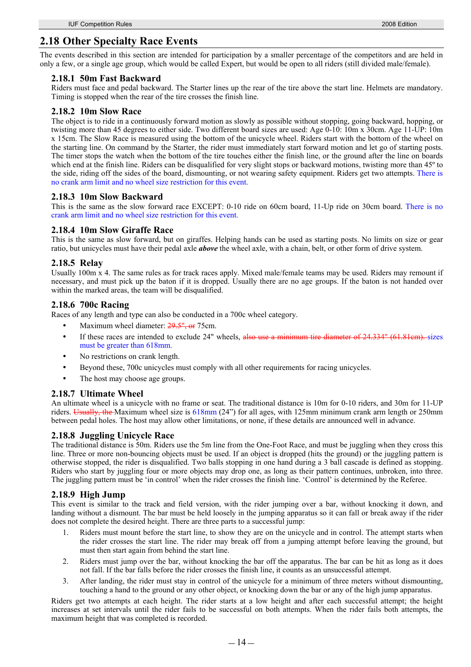# **2.18 Other Specialty Race Events**

The events described in this section are intended for participation by a smaller percentage of the competitors and are held in only a few, or a single age group, which would be called Expert, but would be open to all riders (still divided male/female).

### **2.18.1 50m Fast Backward**

Riders must face and pedal backward. The Starter lines up the rear of the tire above the start line. Helmets are mandatory. Timing is stopped when the rear of the tire crosses the finish line.

### **2.18.2 10m Slow Race**

The object is to ride in a continuously forward motion as slowly as possible without stopping, going backward, hopping, or twisting more than 45 degrees to either side. Two different board sizes are used: Age 0-10: 10m x 30cm. Age 11-UP: 10m x 15cm. The Slow Race is measured using the bottom of the unicycle wheel. Riders start with the bottom of the wheel on the starting line. On command by the Starter, the rider must immediately start forward motion and let go of starting posts. The timer stops the watch when the bottom of the tire touches either the finish line, or the ground after the line on boards which end at the finish line. Riders can be disqualified for very slight stops or backward motions, twisting more than 45<sup>°</sup> to the side, riding off the sides of the board, dismounting, or not wearing safety equipment. Riders get two attempts. There is no crank arm limit and no wheel size restriction for this event.

### **2.18.3 10m Slow Backward**

This is the same as the slow forward race EXCEPT: 0-10 ride on 60cm board, 11-Up ride on 30cm board. There is no crank arm limit and no wheel size restriction for this event.

### **2.18.4 10m Slow Giraffe Race**

This is the same as slow forward, but on giraffes. Helping hands can be used as starting posts. No limits on size or gear ratio, but unicycles must have their pedal axle *above* the wheel axle, with a chain, belt, or other form of drive system.

### **2.18.5 Relay**

Usually 100m x 4. The same rules as for track races apply. Mixed male/female teams may be used. Riders may remount if necessary, and must pick up the baton if it is dropped. Usually there are no age groups. If the baton is not handed over within the marked areas, the team will be disqualified.

### **2.18.6 700c Racing**

Races of any length and type can also be conducted in a 700c wheel category.

- Maximum wheel diameter: 29.5", or 75cm.
- If these races are intended to exclude 24" wheels, also use a minimum tire diameter of 24.334" (61.81cm). sizes must be greater than 618mm.
- No restrictions on crank length.
- Beyond these, 700c unicycles must comply with all other requirements for racing unicycles.
- The host may choose age groups.

### **2.18.7 Ultimate Wheel**

An ultimate wheel is a unicycle with no frame or seat. The traditional distance is 10m for 0-10 riders, and 30m for 11-UP riders. Usually, the Maximum wheel size is 618mm (24") for all ages, with 125mm minimum crank arm length or 250mm between pedal holes. The host may allow other limitations, or none, if these details are announced well in advance.

## **2.18.8 Juggling Unicycle Race**

The traditional distance is 50m. Riders use the 5m line from the One-Foot Race, and must be juggling when they cross this line. Three or more non-bouncing objects must be used. If an object is dropped (hits the ground) or the juggling pattern is otherwise stopped, the rider is disqualified. Two balls stopping in one hand during a 3 ball cascade is defined as stopping. Riders who start by juggling four or more objects may drop one, as long as their pattern continues, unbroken, into three. The juggling pattern must be 'in control' when the rider crosses the finish line. 'Control' is determined by the Referee.

## **2.18.9 High Jump**

This event is similar to the track and field version, with the rider jumping over a bar, without knocking it down, and landing without a dismount. The bar must be held loosely in the jumping apparatus so it can fall or break away if the rider does not complete the desired height. There are three parts to a successful jump:

- 1. Riders must mount before the start line, to show they are on the unicycle and in control. The attempt starts when the rider crosses the start line. The rider may break off from a jumping attempt before leaving the ground, but must then start again from behind the start line.
- 2. Riders must jump over the bar, without knocking the bar off the apparatus. The bar can be hit as long as it does not fall. If the bar falls before the rider crosses the finish line, it counts as an unsuccessful attempt.
- 3. After landing, the rider must stay in control of the unicycle for a minimum of three meters without dismounting, touching a hand to the ground or any other object, or knocking down the bar or any of the high jump apparatus.

Riders get two attempts at each height. The rider starts at a low height and after each successful attempt; the height increases at set intervals until the rider fails to be successful on both attempts. When the rider fails both attempts, the maximum height that was completed is recorded.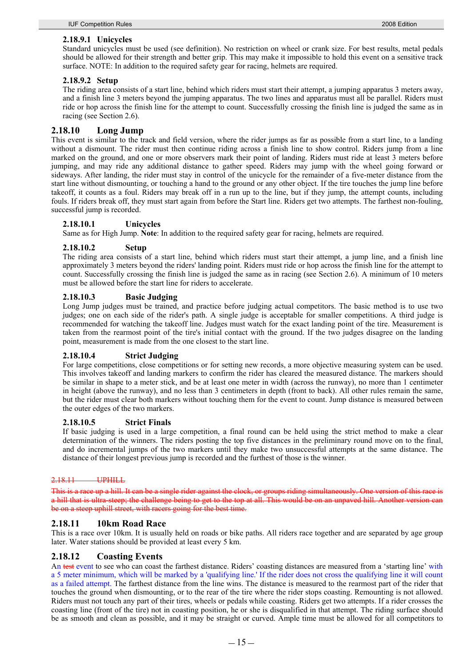### **2.18.9.1 Unicycles**

Standard unicycles must be used (see definition). No restriction on wheel or crank size. For best results, metal pedals should be allowed for their strength and better grip. This may make it impossible to hold this event on a sensitive track surface. NOTE: In addition to the required safety gear for racing, helmets are required.

### **2.18.9.2 Setup**

The riding area consists of a start line, behind which riders must start their attempt, a jumping apparatus 3 meters away, and a finish line 3 meters beyond the jumping apparatus. The two lines and apparatus must all be parallel. Riders must ride or hop across the finish line for the attempt to count. Successfully crossing the finish line is judged the same as in racing (see Section 2.6).

### **2.18.10 Long Jump**

This event is similar to the track and field version, where the rider jumps as far as possible from a start line, to a landing without a dismount. The rider must then continue riding across a finish line to show control. Riders jump from a line marked on the ground, and one or more observers mark their point of landing. Riders must ride at least 3 meters before jumping, and may ride any additional distance to gather speed. Riders may jump with the wheel going forward or sideways. After landing, the rider must stay in control of the unicycle for the remainder of a five-meter distance from the start line without dismounting, or touching a hand to the ground or any other object. If the tire touches the jump line before takeoff, it counts as a foul. Riders may break off in a run up to the line, but if they jump, the attempt counts, including fouls. If riders break off, they must start again from before the Start line. Riders get two attempts. The farthest non-fouling, successful jump is recorded.

### **2.18.10.1 Unicycles**

Same as for High Jump. **Note**: In addition to the required safety gear for racing, helmets are required.

### **2.18.10.2 Setup**

The riding area consists of a start line, behind which riders must start their attempt, a jump line, and a finish line approximately 3 meters beyond the riders' landing point. Riders must ride or hop across the finish line for the attempt to count. Successfully crossing the finish line is judged the same as in racing (see Section 2.6). A minimum of 10 meters must be allowed before the start line for riders to accelerate.

### **2.18.10.3 Basic Judging**

Long Jump judges must be trained, and practice before judging actual competitors. The basic method is to use two judges; one on each side of the rider's path. A single judge is acceptable for smaller competitions. A third judge is recommended for watching the takeoff line. Judges must watch for the exact landing point of the tire. Measurement is taken from the rearmost point of the tire's initial contact with the ground. If the two judges disagree on the landing point, measurement is made from the one closest to the start line.

### **2.18.10.4 Strict Judging**

For large competitions, close competitions or for setting new records, a more objective measuring system can be used. This involves takeoff and landing markers to confirm the rider has cleared the measured distance. The markers should be similar in shape to a meter stick, and be at least one meter in width (across the runway), no more than 1 centimeter in height (above the runway), and no less than 3 centimeters in depth (front to back). All other rules remain the same, but the rider must clear both markers without touching them for the event to count. Jump distance is measured between the outer edges of the two markers.

### **2.18.10.5 Strict Finals**

If basic judging is used in a large competition, a final round can be held using the strict method to make a clear determination of the winners. The riders posting the top five distances in the preliminary round move on to the final, and do incremental jumps of the two markers until they make two unsuccessful attempts at the same distance. The distance of their longest previous jump is recorded and the furthest of those is the winner.

### 2.18.11 UPHILL

This is a race up a hill. It can be a single rider against the clock, or groups riding simultaneously. One version of this race is a hill that is ultra-steep; the challenge being to get to the top at all. This would be on an unpaved hill. Another be on a steep uphill street, with racers going for the best time.

### **2.18.11 10km Road Race**

This is a race over 10km. It is usually held on roads or bike paths. All riders race together and are separated by age group later. Water stations should be provided at least every 5 km.

### **2.18.12 Coasting Events**

An test event to see who can coast the farthest distance. Riders' coasting distances are measured from a 'starting line' with a 5 meter minimum, which will be marked by a 'qualifying line.' If the rider does not cross the qualifying line it will count as a failed attempt. The farthest distance from the line wins. The distance is measured to the rearmost part of the rider that touches the ground when dismounting, or to the rear of the tire where the rider stops coasting. Remounting is not allowed. Riders must not touch any part of their tires, wheels or pedals while coasting. Riders get two attempts. If a rider crosses the coasting line (front of the tire) not in coasting position, he or she is disqualified in that attempt. The riding surface should be as smooth and clean as possible, and it may be straight or curved. Ample time must be allowed for all competitors to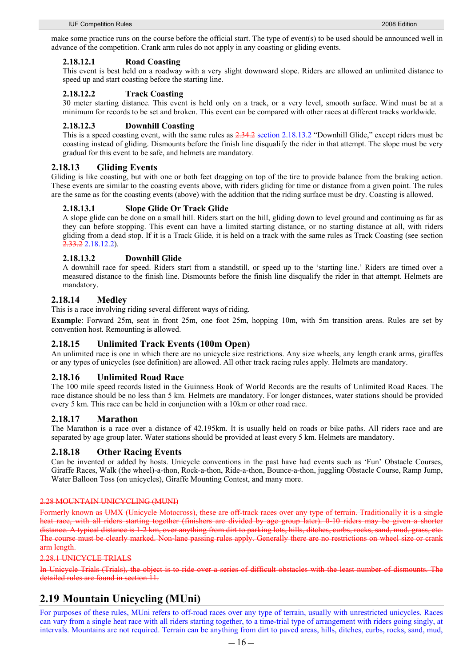make some practice runs on the course before the official start. The type of event(s) to be used should be announced well in advance of the competition. Crank arm rules do not apply in any coasting or gliding events.

### **2.18.12.1 Road Coasting**

This event is best held on a roadway with a very slight downward slope. Riders are allowed an unlimited distance to speed up and start coasting before the starting line.

### **2.18.12.2 Track Coasting**

30 meter starting distance. This event is held only on a track, or a very level, smooth surface. Wind must be at a minimum for records to be set and broken. This event can be compared with other races at different tracks worldwide.

### **2.18.12.3 Downhill Coasting**

This is a speed coasting event, with the same rules as  $2.34.2$  section 2.18.13.2 "Downhill Glide," except riders must be coasting instead of gliding. Dismounts before the finish line disqualify the rider in that attempt. The slope must be very gradual for this event to be safe, and helmets are mandatory.

## **2.18.13 Gliding Events**

Gliding is like coasting, but with one or both feet dragging on top of the tire to provide balance from the braking action. These events are similar to the coasting events above, with riders gliding for time or distance from a given point. The rules are the same as for the coasting events (above) with the addition that the riding surface must be dry. Coasting is allowed.

### **2.18.13.1 Slope Glide Or Track Glide**

A slope glide can be done on a small hill. Riders start on the hill, gliding down to level ground and continuing as far as they can before stopping. This event can have a limited starting distance, or no starting distance at all, with riders gliding from a dead stop. If it is a Track Glide, it is held on a track with the same rules as Track Coasting (see section 2.33.2 2.18.12.2).

## **2.18.13.2 Downhill Glide**

A downhill race for speed. Riders start from a standstill, or speed up to the 'starting line.' Riders are timed over a measured distance to the finish line. Dismounts before the finish line disqualify the rider in that attempt. Helmets are mandatory.

## **2.18.14 Medley**

This is a race involving riding several different ways of riding.

**Example**: Forward 25m, seat in front 25m, one foot 25m, hopping 10m, with 5m transition areas. Rules are set by convention host. Remounting is allowed.

## **2.18.15 Unlimited Track Events (100m Open)**

An unlimited race is one in which there are no unicycle size restrictions. Any size wheels, any length crank arms, giraffes or any types of unicycles (see definition) are allowed. All other track racing rules apply. Helmets are mandatory.

## **2.18.16 Unlimited Road Race**

The 100 mile speed records listed in the Guinness Book of World Records are the results of Unlimited Road Races. The race distance should be no less than 5 km. Helmets are mandatory. For longer distances, water stations should be provided every 5 km. This race can be held in conjunction with a 10km or other road race.

### **2.18.17 Marathon**

The Marathon is a race over a distance of 42.195km. It is usually held on roads or bike paths. All riders race and are separated by age group later. Water stations should be provided at least every 5 km. Helmets are mandatory.

## **2.18.18 Other Racing Events**

Can be invented or added by hosts. Unicycle conventions in the past have had events such as 'Fun' Obstacle Courses, Giraffe Races, Walk (the wheel)-a-thon, Rock-a-thon, Ride-a-thon, Bounce-a-thon, juggling Obstacle Course, Ramp Jump, Water Balloon Toss (on unicycles), Giraffe Mounting Contest, and many more.

### 2.28 MOUNTAIN UNICYCLING (MUNI)

Formerly known as UMX (Unicycle Motocross), these are off-track races over any type of terrain. Traditionally heat race, with all riders starting together (finishers are divided by age group later). 0-10 riders may be given distance. A typical distance is 1-2 km, over anything from dirt to parking lots, hills, ditches, curbs, rocks The course must be clearly marked. Non-lane passing rules apply. Generally there are no restrictions on wheel size or crank arm length.

### 2.28.1 UNICYCLE TRIALS

In Unicycle Trials (Trials), the object is to ride over a series of difficult obstacles with the least number of dismounts. The detailed rules are found in section 11.

# **2.19 Mountain Unicycling (MUni)**

For purposes of these rules, MUni refers to off-road races over any type of terrain, usually with unrestricted unicycles. Races can vary from a single heat race with all riders starting together, to a time-trial type of arrangement with riders going singly, at intervals. Mountains are not required. Terrain can be anything from dirt to paved areas, hills, ditches, curbs, rocks, sand, mud,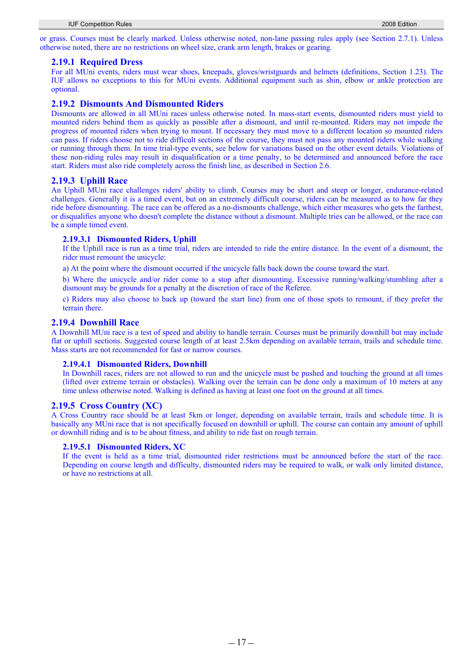or grass. Courses must be clearly marked. Unless otherwise noted, non-lane passing rules apply (see Section 2.7.1). Unless otherwise noted, there are no restrictions on wheel size, crank arm length, brakes or gearing.

### **2.19.1 Required Dress**

For all MUni events, riders must wear shoes, kneepads, gloves/wristguards and helmets (definitions, Section 1.23). The IUF allows no exceptions to this for MUni events. Additional equipment such as shin, elbow or ankle protection are optional.

### **2.19.2 Dismounts And Dismounted Riders**

Dismounts are allowed in all MUni races unless otherwise noted. In mass-start events, dismounted riders must yield to mounted riders behind them as quickly as possible after a dismount, and until re-mounted. Riders may not impede the progress of mounted riders when trying to mount. If necessary they must move to a different location so mounted riders can pass. If riders choose not to ride difficult sections of the course, they must not pass any mounted riders while walking or running through them. In time trial-type events, see below for variations based on the other event details. Violations of these non-riding rules may result in disqualification or a time penalty, to be determined and announced before the race start. Riders must also ride completely across the finish line, as described in Section 2.6.

### **2.19.3 Uphill Race**

An Uphill MUni race challenges riders' ability to climb. Courses may be short and steep or longer, endurance-related challenges. Generally it is a timed event, but on an extremely difficult course, riders can be measured as to how far they ride before dismounting. The race can be offered as a no-dismounts challenge, which either measures who gets the farthest, or disqualifies anyone who doesn't complete the distance without a dismount. Multiple tries can be allowed, or the race can be a simple timed event.

### **2.19.3.1 Dismounted Riders, Uphill**

If the Uphill race is run as a time trial, riders are intended to ride the entire distance. In the event of a dismount, the rider must remount the unicycle:

a) At the point where the dismount occurred if the unicycle falls back down the course toward the start.

b) Where the unicycle and/or rider come to a stop after dismounting. Excessive running/walking/stumbling after a dismount may be grounds for a penalty at the discretion of race of the Referee.

c) Riders may also choose to back up (toward the start line) from one of those spots to remount, if they prefer the terrain there.

### **2.19.4 Downhill Race**

A Downhill MUni race is a test of speed and ability to handle terrain. Courses must be primarily downhill but may include flat or uphill sections. Suggested course length of at least 2.5km depending on available terrain, trails and schedule time. Mass starts are not recommended for fast or narrow courses.

### **2.19.4.1 Dismounted Riders, Downhill**

In Downhill races, riders are not allowed to run and the unicycle must be pushed and touching the ground at all times (lifted over extreme terrain or obstacles). Walking over the terrain can be done only a maximum of 10 meters at any time unless otherwise noted. Walking is defined as having at least one foot on the ground at all times.

### **2.19.5 Cross Country (XC)**

A Cross Country race should be at least 5km or longer, depending on available terrain, trails and schedule time. It is basically any MUni race that is not specifically focused on downhill or uphill. The course can contain any amount of uphill or downhill riding and is to be about fitness, and ability to ride fast on rough terrain.

### **2.19.5.1 Dismounted Riders, XC**

If the event is held as a time trial, dismounted rider restrictions must be announced before the start of the race. Depending on course length and difficulty, dismounted riders may be required to walk, or walk only limited distance, or have no restrictions at all.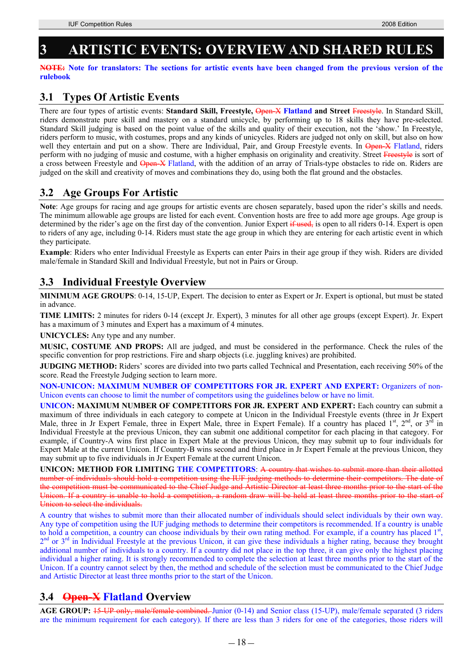# **3 ARTISTIC EVENTS: OVERVIEW AND SHARED RULES**

**NOTE: Note for translators: The sections for artistic events have been changed from the previous version of the rulebook** 

# **3.1 Types Of Artistic Events**

There are four types of artistic events: Standard Skill, Freestyle, Open X Flatland and Street Freestyle. In Standard Skill, riders demonstrate pure skill and mastery on a standard unicycle, by performing up to 18 skills they have pre-selected. Standard Skill judging is based on the point value of the skills and quality of their execution, not the 'show.' In Freestyle, riders perform to music, with costumes, props and any kinds of unicycles. Riders are judged not only on skill, but also on how well they entertain and put on a show. There are Individual, Pair, and Group Freestyle events. In Open-X Flatland, riders perform with no judging of music and costume, with a higher emphasis on originality and creativity. Street Freestyle is sort of a cross between Freestyle and Open-X Flatland, with the addition of an array of Trials-type obstacles to ride on. Riders are judged on the skill and creativity of moves and combinations they do, using both the flat ground and the obstacles.

# **3.2 Age Groups For Artistic**

**Note**: Age groups for racing and age groups for artistic events are chosen separately, based upon the rider's skills and needs. The minimum allowable age groups are listed for each event. Convention hosts are free to add more age groups. Age group is determined by the rider's age on the first day of the convention. Junior Expert  $\frac{1}{2}$  and  $\frac{1}{2}$  is open to all riders 0-14. Expert is open to riders of any age, including 0-14. Riders must state the age group in which they are entering for each artistic event in which they participate.

**Example**: Riders who enter Individual Freestyle as Experts can enter Pairs in their age group if they wish. Riders are divided male/female in Standard Skill and Individual Freestyle, but not in Pairs or Group.

# **3.3 Individual Freestyle Overview**

**MINIMUM AGE GROUPS**: 0-14, 15-UP, Expert. The decision to enter as Expert or Jr. Expert is optional, but must be stated in advance.

**TIME LIMITS:** 2 minutes for riders 0-14 (except Jr. Expert), 3 minutes for all other age groups (except Expert). Jr. Expert has a maximum of 3 minutes and Expert has a maximum of 4 minutes.

**UNICYCLES:** Any type and any number.

**MUSIC, COSTUME AND PROPS:** All are judged, and must be considered in the performance. Check the rules of the specific convention for prop restrictions. Fire and sharp objects (i.e. juggling knives) are prohibited.

**JUDGING METHOD:** Riders' scores are divided into two parts called Technical and Presentation, each receiving 50% of the score. Read the Freestyle Judging section to learn more.

**NON-UNICON: MAXIMUM NUMBER OF COMPETITORS FOR JR. EXPERT AND EXPERT:** Organizers of non-Unicon events can choose to limit the number of competitors using the guidelines below or have no limit.

**UNICON: MAXIMUM NUMBER OF COMPETITORS FOR JR. EXPERT AND EXPERT:** Each country can submit a maximum of three individuals in each category to compete at Unicon in the Individual Freestyle events (three in Jr Expert Male, three in Jr Expert Female, three in Expert Male, three in Expert Female). If a country has placed 1<sup>st</sup>, 2<sup>nd</sup>, or 3<sup>rd</sup> in Individual Freestyle at the previous Unicon, they can submit one additional competitor for each placing in that category. For example, if Country-A wins first place in Expert Male at the previous Unicon, they may submit up to four individuals for Expert Male at the current Unicon. If Country-B wins second and third place in Jr Expert Female at the previous Unicon, they may submit up to five individuals in Jr Expert Female at the current Unicon.

**UNICON: METHOD FOR LIMITING THE COMPETITORS**: A country that wishes to submit more than their allotted number of individuals should hold a competition using the IUF judging methods to determine their competitors. The date of the competition must be communicated to the Chief Judge and Artistic Director at least three months prior to the start of the Unicon. If a country is unable to hold a competition, a random draw will be held at least three months prior to the start of Unicon to select the individuals.

A country that wishes to submit more than their allocated number of individuals should select individuals by their own way. Any type of competition using the IUF judging methods to determine their competitors is recommended. If a country is unable to hold a competition, a country can choose individuals by their own rating method. For example, if a country has placed 1<sup>st</sup>, 2<sup>nd</sup> or 3<sup>rd</sup> in Individual Freestyle at the previous Unicon, it can give these individuals a higher rating, because they brought additional number of individuals to a country. If a country did not place in the top three, it can give only the highest placing individual a higher rating. It is strongly recommended to complete the selection at least three months prior to the start of the Unicon. If a country cannot select by then, the method and schedule of the selection must be communicated to the Chief Judge and Artistic Director at least three months prior to the start of the Unicon.

# **3.4 Open-X Flatland Overview**

**AGE GROUP:** 15-UP only, male/female combined. Junior (0-14) and Senior class (15-UP), male/female separated (3 riders are the minimum requirement for each category). If there are less than 3 riders for one of the categories, those riders will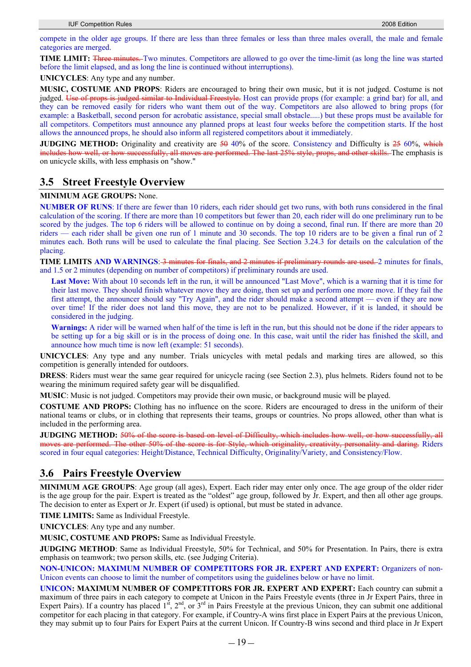compete in the older age groups. If there are less than three females or less than three males overall, the male and female categories are merged.

**TIME LIMIT:** Three minutes. Two minutes. Competitors are allowed to go over the time-limit (as long the line was started before the limit elapsed, and as long the line is continued without interruptions).

**UNICYCLES**: Any type and any number.

**MUSIC, COSTUME AND PROPS**: Riders are encouraged to bring their own music, but it is not judged. Costume is not judged. Use of props is judged similar to Individual Freestyle. Host can provide props (for example: a grind bar) for all, and they can be removed easily for riders who want them out of the way. Competitors are also allowed to bring props (for example: a Basketball, second person for acrobatic assistance, special small obstacle.....) but these props must be available for all competitors. Competitors must announce any planned props at least four weeks before the competition starts. If the host allows the announced props, he should also inform all registered competitors about it immediately.

**JUDGING METHOD:** Originality and creativity are  $\frac{50}{90}$  of the score. Consistency and Difficulty is  $\frac{25}{90}$  which all moves are performed. The last 25% style, props, and other skills. The emphasis is on unicycle skills, with less emphasis on "show."

## **3.5 Street Freestyle Overview**

### **MINIMUM AGE GROUPS:** None.

**NUMBER OF RUNS**: If there are fewer than 10 riders, each rider should get two runs, with both runs considered in the final calculation of the scoring. If there are more than 10 competitors but fewer than 20, each rider will do one preliminary run to be scored by the judges. The top 6 riders will be allowed to continue on by doing a second, final run. If there are more than 20 riders — each rider shall be given one run of 1 minute and 30 seconds. The top 10 riders are to be given a final run of 2 minutes each. Both runs will be used to calculate the final placing. See Section 3.24.3 for details on the calculation of the placing.

**TIME LIMITS AND WARNINGS: 3 minutes for finals, and 2 minutes if preliminary rounds are used. 2 minutes for finals,** and 1.5 or 2 minutes (depending on number of competitors) if preliminary rounds are used.

Last Move: With about 10 seconds left in the run, it will be announced "Last Move", which is a warning that it is time for their last move. They should finish whatever move they are doing, then set up and perform one more move. If they fail the first attempt, the announcer should say "Try Again", and the rider should make a second attempt — even if they are now over time! If the rider does not land this move, they are not to be penalized. However, if it is landed, it should be considered in the judging.

**Warnings:** A rider will be warned when half of the time is left in the run, but this should not be done if the rider appears to be setting up for a big skill or is in the process of doing one. In this case, wait until the rider has finished the skill, and announce how much time is now left (example: 51 seconds).

**UNICYCLES**: Any type and any number. Trials unicycles with metal pedals and marking tires are allowed, so this competition is generally intended for outdoors.

**DRESS**: Riders must wear the same gear required for unicycle racing (see Section 2.3), plus helmets. Riders found not to be wearing the minimum required safety gear will be disqualified.

**MUSIC**: Music is not judged. Competitors may provide their own music, or background music will be played.

**COSTUME AND PROPS:** Clothing has no influence on the score. Riders are encouraged to dress in the uniform of their national teams or clubs, or in clothing that represents their teams, groups or countries. No props allowed, other than what is included in the performing area.

**JUDGING METHOD:** 50% of the score is based on level of Difficulty, which includes how well, or how successfully, all moves are performed. The other 50% of the score is for Style, which originality, creativity, personality and daring. Riders scored in four equal categories: Height/Distance, Technical Difficulty, Originality/Variety, and Consistency/Flow.

# **3.6 Pairs Freestyle Overview**

**MINIMUM AGE GROUPS**: Age group (all ages), Expert. Each rider may enter only once. The age group of the older rider is the age group for the pair. Expert is treated as the "oldest" age group, followed by Jr. Expert, and then all other age groups. The decision to enter as Expert or Jr. Expert (if used) is optional, but must be stated in advance.

**TIME LIMITS:** Same as Individual Freestyle.

**UNICYCLES**: Any type and any number.

**MUSIC, COSTUME AND PROPS:** Same as Individual Freestyle.

**JUDGING METHOD**: Same as Individual Freestyle, 50% for Technical, and 50% for Presentation. In Pairs, there is extra emphasis on teamwork; two person skills, etc. (see Judging Criteria).

**NON-UNICON: MAXIMUM NUMBER OF COMPETITORS FOR JR. EXPERT AND EXPERT:** Organizers of non-Unicon events can choose to limit the number of competitors using the guidelines below or have no limit.

**UNICON: MAXIMUM NUMBER OF COMPETITORS FOR JR. EXPERT AND EXPERT:** Each country can submit a maximum of three pairs in each category to compete at Unicon in the Pairs Freestyle events (three in Jr Expert Pairs, three in Expert Pairs). If a country has placed  $1^{st}$ ,  $2^{nd}$ , or  $3^{rd}$  in Pairs Freestyle at the previous Unicon, they can submit one additional competitor for each placing in that category. For example, if Country-A wins first place in Expert Pairs at the previous Unicon, they may submit up to four Pairs for Expert Pairs at the current Unicon. If Country-B wins second and third place in Jr Expert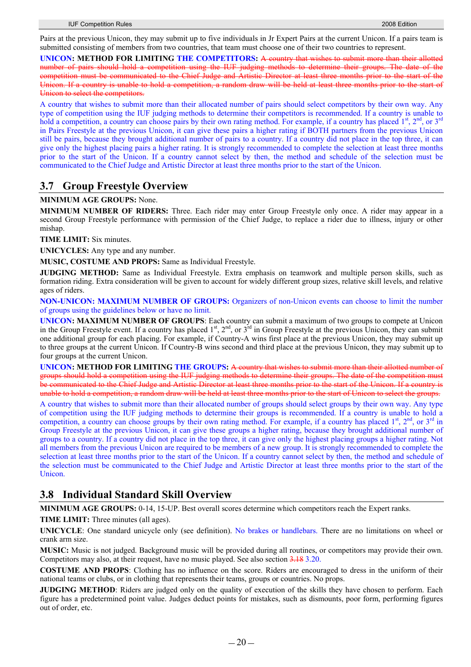Pairs at the previous Unicon, they may submit up to five individuals in Jr Expert Pairs at the current Unicon. If a pairs team is submitted consisting of members from two countries, that team must choose one of their two countries to represent.

**UNICON: METHOD FOR LIMITING THE COMPETITORS:** A country that wishes to submit more than their allotted number of pairs should hold a competition using the IUF judging methods to determine their groups. The date of the competition must be communicated to the Chief Judge and Artistic Director at least three months prior to the start of the Unicon. If a country is unable to hold a competition, a random draw will be held at least three months prior to the start of Unicon to select the competitors.

A country that wishes to submit more than their allocated number of pairs should select competitors by their own way. Any type of competition using the IUF judging methods to determine their competitors is recommended. If a country is unable to hold a competition, a country can choose pairs by their own rating method. For example, if a country has placed 1<sup>st</sup>, 2<sup>nd</sup>, or 3<sup>rd</sup> in Pairs Freestyle at the previous Unicon, it can give these pairs a higher rating if BOTH partners from the previous Unicon still be pairs, because they brought additional number of pairs to a country. If a country did not place in the top three, it can give only the highest placing pairs a higher rating. It is strongly recommended to complete the selection at least three months prior to the start of the Unicon. If a country cannot select by then, the method and schedule of the selection must be communicated to the Chief Judge and Artistic Director at least three months prior to the start of the Unicon.

# **3.7 Group Freestyle Overview**

### **MINIMUM AGE GROUPS:** None.

**MINIMUM NUMBER OF RIDERS:** Three. Each rider may enter Group Freestyle only once. A rider may appear in a second Group Freestyle performance with permission of the Chief Judge, to replace a rider due to illness, injury or other mishap.

**TIME LIMIT:** Six minutes.

**UNICYCLES:** Any type and any number.

**MUSIC, COSTUME AND PROPS:** Same as Individual Freestyle.

**JUDGING METHOD:** Same as Individual Freestyle. Extra emphasis on teamwork and multiple person skills, such as formation riding. Extra consideration will be given to account for widely different group sizes, relative skill levels, and relative ages of riders.

**NON-UNICON: MAXIMUM NUMBER OF GROUPS:** Organizers of non-Unicon events can choose to limit the number of groups using the guidelines below or have no limit.

**UNICON: MAXIMUM NUMBER OF GROUPS**: Each country can submit a maximum of two groups to compete at Unicon in the Group Freestyle event. If a country has placed  $1<sup>st</sup>$ ,  $2<sup>nd</sup>$ , or  $3<sup>rd</sup>$  in Group Freestyle at the previous Unicon, they can submit one additional group for each placing. For example, if Country-A wins first place at the previous Unicon, they may submit up to three groups at the current Unicon. If Country-B wins second and third place at the previous Unicon, they may submit up to four groups at the current Unicon.

**UNICON: METHOD FOR LIMITING THE GROUPS:** A country that wishes to submit more than their allotted number of groups should hold a competition using the IUF judging methods to determine their groups. The date of the competition must be communicated to the Chief Judge and Artistic Director at least three months prior to the start of the Unicon. If a country is unable to hold a competition, a random draw will be held at least three months prior to the start of Unicon to select the groups.

A country that wishes to submit more than their allocated number of groups should select groups by their own way. Any type of competition using the IUF judging methods to determine their groups is recommended. If a country is unable to hold a competition, a country can choose groups by their own rating method. For example, if a country has placed  $1<sup>st</sup>$ ,  $2<sup>nd</sup>$ , or  $3<sup>rd</sup>$  in Group Freestyle at the previous Unicon, it can give these groups a higher rating, because they brought additional number of groups to a country. If a country did not place in the top three, it can give only the highest placing groups a higher rating. Not all members from the previous Unicon are required to be members of a new group. It is strongly recommended to complete the selection at least three months prior to the start of the Unicon. If a country cannot select by then, the method and schedule of the selection must be communicated to the Chief Judge and Artistic Director at least three months prior to the start of the **Unicon** 

# **3.8 Individual Standard Skill Overview**

**MINIMUM AGE GROUPS:** 0-14, 15-UP. Best overall scores determine which competitors reach the Expert ranks.

**TIME LIMIT:** Three minutes (all ages).

**UNICYCLE**: One standard unicycle only (see definition). No brakes or handlebars. There are no limitations on wheel or crank arm size.

**MUSIC:** Music is not judged. Background music will be provided during all routines, or competitors may provide their own. Competitors may also, at their request, have no music played. See also section 3.18 3.20.

**COSTUME AND PROPS**: Clothing has no influence on the score. Riders are encouraged to dress in the uniform of their national teams or clubs, or in clothing that represents their teams, groups or countries. No props.

**JUDGING METHOD**: Riders are judged only on the quality of execution of the skills they have chosen to perform. Each figure has a predetermined point value. Judges deduct points for mistakes, such as dismounts, poor form, performing figures out of order, etc.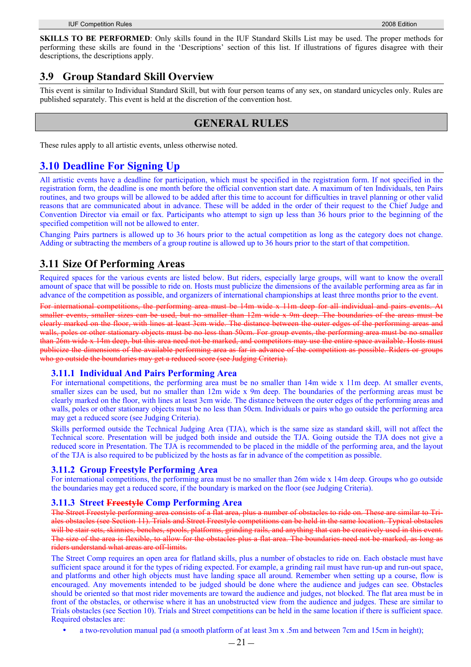**SKILLS TO BE PERFORMED**: Only skills found in the IUF Standard Skills List may be used. The proper methods for performing these skills are found in the 'Descriptions' section of this list. If illustrations of figures disagree with their descriptions, the descriptions apply.

# **3.9 Group Standard Skill Overview**

This event is similar to Individual Standard Skill, but with four person teams of any sex, on standard unicycles only. Rules are published separately. This event is held at the discretion of the convention host.

# **GENERAL RULES**

These rules apply to all artistic events, unless otherwise noted.

# **3.10 Deadline For Signing Up**

All artistic events have a deadline for participation, which must be specified in the registration form. If not specified in the registration form, the deadline is one month before the official convention start date. A maximum of ten Individuals, ten Pairs routines, and two groups will be allowed to be added after this time to account for difficulties in travel planning or other valid reasons that are communicated about in advance. These will be added in the order of their request to the Chief Judge and Convention Director via email or fax. Participants who attempt to sign up less than 36 hours prior to the beginning of the specified competition will not be allowed to enter.

Changing Pairs partners is allowed up to 36 hours prior to the actual competition as long as the category does not change. Adding or subtracting the members of a group routine is allowed up to 36 hours prior to the start of that competition.

# **3.11 Size Of Performing Areas**

Required spaces for the various events are listed below. But riders, especially large groups, will want to know the overall amount of space that will be possible to ride on. Hosts must publicize the dimensions of the available performing area as far in advance of the competition as possible, and organizers of international championships at least three months prior to the event.

For international competitions, the performing area must be 14m wide x 11m deep for all individual and pairs events. At smaller events, smaller sizes can be used, but no smaller than 12m wide x 9m deep. The boundaries of the areas must be clearly marked on the floor, with lines at least 3cm wide. The distance between the outer edges of the performing areas and walls, poles or other stationary objects must be no less than 50cm. For group events, the performing area must be no smaller than 26m wide x 14m deep, but this area need not be marked, and competitors may use the entire space available. Hosts must publicize the dimensions of the available performing area as far in advance of the competition as possible. Riders or groups who go outside the boundaries may get a reduced score (see Judging Criteria).

## **3.11.1 Individual And Pairs Performing Area**

For international competitions, the performing area must be no smaller than 14m wide x 11m deep. At smaller events, smaller sizes can be used, but no smaller than 12m wide x 9m deep. The boundaries of the performing areas must be clearly marked on the floor, with lines at least 3cm wide. The distance between the outer edges of the performing areas and walls, poles or other stationary objects must be no less than 50cm. Individuals or pairs who go outside the performing area may get a reduced score (see Judging Criteria).

Skills performed outside the Technical Judging Area (TJA), which is the same size as standard skill, will not affect the Technical score. Presentation will be judged both inside and outside the TJA. Going outside the TJA does not give a reduced score in Presentation. The TJA is recommended to be placed in the middle of the performing area, and the layout of the TJA is also required to be publicized by the hosts as far in advance of the competition as possible.

## **3.11.2 Group Freestyle Performing Area**

For international competitions, the performing area must be no smaller than 26m wide x 14m deep. Groups who go outside the boundaries may get a reduced score, if the boundary is marked on the floor (see Judging Criteria).

## **3.11.3 Street Freestyle Comp Performing Area**

The Street Freestyle performing area consists of a flat area, plus a number of obstacles to ride on. These are similar to Triales obstacles (see Section 11). Trials and Street Freestyle competitions can be held in the same location. Typical obstacles will be stair sets, skinnies, benches, spools, platforms, grinding rails, and anything that can be creatively used in this event. The size of the area is flexible, to allow for the obstacles plus a flat area. The boundaries need not be marked, as long as riders understand what areas are off-limits.

The Street Comp requires an open area for flatland skills, plus a number of obstacles to ride on. Each obstacle must have sufficient space around it for the types of riding expected. For example, a grinding rail must have run-up and run-out space, and platforms and other high objects must have landing space all around. Remember when setting up a course, flow is encouraged. Any movements intended to be judged should be done where the audience and judges can see. Obstacles should be oriented so that most rider movements are toward the audience and judges, not blocked. The flat area must be in front of the obstacles, or otherwise where it has an unobstructed view from the audience and judges. These are similar to Trials obstacles (see Section 10). Trials and Street competitions can be held in the same location if there is sufficient space. Required obstacles are:

a two-revolution manual pad (a smooth platform of at least 3m x .5m and between 7cm and 15cm in height);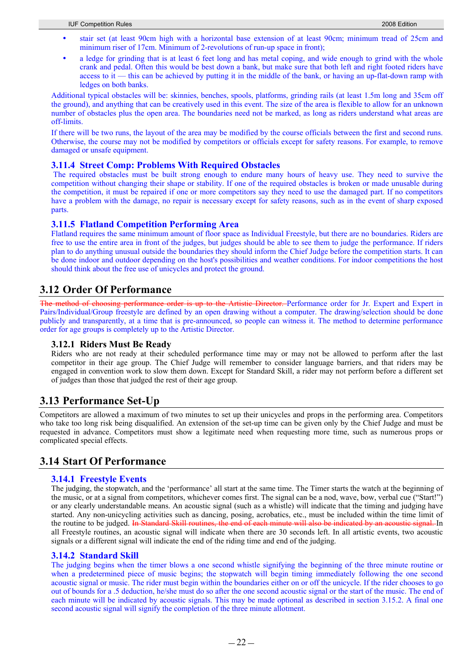- stair set (at least 90cm high with a horizontal base extension of at least 90cm; minimum tread of 25cm and minimum riser of 17cm. Minimum of 2-revolutions of run-up space in front);
- a ledge for grinding that is at least 6 feet long and has metal coping, and wide enough to grind with the whole crank and pedal. Often this would be best down a bank, but make sure that both left and right footed riders have access to  $\mathbf{i}$  — this can be achieved by putting it in the middle of the bank, or having an up-flat-down ramp with ledges on both banks.

Additional typical obstacles will be: skinnies, benches, spools, platforms, grinding rails (at least 1.5m long and 35cm off the ground), and anything that can be creatively used in this event. The size of the area is flexible to allow for an unknown number of obstacles plus the open area. The boundaries need not be marked, as long as riders understand what areas are off-limits.

If there will be two runs, the layout of the area may be modified by the course officials between the first and second runs. Otherwise, the course may not be modified by competitors or officials except for safety reasons. For example, to remove damaged or unsafe equipment.

### **3.11.4 Street Comp: Problems With Required Obstacles**

 The required obstacles must be built strong enough to endure many hours of heavy use. They need to survive the competition without changing their shape or stability. If one of the required obstacles is broken or made unusable during the competition, it must be repaired if one or more competitors say they need to use the damaged part. If no competitors have a problem with the damage, no repair is necessary except for safety reasons, such as in the event of sharp exposed parts.

## **3.11.5 Flatland Competition Performing Area**

Flatland requires the same minimum amount of floor space as Individual Freestyle, but there are no boundaries. Riders are free to use the entire area in front of the judges, but judges should be able to see them to judge the performance. If riders plan to do anything unusual outside the boundaries they should inform the Chief Judge before the competition starts. It can be done indoor and outdoor depending on the host's possibilities and weather conditions. For indoor competitions the host should think about the free use of unicycles and protect the ground.

## **3.12 Order Of Performance**

The method of choosing performance order is up to the Artistic Director. Performance order for Jr. Expert and Expert in Pairs/Individual/Group freestyle are defined by an open drawing without a computer. The drawing/selection should be done publicly and transparently, at a time that is pre-announced, so people can witness it. The method to determine performance order for age groups is completely up to the Artistic Director.

### **3.12.1 Riders Must Be Ready**

Riders who are not ready at their scheduled performance time may or may not be allowed to perform after the last competitor in their age group. The Chief Judge will remember to consider language barriers, and that riders may be engaged in convention work to slow them down. Except for Standard Skill, a rider may not perform before a different set of judges than those that judged the rest of their age group.

# **3.13 Performance Set-Up**

Competitors are allowed a maximum of two minutes to set up their unicycles and props in the performing area. Competitors who take too long risk being disqualified. An extension of the set-up time can be given only by the Chief Judge and must be requested in advance. Competitors must show a legitimate need when requesting more time, such as numerous props or complicated special effects.

# **3.14 Start Of Performance**

### **3.14.1 Freestyle Events**

The judging, the stopwatch, and the 'performance' all start at the same time. The Timer starts the watch at the beginning of the music, or at a signal from competitors, whichever comes first. The signal can be a nod, wave, bow, verbal cue ("Start!") or any clearly understandable means. An acoustic signal (such as a whistle) will indicate that the timing and judging have started. Any non-unicycling activities such as dancing, posing, acrobatics, etc., must be included within the time limit of the routine to be judged. In Standard Skill routines, the end of each minute will also be indicated by an acoustic signal. In all Freestyle routines, an acoustic signal will indicate when there are 30 seconds left. In all artistic events, two acoustic signals or a different signal will indicate the end of the riding time and end of the judging.

### **3.14.2 Standard Skill**

The judging begins when the timer blows a one second whistle signifying the beginning of the three minute routine or when a predetermined piece of music begins; the stopwatch will begin timing immediately following the one second acoustic signal or music. The rider must begin within the boundaries either on or off the unicycle. If the rider chooses to go out of bounds for a .5 deduction, he/she must do so after the one second acoustic signal or the start of the music. The end of each minute will be indicated by acoustic signals. This may be made optional as described in section 3.15.2. A final one second acoustic signal will signify the completion of the three minute allotment.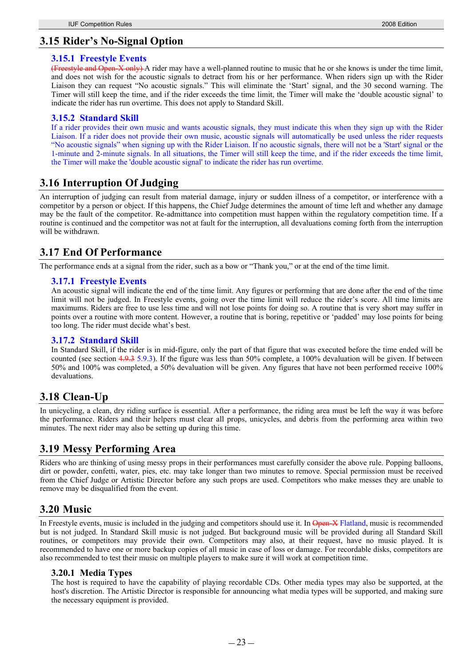# **3.15 Rider's No-Signal Option**

## **3.15.1 Freestyle Events**

(Freestyle and Open-X only) A rider may have a well-planned routine to music that he or she knows is under the time limit, and does not wish for the acoustic signals to detract from his or her performance. When riders sign up with the Rider Liaison they can request "No acoustic signals." This will eliminate the 'Start' signal, and the 30 second warning. The Timer will still keep the time, and if the rider exceeds the time limit, the Timer will make the 'double acoustic signal' to indicate the rider has run overtime. This does not apply to Standard Skill.

## **3.15.2 Standard Skill**

If a rider provides their own music and wants acoustic signals, they must indicate this when they sign up with the Rider Liaison. If a rider does not provide their own music, acoustic signals will automatically be used unless the rider requests "No acoustic signals" when signing up with the Rider Liaison. If no acoustic signals, there will not be a 'Start' signal or the 1-minute and 2-minute signals. In all situations, the Timer will still keep the time, and if the rider exceeds the time limit, the Timer will make the 'double acoustic signal' to indicate the rider has run overtime.

# **3.16 Interruption Of Judging**

An interruption of judging can result from material damage, injury or sudden illness of a competitor, or interference with a competitor by a person or object. If this happens, the Chief Judge determines the amount of time left and whether any damage may be the fault of the competitor. Re-admittance into competition must happen within the regulatory competition time. If a routine is continued and the competitor was not at fault for the interruption, all devaluations coming forth from the interruption will be withdrawn.

# **3.17 End Of Performance**

The performance ends at a signal from the rider, such as a bow or "Thank you," or at the end of the time limit.

## **3.17.1 Freestyle Events**

An acoustic signal will indicate the end of the time limit. Any figures or performing that are done after the end of the time limit will not be judged. In Freestyle events, going over the time limit will reduce the rider's score. All time limits are maximums. Riders are free to use less time and will not lose points for doing so. A routine that is very short may suffer in points over a routine with more content. However, a routine that is boring, repetitive or 'padded' may lose points for being too long. The rider must decide what's best.

## **3.17.2 Standard Skill**

In Standard Skill, if the rider is in mid-figure, only the part of that figure that was executed before the time ended will be counted (see section 4.9.3 5.9.3). If the figure was less than 50% complete, a 100% devaluation will be given. If between 50% and 100% was completed, a 50% devaluation will be given. Any figures that have not been performed receive 100% devaluations.

# **3.18 Clean-Up**

In unicycling, a clean, dry riding surface is essential. After a performance, the riding area must be left the way it was before the performance. Riders and their helpers must clear all props, unicycles, and debris from the performing area within two minutes. The next rider may also be setting up during this time.

# **3.19 Messy Performing Area**

Riders who are thinking of using messy props in their performances must carefully consider the above rule. Popping balloons, dirt or powder, confetti, water, pies, etc. may take longer than two minutes to remove. Special permission must be received from the Chief Judge or Artistic Director before any such props are used. Competitors who make messes they are unable to remove may be disqualified from the event.

# **3.20 Music**

In Freestyle events, music is included in the judging and competitors should use it. In Open-X Flatland, music is recommended but is not judged. In Standard Skill music is not judged. But background music will be provided during all Standard Skill routines, or competitors may provide their own. Competitors may also, at their request, have no music played. It is recommended to have one or more backup copies of all music in case of loss or damage. For recordable disks, competitors are also recommended to test their music on multiple players to make sure it will work at competition time.

## **3.20.1 Media Types**

The host is required to have the capability of playing recordable CDs. Other media types may also be supported, at the host's discretion. The Artistic Director is responsible for announcing what media types will be supported, and making sure the necessary equipment is provided.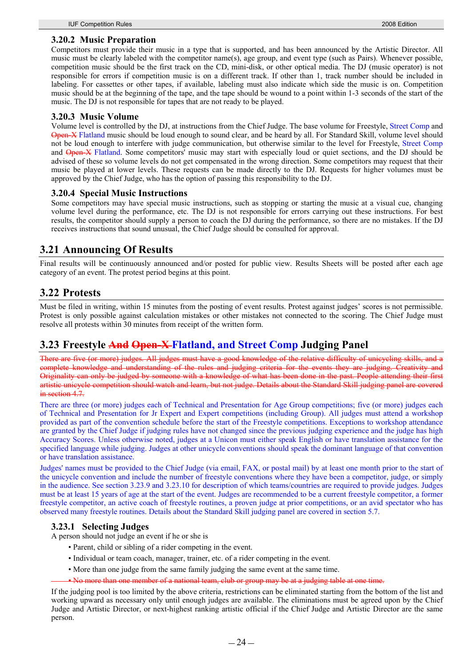### **3.20.2 Music Preparation**

Competitors must provide their music in a type that is supported, and has been announced by the Artistic Director. All music must be clearly labeled with the competitor name(s), age group, and event type (such as Pairs). Whenever possible, competition music should be the first track on the CD, mini-disk, or other optical media. The DJ (music operator) is not responsible for errors if competition music is on a different track. If other than 1, track number should be included in labeling. For cassettes or other tapes, if available, labeling must also indicate which side the music is on. Competition music should be at the beginning of the tape, and the tape should be wound to a point within 1-3 seconds of the start of the music. The DJ is not responsible for tapes that are not ready to be played.

### **3.20.3 Music Volume**

Volume level is controlled by the DJ, at instructions from the Chief Judge. The base volume for Freestyle, Street Comp and Open-X Flatland music should be loud enough to sound clear, and be heard by all. For Standard Skill, volume level should not be loud enough to interfere with judge communication, but otherwise similar to the level for Freestyle, Street Comp and Open-X Flatland. Some competitors' music may start with especially loud or quiet sections, and the DJ should be advised of these so volume levels do not get compensated in the wrong direction. Some competitors may request that their music be played at lower levels. These requests can be made directly to the DJ. Requests for higher volumes must be approved by the Chief Judge, who has the option of passing this responsibility to the DJ.

### **3.20.4 Special Music Instructions**

Some competitors may have special music instructions, such as stopping or starting the music at a visual cue, changing volume level during the performance, etc. The DJ is not responsible for errors carrying out these instructions. For best results, the competitor should supply a person to coach the DJ during the performance, so there are no mistakes. If the DJ receives instructions that sound unusual, the Chief Judge should be consulted for approval.

## **3.21 Announcing Of Results**

Final results will be continuously announced and/or posted for public view. Results Sheets will be posted after each age category of an event. The protest period begins at this point.

## **3.22 Protests**

Must be filed in writing, within 15 minutes from the posting of event results. Protest against judges' scores is not permissible. Protest is only possible against calculation mistakes or other mistakes not connected to the scoring. The Chief Judge must resolve all protests within 30 minutes from receipt of the written form.

## **3.23 Freestyle And Open-X Flatland, and Street Comp Judging Panel**

There are five (or more) judges. All judges must have a good knowledge of the relative difficulty of unicycling skills, and a complete knowledge and understanding of the rules and judging criteria for the events they are judging. Creativity and Originality can only be judged by someone with a knowledge of what has been done in the past. People attending their first artistic unicycle competition should watch and learn, but not judge. Details about the Standard Skill judging panel are covered in section 4.7.

There are three (or more) judges each of Technical and Presentation for Age Group competitions; five (or more) judges each of Technical and Presentation for Jr Expert and Expert competitions (including Group). All judges must attend a workshop provided as part of the convention schedule before the start of the Freestyle competitions. Exceptions to workshop attendance are granted by the Chief Judge if judging rules have not changed since the previous judging experience and the judge has high Accuracy Scores. Unless otherwise noted, judges at a Unicon must either speak English or have translation assistance for the specified language while judging. Judges at other unicycle conventions should speak the dominant language of that convention or have translation assistance.

Judges' names must be provided to the Chief Judge (via email, FAX, or postal mail) by at least one month prior to the start of the unicycle convention and include the number of freestyle conventions where they have been a competitor, judge, or simply in the audience. See section 3.23.9 and 3.23.10 for description of which teams/countries are required to provide judges. Judges must be at least 15 years of age at the start of the event. Judges are recommended to be a current freestyle competitor, a former freestyle competitor, an active coach of freestyle routines, a proven judge at prior competitions, or an avid spectator who has observed many freestyle routines. Details about the Standard Skill judging panel are covered in section 5.7.

### **3.23.1 Selecting Judges**

A person should not judge an event if he or she is

- Parent, child or sibling of a rider competing in the event.
- Individual or team coach, manager, trainer, etc. of a rider competing in the event.
- More than one judge from the same family judging the same event at the same time.
- than one member of a national team, club or group may be at a judging table at one time.

If the judging pool is too limited by the above criteria, restrictions can be eliminated starting from the bottom of the list and working upward as necessary only until enough judges are available. The eliminations must be agreed upon by the Chief Judge and Artistic Director, or next-highest ranking artistic official if the Chief Judge and Artistic Director are the same person.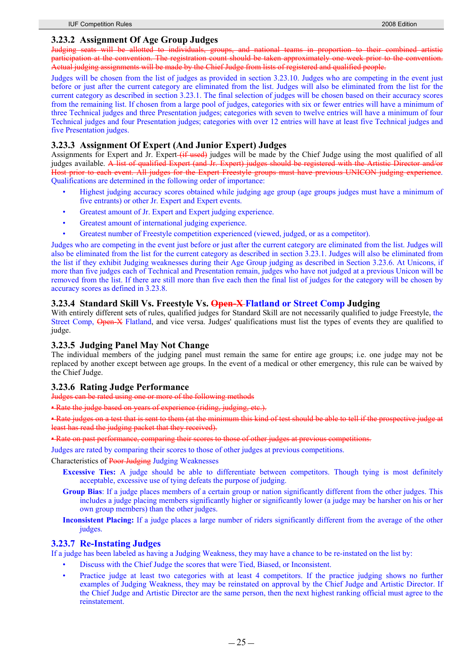### **3.23.2 Assignment Of Age Group Judges**

Judging seats will be allotted to individuals, groups, and national teams in proportion to their combined artistic participation at the convention. The registration count should be taken approximately one week prior to the convention. Actual judging assignments will be made by the Chief Judge from lists of registered and qualified people.

Judges will be chosen from the list of judges as provided in section 3.23.10. Judges who are competing in the event just before or just after the current category are eliminated from the list. Judges will also be eliminated from the list for the current category as described in section 3.23.1. The final selection of judges will be chosen based on their accuracy scores from the remaining list. If chosen from a large pool of judges, categories with six or fewer entries will have a minimum of three Technical judges and three Presentation judges; categories with seven to twelve entries will have a minimum of four Technical judges and four Presentation judges; categories with over 12 entries will have at least five Technical judges and five Presentation judges.

## **3.23.3 Assignment Of Expert (And Junior Expert) Judges**

Assignments for Expert and Jr. Expert (if used) judges will be made by the Chief Judge using the most qualified of all judges available. A list of qualified Expert (and Jr. Expert) judges should be registered with the Artistic Director and/or Host prior to each event. All judges for the Expert Freestyle groups must have previous UNICON judging experience. Qualifications are determined in the following order of importance:

- Highest judging accuracy scores obtained while judging age group (age groups judges must have a minimum of five entrants) or other Jr. Expert and Expert events.
- Greatest amount of Jr. Expert and Expert judging experience.
- Greatest amount of international judging experience.
- Greatest number of Freestyle competition experienced (viewed, judged, or as a competitor).

Judges who are competing in the event just before or just after the current category are eliminated from the list. Judges will also be eliminated from the list for the current category as described in section 3.23.1. Judges will also be eliminated from the list if they exhibit Judging weaknesses during their Age Group judging as described in Section 3.23.6. At Unicons, if more than five judges each of Technical and Presentation remain, judges who have not judged at a previous Unicon will be removed from the list. If there are still more than five each then the final list of judges for the category will be chosen by accuracy scores as defined in 3.23.8.

### **3.23.4 Standard Skill Vs. Freestyle Vs. Open-X Flatland or Street Comp Judging**

With entirely different sets of rules, qualified judges for Standard Skill are not necessarily qualified to judge Freestyle, the Street Comp, Open-X Flatland, and vice versa. Judges' qualifications must list the types of events they are qualified to judge.

## **3.23.5 Judging Panel May Not Change**

The individual members of the judging panel must remain the same for entire age groups; i.e. one judge may not be replaced by another except between age groups. In the event of a medical or other emergency, this rule can be waived by the Chief Judge.

### **3.23.6 Rating Judge Performance**

Judges can be rated using one or more of the following methods

• Rate the judge based on years of experience (riding, judging, etc.)

• Rate judges on a test that is sent to them (at the minimum this kind of test should be able to tell if the prospective judge least has read the judging packet that they received).

• Rate on past performance, comparing their scores to those of other judges at previous competitions.

Judges are rated by comparing their scores to those of other judges at previous competitions.

Characteristics of Poor Judging Judging Weaknesses

- **Excessive Ties:** A judge should be able to differentiate between competitors. Though tying is most definitely acceptable, excessive use of tying defeats the purpose of judging.
- **Group Bias**: If a judge places members of a certain group or nation significantly different from the other judges. This includes a judge placing members significantly higher or significantly lower (a judge may be harsher on his or her own group members) than the other judges.
- **Inconsistent Placing:** If a judge places a large number of riders significantly different from the average of the other judges.

### **3.23.7 Re-Instating Judges**

If a judge has been labeled as having a Judging Weakness, they may have a chance to be re-instated on the list by:

- Discuss with the Chief Judge the scores that were Tied, Biased, or Inconsistent.
- Practice judge at least two categories with at least 4 competitors. If the practice judging shows no further examples of Judging Weakness, they may be reinstated on approval by the Chief Judge and Artistic Director. If the Chief Judge and Artistic Director are the same person, then the next highest ranking official must agree to the reinstatement.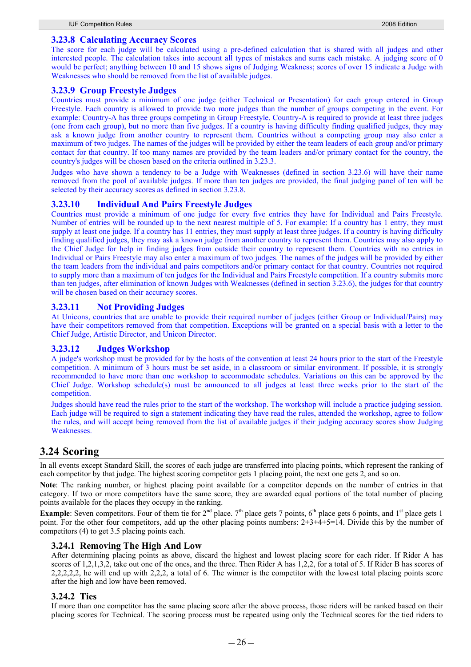### **3.23.8 Calculating Accuracy Scores**

The score for each judge will be calculated using a pre-defined calculation that is shared with all judges and other interested people. The calculation takes into account all types of mistakes and sums each mistake. A judging score of 0 would be perfect; anything between 10 and 15 shows signs of Judging Weakness; scores of over 15 indicate a Judge with Weaknesses who should be removed from the list of available judges.

### **3.23.9 Group Freestyle Judges**

Countries must provide a minimum of one judge (either Technical or Presentation) for each group entered in Group Freestyle. Each country is allowed to provide two more judges than the number of groups competing in the event. For example: Country-A has three groups competing in Group Freestyle. Country-A is required to provide at least three judges (one from each group), but no more than five judges. If a country is having difficulty finding qualified judges, they may ask a known judge from another country to represent them. Countries without a competing group may also enter a maximum of two judges. The names of the judges will be provided by either the team leaders of each group and/or primary contact for that country. If too many names are provided by the team leaders and/or primary contact for the country, the country's judges will be chosen based on the criteria outlined in 3.23.3.

Judges who have shown a tendency to be a Judge with Weaknesses (defined in section 3.23.6) will have their name removed from the pool of available judges. If more than ten judges are provided, the final judging panel of ten will be selected by their accuracy scores as defined in section 3.23.8.

## **3.23.10 Individual And Pairs Freestyle Judges**

Countries must provide a minimum of one judge for every five entries they have for Individual and Pairs Freestyle. Number of entries will be rounded up to the next nearest multiple of 5. For example: If a country has 1 entry, they must supply at least one judge. If a country has 11 entries, they must supply at least three judges. If a country is having difficulty finding qualified judges, they may ask a known judge from another country to represent them. Countries may also apply to the Chief Judge for help in finding judges from outside their country to represent them. Countries with no entries in Individual or Pairs Freestyle may also enter a maximum of two judges. The names of the judges will be provided by either the team leaders from the individual and pairs competitors and/or primary contact for that country. Countries not required to supply more than a maximum of ten judges for the Individual and Pairs Freestyle competition. If a country submits more than ten judges, after elimination of known Judges with Weaknesses (defined in section 3.23.6), the judges for that country will be chosen based on their accuracy scores.

## **3.23.11 Not Providing Judges**

At Unicons, countries that are unable to provide their required number of judges (either Group or Individual/Pairs) may have their competitors removed from that competition. Exceptions will be granted on a special basis with a letter to the Chief Judge, Artistic Director, and Unicon Director.

## **3.23.12 Judges Workshop**

A judge's workshop must be provided for by the hosts of the convention at least 24 hours prior to the start of the Freestyle competition. A minimum of 3 hours must be set aside, in a classroom or similar environment. If possible, it is strongly recommended to have more than one workshop to accommodate schedules. Variations on this can be approved by the Chief Judge. Workshop schedule(s) must be announced to all judges at least three weeks prior to the start of the competition.

Judges should have read the rules prior to the start of the workshop. The workshop will include a practice judging session. Each judge will be required to sign a statement indicating they have read the rules, attended the workshop, agree to follow the rules, and will accept being removed from the list of available judges if their judging accuracy scores show Judging Weaknesses.

# **3.24 Scoring**

In all events except Standard Skill, the scores of each judge are transferred into placing points, which represent the ranking of each competitor by that judge. The highest scoring competitor gets 1 placing point, the next one gets 2, and so on.

**Note**: The ranking number, or highest placing point available for a competitor depends on the number of entries in that category. If two or more competitors have the same score, they are awarded equal portions of the total number of placing points available for the places they occupy in the ranking.

**Example**: Seven competitors. Four of them tie for  $2^{nd}$  place.  $7^{th}$  place gets 7 points, 6<sup>th</sup> place gets 6 points, and 1<sup>st</sup> place gets 1 point. For the other four competitors, add up the other placing points numbers:  $2+3+4+5=14$ . Divide this by the number of competitors (4) to get 3.5 placing points each.

### **3.24.1 Removing The High And Low**

After determining placing points as above, discard the highest and lowest placing score for each rider. If Rider A has scores of 1,2,1,3,2, take out one of the ones, and the three. Then Rider A has 1,2,2, for a total of 5. If Rider B has scores of 2,2,2,2,2, he will end up with 2,2,2, a total of 6. The winner is the competitor with the lowest total placing points score after the high and low have been removed.

### **3.24.2 Ties**

If more than one competitor has the same placing score after the above process, those riders will be ranked based on their placing scores for Technical. The scoring process must be repeated using only the Technical scores for the tied riders to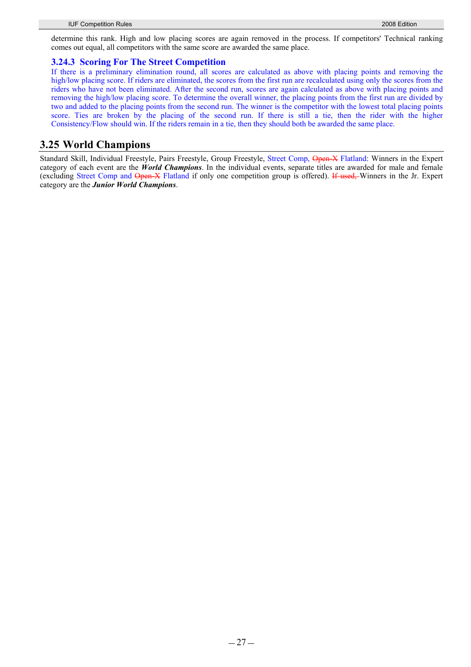determine this rank. High and low placing scores are again removed in the process. If competitors' Technical ranking comes out equal, all competitors with the same score are awarded the same place.

## **3.24.3 Scoring For The Street Competition**

If there is a preliminary elimination round, all scores are calculated as above with placing points and removing the high/low placing score. If riders are eliminated, the scores from the first run are recalculated using only the scores from the riders who have not been eliminated. After the second run, scores are again calculated as above with placing points and removing the high/low placing score. To determine the overall winner, the placing points from the first run are divided by two and added to the placing points from the second run. The winner is the competitor with the lowest total placing points score. Ties are broken by the placing of the second run. If there is still a tie, then the rider with the higher Consistency/Flow should win. If the riders remain in a tie, then they should both be awarded the same place.

## **3.25 World Champions**

Standard Skill, Individual Freestyle, Pairs Freestyle, Group Freestyle, Street Comp, Open-X Flatland: Winners in the Expert category of each event are the *World Champions*. In the individual events, separate titles are awarded for male and female (excluding Street Comp and Open-X Flatland if only one competition group is offered). If used, Winners in the Jr. Expert category are the *Junior World Champions*.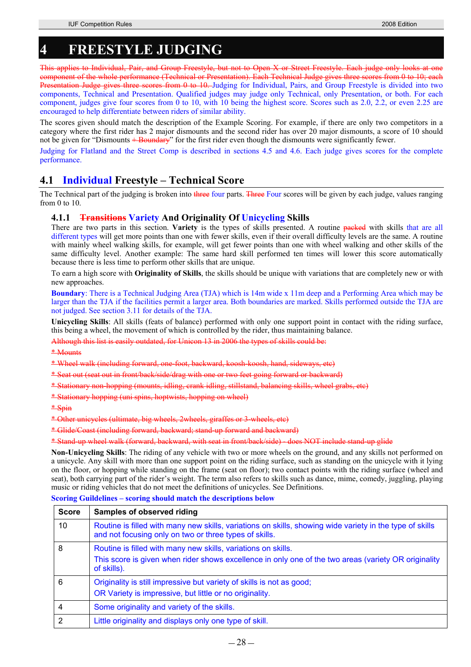# **4 FREESTYLE JUDGING**

This applies to Individual, Pair, and Group Freestyle, but not to Open X or Street Freestyle. Each judge only looks at one component of the whole performance (Technical or Presentation). Each Technical Judge gives three scores from 0 to 10; each Presentation Judge gives three scores from 0 to 10. Judging for Individual, Pairs, and Group Freestyle is divided into two components, Technical and Presentation. Qualified judges may judge only Technical, only Presentation, or both. For each component, judges give four scores from 0 to 10, with 10 being the highest score. Scores such as 2.0, 2.2, or even 2.25 are encouraged to help differentiate between riders of similar ability.

The scores given should match the description of the Example Scoring. For example, if there are only two competitors in a category where the first rider has 2 major dismounts and the second rider has over 20 major dismounts, a score of 10 should not be given for "Dismounts + Boundary" for the first rider even though the dismounts were significantly fewer.

Judging for Flatland and the Street Comp is described in sections 4.5 and 4.6. Each judge gives scores for the complete performance.

# **4.1 Individual Freestyle – Technical Score**

The Technical part of the judging is broken into three four parts. Three Four scores will be given by each judge, values ranging from 0 to 10.

## **4.1.1 Transitions Variety And Originality Of Unicycling Skills**

There are two parts in this section. **Variety** is the types of skills presented. A routine packed with skills that are all different types will get more points than one with fewer skills, even if their overall difficulty levels are the same. A routine with mainly wheel walking skills, for example, will get fewer points than one with wheel walking and other skills of the same difficulty level. Another example: The same hard skill performed ten times will lower this score automatically because there is less time to perform other skills that are unique.

To earn a high score with **Originality of Skills**, the skills should be unique with variations that are completely new or with new approaches.

**Boundary**: There is a Technical Judging Area (TJA) which is 14m wide x 11m deep and a Performing Area which may be larger than the TJA if the facilities permit a larger area. Both boundaries are marked. Skills performed outside the TJA are not judged. See section 3.11 for details of the TJA.

**Unicycling Skills**: All skills (feats of balance) performed with only one support point in contact with the riding surface, this being a wheel, the movement of which is controlled by the rider, thus maintaining balance.

Although this list is easily outdated, for Unicon 13 in 2006 the types of skills could be:

\* Mounts

\* Wheel walk (including forward, one-foot, backward, koosh-koosh, hand, sideways, etc)

\* Seat out (seat out in front/back/side/drag with one or two feet going forward or backward)

\* Stationary non-hopping (mounts, idling, crank idling, stillstand, balancing skills, wheel grabs, etc)

\* Stationary hopping (uni spins, hoptwists, hopping on wheel)

\* Spin

\* Other unicycles (ultimate, big wheels, 2wheels, giraffes or 3-wheels, etc)

\* Glide/Coast (including forward, backward; stand-up forward and backward)

\* Stand-up wheel walk (forward, backward, with seat in front/back/side) - does NOT include stand-up glide

**Non-Unicycling Skills**: The riding of any vehicle with two or more wheels on the ground, and any skills not performed on a unicycle. Any skill with more than one support point on the riding surface, such as standing on the unicycle with it lying on the floor, or hopping while standing on the frame (seat on floor); two contact points with the riding surface (wheel and seat), both carrying part of the rider's weight. The term also refers to skills such as dance, mime, comedy, juggling, playing music or riding vehicles that do not meet the definitions of unicycles. See Definitions.

**Scoring Guildelines – scoring should match the descriptions below** 

| <b>Score</b> | Samples of observed riding                                                                                                                                         |
|--------------|--------------------------------------------------------------------------------------------------------------------------------------------------------------------|
| 10           | Routine is filled with many new skills, variations on skills, showing wide variety in the type of skills<br>and not focusing only on two or three types of skills. |
| 8            | Routine is filled with many new skills, variations on skills.                                                                                                      |
|              | This score is given when rider shows excellence in only one of the two areas (variety OR originality<br>of skills).                                                |
| 6            | Originality is still impressive but variety of skills is not as good;                                                                                              |
|              | OR Variety is impressive, but little or no originality.                                                                                                            |
|              | Some originality and variety of the skills.                                                                                                                        |
| 2            | Little originality and displays only one type of skill.                                                                                                            |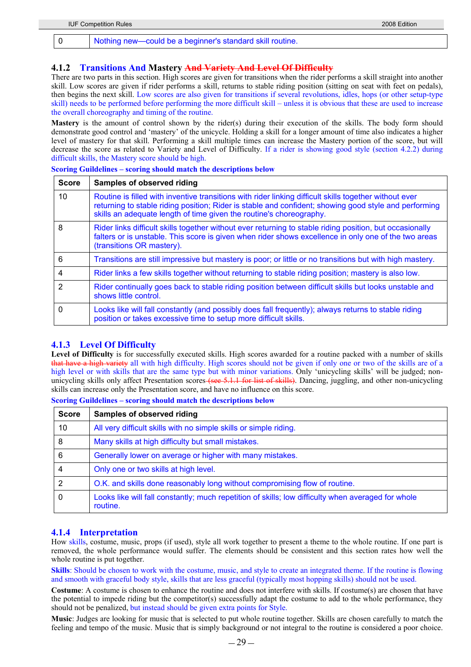### **4.1.2 Transitions And Mastery And Variety And Level Of Difficulty**

There are two parts in this section. High scores are given for transitions when the rider performs a skill straight into another skill. Low scores are given if rider performs a skill, returns to stable riding position (sitting on seat with feet on pedals), then begins the next skill. Low scores are also given for transitions if several revolutions, idles, hops (or other setup-type skill) needs to be performed before performing the more difficult skill – unless it is obvious that these are used to increase the overall choreography and timing of the routine.

**Mastery** is the amount of control shown by the rider(s) during their execution of the skills. The body form should demonstrate good control and 'mastery' of the unicycle. Holding a skill for a longer amount of time also indicates a higher level of mastery for that skill. Performing a skill multiple times can increase the Mastery portion of the score, but will decrease the score as related to Variety and Level of Difficulty. If a rider is showing good style (section 4.2.2) during difficult skills, the Mastery score should be high.

| <b>Score</b>  | Samples of observed riding                                                                                                                                                                                                                                                             |
|---------------|----------------------------------------------------------------------------------------------------------------------------------------------------------------------------------------------------------------------------------------------------------------------------------------|
| 10            | Routine is filled with inventive transitions with rider linking difficult skills together without ever<br>returning to stable riding position; Rider is stable and confident; showing good style and performing<br>skills an adequate length of time given the routine's choreography. |
| 8             | Rider links difficult skills together without ever returning to stable riding position, but occasionally<br>falters or is unstable. This score is given when rider shows excellence in only one of the two areas<br>(transitions OR mastery).                                          |
| 6             | Transitions are still impressive but mastery is poor; or little or no transitions but with high mastery.                                                                                                                                                                               |
| 4             | Rider links a few skills together without returning to stable riding position; mastery is also low.                                                                                                                                                                                    |
| $\mathcal{P}$ | Rider continually goes back to stable riding position between difficult skills but looks unstable and<br>shows little control.                                                                                                                                                         |
| $\Omega$      | Looks like will fall constantly (and possibly does fall frequently); always returns to stable riding<br>position or takes excessive time to setup more difficult skills.                                                                                                               |

### **Scoring Guildelines – scoring should match the descriptions below**

## **4.1.3 Level Of Difficulty**

Level of Difficulty is for successfully executed skills. High scores awarded for a routine packed with a number of skills that have a high variety all with high difficulty. High scores should not be given if only one or two of the skills are of a high level or with skills that are the same type but with minor variations. Only 'unicycling skills' will be judged; nonunicycling skills only affect Presentation scores (see 5.1.1 for list of skills). Dancing, juggling, and other non-unicycling skills can increase only the Presentation score, and have no influence on this score.

**Scoring Guildelines – scoring should match the descriptions below**

| <b>Score</b> | <b>Samples of observed riding</b>                                                                              |
|--------------|----------------------------------------------------------------------------------------------------------------|
| 10           | All very difficult skills with no simple skills or simple riding.                                              |
| 8            | Many skills at high difficulty but small mistakes.                                                             |
| 6            | Generally lower on average or higher with many mistakes.                                                       |
|              | Only one or two skills at high level.                                                                          |
| 2            | O.K. and skills done reasonably long without compromising flow of routine.                                     |
|              | Looks like will fall constantly; much repetition of skills; low difficulty when averaged for whole<br>routine. |

## **4.1.4 Interpretation**

How skills, costume, music, props (if used), style all work together to present a theme to the whole routine. If one part is removed, the whole performance would suffer. The elements should be consistent and this section rates how well the whole routine is put together.

**Skills**: Should be chosen to work with the costume, music, and style to create an integrated theme. If the routine is flowing and smooth with graceful body style, skills that are less graceful (typically most hopping skills) should not be used.

**Costume**: A costume is chosen to enhance the routine and does not interfere with skills. If costume(s) are chosen that have the potential to impede riding but the competitor(s) successfully adapt the costume to add to the whole performance, they should not be penalized, but instead should be given extra points for Style.

**Music**: Judges are looking for music that is selected to put whole routine together. Skills are chosen carefully to match the feeling and tempo of the music. Music that is simply background or not integral to the routine is considered a poor choice.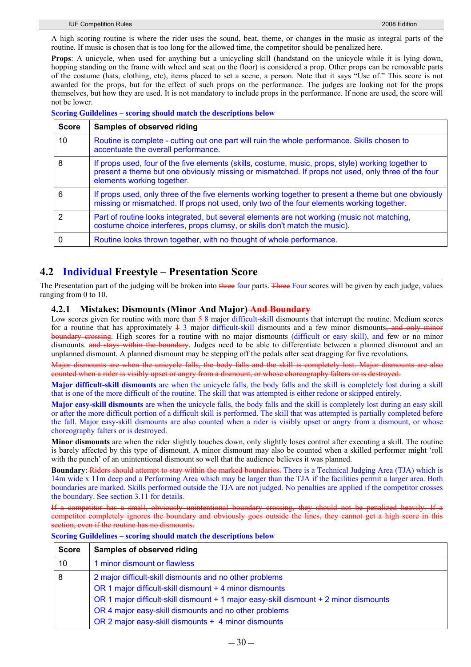A high scoring routine is where the rider uses the sound, beat, theme, or changes in the music as integral parts of the routine. If music is chosen that is too long for the allowed time, the competitor should be penalized here.

**Props**: A unicycle, when used for anything but a unicycling skill (handstand on the unicycle while it is lying down, hopping standing on the frame with wheel and seat on the floor) is considered a prop. Other props can be removable parts of the costume (hats, clothing, etc), items placed to set a scene, a person. Note that it says "Use of." This score is not awarded for the props, but for the effect of such props on the performance. The judges are looking not for the props themselves, but how they are used. It is not mandatory to include props in the performance. If none are used, the score will not be lower.

**Scoring Guildelines – scoring should match the descriptions below**

| <b>Score</b>  | <b>Samples of observed riding</b>                                                                                                                                                                                                       |
|---------------|-----------------------------------------------------------------------------------------------------------------------------------------------------------------------------------------------------------------------------------------|
| 10            | Routine is complete - cutting out one part will ruin the whole performance. Skills chosen to<br>accentuate the overall performance.                                                                                                     |
| 8             | If props used, four of the five elements (skills, costume, music, props, style) working together to<br>present a theme but one obviously missing or mismatched. If props not used, only three of the four<br>elements working together. |
| 6             | If props used, only three of the five elements working together to present a theme but one obviously<br>missing or mismatched. If props not used, only two of the four elements working together.                                       |
| $\mathcal{P}$ | Part of routine looks integrated, but several elements are not working (music not matching,<br>costume choice interferes, props clumsy, or skills don't match the music).                                                               |
| 0             | Routine looks thrown together, with no thought of whole performance.                                                                                                                                                                    |

# **4.2 Individual Freestyle – Presentation Score**

The Presentation part of the judging will be broken into three four parts. Three Four scores will be given by each judge, values ranging from 0 to 10.

## **4.2.1 Mistakes: Dismounts (Minor And Major) And Boundary**

Low scores given for routine with more than  $\frac{1}{2}$  8 major difficult-skill dismounts that interrupt the routine. Medium scores for a routine that has approximately  $\frac{1}{2}$  major difficult-skill dismounts and a few minor dismounts, and only minor boundary crossing. High scores for a routine with no major dismounts (difficult or easy skill), and few or no minor dismounts. and stays within the boundary. Judges need to be able to differentiate between a planned dismount and an unplanned dismount. A planned dismount may be stepping off the pedals after seat dragging for five revolutions.

Major dismounts are when the unicycle falls, the body falls and the skill is completely lost. Major dismounts are also counted when a rider is visibly upset or angry from a dismount, or whose choreography falters or is destroyed.

**Major difficult-skill dismounts** are when the unicycle falls, the body falls and the skill is completely lost during a skill that is one of the more difficult of the routine. The skill that was attempted is either redone or skipped entirely.

**Major easy-skill dismounts** are when the unicycle falls, the body falls and the skill is completely lost during an easy skill or after the more difficult portion of a difficult skill is performed. The skill that was attempted is partially completed before the fall. Major easy-skill dismounts are also counted when a rider is visibly upset or angry from a dismount, or whose choreography falters or is destroyed.

**Minor dismounts** are when the rider slightly touches down, only slightly loses control after executing a skill. The routine is barely affected by this type of dismount. A minor dismount may also be counted when a skilled performer might 'roll with the punch' of an unintentional dismount so well that the audience believes it was planned.

**Boundary**: Riders should attempt to stay within the marked boundaries. There is a Technical Judging Area (TJA) which is 14m wide x 11m deep and a Performing Area which may be larger than the TJA if the facilities permit a larger area. Both boundaries are marked. Skills performed outside the TJA are not judged. No penalties are applied if the competitor crosses the boundary. See section 3.11 for details.

If a competitor has a small, obviously unintentional boundary crossing, they should not be penalized heavily. If a competitor completely ignores the boundary and obviously go section, even if the routine has no dismounts.

|  | <b>Scoring Guildelines - scoring should match the descriptions below</b> |  |  |  |  |  |
|--|--------------------------------------------------------------------------|--|--|--|--|--|
|--|--------------------------------------------------------------------------|--|--|--|--|--|

| <b>Score</b> | <b>Samples of observed riding</b>                                                     |  |
|--------------|---------------------------------------------------------------------------------------|--|
| 10           | 1 minor dismount or flawless                                                          |  |
| 8            | 2 major difficult-skill dismounts and no other problems                               |  |
|              | OR 1 major difficult-skill dismount + 4 minor dismounts                               |  |
|              | OR 1 major difficult-skill dismount + 1 major easy-skill dismount + 2 minor dismounts |  |
|              | OR 4 major easy-skill dismounts and no other problems                                 |  |
|              | OR 2 major easy-skill dismounts + 4 minor dismounts                                   |  |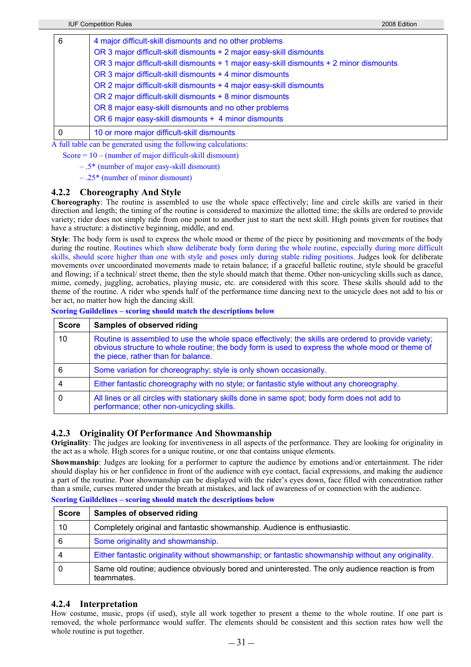| 6 | 4 major difficult-skill dismounts and no other problems<br>OR 3 major difficult-skill dismounts + 2 major easy-skill dismounts<br>OR 3 major difficult-skill dismounts + 1 major easy-skill dismounts + 2 minor dismounts<br>OR 3 major difficult-skill dismounts + 4 minor dismounts<br>OR 2 major difficult-skill dismounts + 4 major easy-skill dismounts<br>OR 2 major difficult-skill dismounts + 8 minor dismounts<br>OR 8 major easy-skill dismounts and no other problems |
|---|-----------------------------------------------------------------------------------------------------------------------------------------------------------------------------------------------------------------------------------------------------------------------------------------------------------------------------------------------------------------------------------------------------------------------------------------------------------------------------------|
|   | OR 6 major easy-skill dismounts + 4 minor dismounts                                                                                                                                                                                                                                                                                                                                                                                                                               |
| 0 | 10 or more major difficult-skill dismounts                                                                                                                                                                                                                                                                                                                                                                                                                                        |

A full table can be generated using the following calculations:

Score  $= 10 - (number of major difficult-skill dismount)$ 

- .5\* (number of major easy-skill dismount)
- .25\* (number of minor dismount)

### **4.2.2 Choreography And Style**

**Choreography**: The routine is assembled to use the whole space effectively; line and circle skills are varied in their direction and length; the timing of the routine is considered to maximize the allotted time; the skills are ordered to provide variety; rider does not simply ride from one point to another just to start the next skill. High points given for routines that have a structure: a distinctive beginning, middle, and end.

**Style**: The body form is used to express the whole mood or theme of the piece by positioning and movements of the body during the routine. Routines which show deliberate body form during the whole routine, especially during more difficult skills, should score higher than one with style and poses only during stable riding positions. Judges look for deliberate movements over uncoordinated movements made to retain balance; if a graceful balletic routine, style should be graceful and flowing; if a technical/ street theme, then the style should match that theme. Other non-unicycling skills such as dance, mime, comedy, juggling, acrobatics, playing music, etc. are considered with this score. These skills should add to the theme of the routine. A rider who spends half of the performance time dancing next to the unicycle does not add to his or her act, no matter how high the dancing skill.

|  |  | <b>Scoring Guildelines - scoring should match the descriptions below</b> |
|--|--|--------------------------------------------------------------------------|
|  |  |                                                                          |

| <b>Score</b> | <b>Samples of observed riding</b>                                                                                                                                                                                                             |
|--------------|-----------------------------------------------------------------------------------------------------------------------------------------------------------------------------------------------------------------------------------------------|
| 10           | Routine is assembled to use the whole space effectively; the skills are ordered to provide variety;<br>obvious structure to whole routine; the body form is used to express the whole mood or theme of<br>the piece, rather than for balance. |
| 6            | Some variation for choreography; style is only shown occasionally.                                                                                                                                                                            |
|              | Either fantastic choreography with no style; or fantastic style without any choreography.                                                                                                                                                     |
|              | All lines or all circles with stationary skills done in same spot; body form does not add to<br>performance; other non-unicycling skills.                                                                                                     |

## **4.2.3 Originality Of Performance And Showmanship**

**Originality**: The judges are looking for inventiveness in all aspects of the performance. They are looking for originality in the act as a whole. High scores for a unique routine, or one that contains unique elements.

**Showmanship**: Judges are looking for a performer to capture the audience by emotions and/or entertainment. The rider should display his or her confidence in front of the audience with eye contact, facial expressions, and making the audience a part of the routine. Poor showmanship can be displayed with the rider's eyes down, face filled with concentration rather than a smile, curses muttered under the breath at mistakes, and lack of awareness of or connection with the audience.

**Scoring Guildelines – scoring should match the descriptions below**

| <b>Score</b> | <b>Samples of observed riding</b>                                                                             |
|--------------|---------------------------------------------------------------------------------------------------------------|
| 10           | Completely original and fantastic showmanship. Audience is enthusiastic.                                      |
| 6            | Some originality and showmanship.                                                                             |
| 4            | Either fantastic originality without showmanship; or fantastic showmanship without any originality.           |
| 0            | Same old routine; audience obviously bored and uninterested. The only audience reaction is from<br>teammates. |

## **4.2.4 Interpretation**

How costume, music, props (if used), style all work together to present a theme to the whole routine. If one part is removed, the whole performance would suffer. The elements should be consistent and this section rates how well the whole routine is put together.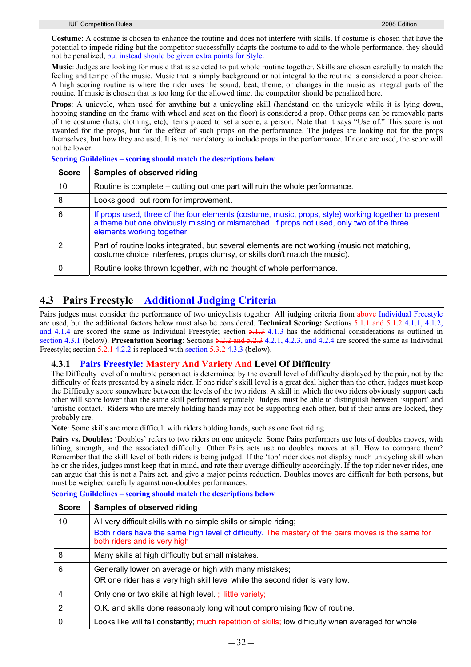**Costume**: A costume is chosen to enhance the routine and does not interfere with skills. If costume is chosen that have the potential to impede riding but the competitor successfully adapts the costume to add to the whole performance, they should not be penalized, but instead should be given extra points for Style.

**Music**: Judges are looking for music that is selected to put whole routine together. Skills are chosen carefully to match the feeling and tempo of the music. Music that is simply background or not integral to the routine is considered a poor choice. A high scoring routine is where the rider uses the sound, beat, theme, or changes in the music as integral parts of the routine. If music is chosen that is too long for the allowed time, the competitor should be penalized here.

**Props**: A unicycle, when used for anything but a unicycling skill (handstand on the unicycle while it is lying down, hopping standing on the frame with wheel and seat on the floor) is considered a prop. Other props can be removable parts of the costume (hats, clothing, etc), items placed to set a scene, a person. Note that it says "Use of." This score is not awarded for the props, but for the effect of such props on the performance. The judges are looking not for the props themselves, but how they are used. It is not mandatory to include props in the performance. If none are used, the score will not be lower.

**Scoring Guildelines – scoring should match the descriptions below**

| <b>Score</b> | <b>Samples of observed riding</b>                                                                                                                                                                                               |
|--------------|---------------------------------------------------------------------------------------------------------------------------------------------------------------------------------------------------------------------------------|
| 10           | Routine is complete – cutting out one part will ruin the whole performance.                                                                                                                                                     |
| 8            | Looks good, but room for improvement.                                                                                                                                                                                           |
| 6            | If props used, three of the four elements (costume, music, props, style) working together to present<br>a theme but one obviously missing or mismatched. If props not used, only two of the three<br>elements working together. |
| 2            | Part of routine looks integrated, but several elements are not working (music not matching,<br>costume choice interferes, props clumsy, or skills don't match the music).                                                       |
|              | Routine looks thrown together, with no thought of whole performance.                                                                                                                                                            |

# **4.3 Pairs Freestyle – Additional Judging Criteria**

Pairs judges must consider the performance of two unicyclists together. All judging criteria from above Individual Freestyle are used, but the additional factors below must also be considered. **Technical Scoring:** Sections 5.1.1 and 5.1.2 4.1.1, 4.1.2, and 4.1.4 are scored the same as Individual Freestyle; section 5.1.3 4.1.3 has the additional considerations as outlined in section 4.3.1 (below). **Presentation Scoring**: Sections 5.2.2 and 5.2.3 4.2.1, 4.2.3, and 4.2.4 are scored the same as Individual Freestyle; section 5.2.1 4.2.2 is replaced with section 5.3.2 4.3.3 (below).

## **4.3.1 Pairs Freestyle: Mastery And Variety And Level Of Difficulty**

The Difficulty level of a multiple person act is determined by the overall level of difficulty displayed by the pair, not by the difficulty of feats presented by a single rider. If one rider's skill level is a great deal higher than the other, judges must keep the Difficulty score somewhere between the levels of the two riders. A skill in which the two riders obviously support each other will score lower than the same skill performed separately. Judges must be able to distinguish between 'support' and 'artistic contact.' Riders who are merely holding hands may not be supporting each other, but if their arms are locked, they probably are.

**Note**: Some skills are more difficult with riders holding hands, such as one foot riding.

**Pairs vs. Doubles:** 'Doubles' refers to two riders on one unicycle. Some Pairs performers use lots of doubles moves, with lifting, strength, and the associated difficulty. Other Pairs acts use no doubles moves at all. How to compare them? Remember that the skill level of both riders is being judged. If the 'top' rider does not display much unicycling skill when he or she rides, judges must keep that in mind, and rate their average difficulty accordingly. If the top rider never rides, one can argue that this is not a Pairs act, and give a major points reduction. Doubles moves are difficult for both persons, but must be weighed carefully against non-doubles performances.

**Scoring Guildelines – scoring should match the descriptions below**

| <b>Score</b> | Samples of observed riding                                                                                                         |
|--------------|------------------------------------------------------------------------------------------------------------------------------------|
| 10           | All very difficult skills with no simple skills or simple riding;                                                                  |
|              | Both riders have the same high level of difficulty. The mastery of the pairs moves is the same for<br>both riders and is very high |
| 8            | Many skills at high difficulty but small mistakes.                                                                                 |
| 6            | Generally lower on average or high with many mistakes;                                                                             |
|              | OR one rider has a very high skill level while the second rider is very low.                                                       |
|              | Only one or two skills at high level. $\frac{1}{2}$ little variety;                                                                |
| 2            | O.K. and skills done reasonably long without compromising flow of routine.                                                         |
|              | Looks like will fall constantly; much repetition of skills; low difficulty when averaged for whole                                 |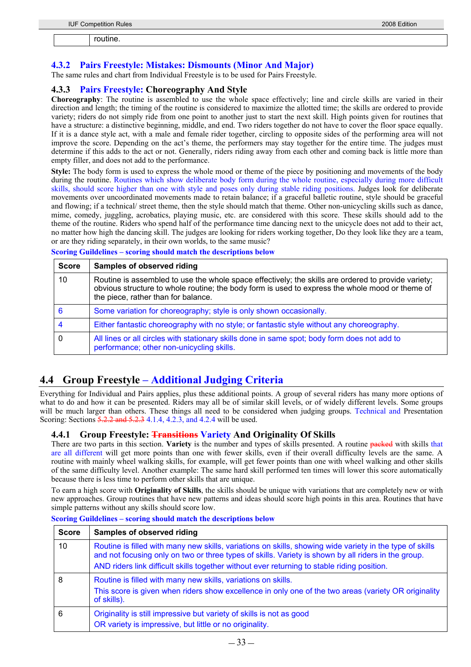routine.

# **4.3.2 Pairs Freestyle: Mistakes: Dismounts (Minor And Major)**

The same rules and chart from Individual Freestyle is to be used for Pairs Freestyle.

## **4.3.3 Pairs Freestyle: Choreography And Style**

**Choreography**: The routine is assembled to use the whole space effectively; line and circle skills are varied in their direction and length; the timing of the routine is considered to maximize the allotted time; the skills are ordered to provide variety; riders do not simply ride from one point to another just to start the next skill. High points given for routines that have a structure: a distinctive beginning, middle, and end. Two riders together do not have to cover the floor space equally. If it is a dance style act, with a male and female rider together, circling to opposite sides of the performing area will not improve the score. Depending on the act's theme, the performers may stay together for the entire time. The judges must determine if this adds to the act or not. Generally, riders riding away from each other and coming back is little more than empty filler, and does not add to the performance.

**Style:** The body form is used to express the whole mood or theme of the piece by positioning and movements of the body during the routine. Routines which show deliberate body form during the whole routine, especially during more difficult skills, should score higher than one with style and poses only during stable riding positions. Judges look for deliberate movements over uncoordinated movements made to retain balance; if a graceful balletic routine, style should be graceful and flowing; if a technical/ street theme, then the style should match that theme. Other non-unicycling skills such as dance, mime, comedy, juggling, acrobatics, playing music, etc. are considered with this score. These skills should add to the theme of the routine. Riders who spend half of the performance time dancing next to the unicycle does not add to their act, no matter how high the dancing skill. The judges are looking for riders working together, Do they look like they are a team, or are they riding separately, in their own worlds, to the same music?

**Scoring Guildelines – scoring should match the descriptions below**

| <b>Score</b> | <b>Samples of observed riding</b>                                                                                                                                                                                                             |
|--------------|-----------------------------------------------------------------------------------------------------------------------------------------------------------------------------------------------------------------------------------------------|
| 10           | Routine is assembled to use the whole space effectively; the skills are ordered to provide variety;<br>obvious structure to whole routine; the body form is used to express the whole mood or theme of<br>the piece, rather than for balance. |
| 6            | Some variation for choreography; style is only shown occasionally.                                                                                                                                                                            |
|              | Either fantastic choreography with no style; or fantastic style without any choreography.                                                                                                                                                     |
| $\mathbf 0$  | All lines or all circles with stationary skills done in same spot; body form does not add to<br>performance; other non-unicycling skills.                                                                                                     |

# **4.4 Group Freestyle – Additional Judging Criteria**

Everything for Individual and Pairs applies, plus these additional points. A group of several riders has many more options of what to do and how it can be presented. Riders may all be of similar skill levels, or of widely different levels. Some groups will be much larger than others. These things all need to be considered when judging groups. Technical and Presentation Scoring: Sections 5.2.2 and 5.2.3 4.1.4, 4.2.3, and 4.2.4 will be used.

## **4.4.1 Group Freestyle: Transitions Variety And Originality Of Skills**

There are two parts in this section. **Variety** is the number and types of skills presented. A routine packed with skills that are all different will get more points than one with fewer skills, even if their overall difficulty levels are the same. A routine with mainly wheel walking skills, for example, will get fewer points than one with wheel walking and other skills of the same difficulty level. Another example: The same hard skill performed ten times will lower this score automatically because there is less time to perform other skills that are unique.

To earn a high score with **Originality of Skills**, the skills should be unique with variations that are completely new or with new approaches. Group routines that have new patterns and ideas should score high points in this area. Routines that have simple patterns without any skills should score low.

| <b>Score</b> | Samples of observed riding                                                                                                                                                                                                                                                                                     |
|--------------|----------------------------------------------------------------------------------------------------------------------------------------------------------------------------------------------------------------------------------------------------------------------------------------------------------------|
| 10           | Routine is filled with many new skills, variations on skills, showing wide variety in the type of skills<br>and not focusing only on two or three types of skills. Variety is shown by all riders in the group.<br>AND riders link difficult skills together without ever returning to stable riding position. |
| 8            | Routine is filled with many new skills, variations on skills.<br>This score is given when riders show excellence in only one of the two areas (variety OR originality<br>of skills).                                                                                                                           |
| 6            | Originality is still impressive but variety of skills is not as good<br>OR variety is impressive, but little or no originality.                                                                                                                                                                                |

### **Scoring Guildelines – scoring should match the descriptions below**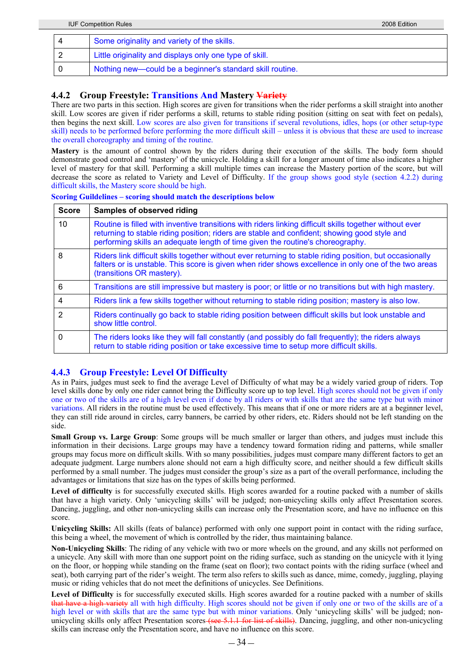|   | <b>IUF Competition Rules</b>                              | 2008 Edition |
|---|-----------------------------------------------------------|--------------|
|   | Some originality and variety of the skills.               |              |
| ∠ | Little originality and displays only one type of skill.   |              |
|   | Nothing new—could be a beginner's standard skill routine. |              |

## **4.4.2 Group Freestyle: Transitions And Mastery Variety**

There are two parts in this section. High scores are given for transitions when the rider performs a skill straight into another skill. Low scores are given if rider performs a skill, returns to stable riding position (sitting on seat with feet on pedals), then begins the next skill. Low scores are also given for transitions if several revolutions, idles, hops (or other setup-type skill) needs to be performed before performing the more difficult skill – unless it is obvious that these are used to increase the overall choreography and timing of the routine.

**Mastery** is the amount of control shown by the riders during their execution of the skills. The body form should demonstrate good control and 'mastery' of the unicycle. Holding a skill for a longer amount of time also indicates a higher level of mastery for that skill. Performing a skill multiple times can increase the Mastery portion of the score, but will decrease the score as related to Variety and Level of Difficulty. If the group shows good style (section 4.2.2) during difficult skills, the Mastery score should be high.

| <b>Score</b>    | Samples of observed riding                                                                                                                                                                                                                                                                |
|-----------------|-------------------------------------------------------------------------------------------------------------------------------------------------------------------------------------------------------------------------------------------------------------------------------------------|
| 10 <sup>°</sup> | Routine is filled with inventive transitions with riders linking difficult skills together without ever<br>returning to stable riding position; riders are stable and confident; showing good style and<br>performing skills an adequate length of time given the routine's choreography. |
| 8               | Riders link difficult skills together without ever returning to stable riding position, but occasionally<br>falters or is unstable. This score is given when rider shows excellence in only one of the two areas<br>(transitions OR mastery).                                             |
| 6               | Transitions are still impressive but mastery is poor; or little or no transitions but with high mastery.                                                                                                                                                                                  |
| 4               | Riders link a few skills together without returning to stable riding position; mastery is also low.                                                                                                                                                                                       |
| $\overline{2}$  | Riders continually go back to stable riding position between difficult skills but look unstable and<br>show little control.                                                                                                                                                               |
| $\Omega$        | The riders looks like they will fall constantly (and possibly do fall frequently); the riders always<br>return to stable riding position or take excessive time to setup more difficult skills.                                                                                           |

### **Scoring Guildelines – scoring should match the descriptions below**

# **4.4.3 Group Freestyle: Level Of Difficulty**

As in Pairs, judges must seek to find the average Level of Difficulty of what may be a widely varied group of riders. Top level skills done by only one rider cannot bring the Difficulty score up to top level. High scores should not be given if only one or two of the skills are of a high level even if done by all riders or with skills that are the same type but with minor variations. All riders in the routine must be used effectively. This means that if one or more riders are at a beginner level, they can still ride around in circles, carry banners, be carried by other riders, etc. Riders should not be left standing on the side.

**Small Group vs. Large Group**: Some groups will be much smaller or larger than others, and judges must include this information in their decisions. Large groups may have a tendency toward formation riding and patterns, while smaller groups may focus more on difficult skills. With so many possibilities, judges must compare many different factors to get an adequate judgment. Large numbers alone should not earn a high difficulty score, and neither should a few difficult skills performed by a small number. The judges must consider the group's size as a part of the overall performance, including the advantages or limitations that size has on the types of skills being performed.

Level of difficulty is for successfully executed skills. High scores awarded for a routine packed with a number of skills that have a high variety. Only 'unicycling skills' will be judged; non-unicycling skills only affect Presentation scores. Dancing, juggling, and other non-unicycling skills can increase only the Presentation score, and have no influence on this score.

**Unicycling Skills:** All skills (feats of balance) performed with only one support point in contact with the riding surface, this being a wheel, the movement of which is controlled by the rider, thus maintaining balance.

**Non-Unicycling Skills**: The riding of any vehicle with two or more wheels on the ground, and any skills not performed on a unicycle. Any skill with more than one support point on the riding surface, such as standing on the unicycle with it lying on the floor, or hopping while standing on the frame (seat on floor); two contact points with the riding surface (wheel and seat), both carrying part of the rider's weight. The term also refers to skills such as dance, mime, comedy, juggling, playing music or riding vehicles that do not meet the definitions of unicycles. See Definitions.

Level of Difficulty is for successfully executed skills. High scores awarded for a routine packed with a number of skills that have a high variety all with high difficulty. High scores should not be given if only one or two of the skills are of a high level or with skills that are the same type but with minor variations. Only 'unicycling skills' will be judged; nonunicycling skills only affect Presentation scores (see 5.1.1 for list of skills). Dancing, juggling, and other non-unicycling skills can increase only the Presentation score, and have no influence on this score.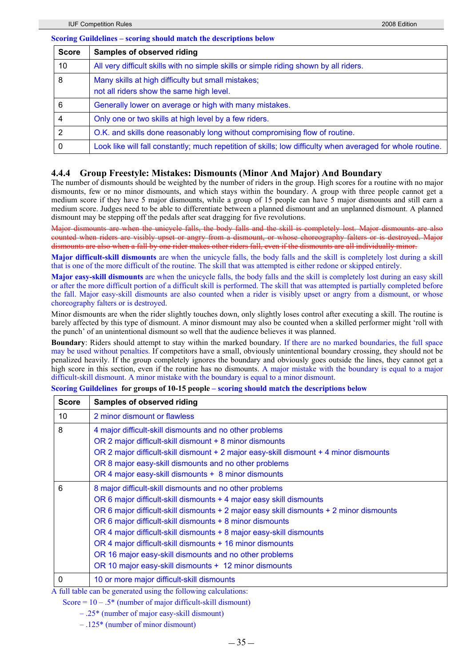### **Scoring Guildelines – scoring should match the descriptions below**

| <b>Score</b> | <b>Samples of observed riding</b>                                                                          |
|--------------|------------------------------------------------------------------------------------------------------------|
| 10           | All very difficult skills with no simple skills or simple riding shown by all riders.                      |
| 8            | Many skills at high difficulty but small mistakes;<br>not all riders show the same high level.             |
| 6            | Generally lower on average or high with many mistakes.                                                     |
|              | Only one or two skills at high level by a few riders.                                                      |
|              | O.K. and skills done reasonably long without compromising flow of routine.                                 |
| 0            | Look like will fall constantly; much repetition of skills; low difficulty when averaged for whole routine. |

### **4.4.4 Group Freestyle: Mistakes: Dismounts (Minor And Major) And Boundary**

The number of dismounts should be weighted by the number of riders in the group. High scores for a routine with no major dismounts, few or no minor dismounts, and which stays within the boundary. A group with three people cannot get a medium score if they have 5 major dismounts, while a group of 15 people can have 5 major dismounts and still earn a medium score. Judges need to be able to differentiate between a planned dismount and an unplanned dismount. A planned dismount may be stepping off the pedals after seat dragging for five revolutions.

Major dismounts are when the unicycle falls, the body falls and the skill is completely lost. Major dismounts are also counted when riders are visibly upset or angry from a dismount, or whose choreography falters or is destroyed. Major dismounts are also when a fall by one rider makes other riders fall, even if the dismounts are all individually minor.

**Major difficult-skill dismounts** are when the unicycle falls, the body falls and the skill is completely lost during a skill that is one of the more difficult of the routine. The skill that was attempted is either redone or skipped entirely.

**Major easy-skill dismounts** are when the unicycle falls, the body falls and the skill is completely lost during an easy skill or after the more difficult portion of a difficult skill is performed. The skill that was attempted is partially completed before the fall. Major easy-skill dismounts are also counted when a rider is visibly upset or angry from a dismount, or whose choreography falters or is destroyed.

Minor dismounts are when the rider slightly touches down, only slightly loses control after executing a skill. The routine is barely affected by this type of dismount. A minor dismount may also be counted when a skilled performer might 'roll with the punch' of an unintentional dismount so well that the audience believes it was planned.

**Boundary**: Riders should attempt to stay within the marked boundary. If there are no marked boundaries, the full space may be used without penalties. If competitors have a small, obviously unintentional boundary crossing, they should not be penalized heavily. If the group completely ignores the boundary and obviously goes outside the lines, they cannot get a high score in this section, even if the routine has no dismounts. A major mistake with the boundary is equal to a major difficult-skill dismount. A minor mistake with the boundary is equal to a minor dismount.

**Scoring Guildelines for groups of 10-15 people – scoring should match the descriptions below** 

| <b>Score</b> | <b>Samples of observed riding</b>                                                                                                                                                                                                                                                                                                                                                                                                                                                                                                            |
|--------------|----------------------------------------------------------------------------------------------------------------------------------------------------------------------------------------------------------------------------------------------------------------------------------------------------------------------------------------------------------------------------------------------------------------------------------------------------------------------------------------------------------------------------------------------|
| 10           | 2 minor dismount or flawless                                                                                                                                                                                                                                                                                                                                                                                                                                                                                                                 |
| 8            | 4 major difficult-skill dismounts and no other problems<br>OR 2 major difficult-skill dismount + 8 minor dismounts<br>OR 2 major difficult-skill dismount + 2 major easy-skill dismount + 4 minor dismounts<br>OR 8 major easy-skill dismounts and no other problems<br>OR 4 major easy-skill dismounts + 8 minor dismounts                                                                                                                                                                                                                  |
| 6            | 8 major difficult-skill dismounts and no other problems<br>OR 6 major difficult-skill dismounts + 4 major easy skill dismounts<br>OR 6 major difficult-skill dismounts + 2 major easy skill dismounts + 2 minor dismounts<br>OR 6 major difficult-skill dismounts + 8 minor dismounts<br>OR 4 major difficult-skill dismounts + 8 major easy-skill dismounts<br>OR 4 major difficult-skill dismounts + 16 minor dismounts<br>OR 16 major easy-skill dismounts and no other problems<br>OR 10 major easy-skill dismounts + 12 minor dismounts |
| 0            | 10 or more major difficult-skill dismounts                                                                                                                                                                                                                                                                                                                                                                                                                                                                                                   |

A full table can be generated using the following calculations:

Score =  $10 - .5*$  (number of major difficult-skill dismount)

– .25\* (number of major easy-skill dismount)

– .125\* (number of minor dismount)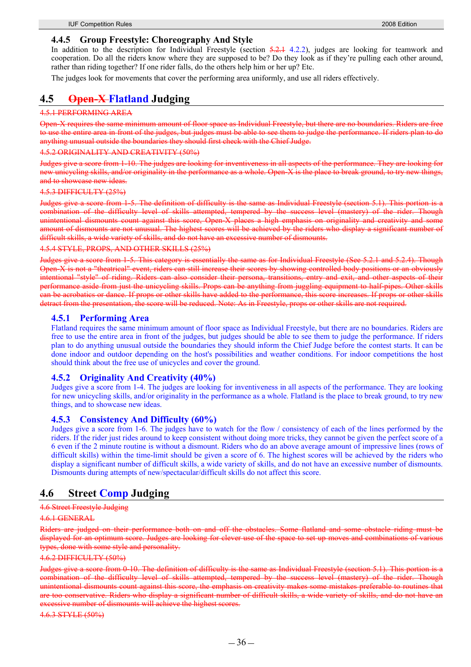### **4.4.5 Group Freestyle: Choreography And Style**

In addition to the description for Individual Freestyle (section 5.2.1 4.2.2), judges are looking for teamwork and cooperation. Do all the riders know where they are supposed to be? Do they look as if they're pulling each other around, rather than riding together? If one rider falls, do the others help him or her up? Etc.

The judges look for movements that cover the performing area uniformly, and use all riders effectively.

## **4.5 Open-X Flatland Judging**

### 4.5.1 PERFORMING AREA

Open-X requires the same minimum amount of floor space as Individual Freestyle, but there are no boundaries. Riders are free to use the entire area in front of the judges, but judges must be able to see them to judge the performance. If riders plan to do anything unusual outside the boundaries they should first check with the Chief Judge.

### 4.5.2 ORIGINALITY AND CREATIVITY (50%)

Judges give a score from 1-10. The judges are looking for inventiveness in all aspects of the performance. They are looking for new unicycling skills, and/or originality in the performance as a whole. Open X is the place to break ground, to try new things, and to showcase new ideas.

#### 4.5.3 DIFFICULTY (25%)

Judges give a score from 1-5. The definition of difficulty is the same as Individual Freestyle (section 5.1). This portion is a combination of the difficulty level of skills attempted, tempered by the success level (mastery) of the rider. Though unintentional dismounts count against this score, Open-X places a high emphasis on originality and creativity and some amount of dismounts are not unusual. The highest scores will be achieved by the riders who display a significant number of difficult skills, a wide variety of skills, and do not have an excessive number of dismounts.

4.5.4 STYLE, PROPS, AND OTHER SKILLS (25%)

Judges give a score from 1-5. This category is essentially the same as for Individual Freestyle (See 5.2.1 and 5.2.4). Though Open-X is not a "theatrical" event, riders can still increase their scores by showing controlled body positions or an obviously intentional "style" of riding. Riders can also consider their persona, transitions, entry and exit, and other aspects of their performance aside from just the unicycling skills. Props can be anything from juggling equipment to half-pipes. Other skills can be acrobatics or dance. If props or other skills have added to the performance, this score increases. If props or other skills detract from the presentation, the score will be reduced. Note: As in Freestyle, props or other skills are not required.

### **4.5.1 Performing Area**

Flatland requires the same minimum amount of floor space as Individual Freestyle, but there are no boundaries. Riders are free to use the entire area in front of the judges, but judges should be able to see them to judge the performance. If riders plan to do anything unusual outside the boundaries they should inform the Chief Judge before the contest starts. It can be done indoor and outdoor depending on the host's possibilities and weather conditions. For indoor competitions the host should think about the free use of unicycles and cover the ground.

### **4.5.2 Originality And Creativity (40%)**

Judges give a score from 1-4. The judges are looking for inventiveness in all aspects of the performance. They are looking for new unicycling skills, and/or originality in the performance as a whole. Flatland is the place to break ground, to try new things, and to showcase new ideas.

### **4.5.3 Consistency And Difficulty (60%)**

Judges give a score from 1-6. The judges have to watch for the flow / consistency of each of the lines performed by the riders. If the rider just rides around to keep consistent without doing more tricks, they cannot be given the perfect score of a 6 even if the 2 minute routine is without a dismount. Riders who do an above average amount of impressive lines (rows of difficult skills) within the time-limit should be given a score of 6. The highest scores will be achieved by the riders who display a significant number of difficult skills, a wide variety of skills, and do not have an excessive number of dismounts. Dismounts during attempts of new/spectacular/difficult skills do not affect this score.

## **4.6 Street Comp Judging**

## 4.6 Street Freestyle Judging

#### 4.6.1 GENERAL

Riders are judged on their performance both on and off the obstacles. Some flatland and some obstacle riding must be displayed for an optimum score. Judges are looking for clever use of the space to set up moves and combinations of various types, done with some style and personality.

#### 4.6.2 DIFFICULTY (50%)

Judges give a score from 0-10. The definition of difficulty is the same as Individual Freestyle (section 5.1). This portion is a combination of the difficulty level of skills attempted, tempered by the success level (mastery) of the rider. Though unintentional dismounts count against this score, the emphasis on creativity makes some mistakes preferable to routines that are too conservative. Riders who display a significant number of difficult skills, a wide variety of skills, and do not have an excessive number of dismounts will achieve the highest scores.

4.6.3 STYLE (50%)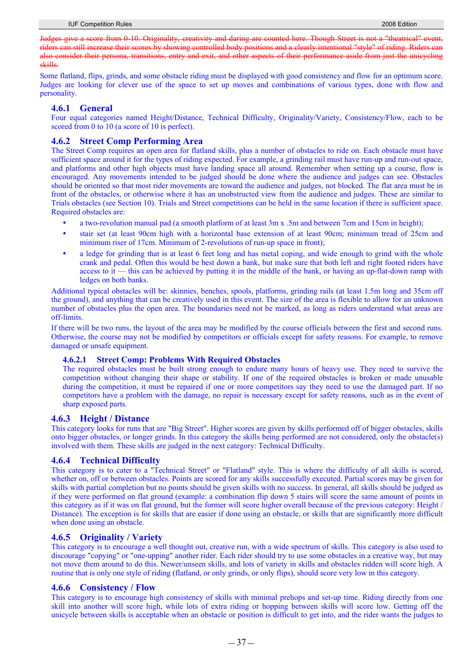Judges give a score from 0-10. Originality, creativity and daring are counted here. Though Street is not a "theatrical" ev riders can still increase their scores by showing controlled body positions and a clearly intentional "style" of riding. Riders can also consider their persona, transitions, entry and exit, and other aspects of their performance aside from just the unicycling skills.

Some flatland, flips, grinds, and some obstacle riding must be displayed with good consistency and flow for an optimum score. Judges are looking for clever use of the space to set up moves and combinations of various types, done with flow and personality.

#### **4.6.1 General**

Four equal categories named Height/Distance, Technical Difficulty, Originality/Variety, Consistency/Flow, each to be scored from 0 to 10 (a score of 10 is perfect).

#### **4.6.2 Street Comp Performing Area**

The Street Comp requires an open area for flatland skills, plus a number of obstacles to ride on. Each obstacle must have sufficient space around it for the types of riding expected. For example, a grinding rail must have run-up and run-out space, and platforms and other high objects must have landing space all around. Remember when setting up a course, flow is encouraged. Any movements intended to be judged should be done where the audience and judges can see. Obstacles should be oriented so that most rider movements are toward the audience and judges, not blocked. The flat area must be in front of the obstacles, or otherwise where it has an unobstructed view from the audience and judges. These are similar to Trials obstacles (see Section 10). Trials and Street competitions can be held in the same location if there is sufficient space. Required obstacles are:

- a two-revolution manual pad (a smooth platform of at least 3m x .5m and between 7cm and 15cm in height);
- y stair set (at least 90cm high with a horizontal base extension of at least 90cm; minimum tread of 25cm and minimum riser of 17cm. Minimum of 2-revolutions of run-up space in front);
- a ledge for grinding that is at least 6 feet long and has metal coping, and wide enough to grind with the whole crank and pedal. Often this would be best down a bank, but make sure that both left and right footed riders have access to it — this can be achieved by putting it in the middle of the bank, or having an up-flat-down ramp with ledges on both banks.

Additional typical obstacles will be: skinnies, benches, spools, platforms, grinding rails (at least 1.5m long and 35cm off the ground), and anything that can be creatively used in this event. The size of the area is flexible to allow for an unknown number of obstacles plus the open area. The boundaries need not be marked, as long as riders understand what areas are off-limits.

If there will be two runs, the layout of the area may be modified by the course officials between the first and second runs. Otherwise, the course may not be modified by competitors or officials except for safety reasons. For example, to remove damaged or unsafe equipment.

#### **4.6.2.1 Street Comp: Problems With Required Obstacles**

The required obstacles must be built strong enough to endure many hours of heavy use. They need to survive the competition without changing their shape or stability. If one of the required obstacles is broken or made unusable during the competition, it must be repaired if one or more competitors say they need to use the damaged part. If no competitors have a problem with the damage, no repair is necessary except for safety reasons, such as in the event of sharp exposed parts.

#### **4.6.3 Height / Distance**

This category looks for runs that are "Big Street". Higher scores are given by skills performed off of bigger obstacles, skills onto bigger obstacles, or longer grinds. In this category the skills being performed are not considered, only the obstacle(s) involved with them. These skills are judged in the next category: Technical Difficulty.

#### **4.6.4 Technical Difficulty**

This category is to cater to a "Technical Street" or "Flatland" style. This is where the difficulty of all skills is scored, whether on, off or between obstacles. Points are scored for any skills successfully executed. Partial scores may be given for skills with partial completion but no points should be given skills with no success. In general, all skills should be judged as if they were performed on flat ground (example: a combination flip down 5 stairs will score the same amount of points in this category as if it was on flat ground, but the former will score higher overall because of the previous category: Height / Distance). The exception is for skills that are easier if done using an obstacle, or skills that are significantly more difficult when done using an obstacle.

#### **4.6.5 Originality / Variety**

This category is to encourage a well thought out, creative run, with a wide spectrum of skills. This category is also used to discourage "copying" or "one-upping" another rider. Each rider should try to use some obstacles in a creative way, but may not move them around to do this. Newer/unseen skills, and lots of variety in skills and obstacles ridden will score high. A routine that is only one style of riding (flatland, or only grinds, or only flips), should score very low in this category.

#### **4.6.6 Consistency / Flow**

This category is to encourage high consistency of skills with minimal prehops and set-up time. Riding directly from one skill into another will score high, while lots of extra riding or hopping between skills will score low. Getting off the unicycle between skills is acceptable when an obstacle or position is difficult to get into, and the rider wants the judges to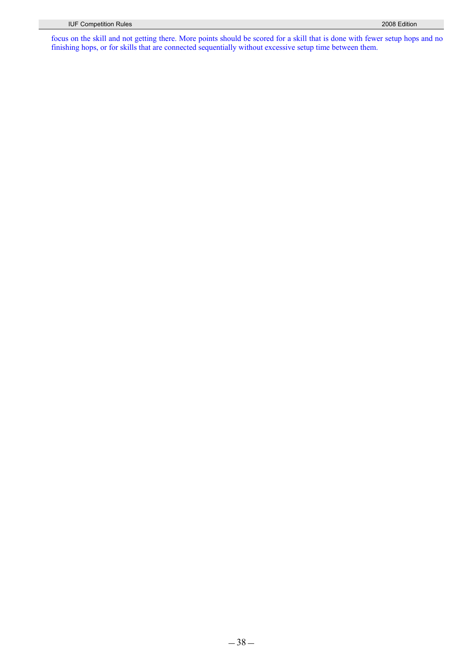focus on the skill and not getting there. More points should be scored for a skill that is done with fewer setup hops and no finishing hops, or for skills that are connected sequentially without excessive setup time between them.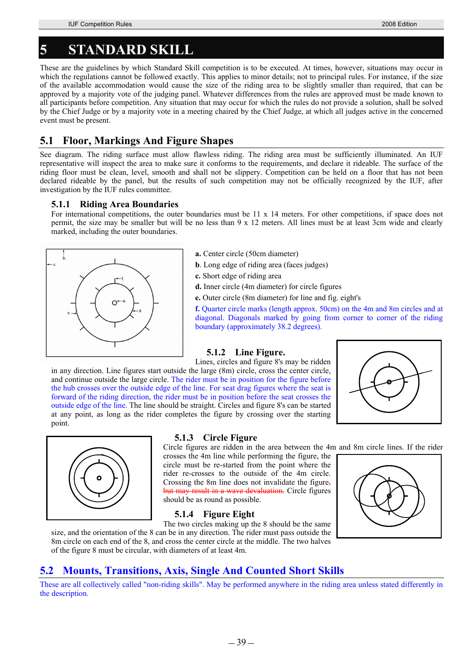## **5 STANDARD SKILL**

These are the guidelines by which Standard Skill competition is to be executed. At times, however, situations may occur in which the regulations cannot be followed exactly. This applies to minor details; not to principal rules. For instance, if the size of the available accommodation would cause the size of the riding area to be slightly smaller than required, that can be approved by a majority vote of the judging panel. Whatever differences from the rules are approved must be made known to all participants before competition. Any situation that may occur for which the rules do not provide a solution, shall be solved by the Chief Judge or by a majority vote in a meeting chaired by the Chief Judge, at which all judges active in the concerned event must be present.

## **5.1 Floor, Markings And Figure Shapes**

See diagram. The riding surface must allow flawless riding. The riding area must be sufficiently illuminated. An IUF representative will inspect the area to make sure it conforms to the requirements, and declare it rideable. The surface of the riding floor must be clean, level, smooth and shall not be slippery. Competition can be held on a floor that has not been declared rideable by the panel, but the results of such competition may not be officially recognized by the IUF, after investigation by the IUF rules committee.

#### **5.1.1 Riding Area Boundaries**

For international competitions, the outer boundaries must be 11 x 14 meters. For other competitions, if space does not permit, the size may be smaller but will be no less than 9 x 12 meters. All lines must be at least 3cm wide and clearly marked, including the outer boundaries.



- **a.** Center circle (50cm diameter)
- **b**. Long edge of riding area (faces judges)
- **c.** Short edge of riding area
- **d.** Inner circle (4m diameter) for circle figures
- **e.** Outer circle (8m diameter) for line and fig. eight's

**f.** Quarter circle marks (length approx. 50cm) on the 4m and 8m circles and at diagonal. Diagonals marked by going from corner to corner of the riding boundary (approximately 38.2 degrees).

## **5.1.2 Line Figure.**

Lines, circles and figure 8's may be ridden

in any direction. Line figures start outside the large (8m) circle, cross the center circle, and continue outside the large circle. The rider must be in position for the figure before the hub crosses over the outside edge of the line. For seat drag figures where the seat is forward of the riding direction, the rider must be in position before the seat crosses the outside edge of the line. The line should be straight. Circles and figure 8's can be started at any point, as long as the rider completes the figure by crossing over the starting point.





#### **5.1.3 Circle Figure**

Circle figures are ridden in the area between the 4m and 8m circle lines. If the rider

crosses the 4m line while performing the figure, the circle must be re-started from the point where the rider re-crosses to the outside of the 4m circle. Crossing the 8m line does not invalidate the figure, but may result in a wave devaluation. Circle figures should be as round as possible.

### **5.1.4 Figure Eight**



The two circles making up the 8 should be the same size, and the orientation of the 8 can be in any direction. The rider must pass outside the 8m circle on each end of the 8, and cross the center circle at the middle. The two halves of the figure 8 must be circular, with diameters of at least 4m.

## **5.2 Mounts, Transitions, Axis, Single And Counted Short Skills**

These are all collectively called "non-riding skills". May be performed anywhere in the riding area unless stated differently in the description.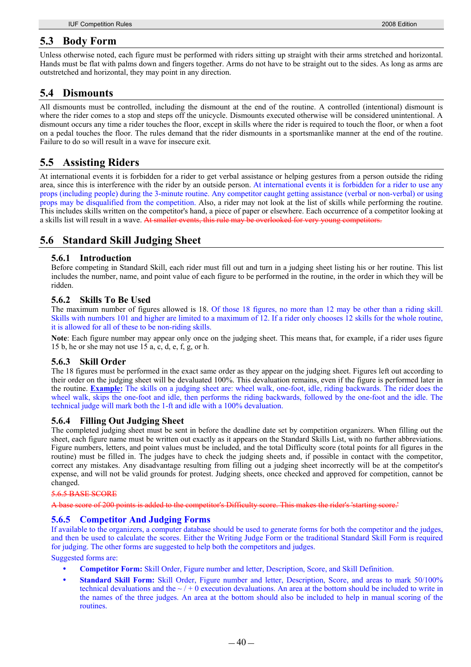### **5.3 Body Form**

Unless otherwise noted, each figure must be performed with riders sitting up straight with their arms stretched and horizontal. Hands must be flat with palms down and fingers together. Arms do not have to be straight out to the sides. As long as arms are outstretched and horizontal, they may point in any direction.

## **5.4 Dismounts**

All dismounts must be controlled, including the dismount at the end of the routine. A controlled (intentional) dismount is where the rider comes to a stop and steps off the unicycle. Dismounts executed otherwise will be considered unintentional. A dismount occurs any time a rider touches the floor, except in skills where the rider is required to touch the floor, or when a foot on a pedal touches the floor. The rules demand that the rider dismounts in a sportsmanlike manner at the end of the routine. Failure to do so will result in a wave for insecure exit.

## **5.5 Assisting Riders**

At international events it is forbidden for a rider to get verbal assistance or helping gestures from a person outside the riding area, since this is interference with the rider by an outside person. At international events it is forbidden for a rider to use any props (including people) during the 3-minute routine. Any competitor caught getting assistance (verbal or non-verbal) or using props may be disqualified from the competition. Also, a rider may not look at the list of skills while performing the routine. This includes skills written on the competitor's hand, a piece of paper or elsewhere. Each occurrence of a competitor looking at a skills list will result in a wave. At smaller events, this rule may be overlooked for very young competitors.

## **5.6 Standard Skill Judging Sheet**

#### **5.6.1 Introduction**

Before competing in Standard Skill, each rider must fill out and turn in a judging sheet listing his or her routine. This list includes the number, name, and point value of each figure to be performed in the routine, in the order in which they will be ridden.

#### **5.6.2 Skills To Be Used**

The maximum number of figures allowed is 18. Of those 18 figures, no more than 12 may be other than a riding skill. Skills with numbers 101 and higher are limited to a maximum of 12. If a rider only chooses 12 skills for the whole routine, it is allowed for all of these to be non-riding skills.

**Note**: Each figure number may appear only once on the judging sheet. This means that, for example, if a rider uses figure 15 b, he or she may not use 15 a, c, d, e, f, g, or h.

#### **5.6.3 Skill Order**

The 18 figures must be performed in the exact same order as they appear on the judging sheet. Figures left out according to their order on the judging sheet will be devaluated 100%. This devaluation remains, even if the figure is performed later in the routine. **Example:** The skills on a judging sheet are: wheel walk, one-foot, idle, riding backwards. The rider does the wheel walk, skips the one-foot and idle, then performs the riding backwards, followed by the one-foot and the idle. The technical judge will mark both the 1-ft and idle with a 100% devaluation.

#### **5.6.4 Filling Out Judging Sheet**

The completed judging sheet must be sent in before the deadline date set by competition organizers. When filling out the sheet, each figure name must be written out exactly as it appears on the Standard Skills List, with no further abbreviations. Figure numbers, letters, and point values must be included, and the total Difficulty score (total points for all figures in the routine) must be filled in. The judges have to check the judging sheets and, if possible in contact with the competitor, correct any mistakes. Any disadvantage resulting from filling out a judging sheet incorrectly will be at the competitor's expense, and will not be valid grounds for protest. Judging sheets, once checked and approved for competition, cannot be changed.

#### 5.6.5 BASE SCORE

A base score of 200 points is added to the competitor's Difficulty score. This makes the rider's

#### **5.6.5 Competitor And Judging Forms**

If available to the organizers, a computer database should be used to generate forms for both the competitor and the judges, and then be used to calculate the scores. Either the Writing Judge Form or the traditional Standard Skill Form is required for judging. The other forms are suggested to help both the competitors and judges.

#### Suggested forms are:

- **Competitor Form:** Skill Order, Figure number and letter, Description, Score, and Skill Definition.
- **Standard Skill Form:** Skill Order, Figure number and letter, Description, Score, and areas to mark 50/100% technical devaluations and the  $\sim/0$  execution devaluations. An area at the bottom should be included to write in the names of the three judges. An area at the bottom should also be included to help in manual scoring of the routines.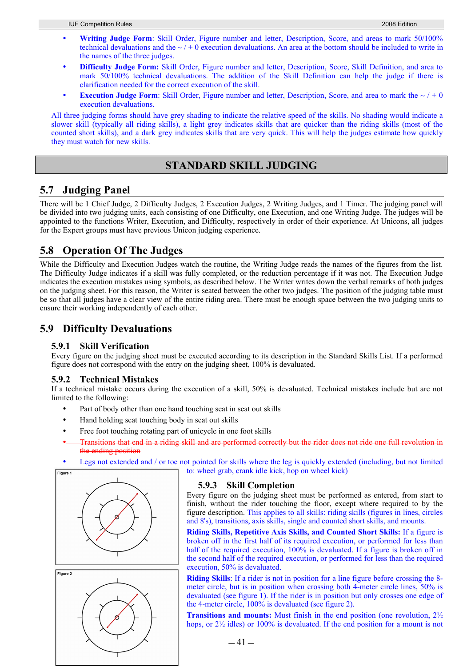- Writing Judge Form: Skill Order, Figure number and letter, Description, Score, and areas to mark 50/100% technical devaluations and the  $\sim$  / + 0 execution devaluations. An area at the bottom should be included to write in the names of the three judges.
- y **Difficulty Judge Form:** Skill Order, Figure number and letter, Description, Score, Skill Definition, and area to mark 50/100% technical devaluations. The addition of the Skill Definition can help the judge if there is clarification needed for the correct execution of the skill.
- **Execution Judge Form**: Skill Order, Figure number and letter, Description, Score, and area to mark the  $\sim$  / + 0 execution devaluations.

All three judging forms should have grey shading to indicate the relative speed of the skills. No shading would indicate a slower skill (typically all riding skills), a light grey indicates skills that are quicker than the riding skills (most of the counted short skills), and a dark grey indicates skills that are very quick. This will help the judges estimate how quickly they must watch for new skills.

### **STANDARD SKILL JUDGING**

## **5.7 Judging Panel**

There will be 1 Chief Judge, 2 Difficulty Judges, 2 Execution Judges, 2 Writing Judges, and 1 Timer. The judging panel will be divided into two judging units, each consisting of one Difficulty, one Execution, and one Writing Judge. The judges will be appointed to the functions Writer, Execution, and Difficulty, respectively in order of their experience. At Unicons, all judges for the Expert groups must have previous Unicon judging experience.

## **5.8 Operation Of The Judges**

While the Difficulty and Execution Judges watch the routine, the Writing Judge reads the names of the figures from the list. The Difficulty Judge indicates if a skill was fully completed, or the reduction percentage if it was not. The Execution Judge indicates the execution mistakes using symbols, as described below. The Writer writes down the verbal remarks of both judges on the judging sheet. For this reason, the Writer is seated between the other two judges. The position of the judging table must be so that all judges have a clear view of the entire riding area. There must be enough space between the two judging units to ensure their working independently of each other.

## **5.9 Difficulty Devaluations**

#### **5.9.1 Skill Verification**

Every figure on the judging sheet must be executed according to its description in the Standard Skills List. If a performed figure does not correspond with the entry on the judging sheet, 100% is devaluated.

#### **5.9.2 Technical Mistakes**

If a technical mistake occurs during the execution of a skill, 50% is devaluated. Technical mistakes include but are not limited to the following:

- Part of body other than one hand touching seat in seat out skills
- Hand holding seat touching body in seat out skills
- Free foot touching rotating part of unicycle in one foot skills
- Transitions that end in a riding skill and are performed correctly but the rider does not ride one full revolution in the ending position
- Legs not extended and / or toe not pointed for skills where the leg is quickly extended (including, but not limited to: wheel grab, crank idle kick, hop on wheel kick)





#### **5.9.3 Skill Completion**

Every figure on the judging sheet must be performed as entered, from start to finish, without the rider touching the floor, except where required to by the figure description. This applies to all skills: riding skills (figures in lines, circles and 8's), transitions, axis skills, single and counted short skills, and mounts.

**Riding Skills, Repetitive Axis Skills, and Counted Short Skills:** If a figure is broken off in the first half of its required execution, or performed for less than half of the required execution, 100% is devaluated. If a figure is broken off in the second half of the required execution, or performed for less than the required execution, 50% is devaluated.

**Riding Skills**: If a rider is not in position for a line figure before crossing the 8 meter circle, but is in position when crossing both 4-meter circle lines, 50% is devaluated (see figure 1). If the rider is in position but only crosses one edge of the 4-meter circle, 100% is devaluated (see figure 2).

**Transitions and mounts:** Must finish in the end position (one revolution, 2½ hops, or  $2\frac{1}{2}$  idles) or 100% is devaluated. If the end position for a mount is not

 $-41-$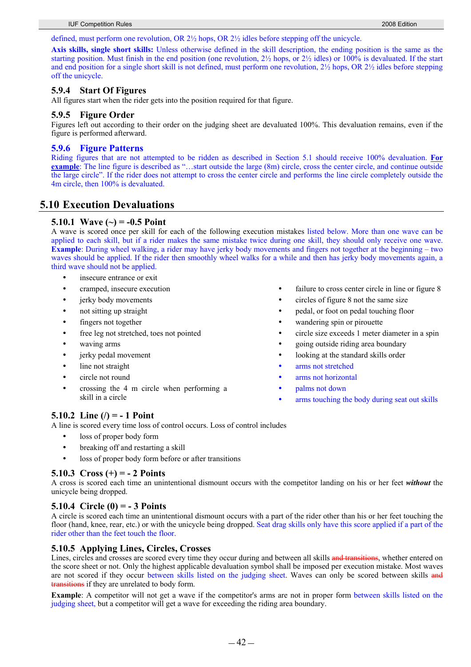defined, must perform one revolution, OR 2½ hops, OR 2½ idles before stepping off the unicycle.

**Axis skills, single short skills:** Unless otherwise defined in the skill description, the ending position is the same as the starting position. Must finish in the end position (one revolution,  $2\frac{1}{2}$  hops, or  $2\frac{1}{2}$  idles) or 100% is devaluated. If the start and end position for a single short skill is not defined, must perform one revolution,  $2\frac{1}{2}$  hops, OR  $2\frac{1}{2}$  idles before stepping off the unicycle.

#### **5.9.4 Start Of Figures**

All figures start when the rider gets into the position required for that figure.

#### **5.9.5 Figure Order**

Figures left out according to their order on the judging sheet are devaluated 100%. This devaluation remains, even if the figure is performed afterward.

#### **5.9.6 Figure Patterns**

Riding figures that are not attempted to be ridden as described in Section 5.1 should receive 100% devaluation. **For example**: The line figure is described as "…start outside the large (8m) circle, cross the center circle, and continue outside the large circle". If the rider does not attempt to cross the center circle and performs the line circle completely outside the 4m circle, then 100% is devaluated.

## **5.10 Execution Devaluations**

#### **5.10.1 Wave (~) = -0.5 Point**

A wave is scored once per skill for each of the following execution mistakes listed below. More than one wave can be applied to each skill, but if a rider makes the same mistake twice during one skill, they should only receive one wave. **Example**: During wheel walking, a rider may have jerky body movements and fingers not together at the beginning – two waves should be applied. If the rider then smoothly wheel walks for a while and then has jerky body movements again, a third wave should not be applied.

- insecure entrance or exit
- cramped, insecure execution
- jerky body movements
- not sitting up straight
- fingers not together
- free leg not stretched, toes not pointed
- waving arms
- jerky pedal movement
- line not straight
- circle not round
- y crossing the 4 m circle when performing a skill in a circle

#### **5.10.2 Line (/) = - 1 Point**

A line is scored every time loss of control occurs. Loss of control includes

- loss of proper body form
- breaking off and restarting a skill
- loss of proper body form before or after transitions

#### **5.10.3 Cross (+) = - 2 Points**

A cross is scored each time an unintentional dismount occurs with the competitor landing on his or her feet *without* the unicycle being dropped.

#### **5.10.4 Circle (0) = - 3 Points**

A circle is scored each time an unintentional dismount occurs with a part of the rider other than his or her feet touching the floor (hand, knee, rear, etc.) or with the unicycle being dropped. Seat drag skills only have this score applied if a part of the rider other than the feet touch the floor.

#### **5.10.5 Applying Lines, Circles, Crosses**

Lines, circles and crosses are scored every time they occur during and between all skills and transitions, whether entered on the score sheet or not. Only the highest applicable devaluation symbol shall be imposed per execution mistake. Most waves are not scored if they occur between skills listed on the judging sheet. Waves can only be scored between skills and transitions if they are unrelated to body form.

**Example**: A competitor will not get a wave if the competitor's arms are not in proper form between skills listed on the judging sheet, but a competitor will get a wave for exceeding the riding area boundary.

- failure to cross center circle in line or figure 8
- y circles of figure 8 not the same size
- y pedal, or foot on pedal touching floor
- wandering spin or pirouette
- y circle size exceeds 1 meter diameter in a spin
- y going outside riding area boundary
- looking at the standard skills order
- arms not stretched
- arms not horizontal
- palms not down
- arms touching the body during seat out skills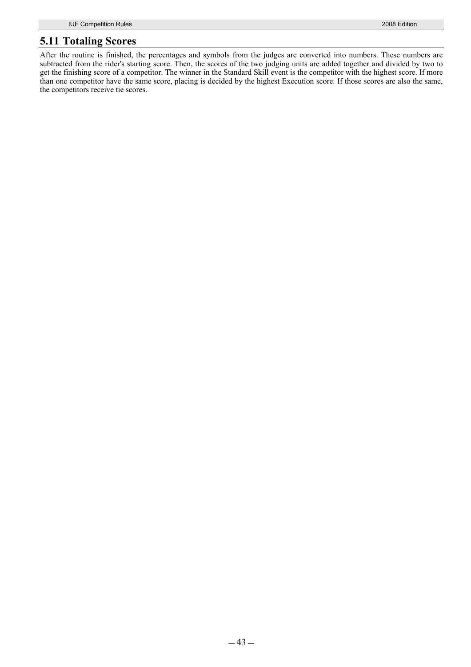## **5.11 Totaling Scores**

After the routine is finished, the percentages and symbols from the judges are converted into numbers. These numbers are subtracted from the rider's starting score. Then, the scores of the two judging units are added together and divided by two to get the finishing score of a competitor. The winner in the Standard Skill event is the competitor with the highest score. If more than one competitor have the same score, placing is decided by the highest Execution score. If those scores are also the same, the competitors receive tie scores.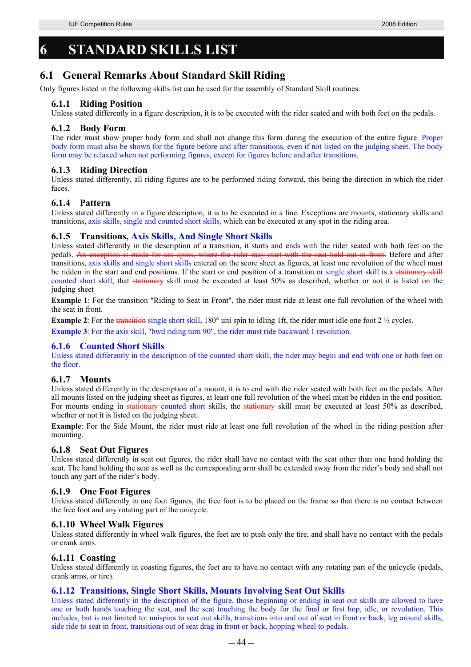## **6 STANDARD SKILLS LIST**

## **6.1 General Remarks About Standard Skill Riding**

Only figures listed in the following skills list can be used for the assembly of Standard Skill routines.

#### **6.1.1 Riding Position**

Unless stated differently in a figure description, it is to be executed with the rider seated and with both feet on the pedals.

#### **6.1.2 Body Form**

The rider must show proper body form and shall not change this form during the execution of the entire figure. Proper body form must also be shown for the figure before and after transitions, even if not listed on the judging sheet. The body form may be relaxed when not performing figures, except for figures before and after transitions.

#### **6.1.3 Riding Direction**

Unless stated differently, all riding figures are to be performed riding forward, this being the direction in which the rider faces.

#### **6.1.4 Pattern**

Unless stated differently in a figure description, it is to be executed in a line. Exceptions are mounts, stationary skills and transitions, axis skills, single and counted short skills, which can be executed at any spot in the riding area.

#### **6.1.5 Transitions, Axis Skills, And Single Short Skills**

Unless stated differently in the description of a transition, it starts and ends with the rider seated with both feet on the pedals. An exception is made for uni spins, where the rider may start with the seat held out in front. Before and after transitions, axis skills and single short skills entered on the score sheet as figures, at least one revolution of the wheel must be ridden in the start and end positions. If the start or end position of a transition or single short skill is a stationary skill counted short skill, that stationary skill must be executed at least 50% as described, whether or not it is listed on the judging sheet

**Example 1**: For the transition "Riding to Seat in Front", the rider must ride at least one full revolution of the wheel with the seat in front.

**Example 2**: For the transition single short skill, 180° uni spin to idling 1ft, the rider must idle one foot 2  $\frac{1}{2}$  cycles.

**Example 3**: For the axis skill, "bwd riding turn 90", the rider must ride backward 1 revolution.

#### **6.1.6 Counted Short Skills**

Unless stated differently in the description of the counted short skill, the rider may begin and end with one or both feet on the floor.

#### **6.1.7 Mounts**

Unless stated differently in the description of a mount, it is to end with the rider seated with both feet on the pedals. After all mounts listed on the judging sheet as figures, at least one full revolution of the wheel must be ridden in the end position. For mounts ending in stationary counted short skills, the stationary skill must be executed at least 50% as described, whether or not it is listed on the judging sheet.

**Example**: For the Side Mount, the rider must ride at least one full revolution of the wheel in the riding position after mounting.

#### **6.1.8 Seat Out Figures**

Unless stated differently in seat out figures, the rider shall have no contact with the seat other than one hand holding the seat. The hand holding the seat as well as the corresponding arm shall be extended away from the rider's body and shall not touch any part of the rider's body.

#### **6.1.9 One Foot Figures**

Unless stated differently in one foot figures, the free foot is to be placed on the frame so that there is no contact between the free foot and any rotating part of the unicycle.

#### **6.1.10 Wheel Walk Figures**

Unless stated differently in wheel walk figures, the feet are to push only the tire, and shall have no contact with the pedals or crank arms.

#### **6.1.11 Coasting**

Unless stated differently in coasting figures, the feet are to have no contact with any rotating part of the unicycle (pedals, crank arms, or tire).

#### **6.1.12 Transitions, Single Short Skills, Mounts Involving Seat Out Skills**

Unless stated differently in the description of the figure, those beginning or ending in seat out skills are allowed to have one or both hands touching the seat, and the seat touching the body for the final or first hop, idle, or revolution. This includes, but is not limited to: unispins to seat out skills, transitions into and out of seat in front or back, leg around skills, side ride to seat in front, transitions out of seat drag in front or back, hopping wheel to pedals.

 $-44-$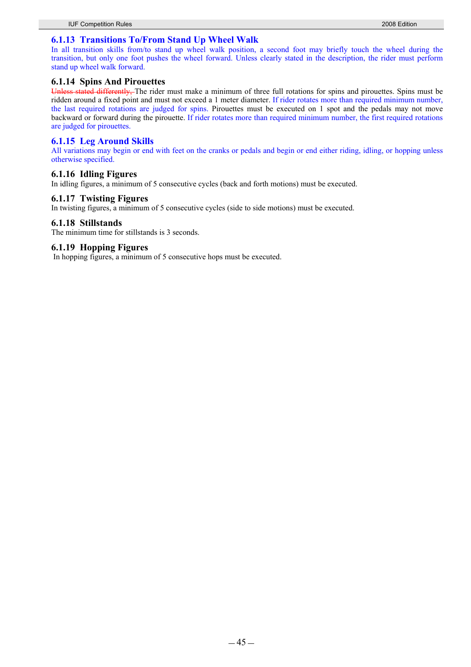#### **6.1.13 Transitions To/From Stand Up Wheel Walk**

In all transition skills from/to stand up wheel walk position, a second foot may briefly touch the wheel during the transition, but only one foot pushes the wheel forward. Unless clearly stated in the description, the rider must perform stand up wheel walk forward.

# **6.1.14 Spins And Pirouettes**

d differently. The rider must make a minimum of three full rotations for spins and pirouettes. Spins must be ridden around a fixed point and must not exceed a 1 meter diameter. If rider rotates more than required minimum number, the last required rotations are judged for spins. Pirouettes must be executed on 1 spot and the pedals may not move backward or forward during the pirouette. If rider rotates more than required minimum number, the first required rotations are judged for pirouettes.

#### **6.1.15 Leg Around Skills**

All variations may begin or end with feet on the cranks or pedals and begin or end either riding, idling, or hopping unless otherwise specified.

#### **6.1.16 Idling Figures**

In idling figures, a minimum of 5 consecutive cycles (back and forth motions) must be executed.

#### **6.1.17 Twisting Figures**

In twisting figures, a minimum of 5 consecutive cycles (side to side motions) must be executed.

#### **6.1.18 Stillstands**

The minimum time for stillstands is 3 seconds.

#### **6.1.19 Hopping Figures**

In hopping figures, a minimum of 5 consecutive hops must be executed.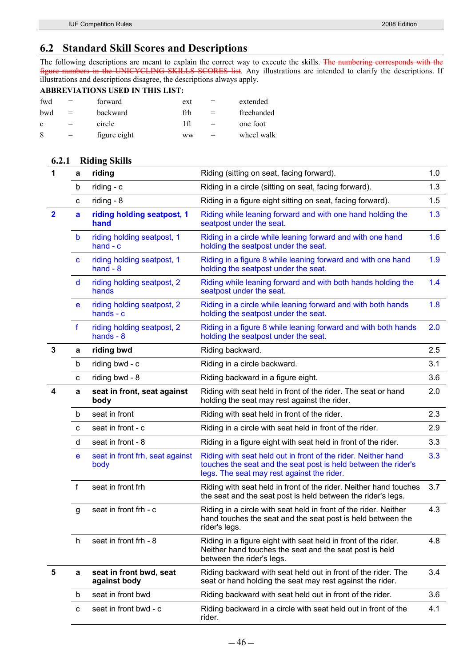## **6.2 Standard Skill Scores and Descriptions**

The following descriptions are meant to explain the correct way to execute the skills. The numbering corresponds with the figure numbers in the UNICYCLING SKILLS SCORES list. Any illustrations are intended to clarify the descriptions. If illustrations and descriptions disagree, the descriptions always apply.

#### **ABBREVIATIONS USED IN THIS LIST:**

| fwd | $=$ | forward      | ext       | $=$ | extended   |
|-----|-----|--------------|-----------|-----|------------|
| bwd | $=$ | backward     | frh       |     | freehanded |
| c   |     | circle       | 1ft       |     | one foot   |
| 8   |     | figure eight | <b>WW</b> |     | wheel walk |

#### **6.2.1 Riding Skills**

| 1                       | a           | riding                                    | Riding (sitting on seat, facing forward).                                                                                                                                     | 1.0 |
|-------------------------|-------------|-------------------------------------------|-------------------------------------------------------------------------------------------------------------------------------------------------------------------------------|-----|
|                         | b           | riding - c                                | Riding in a circle (sitting on seat, facing forward).                                                                                                                         | 1.3 |
|                         | с           | riding - $8$                              | Riding in a figure eight sitting on seat, facing forward).                                                                                                                    | 1.5 |
| $\overline{\mathbf{2}}$ | a           | riding holding seatpost, 1<br>hand        | Riding while leaning forward and with one hand holding the<br>seatpost under the seat.                                                                                        | 1.3 |
|                         | b           | riding holding seatpost, 1<br>$hand - c$  | Riding in a circle while leaning forward and with one hand<br>holding the seatpost under the seat.                                                                            | 1.6 |
|                         | C           | riding holding seatpost, 1<br>hand $-8$   | Riding in a figure 8 while leaning forward and with one hand<br>holding the seatpost under the seat.                                                                          | 1.9 |
|                         | d           | riding holding seatpost, 2<br>hands       | Riding while leaning forward and with both hands holding the<br>seatpost under the seat.                                                                                      | 1.4 |
|                         | е           | riding holding seatpost, 2<br>hands - $c$ | Riding in a circle while leaning forward and with both hands<br>holding the seatpost under the seat.                                                                          | 1.8 |
|                         | $\mathbf f$ | riding holding seatpost, 2<br>hands $-8$  | Riding in a figure 8 while leaning forward and with both hands<br>holding the seatpost under the seat.                                                                        | 2.0 |
| 3                       | a           | riding bwd                                | Riding backward.                                                                                                                                                              | 2.5 |
|                         | b           | riding bwd - c                            | Riding in a circle backward.                                                                                                                                                  | 3.1 |
|                         | с           | riding bwd - 8                            | Riding backward in a figure eight.                                                                                                                                            | 3.6 |
| 4                       | a           | seat in front, seat against<br>body       | Riding with seat held in front of the rider. The seat or hand<br>holding the seat may rest against the rider.                                                                 | 2.0 |
|                         | b           | seat in front                             | Riding with seat held in front of the rider.                                                                                                                                  | 2.3 |
|                         | с           | seat in front - c                         | Riding in a circle with seat held in front of the rider.                                                                                                                      | 2.9 |
|                         | d           | seat in front - 8                         | Riding in a figure eight with seat held in front of the rider.                                                                                                                | 3.3 |
|                         | e           | seat in front frh, seat against<br>body   | Riding with seat held out in front of the rider. Neither hand<br>touches the seat and the seat post is held between the rider's<br>legs. The seat may rest against the rider. | 3.3 |
|                         | f           | seat in front frh                         | Riding with seat held in front of the rider. Neither hand touches<br>the seat and the seat post is held between the rider's legs.                                             | 3.7 |
|                         | g           | seat in front frh - c                     | Riding in a circle with seat held in front of the rider. Neither<br>hand touches the seat and the seat post is held between the<br>rider's legs.                              | 4.3 |
|                         | h           | seat in front frh - 8                     | Riding in a figure eight with seat held in front of the rider.<br>Neither hand touches the seat and the seat post is held<br>between the rider's legs.                        | 4.8 |
| 5                       | a           | seat in front bwd, seat<br>against body   | Riding backward with seat held out in front of the rider. The<br>seat or hand holding the seat may rest against the rider.                                                    | 3.4 |
|                         | b           | seat in front bwd                         | Riding backward with seat held out in front of the rider.                                                                                                                     | 3.6 |
|                         | с           | seat in front bwd - c                     | Riding backward in a circle with seat held out in front of the<br>rider.                                                                                                      | 4.1 |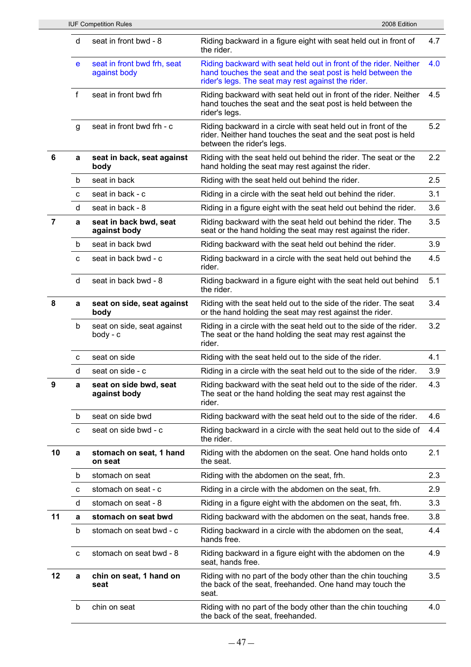|                |              | <b>IUF Competition Rules</b>                | 2008 Edition                                                                                                                                                                           |     |
|----------------|--------------|---------------------------------------------|----------------------------------------------------------------------------------------------------------------------------------------------------------------------------------------|-----|
|                | d            | seat in front bwd - 8                       | Riding backward in a figure eight with seat held out in front of<br>the rider.                                                                                                         | 4.7 |
|                | e            | seat in front bwd frh, seat<br>against body | Riding backward with seat held out in front of the rider. Neither<br>hand touches the seat and the seat post is held between the<br>rider's legs. The seat may rest against the rider. | 4.0 |
|                | $\mathsf{f}$ | seat in front bwd frh                       | Riding backward with seat held out in front of the rider. Neither<br>hand touches the seat and the seat post is held between the<br>rider's legs.                                      | 4.5 |
|                | g            | seat in front bwd frh - c                   | Riding backward in a circle with seat held out in front of the<br>rider. Neither hand touches the seat and the seat post is held<br>between the rider's legs.                          | 5.2 |
| 6              | a            | seat in back, seat against<br>body          | Riding with the seat held out behind the rider. The seat or the<br>hand holding the seat may rest against the rider.                                                                   | 2.2 |
|                | b            | seat in back                                | Riding with the seat held out behind the rider.                                                                                                                                        | 2.5 |
|                | C            | seat in back - c                            | Riding in a circle with the seat held out behind the rider.                                                                                                                            | 3.1 |
|                | d            | seat in back - 8                            | Riding in a figure eight with the seat held out behind the rider.                                                                                                                      | 3.6 |
| $\overline{7}$ | a            | seat in back bwd, seat<br>against body      | Riding backward with the seat held out behind the rider. The<br>seat or the hand holding the seat may rest against the rider.                                                          | 3.5 |
|                | b            | seat in back bwd                            | Riding backward with the seat held out behind the rider.                                                                                                                               | 3.9 |
|                | C            | seat in back bwd - c                        | Riding backward in a circle with the seat held out behind the<br>rider.                                                                                                                | 4.5 |
|                | d            | seat in back bwd - 8                        | Riding backward in a figure eight with the seat held out behind<br>the rider.                                                                                                          | 5.1 |
| 8              | a            | seat on side, seat against<br>body          | Riding with the seat held out to the side of the rider. The seat<br>or the hand holding the seat may rest against the rider.                                                           | 3.4 |
|                | b            | seat on side, seat against<br>$body - c$    | Riding in a circle with the seat held out to the side of the rider.<br>The seat or the hand holding the seat may rest against the<br>rider.                                            | 3.2 |
|                | C            | seat on side                                | Riding with the seat held out to the side of the rider.                                                                                                                                | 4.1 |
|                | d            | seat on side - c                            | Riding in a circle with the seat held out to the side of the rider.                                                                                                                    | 3.9 |
| 9              | a            | seat on side bwd, seat<br>against body      | Riding backward with the seat held out to the side of the rider.<br>The seat or the hand holding the seat may rest against the<br>rider.                                               | 4.3 |
|                | b            | seat on side bwd                            | Riding backward with the seat held out to the side of the rider.                                                                                                                       | 4.6 |
|                | C            | seat on side bwd - c                        | Riding backward in a circle with the seat held out to the side of<br>the rider.                                                                                                        | 4.4 |
| 10             | a            | stomach on seat, 1 hand<br>on seat          | Riding with the abdomen on the seat. One hand holds onto<br>the seat.                                                                                                                  | 2.1 |
|                | b            | stomach on seat                             | Riding with the abdomen on the seat, frh.                                                                                                                                              | 2.3 |
|                | с            | stomach on seat - c                         | Riding in a circle with the abdomen on the seat, frh.                                                                                                                                  | 2.9 |
|                | d            | stomach on seat - 8                         | Riding in a figure eight with the abdomen on the seat, frh.                                                                                                                            | 3.3 |
| 11             | a            | stomach on seat bwd                         | Riding backward with the abdomen on the seat, hands free.                                                                                                                              | 3.8 |
|                | b            | stomach on seat bwd - c                     | Riding backward in a circle with the abdomen on the seat,<br>hands free.                                                                                                               | 4.4 |
|                | C            | stomach on seat bwd - 8                     | Riding backward in a figure eight with the abdomen on the<br>seat, hands free.                                                                                                         | 4.9 |
| 12             | a            | chin on seat, 1 hand on<br>seat             | Riding with no part of the body other than the chin touching<br>the back of the seat, freehanded. One hand may touch the<br>seat.                                                      | 3.5 |
|                | b            | chin on seat                                | Riding with no part of the body other than the chin touching<br>the back of the seat, freehanded.                                                                                      | 4.0 |
|                |              |                                             |                                                                                                                                                                                        |     |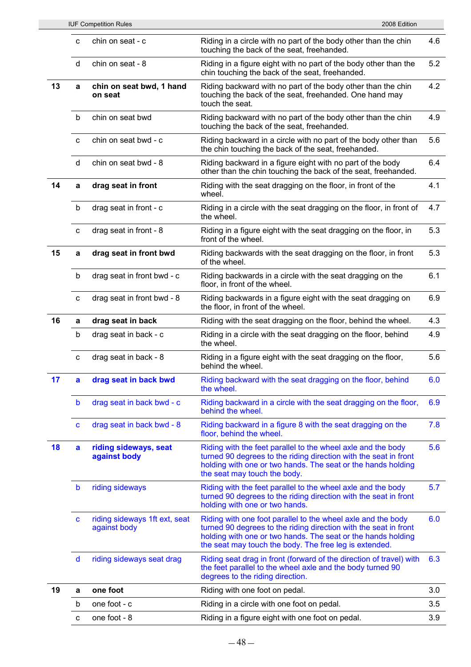|    |              | <b>IUF Competition Rules</b>                  | 2008 Edition                                                                                                                                                                                                                                               |     |
|----|--------------|-----------------------------------------------|------------------------------------------------------------------------------------------------------------------------------------------------------------------------------------------------------------------------------------------------------------|-----|
|    | C            | chin on seat - c                              | Riding in a circle with no part of the body other than the chin<br>touching the back of the seat, freehanded.                                                                                                                                              | 4.6 |
|    | d            | chin on seat - 8                              | Riding in a figure eight with no part of the body other than the<br>chin touching the back of the seat, freehanded.                                                                                                                                        | 5.2 |
| 13 | a            | chin on seat bwd, 1 hand<br>on seat           | Riding backward with no part of the body other than the chin<br>touching the back of the seat, freehanded. One hand may<br>touch the seat.                                                                                                                 | 4.2 |
|    | b            | chin on seat bwd                              | Riding backward with no part of the body other than the chin<br>touching the back of the seat, freehanded.                                                                                                                                                 | 4.9 |
|    | C            | chin on seat bwd - c                          | Riding backward in a circle with no part of the body other than<br>the chin touching the back of the seat, freehanded.                                                                                                                                     | 5.6 |
|    | d            | chin on seat bwd - 8                          | Riding backward in a figure eight with no part of the body<br>other than the chin touching the back of the seat, freehanded.                                                                                                                               | 6.4 |
| 14 | a            | drag seat in front                            | Riding with the seat dragging on the floor, in front of the<br>wheel.                                                                                                                                                                                      | 4.1 |
|    | b            | drag seat in front - c                        | Riding in a circle with the seat dragging on the floor, in front of<br>the wheel.                                                                                                                                                                          | 4.7 |
|    | c            | drag seat in front - 8                        | Riding in a figure eight with the seat dragging on the floor, in<br>front of the wheel.                                                                                                                                                                    | 5.3 |
| 15 | a            | drag seat in front bwd                        | Riding backwards with the seat dragging on the floor, in front<br>of the wheel.                                                                                                                                                                            | 5.3 |
|    | b            | drag seat in front bwd - c                    | Riding backwards in a circle with the seat dragging on the<br>floor, in front of the wheel.                                                                                                                                                                | 6.1 |
|    | C            | drag seat in front bwd - 8                    | Riding backwards in a figure eight with the seat dragging on<br>the floor, in front of the wheel.                                                                                                                                                          | 6.9 |
| 16 | a            | drag seat in back                             | Riding with the seat dragging on the floor, behind the wheel.                                                                                                                                                                                              | 4.3 |
|    | b            | drag seat in back - c                         | Riding in a circle with the seat dragging on the floor, behind<br>the wheel.                                                                                                                                                                               | 4.9 |
|    | $\mathbf{C}$ | drag seat in back - 8                         | Riding in a figure eight with the seat dragging on the floor,<br>behind the wheel.                                                                                                                                                                         | 5.6 |
| 17 | a            | drag seat in back bwd                         | Riding backward with the seat dragging on the floor, behind<br>the wheel.                                                                                                                                                                                  | 6.0 |
|    | b            | drag seat in back bwd - c                     | Riding backward in a circle with the seat dragging on the floor,<br>behind the wheel.                                                                                                                                                                      | 6.9 |
|    | C            | drag seat in back bwd - 8                     | Riding backward in a figure 8 with the seat dragging on the<br>floor, behind the wheel.                                                                                                                                                                    | 7.8 |
| 18 | a            | riding sideways, seat<br>against body         | Riding with the feet parallel to the wheel axle and the body<br>turned 90 degrees to the riding direction with the seat in front<br>holding with one or two hands. The seat or the hands holding<br>the seat may touch the body.                           | 5.6 |
|    | b            | riding sideways                               | Riding with the feet parallel to the wheel axle and the body<br>turned 90 degrees to the riding direction with the seat in front<br>holding with one or two hands.                                                                                         | 5.7 |
|    | C            | riding sideways 1ft ext, seat<br>against body | Riding with one foot parallel to the wheel axle and the body<br>turned 90 degrees to the riding direction with the seat in front<br>holding with one or two hands. The seat or the hands holding<br>the seat may touch the body. The free leg is extended. | 6.0 |
|    | d            | riding sideways seat drag                     | Riding seat drag in front (forward of the direction of travel) with<br>the feet parallel to the wheel axle and the body turned 90<br>degrees to the riding direction.                                                                                      | 6.3 |
| 19 | a            | one foot                                      | Riding with one foot on pedal.                                                                                                                                                                                                                             | 3.0 |
|    | b            | one foot - c                                  | Riding in a circle with one foot on pedal.                                                                                                                                                                                                                 | 3.5 |
|    | c            | one foot - 8                                  | Riding in a figure eight with one foot on pedal.                                                                                                                                                                                                           | 3.9 |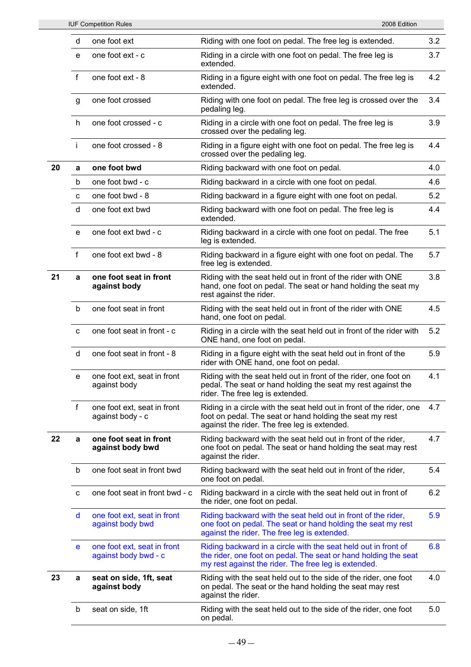|    |              | <b>IUF Competition Rules</b>                        | 2008 Edition                                                                                                                                                                              |     |
|----|--------------|-----------------------------------------------------|-------------------------------------------------------------------------------------------------------------------------------------------------------------------------------------------|-----|
|    | d            | one foot ext                                        | Riding with one foot on pedal. The free leg is extended.                                                                                                                                  | 3.2 |
|    | e            | one foot ext - c                                    | Riding in a circle with one foot on pedal. The free leg is<br>extended.                                                                                                                   | 3.7 |
|    | $\mathsf{f}$ | one foot ext - 8                                    | Riding in a figure eight with one foot on pedal. The free leg is<br>extended.                                                                                                             | 4.2 |
|    | g            | one foot crossed                                    | Riding with one foot on pedal. The free leg is crossed over the<br>pedaling leg.                                                                                                          | 3.4 |
|    | h            | one foot crossed - c                                | Riding in a circle with one foot on pedal. The free leg is<br>crossed over the pedaling leg.                                                                                              | 3.9 |
|    | j.           | one foot crossed - 8                                | Riding in a figure eight with one foot on pedal. The free leg is<br>crossed over the pedaling leg.                                                                                        | 4.4 |
| 20 | a            | one foot bwd                                        | Riding backward with one foot on pedal.                                                                                                                                                   | 4.0 |
|    | b            | one foot bwd - c                                    | Riding backward in a circle with one foot on pedal.                                                                                                                                       | 4.6 |
|    | $\mathbf{C}$ | one foot bwd - 8                                    | Riding backward in a figure eight with one foot on pedal.                                                                                                                                 | 5.2 |
|    | d            | one foot ext bwd                                    | Riding backward with one foot on pedal. The free leg is<br>extended.                                                                                                                      | 4.4 |
|    | e            | one foot ext bwd - c                                | Riding backward in a circle with one foot on pedal. The free<br>leg is extended.                                                                                                          | 5.1 |
|    | $\mathsf{f}$ | one foot ext bwd - 8                                | Riding backward in a figure eight with one foot on pedal. The<br>free leg is extended.                                                                                                    | 5.7 |
| 21 | a            | one foot seat in front<br>against body              | Riding with the seat held out in front of the rider with ONE<br>hand, one foot on pedal. The seat or hand holding the seat my<br>rest against the rider.                                  | 3.8 |
|    | b            | one foot seat in front                              | Riding with the seat held out in front of the rider with ONE<br>hand, one foot on pedal.                                                                                                  | 4.5 |
|    | C            | one foot seat in front - c                          | Riding in a circle with the seat held out in front of the rider with<br>ONE hand, one foot on pedal.                                                                                      | 5.2 |
|    | d            | one foot seat in front - 8                          | Riding in a figure eight with the seat held out in front of the<br>rider with ONE hand, one foot on pedal.                                                                                | 5.9 |
|    |              | e one foot ext, seat in front<br>against body       | Riding with the seat held out in front of the rider, one foot on<br>pedal. The seat or hand holding the seat my rest against the<br>rider. The free leg is extended.                      | 4.1 |
|    | f            | one foot ext, seat in front<br>against body - c     | Riding in a circle with the seat held out in front of the rider, one<br>foot on pedal. The seat or hand holding the seat my rest<br>against the rider. The free leg is extended.          | 4.7 |
| 22 | a            | one foot seat in front<br>against body bwd          | Riding backward with the seat held out in front of the rider,<br>one foot on pedal. The seat or hand holding the seat may rest<br>against the rider.                                      | 4.7 |
|    | b            | one foot seat in front bwd                          | Riding backward with the seat held out in front of the rider,<br>one foot on pedal.                                                                                                       | 5.4 |
|    | c            | one foot seat in front bwd - c                      | Riding backward in a circle with the seat held out in front of<br>the rider, one foot on pedal.                                                                                           | 6.2 |
|    | d            | one foot ext, seat in front<br>against body bwd     | Riding backward with the seat held out in front of the rider,<br>one foot on pedal. The seat or hand holding the seat my rest<br>against the rider. The free leg is extended.             | 5.9 |
|    | е            | one foot ext, seat in front<br>against body bwd - c | Riding backward in a circle with the seat held out in front of<br>the rider, one foot on pedal. The seat or hand holding the seat<br>my rest against the rider. The free leg is extended. | 6.8 |
| 23 | a            | seat on side, 1ft, seat<br>against body             | Riding with the seat held out to the side of the rider, one foot<br>on pedal. The seat or the hand holding the seat may rest<br>against the rider.                                        | 4.0 |
|    | b            | seat on side, 1ft                                   | Riding with the seat held out to the side of the rider, one foot<br>on pedal.                                                                                                             | 5.0 |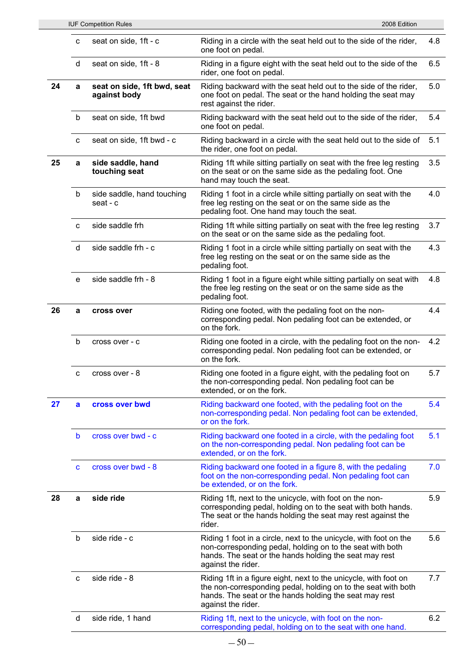|    |              | <b>IUF Competition Rules</b>                | 2008 Edition                                                                                                                                                                                                      |     |
|----|--------------|---------------------------------------------|-------------------------------------------------------------------------------------------------------------------------------------------------------------------------------------------------------------------|-----|
|    | c            | seat on side, 1ft - c                       | Riding in a circle with the seat held out to the side of the rider,<br>one foot on pedal.                                                                                                                         | 4.8 |
|    | d            | seat on side, 1ft - 8                       | Riding in a figure eight with the seat held out to the side of the<br>rider, one foot on pedal.                                                                                                                   | 6.5 |
| 24 | a            | seat on side, 1ft bwd, seat<br>against body | Riding backward with the seat held out to the side of the rider,<br>one foot on pedal. The seat or the hand holding the seat may<br>rest against the rider.                                                       | 5.0 |
|    | b            | seat on side, 1ft bwd                       | Riding backward with the seat held out to the side of the rider,<br>one foot on pedal.                                                                                                                            | 5.4 |
|    | c            | seat on side, 1ft bwd - c                   | Riding backward in a circle with the seat held out to the side of<br>the rider, one foot on pedal.                                                                                                                | 5.1 |
| 25 | a            | side saddle, hand<br>touching seat          | Riding 1ft while sitting partially on seat with the free leg resting<br>on the seat or on the same side as the pedaling foot. One<br>hand may touch the seat.                                                     | 3.5 |
|    | b            | side saddle, hand touching<br>seat - c      | Riding 1 foot in a circle while sitting partially on seat with the<br>free leg resting on the seat or on the same side as the<br>pedaling foot. One hand may touch the seat.                                      | 4.0 |
|    | C            | side saddle frh                             | Riding 1ft while sitting partially on seat with the free leg resting<br>on the seat or on the same side as the pedaling foot.                                                                                     | 3.7 |
|    | d            | side saddle frh - c                         | Riding 1 foot in a circle while sitting partially on seat with the<br>free leg resting on the seat or on the same side as the<br>pedaling foot.                                                                   | 4.3 |
|    | e            | side saddle frh - 8                         | Riding 1 foot in a figure eight while sitting partially on seat with<br>the free leg resting on the seat or on the same side as the<br>pedaling foot.                                                             | 4.8 |
| 26 | a            | cross over                                  | Riding one footed, with the pedaling foot on the non-<br>corresponding pedal. Non pedaling foot can be extended, or<br>on the fork.                                                                               | 4.4 |
|    | b            | cross over - c                              | Riding one footed in a circle, with the pedaling foot on the non-<br>corresponding pedal. Non pedaling foot can be extended, or<br>on the fork.                                                                   | 4.2 |
|    | c            | cross over - 8                              | Riding one footed in a figure eight, with the pedaling foot on<br>the non-corresponding pedal. Non pedaling foot can be<br>extended, or on the fork.                                                              | 5.7 |
| 27 | a            | cross over bwd                              | Riding backward one footed, with the pedaling foot on the<br>non-corresponding pedal. Non pedaling foot can be extended,<br>or on the fork.                                                                       | 5.4 |
|    | $\mathbf b$  | cross over bwd - c                          | Riding backward one footed in a circle, with the pedaling foot<br>on the non-corresponding pedal. Non pedaling foot can be<br>extended, or on the fork.                                                           | 5.1 |
|    | $\mathbf{C}$ | cross over bwd - 8                          | Riding backward one footed in a figure 8, with the pedaling<br>foot on the non-corresponding pedal. Non pedaling foot can<br>be extended, or on the fork.                                                         | 7.0 |
| 28 | a            | side ride                                   | Riding 1ft, next to the unicycle, with foot on the non-<br>corresponding pedal, holding on to the seat with both hands.<br>The seat or the hands holding the seat may rest against the<br>rider.                  | 5.9 |
|    | b            | side ride - c                               | Riding 1 foot in a circle, next to the unicycle, with foot on the<br>non-corresponding pedal, holding on to the seat with both<br>hands. The seat or the hands holding the seat may rest<br>against the rider.    | 5.6 |
|    | C            | side ride - 8                               | Riding 1ft in a figure eight, next to the unicycle, with foot on<br>the non-corresponding pedal, holding on to the seat with both<br>hands. The seat or the hands holding the seat may rest<br>against the rider. | 7.7 |
|    | d            | side ride, 1 hand                           | Riding 1ft, next to the unicycle, with foot on the non-<br>corresponding pedal, holding on to the seat with one hand.                                                                                             | 6.2 |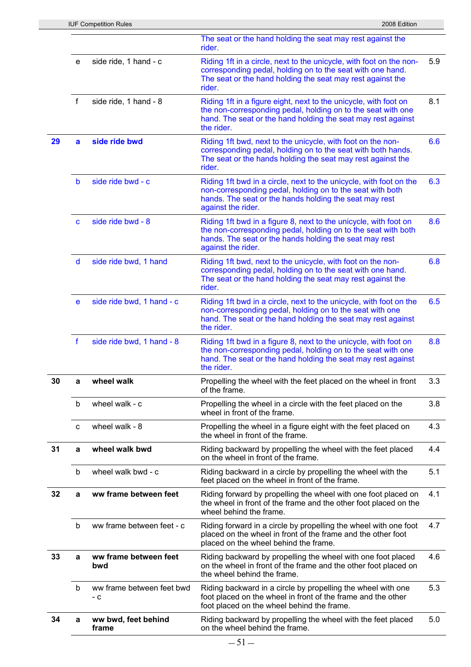|    |              | <b>IUF Competition Rules</b>     | 2008 Edition                                                                                                                                                                                                      |     |
|----|--------------|----------------------------------|-------------------------------------------------------------------------------------------------------------------------------------------------------------------------------------------------------------------|-----|
|    |              |                                  | The seat or the hand holding the seat may rest against the<br>rider.                                                                                                                                              |     |
|    | e            | side ride, 1 hand - c            | Riding 1ft in a circle, next to the unicycle, with foot on the non-<br>corresponding pedal, holding on to the seat with one hand.<br>The seat or the hand holding the seat may rest against the<br>rider.         | 5.9 |
|    | $\mathsf{f}$ | side ride, 1 hand - 8            | Riding 1ft in a figure eight, next to the unicycle, with foot on<br>the non-corresponding pedal, holding on to the seat with one<br>hand. The seat or the hand holding the seat may rest against<br>the rider.    | 8.1 |
| 29 | a            | side ride bwd                    | Riding 1ft bwd, next to the unicycle, with foot on the non-<br>corresponding pedal, holding on to the seat with both hands.<br>The seat or the hands holding the seat may rest against the<br>rider.              | 6.6 |
|    | b            | side ride bwd - c                | Riding 1ft bwd in a circle, next to the unicycle, with foot on the<br>non-corresponding pedal, holding on to the seat with both<br>hands. The seat or the hands holding the seat may rest<br>against the rider.   | 6.3 |
|    | C            | side ride bwd - 8                | Riding 1ft bwd in a figure 8, next to the unicycle, with foot on<br>the non-corresponding pedal, holding on to the seat with both<br>hands. The seat or the hands holding the seat may rest<br>against the rider. | 8.6 |
|    | d            | side ride bwd, 1 hand            | Riding 1ft bwd, next to the unicycle, with foot on the non-<br>corresponding pedal, holding on to the seat with one hand.<br>The seat or the hand holding the seat may rest against the<br>rider.                 | 6.8 |
|    | e            | side ride bwd, 1 hand - c        | Riding 1ft bwd in a circle, next to the unicycle, with foot on the<br>non-corresponding pedal, holding on to the seat with one<br>hand. The seat or the hand holding the seat may rest against<br>the rider.      | 6.5 |
|    | $\mathbf f$  | side ride bwd, 1 hand - 8        | Riding 1ft bwd in a figure 8, next to the unicycle, with foot on<br>the non-corresponding pedal, holding on to the seat with one<br>hand. The seat or the hand holding the seat may rest against<br>the rider.    | 8.8 |
| 30 | a            | wheel walk                       | Propelling the wheel with the feet placed on the wheel in front<br>of the frame.                                                                                                                                  | 3.3 |
|    | b            | wheel walk - c                   | Propelling the wheel in a circle with the feet placed on the<br>wheel in front of the frame.                                                                                                                      | 3.8 |
|    | C            | wheel walk - 8                   | Propelling the wheel in a figure eight with the feet placed on<br>the wheel in front of the frame.                                                                                                                | 4.3 |
| 31 | a            | wheel walk bwd                   | Riding backward by propelling the wheel with the feet placed<br>on the wheel in front of the frame.                                                                                                               | 4.4 |
|    | b            | wheel walk bwd - c               | Riding backward in a circle by propelling the wheel with the<br>feet placed on the wheel in front of the frame.                                                                                                   | 5.1 |
| 32 | $\mathbf a$  | ww frame between feet            | Riding forward by propelling the wheel with one foot placed on<br>the wheel in front of the frame and the other foot placed on the<br>wheel behind the frame.                                                     | 4.1 |
|    | b            | ww frame between feet - c        | Riding forward in a circle by propelling the wheel with one foot<br>placed on the wheel in front of the frame and the other foot<br>placed on the wheel behind the frame.                                         | 4.7 |
| 33 | a            | ww frame between feet<br>bwd     | Riding backward by propelling the wheel with one foot placed<br>on the wheel in front of the frame and the other foot placed on<br>the wheel behind the frame.                                                    | 4.6 |
|    | b            | ww frame between feet bwd<br>- c | Riding backward in a circle by propelling the wheel with one<br>foot placed on the wheel in front of the frame and the other<br>foot placed on the wheel behind the frame.                                        | 5.3 |
| 34 | a            | ww bwd, feet behind<br>frame     | Riding backward by propelling the wheel with the feet placed<br>on the wheel behind the frame.                                                                                                                    | 5.0 |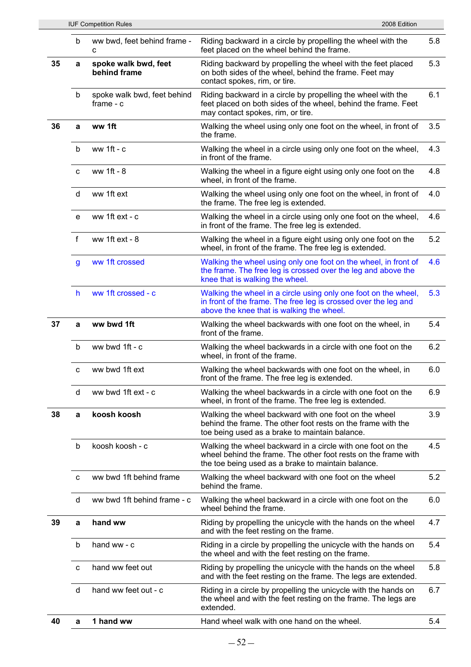|    |              | <b>IUF Competition Rules</b>               | 2008 Edition                                                                                                                                                                        |     |
|----|--------------|--------------------------------------------|-------------------------------------------------------------------------------------------------------------------------------------------------------------------------------------|-----|
|    | b            | ww bwd, feet behind frame -<br>C           | Riding backward in a circle by propelling the wheel with the<br>feet placed on the wheel behind the frame.                                                                          | 5.8 |
| 35 | a            | spoke walk bwd, feet<br>behind frame       | Riding backward by propelling the wheel with the feet placed<br>on both sides of the wheel, behind the frame. Feet may<br>contact spokes, rim, or tire.                             | 5.3 |
|    | b            | spoke walk bwd, feet behind<br>$frame - c$ | Riding backward in a circle by propelling the wheel with the<br>feet placed on both sides of the wheel, behind the frame. Feet<br>may contact spokes, rim, or tire.                 | 6.1 |
| 36 | a            | ww 1ft                                     | Walking the wheel using only one foot on the wheel, in front of<br>the frame.                                                                                                       | 3.5 |
|    | b            | ww 1 $ft - c$                              | Walking the wheel in a circle using only one foot on the wheel,<br>in front of the frame.                                                                                           | 4.3 |
|    | C            | ww 1ft - 8                                 | Walking the wheel in a figure eight using only one foot on the<br>wheel, in front of the frame.                                                                                     | 4.8 |
|    | d            | ww 1ft ext                                 | Walking the wheel using only one foot on the wheel, in front of<br>the frame. The free leg is extended.                                                                             | 4.0 |
|    | e            | ww 1ft ext - c                             | Walking the wheel in a circle using only one foot on the wheel,<br>in front of the frame. The free leg is extended.                                                                 | 4.6 |
|    | $\mathsf{f}$ | ww 1ft ext - 8                             | Walking the wheel in a figure eight using only one foot on the<br>wheel, in front of the frame. The free leg is extended.                                                           | 5.2 |
|    | $\mathsf{g}$ | ww 1ft crossed                             | Walking the wheel using only one foot on the wheel, in front of<br>the frame. The free leg is crossed over the leg and above the<br>knee that is walking the wheel.                 | 4.6 |
|    | h            | ww 1ft crossed - c                         | Walking the wheel in a circle using only one foot on the wheel,<br>in front of the frame. The free leg is crossed over the leg and<br>above the knee that is walking the wheel.     | 5.3 |
| 37 | a            | ww bwd 1ft                                 | Walking the wheel backwards with one foot on the wheel, in<br>front of the frame.                                                                                                   | 5.4 |
|    | b            | ww bwd 1ft - c                             | Walking the wheel backwards in a circle with one foot on the<br>wheel, in front of the frame.                                                                                       | 6.2 |
|    | с            | ww bwd 1ft ext                             | Walking the wheel backwards with one foot on the wheel, in<br>front of the frame. The free leg is extended.                                                                         | 6.0 |
|    | d            | ww bwd 1ft ext - c                         | Walking the wheel backwards in a circle with one foot on the<br>wheel, in front of the frame. The free leg is extended.                                                             | 6.9 |
| 38 | a            | koosh koosh                                | Walking the wheel backward with one foot on the wheel<br>behind the frame. The other foot rests on the frame with the<br>toe being used as a brake to maintain balance.             | 3.9 |
|    | b            | koosh koosh - c                            | Walking the wheel backward in a circle with one foot on the<br>wheel behind the frame. The other foot rests on the frame with<br>the toe being used as a brake to maintain balance. | 4.5 |
|    | C            | ww bwd 1ft behind frame                    | Walking the wheel backward with one foot on the wheel<br>behind the frame.                                                                                                          | 5.2 |
|    | d            | ww bwd 1ft behind frame - c                | Walking the wheel backward in a circle with one foot on the<br>wheel behind the frame.                                                                                              | 6.0 |
| 39 | a            | hand ww                                    | Riding by propelling the unicycle with the hands on the wheel<br>and with the feet resting on the frame.                                                                            | 4.7 |
|    | b            | hand ww - c                                | Riding in a circle by propelling the unicycle with the hands on<br>the wheel and with the feet resting on the frame.                                                                | 5.4 |
|    | C            | hand ww feet out                           | Riding by propelling the unicycle with the hands on the wheel<br>and with the feet resting on the frame. The legs are extended.                                                     | 5.8 |
|    | d            | hand ww feet out - c                       | Riding in a circle by propelling the unicycle with the hands on<br>the wheel and with the feet resting on the frame. The legs are<br>extended.                                      | 6.7 |
| 40 | a            | 1 hand ww                                  | Hand wheel walk with one hand on the wheel.                                                                                                                                         | 5.4 |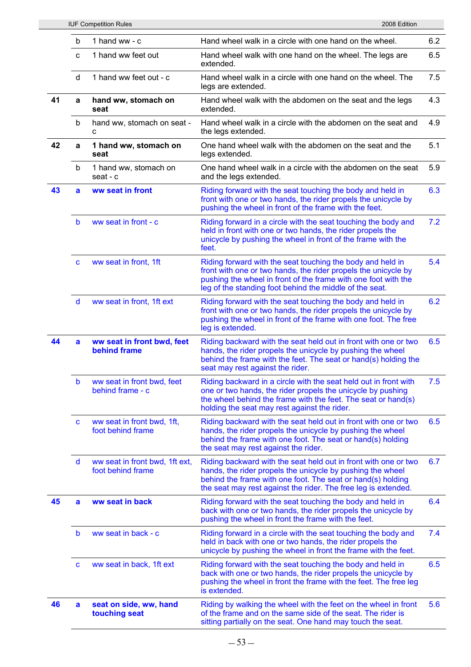|    |              | <b>IUF Competition Rules</b>                        | 2008 Edition                                                                                                                                                                                                                                                   |     |
|----|--------------|-----------------------------------------------------|----------------------------------------------------------------------------------------------------------------------------------------------------------------------------------------------------------------------------------------------------------------|-----|
|    | b            | 1 hand ww - c                                       | Hand wheel walk in a circle with one hand on the wheel.                                                                                                                                                                                                        | 6.2 |
|    | C            | 1 hand ww feet out                                  | Hand wheel walk with one hand on the wheel. The legs are<br>extended.                                                                                                                                                                                          | 6.5 |
|    | d            | 1 hand ww feet out - c                              | Hand wheel walk in a circle with one hand on the wheel. The<br>legs are extended.                                                                                                                                                                              | 7.5 |
| 41 | a            | hand ww, stomach on<br>seat                         | Hand wheel walk with the abdomen on the seat and the legs<br>extended.                                                                                                                                                                                         | 4.3 |
|    | b            | hand ww, stomach on seat -<br>C                     | Hand wheel walk in a circle with the abdomen on the seat and<br>the legs extended.                                                                                                                                                                             | 4.9 |
| 42 | a            | 1 hand ww, stomach on<br>seat                       | One hand wheel walk with the abdomen on the seat and the<br>legs extended.                                                                                                                                                                                     | 5.1 |
|    | b            | 1 hand ww, stomach on<br>seat - c                   | One hand wheel walk in a circle with the abdomen on the seat<br>and the legs extended.                                                                                                                                                                         | 5.9 |
| 43 | a            | ww seat in front                                    | Riding forward with the seat touching the body and held in<br>front with one or two hands, the rider propels the unicycle by<br>pushing the wheel in front of the frame with the feet.                                                                         | 6.3 |
|    | b            | ww seat in front - c                                | Riding forward in a circle with the seat touching the body and<br>held in front with one or two hands, the rider propels the<br>unicycle by pushing the wheel in front of the frame with the<br>feet.                                                          | 7.2 |
|    | $\mathbf{C}$ | ww seat in front, 1ft                               | Riding forward with the seat touching the body and held in<br>front with one or two hands, the rider propels the unicycle by<br>pushing the wheel in front of the frame with one foot with the<br>leg of the standing foot behind the middle of the seat.      | 5.4 |
|    | d            | ww seat in front, 1ft ext                           | Riding forward with the seat touching the body and held in<br>front with one or two hands, the rider propels the unicycle by<br>pushing the wheel in front of the frame with one foot. The free<br>leg is extended.                                            | 6.2 |
| 44 | $\mathbf{a}$ | ww seat in front bwd, feet<br>behind frame          | Riding backward with the seat held out in front with one or two<br>hands, the rider propels the unicycle by pushing the wheel<br>behind the frame with the feet. The seat or hand(s) holding the<br>seat may rest against the rider.                           | 6.5 |
|    | b            | ww seat in front bwd, feet<br>behind frame - c      | Riding backward in a circle with the seat held out in front with<br>one or two hands, the rider propels the unicycle by pushing<br>the wheel behind the frame with the feet. The seat or hand(s)<br>holding the seat may rest against the rider.               | 7.5 |
|    | C            | ww seat in front bwd, 1ft,<br>foot behind frame     | Riding backward with the seat held out in front with one or two<br>hands, the rider propels the unicycle by pushing the wheel<br>behind the frame with one foot. The seat or hand(s) holding<br>the seat may rest against the rider.                           | 6.5 |
|    | d            | ww seat in front bwd, 1ft ext,<br>foot behind frame | Riding backward with the seat held out in front with one or two<br>hands, the rider propels the unicycle by pushing the wheel<br>behind the frame with one foot. The seat or hand(s) holding<br>the seat may rest against the rider. The free leg is extended. | 6.7 |
| 45 | a            | ww seat in back                                     | Riding forward with the seat touching the body and held in<br>back with one or two hands, the rider propels the unicycle by<br>pushing the wheel in front the frame with the feet.                                                                             | 6.4 |
|    | b            | ww seat in back - c                                 | Riding forward in a circle with the seat touching the body and<br>held in back with one or two hands, the rider propels the<br>unicycle by pushing the wheel in front the frame with the feet.                                                                 | 7.4 |
|    | C            | ww seat in back, 1ft ext                            | Riding forward with the seat touching the body and held in<br>back with one or two hands, the rider propels the unicycle by<br>pushing the wheel in front the frame with the feet. The free leg<br>is extended.                                                | 6.5 |
| 46 | a            | seat on side, ww, hand<br>touching seat             | Riding by walking the wheel with the feet on the wheel in front<br>of the frame and on the same side of the seat. The rider is<br>sitting partially on the seat. One hand may touch the seat.                                                                  | 5.6 |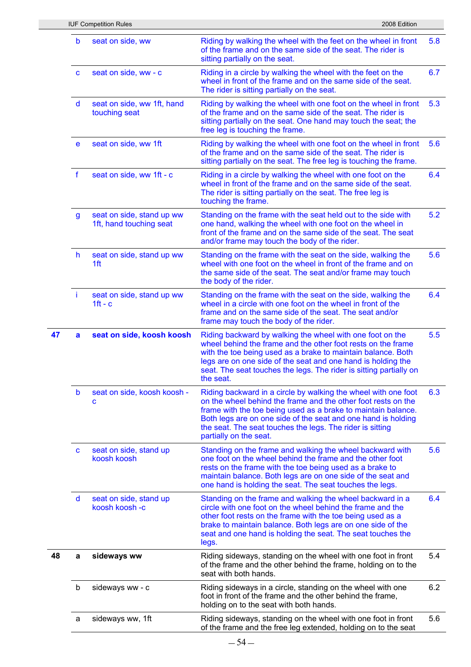|    |              | <b>IUF Competition Rules</b>                         | 2008 Edition                                                                                                                                                                                                                                                                                                                                             |     |
|----|--------------|------------------------------------------------------|----------------------------------------------------------------------------------------------------------------------------------------------------------------------------------------------------------------------------------------------------------------------------------------------------------------------------------------------------------|-----|
|    | b            | seat on side, ww                                     | Riding by walking the wheel with the feet on the wheel in front<br>of the frame and on the same side of the seat. The rider is<br>sitting partially on the seat.                                                                                                                                                                                         | 5.8 |
|    | C            | seat on side, ww - c                                 | Riding in a circle by walking the wheel with the feet on the<br>wheel in front of the frame and on the same side of the seat.<br>The rider is sitting partially on the seat.                                                                                                                                                                             | 6.7 |
|    | d            | seat on side, ww 1ft, hand<br>touching seat          | Riding by walking the wheel with one foot on the wheel in front<br>of the frame and on the same side of the seat. The rider is<br>sitting partially on the seat. One hand may touch the seat; the<br>free leg is touching the frame.                                                                                                                     | 5.3 |
|    | e            | seat on side, ww 1ft                                 | Riding by walking the wheel with one foot on the wheel in front<br>of the frame and on the same side of the seat. The rider is<br>sitting partially on the seat. The free leg is touching the frame.                                                                                                                                                     | 5.6 |
|    | $\mathbf f$  | seat on side, ww 1ft - c                             | Riding in a circle by walking the wheel with one foot on the<br>wheel in front of the frame and on the same side of the seat.<br>The rider is sitting partially on the seat. The free leg is<br>touching the frame.                                                                                                                                      | 6.4 |
|    | $\mathbf{g}$ | seat on side, stand up ww<br>1ft, hand touching seat | Standing on the frame with the seat held out to the side with<br>one hand, walking the wheel with one foot on the wheel in<br>front of the frame and on the same side of the seat. The seat<br>and/or frame may touch the body of the rider.                                                                                                             | 5.2 |
|    | h            | seat on side, stand up ww<br>1ft                     | Standing on the frame with the seat on the side, walking the<br>wheel with one foot on the wheel in front of the frame and on<br>the same side of the seat. The seat and/or frame may touch<br>the body of the rider.                                                                                                                                    | 5.6 |
|    | j.           | seat on side, stand up ww<br>$1ft - c$               | Standing on the frame with the seat on the side, walking the<br>wheel in a circle with one foot on the wheel in front of the<br>frame and on the same side of the seat. The seat and/or<br>frame may touch the body of the rider.                                                                                                                        | 6.4 |
| 47 | a            | seat on side, koosh koosh                            | Riding backward by walking the wheel with one foot on the<br>wheel behind the frame and the other foot rests on the frame<br>with the toe being used as a brake to maintain balance. Both<br>legs are on one side of the seat and one hand is holding the<br>seat. The seat touches the legs. The rider is sitting partially on<br>the seat.             | 5.5 |
|    | b            | seat on side, koosh koosh -<br>C                     | Riding backward in a circle by walking the wheel with one foot<br>on the wheel behind the frame and the other foot rests on the<br>frame with the toe being used as a brake to maintain balance.<br>Both legs are on one side of the seat and one hand is holding<br>the seat. The seat touches the legs. The rider is sitting<br>partially on the seat. | 6.3 |
|    | C            | seat on side, stand up<br>koosh koosh                | Standing on the frame and walking the wheel backward with<br>one foot on the wheel behind the frame and the other foot<br>rests on the frame with the toe being used as a brake to<br>maintain balance. Both legs are on one side of the seat and<br>one hand is holding the seat. The seat touches the legs.                                            | 5.6 |
|    | d            | seat on side, stand up<br>koosh koosh -c             | Standing on the frame and walking the wheel backward in a<br>circle with one foot on the wheel behind the frame and the<br>other foot rests on the frame with the toe being used as a<br>brake to maintain balance. Both legs are on one side of the<br>seat and one hand is holding the seat. The seat touches the<br>legs.                             | 6.4 |
| 48 | a            | sideways ww                                          | Riding sideways, standing on the wheel with one foot in front<br>of the frame and the other behind the frame, holding on to the<br>seat with both hands.                                                                                                                                                                                                 | 5.4 |
|    | b            | sideways ww - c                                      | Riding sideways in a circle, standing on the wheel with one<br>foot in front of the frame and the other behind the frame,<br>holding on to the seat with both hands.                                                                                                                                                                                     | 6.2 |
|    | a            | sideways ww, 1ft                                     | Riding sideways, standing on the wheel with one foot in front<br>of the frame and the free leg extended, holding on to the seat                                                                                                                                                                                                                          | 5.6 |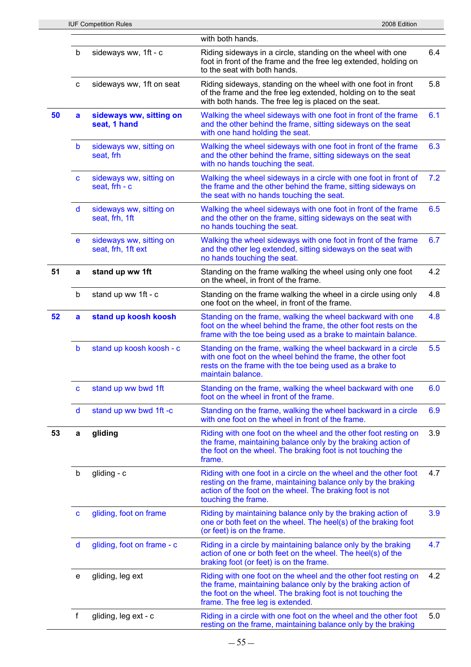|    |              | <b>IUF Competition Rules</b>                  | 2008 Edition                                                                                                                                                                                                  |
|----|--------------|-----------------------------------------------|---------------------------------------------------------------------------------------------------------------------------------------------------------------------------------------------------------------|
|    |              |                                               | with both hands.                                                                                                                                                                                              |
|    | b            | sideways ww, 1ft - c                          | Riding sideways in a circle, standing on the wheel with one<br>foot in front of the frame and the free leg extended, holding on<br>to the seat with both hands.                                               |
|    | $\mathbf{C}$ | sideways ww, 1ft on seat                      | Riding sideways, standing on the wheel with one foot in front<br>of the frame and the free leg extended, holding on to the seat<br>with both hands. The free leg is placed on the seat.                       |
| 50 | a            | sideways ww, sitting on<br>seat, 1 hand       | Walking the wheel sideways with one foot in front of the frame<br>and the other behind the frame, sitting sideways on the seat<br>with one hand holding the seat.                                             |
|    | b            | sideways ww, sitting on<br>seat, frh          | Walking the wheel sideways with one foot in front of the frame<br>and the other behind the frame, sitting sideways on the seat<br>with no hands touching the seat.                                            |
|    | C            | sideways ww, sitting on<br>seat, frh - c      | Walking the wheel sideways in a circle with one foot in front of<br>the frame and the other behind the frame, sitting sideways on<br>the seat with no hands touching the seat.                                |
|    | d            | sideways ww, sitting on<br>seat, frh, 1ft     | Walking the wheel sideways with one foot in front of the frame<br>and the other on the frame, sitting sideways on the seat with<br>no hands touching the seat.                                                |
|    | e            | sideways ww, sitting on<br>seat, frh, 1ft ext | Walking the wheel sideways with one foot in front of the frame<br>and the other leg extended, sitting sideways on the seat with<br>no hands touching the seat.                                                |
| 51 | a            | stand up ww 1ft                               | Standing on the frame walking the wheel using only one foot<br>on the wheel, in front of the frame.                                                                                                           |
|    | b            | stand up ww 1ft - c                           | Standing on the frame walking the wheel in a circle using only<br>one foot on the wheel, in front of the frame.                                                                                               |
| 52 | a            | stand up koosh koosh                          | Standing on the frame, walking the wheel backward with one<br>foot on the wheel behind the frame, the other foot rests on the<br>frame with the toe being used as a brake to maintain balance.                |
|    | b            | stand up koosh koosh - c                      | Standing on the frame, walking the wheel backward in a circle<br>with one foot on the wheel behind the frame, the other foot<br>rests on the frame with the toe being used as a brake to<br>maintain balance. |
|    | C            | stand up ww bwd 1ft                           | Standing on the frame, walking the wheel backward with one<br>foot on the wheel in front of the frame.                                                                                                        |
|    | d            | stand up ww bwd 1ft -c                        | Standing on the frame, walking the wheel backward in a circle<br>with one foot on the wheel in front of the frame.                                                                                            |
| 53 | a            | gliding                                       | Riding with one foot on the wheel and the other foot resting on<br>the frame, maintaining balance only by the braking action of<br>the foot on the wheel. The braking foot is not touching the<br>frame.      |
|    | b            | gliding - c                                   | Riding with one foot in a circle on the wheel and the other foot<br>resting on the frame, maintaining balance only by the braking                                                                             |

6.4

5.8

6.1

6.3

7.2

6.5

6.7

4.2

4.8

4.8

5.5

6.0

6.9

3.9

4.7

|   |                            | action of the foot on the wheel. The braking foot is not<br>touching the frame.                                                                                                                                                    |     |
|---|----------------------------|------------------------------------------------------------------------------------------------------------------------------------------------------------------------------------------------------------------------------------|-----|
| C | gliding, foot on frame     | Riding by maintaining balance only by the braking action of<br>one or both feet on the wheel. The heel(s) of the braking foot<br>(or feet) is on the frame.                                                                        | 3.9 |
| d | gliding, foot on frame - c | Riding in a circle by maintaining balance only by the braking<br>action of one or both feet on the wheel. The heel(s) of the<br>braking foot (or feet) is on the frame.                                                            | 4.7 |
| e | gliding, leg ext           | Riding with one foot on the wheel and the other foot resting on<br>the frame, maintaining balance only by the braking action of<br>the foot on the wheel. The braking foot is not touching the<br>frame. The free leg is extended. | 4.2 |
|   | gliding, leg ext - c       | Riding in a circle with one foot on the wheel and the other foot<br>resting on the frame, maintaining balance only by the braking                                                                                                  | 5.0 |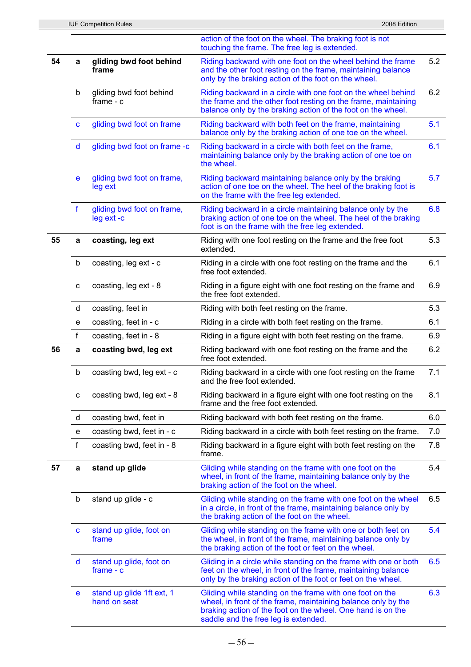|    |              |                                           | action of the foot on the wheel. The braking foot is not<br>touching the frame. The free leg is extended.                                                                                                                        |     |
|----|--------------|-------------------------------------------|----------------------------------------------------------------------------------------------------------------------------------------------------------------------------------------------------------------------------------|-----|
| 54 | a            | gliding bwd foot behind<br>frame          | Riding backward with one foot on the wheel behind the frame<br>and the other foot resting on the frame, maintaining balance<br>only by the braking action of the foot on the wheel.                                              | 5.2 |
|    | b            | gliding bwd foot behind<br>frame $- c$    | Riding backward in a circle with one foot on the wheel behind<br>the frame and the other foot resting on the frame, maintaining<br>balance only by the braking action of the foot on the wheel.                                  | 6.2 |
|    | $\mathbf{C}$ | gliding bwd foot on frame                 | Riding backward with both feet on the frame, maintaining<br>balance only by the braking action of one toe on the wheel.                                                                                                          | 5.1 |
|    | d            | gliding bwd foot on frame -c              | Riding backward in a circle with both feet on the frame,<br>maintaining balance only by the braking action of one toe on<br>the wheel.                                                                                           | 6.1 |
|    | e            | gliding bwd foot on frame,<br>leg ext     | Riding backward maintaining balance only by the braking<br>action of one toe on the wheel. The heel of the braking foot is<br>on the frame with the free leg extended.                                                           | 5.7 |
|    | $\mathbf f$  | gliding bwd foot on frame,<br>leg ext -c  | Riding backward in a circle maintaining balance only by the<br>braking action of one toe on the wheel. The heel of the braking<br>foot is on the frame with the free leg extended.                                               | 6.8 |
| 55 | a            | coasting, leg ext                         | Riding with one foot resting on the frame and the free foot<br>extended.                                                                                                                                                         | 5.3 |
|    | b            | coasting, leg ext - c                     | Riding in a circle with one foot resting on the frame and the<br>free foot extended.                                                                                                                                             | 6.1 |
|    | $\mathbf{C}$ | coasting, leg ext - 8                     | Riding in a figure eight with one foot resting on the frame and<br>the free foot extended.                                                                                                                                       | 6.9 |
|    | d            | coasting, feet in                         | Riding with both feet resting on the frame.                                                                                                                                                                                      | 5.3 |
|    | e            | coasting, feet in - c                     | Riding in a circle with both feet resting on the frame.                                                                                                                                                                          | 6.1 |
|    | f            | coasting, feet in - 8                     | Riding in a figure eight with both feet resting on the frame.                                                                                                                                                                    | 6.9 |
| 56 | a            | coasting bwd, leg ext                     | Riding backward with one foot resting on the frame and the<br>free foot extended.                                                                                                                                                | 6.2 |
|    | b            | coasting bwd, leg ext - c                 | Riding backward in a circle with one foot resting on the frame<br>and the free foot extended.                                                                                                                                    | 7.1 |
|    | c            | coasting bwd, leg ext - 8                 | Riding backward in a figure eight with one foot resting on the<br>frame and the free foot extended.                                                                                                                              | 8.1 |
|    | d            | coasting bwd, feet in                     | Riding backward with both feet resting on the frame.                                                                                                                                                                             | 6.0 |
|    | e            | coasting bwd, feet in - c                 | Riding backward in a circle with both feet resting on the frame.                                                                                                                                                                 | 7.0 |
|    | f            | coasting bwd, feet in - 8                 | Riding backward in a figure eight with both feet resting on the<br>frame.                                                                                                                                                        | 7.8 |
| 57 | a            | stand up glide                            | Gliding while standing on the frame with one foot on the<br>wheel, in front of the frame, maintaining balance only by the<br>braking action of the foot on the wheel.                                                            | 5.4 |
|    | b            | stand up glide - c                        | Gliding while standing on the frame with one foot on the wheel<br>in a circle, in front of the frame, maintaining balance only by<br>the braking action of the foot on the wheel.                                                | 6.5 |
|    | C            | stand up glide, foot on<br>frame          | Gliding while standing on the frame with one or both feet on<br>the wheel, in front of the frame, maintaining balance only by<br>the braking action of the foot or feet on the wheel.                                            | 5.4 |
|    | d            | stand up glide, foot on<br>$frame - c$    | Gliding in a circle while standing on the frame with one or both<br>feet on the wheel, in front of the frame, maintaining balance<br>only by the braking action of the foot or feet on the wheel.                                | 6.5 |
|    | e            | stand up glide 1ft ext, 1<br>hand on seat | Gliding while standing on the frame with one foot on the<br>wheel, in front of the frame, maintaining balance only by the<br>braking action of the foot on the wheel. One hand is on the<br>saddle and the free leg is extended. | 6.3 |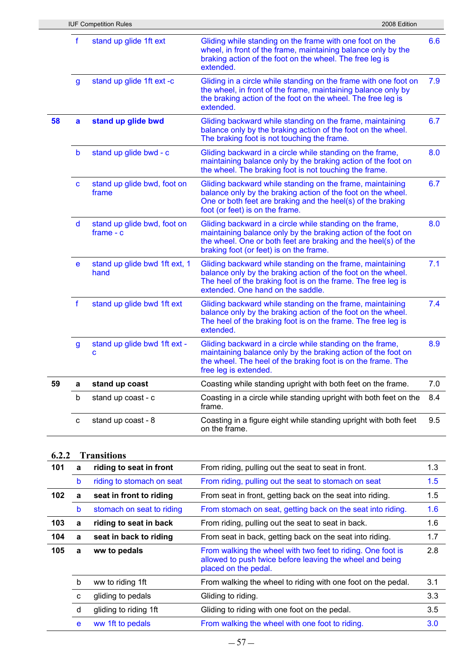|    |              | <b>IUF Competition Rules</b>               | 2008 Edition                                                                                                                                                                                                                            |     |
|----|--------------|--------------------------------------------|-----------------------------------------------------------------------------------------------------------------------------------------------------------------------------------------------------------------------------------------|-----|
|    | f            | stand up glide 1ft ext                     | Gliding while standing on the frame with one foot on the<br>wheel, in front of the frame, maintaining balance only by the<br>braking action of the foot on the wheel. The free leg is<br>extended.                                      | 6.6 |
|    | $\mathbf{g}$ | stand up glide 1ft ext -c                  | Gliding in a circle while standing on the frame with one foot on<br>the wheel, in front of the frame, maintaining balance only by<br>the braking action of the foot on the wheel. The free leg is<br>extended.                          | 7.9 |
| 58 | a            | stand up glide bwd                         | Gliding backward while standing on the frame, maintaining<br>balance only by the braking action of the foot on the wheel.<br>The braking foot is not touching the frame.                                                                | 6.7 |
|    | $\mathsf b$  | stand up glide bwd - c                     | Gliding backward in a circle while standing on the frame,<br>maintaining balance only by the braking action of the foot on<br>the wheel. The braking foot is not touching the frame.                                                    | 8.0 |
|    | $\mathbf c$  | stand up glide bwd, foot on<br>frame       | Gliding backward while standing on the frame, maintaining<br>balance only by the braking action of the foot on the wheel.<br>One or both feet are braking and the heel(s) of the braking<br>foot (or feet) is on the frame.             | 6.7 |
|    | d            | stand up glide bwd, foot on<br>$frame - c$ | Gliding backward in a circle while standing on the frame,<br>maintaining balance only by the braking action of the foot on<br>the wheel. One or both feet are braking and the heel(s) of the<br>braking foot (or feet) is on the frame. | 8.0 |
|    | e            | stand up glide bwd 1ft ext, 1<br>hand      | Gliding backward while standing on the frame, maintaining<br>balance only by the braking action of the foot on the wheel.<br>The heel of the braking foot is on the frame. The free leg is<br>extended. One hand on the saddle.         | 7.1 |
|    | $\mathbf f$  | stand up glide bwd 1ft ext                 | Gliding backward while standing on the frame, maintaining<br>balance only by the braking action of the foot on the wheel.<br>The heel of the braking foot is on the frame. The free leg is<br>extended.                                 | 7.4 |
|    | $\mathsf{g}$ | stand up glide bwd 1ft ext -<br>c          | Gliding backward in a circle while standing on the frame,<br>maintaining balance only by the braking action of the foot on<br>the wheel. The heel of the braking foot is on the frame. The<br>free leg is extended.                     | 8.9 |
| 59 | а            | stand up coast                             | Coasting while standing upright with both feet on the frame.                                                                                                                                                                            | 7.0 |
|    | b            | stand up coast - c                         | Coasting in a circle while standing upright with both feet on the<br>frame.                                                                                                                                                             | 8.4 |
|    | c            | stand up coast - 8                         | Coasting in a figure eight while standing upright with both feet<br>on the frame.                                                                                                                                                       | 9.5 |
|    |              |                                            |                                                                                                                                                                                                                                         |     |

## **6.2.2 Transitions**

| 101 | a | riding to seat in front   | From riding, pulling out the seat to seat in front.                                                                                             | 1.3 |
|-----|---|---------------------------|-------------------------------------------------------------------------------------------------------------------------------------------------|-----|
|     | b | riding to stomach on seat | From riding, pulling out the seat to stomach on seat                                                                                            | 1.5 |
| 102 | a | seat in front to riding   | From seat in front, getting back on the seat into riding.                                                                                       | 1.5 |
|     | b | stomach on seat to riding | From stomach on seat, getting back on the seat into riding.                                                                                     | 1.6 |
| 103 | a | riding to seat in back    | From riding, pulling out the seat to seat in back.                                                                                              | 1.6 |
| 104 | a | seat in back to riding    | From seat in back, getting back on the seat into riding.                                                                                        | 1.7 |
| 105 | a | ww to pedals              | From walking the wheel with two feet to riding. One foot is<br>allowed to push twice before leaving the wheel and being<br>placed on the pedal. | 2.8 |
|     | b | ww to riding 1ft          | From walking the wheel to riding with one foot on the pedal.                                                                                    | 3.1 |
|     | C | gliding to pedals         | Gliding to riding.                                                                                                                              | 3.3 |
|     | d | gliding to riding 1ft     | Gliding to riding with one foot on the pedal.                                                                                                   | 3.5 |
|     | e | ww 1ft to pedals          | From walking the wheel with one foot to riding.                                                                                                 | 3.0 |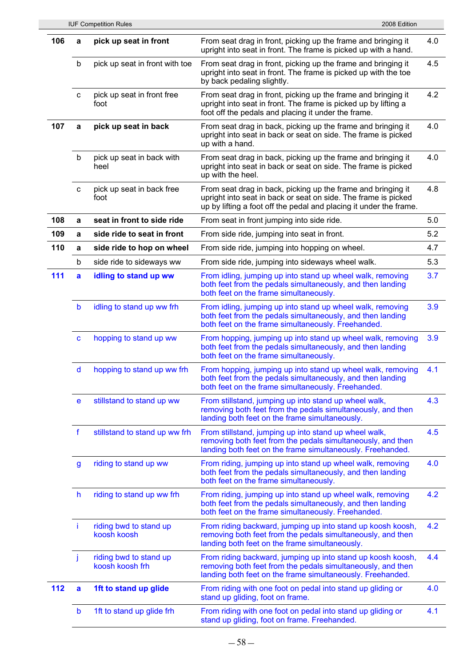|     |              | <b>IUF Competition Rules</b>              | 2008 Edition                                                                                                                                                                                         |     |
|-----|--------------|-------------------------------------------|------------------------------------------------------------------------------------------------------------------------------------------------------------------------------------------------------|-----|
| 106 | a            | pick up seat in front                     | From seat drag in front, picking up the frame and bringing it<br>upright into seat in front. The frame is picked up with a hand.                                                                     | 4.0 |
|     | b            | pick up seat in front with toe            | From seat drag in front, picking up the frame and bringing it<br>upright into seat in front. The frame is picked up with the toe<br>by back pedaling slightly.                                       | 4.5 |
|     | C            | pick up seat in front free<br>foot        | From seat drag in front, picking up the frame and bringing it<br>upright into seat in front. The frame is picked up by lifting a<br>foot off the pedals and placing it under the frame.              | 4.2 |
| 107 | a            | pick up seat in back                      | From seat drag in back, picking up the frame and bringing it<br>upright into seat in back or seat on side. The frame is picked<br>up with a hand.                                                    | 4.0 |
|     | b            | pick up seat in back with<br>heel         | From seat drag in back, picking up the frame and bringing it<br>upright into seat in back or seat on side. The frame is picked<br>up with the heel.                                                  | 4.0 |
|     | $\mathbf{C}$ | pick up seat in back free<br>foot         | From seat drag in back, picking up the frame and bringing it<br>upright into seat in back or seat on side. The frame is picked<br>up by lifting a foot off the pedal and placing it under the frame. | 4.8 |
| 108 | a            | seat in front to side ride                | From seat in front jumping into side ride.                                                                                                                                                           | 5.0 |
| 109 | a            | side ride to seat in front                | From side ride, jumping into seat in front.                                                                                                                                                          | 5.2 |
| 110 | a            | side ride to hop on wheel                 | From side ride, jumping into hopping on wheel.                                                                                                                                                       | 4.7 |
|     | b            | side ride to sideways ww                  | From side ride, jumping into sideways wheel walk.                                                                                                                                                    | 5.3 |
| 111 | a            | idling to stand up ww                     | From idling, jumping up into stand up wheel walk, removing<br>both feet from the pedals simultaneously, and then landing<br>both feet on the frame simultaneously.                                   | 3.7 |
|     | b            | idling to stand up ww frh                 | From idling, jumping up into stand up wheel walk, removing<br>both feet from the pedals simultaneously, and then landing<br>both feet on the frame simultaneously. Freehanded.                       | 3.9 |
|     | C            | hopping to stand up ww                    | From hopping, jumping up into stand up wheel walk, removing<br>both feet from the pedals simultaneously, and then landing<br>both feet on the frame simultaneously.                                  | 3.9 |
|     | d            | hopping to stand up ww frh                | From hopping, jumping up into stand up wheel walk, removing<br>both feet from the pedals simultaneously, and then landing<br>both feet on the frame simultaneously. Freehanded.                      | 4.1 |
|     | e            | stillstand to stand up ww                 | From stillstand, jumping up into stand up wheel walk,<br>removing both feet from the pedals simultaneously, and then<br>landing both feet on the frame simultaneously.                               | 4.3 |
|     | $\mathbf f$  | stillstand to stand up ww frh             | From stillstand, jumping up into stand up wheel walk,<br>removing both feet from the pedals simultaneously, and then<br>landing both feet on the frame simultaneously. Freehanded.                   | 4.5 |
|     | $\mathsf{g}$ | riding to stand up ww                     | From riding, jumping up into stand up wheel walk, removing<br>both feet from the pedals simultaneously, and then landing<br>both feet on the frame simultaneously.                                   | 4.0 |
|     | h            | riding to stand up ww frh                 | From riding, jumping up into stand up wheel walk, removing<br>both feet from the pedals simultaneously, and then landing<br>both feet on the frame simultaneously. Freehanded.                       | 4.2 |
|     | j.           | riding bwd to stand up<br>koosh koosh     | From riding backward, jumping up into stand up koosh koosh,<br>removing both feet from the pedals simultaneously, and then<br>landing both feet on the frame simultaneously.                         | 4.2 |
|     | j            | riding bwd to stand up<br>koosh koosh frh | From riding backward, jumping up into stand up koosh koosh,<br>removing both feet from the pedals simultaneously, and then<br>landing both feet on the frame simultaneously. Freehanded.             | 4.4 |
| 112 | a            | 1ft to stand up glide                     | From riding with one foot on pedal into stand up gliding or<br>stand up gliding, foot on frame.                                                                                                      | 4.0 |
|     | b            | 1ft to stand up glide frh                 | From riding with one foot on pedal into stand up gliding or<br>stand up gliding, foot on frame. Freehanded.                                                                                          | 4.1 |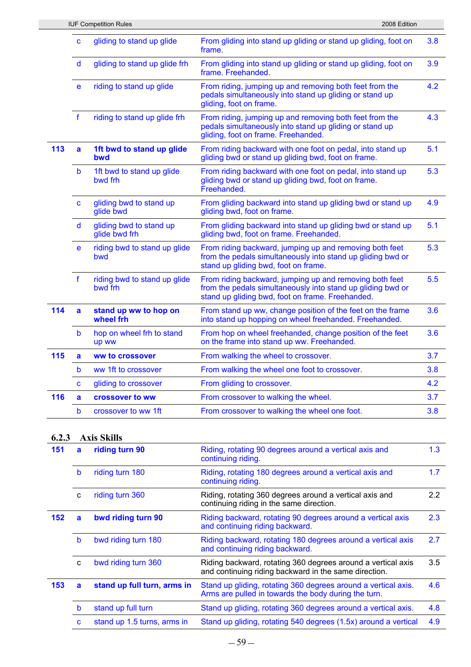|     |             | <b>IUF Competition Rules</b>             | 2008 Edition                                                                                                                                                               |     |
|-----|-------------|------------------------------------------|----------------------------------------------------------------------------------------------------------------------------------------------------------------------------|-----|
|     | C           | gliding to stand up glide                | From gliding into stand up gliding or stand up gliding, foot on<br>frame.                                                                                                  | 3.8 |
|     | d           | gliding to stand up glide frh            | From gliding into stand up gliding or stand up gliding, foot on<br>frame. Freehanded.                                                                                      | 3.9 |
|     | e           | riding to stand up glide                 | From riding, jumping up and removing both feet from the<br>pedals simultaneously into stand up gliding or stand up<br>gliding, foot on frame.                              | 4.2 |
|     | $\mathbf f$ | riding to stand up glide frh             | From riding, jumping up and removing both feet from the<br>pedals simultaneously into stand up gliding or stand up<br>gliding, foot on frame. Freehanded.                  | 4.3 |
| 113 | a           | 1ft bwd to stand up glide<br>bwd         | From riding backward with one foot on pedal, into stand up<br>gliding bwd or stand up gliding bwd, foot on frame.                                                          | 5.1 |
|     | b           | 1ft bwd to stand up glide<br>bwd frh     | From riding backward with one foot on pedal, into stand up<br>gliding bwd or stand up gliding bwd, foot on frame.<br>Freehanded.                                           | 5.3 |
|     | C           | gliding bwd to stand up<br>glide bwd     | From gliding backward into stand up gliding bwd or stand up<br>gliding bwd, foot on frame.                                                                                 | 4.9 |
|     | d           | gliding bwd to stand up<br>glide bwd frh | From gliding backward into stand up gliding bwd or stand up<br>gliding bwd, foot on frame. Freehanded.                                                                     | 5.1 |
|     | e           | riding bwd to stand up glide<br>bwd      | From riding backward, jumping up and removing both feet<br>from the pedals simultaneously into stand up gliding bwd or<br>stand up gliding bwd, foot on frame.             | 5.3 |
|     | f           | riding bwd to stand up glide<br>bwd frh  | From riding backward, jumping up and removing both feet<br>from the pedals simultaneously into stand up gliding bwd or<br>stand up gliding bwd, foot on frame. Freehanded. | 5.5 |
| 114 | a           | stand up ww to hop on<br>wheel frh       | From stand up ww, change position of the feet on the frame<br>into stand up hopping on wheel freehanded. Freehanded.                                                       | 3.6 |
|     | b           | hop on wheel frh to stand<br>up ww       | From hop on wheel freehanded, change position of the feet<br>on the frame into stand up ww. Freehanded.                                                                    | 3.6 |
| 115 | a           | ww to crossover                          | From walking the wheel to crossover.                                                                                                                                       | 3.7 |
|     | b           | ww 1ft to crossover                      | From walking the wheel one foot to crossover.                                                                                                                              | 3.8 |
|     | C           | gliding to crossover                     | From gliding to crossover.                                                                                                                                                 | 4.2 |
| 116 | a           | crossover to ww                          | From crossover to walking the wheel.                                                                                                                                       | 3.7 |
|     | b           | crossover to ww 1ft                      | From crossover to walking the wheel one foot.                                                                                                                              | 3.8 |
|     |             |                                          |                                                                                                                                                                            |     |

## **6.2.3 Axis Skills**

| 151 | a | riding turn 90              | Riding, rotating 90 degrees around a vertical axis and<br>continuing riding.                                           | 1.3 |
|-----|---|-----------------------------|------------------------------------------------------------------------------------------------------------------------|-----|
|     | b | riding turn 180             | Riding, rotating 180 degrees around a vertical axis and<br>continuing riding.                                          | 1.7 |
|     | C | riding turn 360             | Riding, rotating 360 degrees around a vertical axis and<br>continuing riding in the same direction.                    | 2.2 |
| 152 | a | bwd riding turn 90          | Riding backward, rotating 90 degrees around a vertical axis<br>and continuing riding backward.                         | 2.3 |
|     | b | bwd riding turn 180         | Riding backward, rotating 180 degrees around a vertical axis<br>and continuing riding backward.                        | 2.7 |
|     | C | bwd riding turn 360         | Riding backward, rotating 360 degrees around a vertical axis<br>and continuing riding backward in the same direction.  | 3.5 |
| 153 | a | stand up full turn, arms in | Stand up gliding, rotating 360 degrees around a vertical axis.<br>Arms are pulled in towards the body during the turn. | 4.6 |
|     | b | stand up full turn          | Stand up gliding, rotating 360 degrees around a vertical axis.                                                         | 4.8 |
|     | C | stand up 1.5 turns, arms in | Stand up gliding, rotating 540 degrees (1.5x) around a vertical                                                        | 4.9 |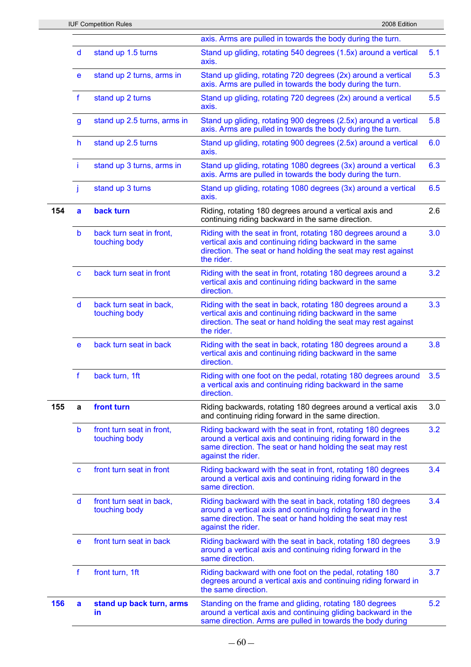|     |                  |                                            | axis. Arms are pulled in towards the body during the turn.                                                                                                                                                      |     |
|-----|------------------|--------------------------------------------|-----------------------------------------------------------------------------------------------------------------------------------------------------------------------------------------------------------------|-----|
|     | d                | stand up 1.5 turns                         | Stand up gliding, rotating 540 degrees (1.5x) around a vertical<br>axis.                                                                                                                                        | 5.1 |
|     | e                | stand up 2 turns, arms in                  | Stand up gliding, rotating 720 degrees (2x) around a vertical<br>axis. Arms are pulled in towards the body during the turn.                                                                                     | 5.3 |
|     | $\mathbf f$      | stand up 2 turns                           | Stand up gliding, rotating 720 degrees (2x) around a vertical<br>axis.                                                                                                                                          | 5.5 |
|     | $\boldsymbol{g}$ | stand up 2.5 turns, arms in                | Stand up gliding, rotating 900 degrees (2.5x) around a vertical<br>axis. Arms are pulled in towards the body during the turn.                                                                                   | 5.8 |
|     | $\mathsf{h}$     | stand up 2.5 turns                         | Stand up gliding, rotating 900 degrees (2.5x) around a vertical<br>axis.                                                                                                                                        | 6.0 |
|     | Ť                | stand up 3 turns, arms in                  | Stand up gliding, rotating 1080 degrees (3x) around a vertical<br>axis. Arms are pulled in towards the body during the turn.                                                                                    | 6.3 |
|     | j                | stand up 3 turns                           | Stand up gliding, rotating 1080 degrees (3x) around a vertical<br>axis.                                                                                                                                         | 6.5 |
| 154 | a                | back turn                                  | Riding, rotating 180 degrees around a vertical axis and<br>continuing riding backward in the same direction.                                                                                                    | 2.6 |
|     | b                | back turn seat in front,<br>touching body  | Riding with the seat in front, rotating 180 degrees around a<br>vertical axis and continuing riding backward in the same<br>direction. The seat or hand holding the seat may rest against<br>the rider.         | 3.0 |
|     | C                | back turn seat in front                    | Riding with the seat in front, rotating 180 degrees around a<br>vertical axis and continuing riding backward in the same<br>direction.                                                                          | 3.2 |
|     | d                | back turn seat in back,<br>touching body   | Riding with the seat in back, rotating 180 degrees around a<br>vertical axis and continuing riding backward in the same<br>direction. The seat or hand holding the seat may rest against<br>the rider.          | 3.3 |
|     | e                | back turn seat in back                     | Riding with the seat in back, rotating 180 degrees around a<br>vertical axis and continuing riding backward in the same<br>direction.                                                                           | 3.8 |
|     | $\mathbf f$      | back turn, 1ft                             | Riding with one foot on the pedal, rotating 180 degrees around<br>a vertical axis and continuing riding backward in the same<br>direction.                                                                      | 3.5 |
| 155 | a                | front turn                                 | Riding backwards, rotating 180 degrees around a vertical axis<br>and continuing riding forward in the same direction.                                                                                           | 3.0 |
|     | b                | front turn seat in front,<br>touching body | Riding backward with the seat in front, rotating 180 degrees<br>around a vertical axis and continuing riding forward in the<br>same direction. The seat or hand holding the seat may rest<br>against the rider. | 3.2 |
|     | $\mathbf{C}$     | front turn seat in front                   | Riding backward with the seat in front, rotating 180 degrees<br>around a vertical axis and continuing riding forward in the<br>same direction.                                                                  | 3.4 |
|     | d                | front turn seat in back,<br>touching body  | Riding backward with the seat in back, rotating 180 degrees<br>around a vertical axis and continuing riding forward in the<br>same direction. The seat or hand holding the seat may rest<br>against the rider.  | 3.4 |
|     | e                | front turn seat in back                    | Riding backward with the seat in back, rotating 180 degrees<br>around a vertical axis and continuing riding forward in the<br>same direction.                                                                   | 3.9 |
|     | f                | front turn, 1ft                            | Riding backward with one foot on the pedal, rotating 180<br>degrees around a vertical axis and continuing riding forward in<br>the same direction.                                                              | 3.7 |
| 156 | a                | stand up back turn, arms<br>in             | Standing on the frame and gliding, rotating 180 degrees<br>around a vertical axis and continuing gliding backward in the<br>same direction. Arms are pulled in towards the body during                          | 5.2 |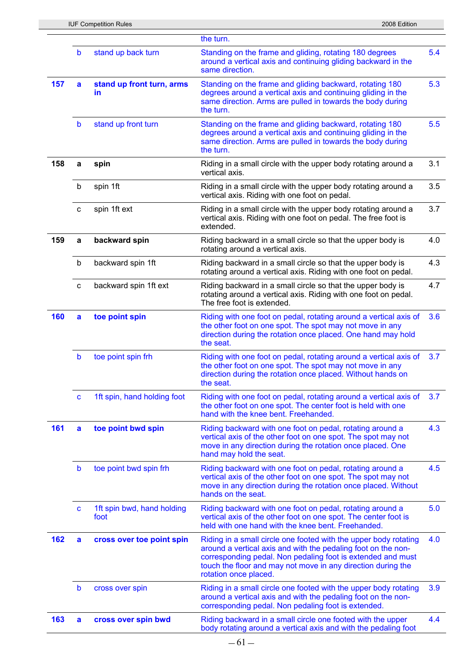|     |              |                                    | the turn.                                                                                                                                                                                                                                                                                 |     |
|-----|--------------|------------------------------------|-------------------------------------------------------------------------------------------------------------------------------------------------------------------------------------------------------------------------------------------------------------------------------------------|-----|
|     | b            | stand up back turn                 | Standing on the frame and gliding, rotating 180 degrees<br>around a vertical axis and continuing gliding backward in the<br>same direction.                                                                                                                                               | 5.4 |
| 157 | a            | stand up front turn, arms<br>in    | Standing on the frame and gliding backward, rotating 180<br>degrees around a vertical axis and continuing gliding in the<br>same direction. Arms are pulled in towards the body during<br>the turn.                                                                                       | 5.3 |
|     | $\mathsf b$  | stand up front turn                | Standing on the frame and gliding backward, rotating 180<br>degrees around a vertical axis and continuing gliding in the<br>same direction. Arms are pulled in towards the body during<br>the turn.                                                                                       | 5.5 |
| 158 | a            | spin                               | Riding in a small circle with the upper body rotating around a<br>vertical axis.                                                                                                                                                                                                          | 3.1 |
|     | b            | spin 1ft                           | Riding in a small circle with the upper body rotating around a<br>vertical axis. Riding with one foot on pedal.                                                                                                                                                                           | 3.5 |
|     | C            | spin 1ft ext                       | Riding in a small circle with the upper body rotating around a<br>vertical axis. Riding with one foot on pedal. The free foot is<br>extended.                                                                                                                                             | 3.7 |
| 159 | a            | backward spin                      | Riding backward in a small circle so that the upper body is<br>rotating around a vertical axis.                                                                                                                                                                                           | 4.0 |
|     | b            | backward spin 1ft                  | Riding backward in a small circle so that the upper body is<br>rotating around a vertical axis. Riding with one foot on pedal.                                                                                                                                                            | 4.3 |
|     | c            | backward spin 1ft ext              | Riding backward in a small circle so that the upper body is<br>rotating around a vertical axis. Riding with one foot on pedal.<br>The free foot is extended.                                                                                                                              | 4.7 |
| 160 | a            | toe point spin                     | Riding with one foot on pedal, rotating around a vertical axis of<br>the other foot on one spot. The spot may not move in any<br>direction during the rotation once placed. One hand may hold<br>the seat.                                                                                | 3.6 |
|     | $\mathsf b$  | toe point spin frh                 | Riding with one foot on pedal, rotating around a vertical axis of<br>the other foot on one spot. The spot may not move in any<br>direction during the rotation once placed. Without hands on<br>the seat.                                                                                 | 3.7 |
|     | C            | 1ft spin, hand holding foot        | Riding with one foot on pedal, rotating around a vertical axis of<br>the other foot on one spot. The center foot is held with one<br>hand with the knee bent. Freehanded.                                                                                                                 | 3.7 |
| 161 | a            | toe point bwd spin                 | Riding backward with one foot on pedal, rotating around a<br>vertical axis of the other foot on one spot. The spot may not<br>move in any direction during the rotation once placed. One<br>hand may hold the seat.                                                                       | 4.3 |
|     | $\mathbf b$  | toe point bwd spin frh             | Riding backward with one foot on pedal, rotating around a<br>vertical axis of the other foot on one spot. The spot may not<br>move in any direction during the rotation once placed. Without<br>hands on the seat.                                                                        | 4.5 |
|     | $\mathbf{C}$ | 1ft spin bwd, hand holding<br>foot | Riding backward with one foot on pedal, rotating around a<br>vertical axis of the other foot on one spot. The center foot is<br>held with one hand with the knee bent. Freehanded.                                                                                                        | 5.0 |
| 162 | a            | cross over toe point spin          | Riding in a small circle one footed with the upper body rotating<br>around a vertical axis and with the pedaling foot on the non-<br>corresponding pedal. Non pedaling foot is extended and must<br>touch the floor and may not move in any direction during the<br>rotation once placed. | 4.0 |
|     | $\mathbf b$  | cross over spin                    | Riding in a small circle one footed with the upper body rotating<br>around a vertical axis and with the pedaling foot on the non-<br>corresponding pedal. Non pedaling foot is extended.                                                                                                  | 3.9 |
| 163 | a            | cross over spin bwd                | Riding backward in a small circle one footed with the upper<br>body rotating around a vertical axis and with the pedaling foot                                                                                                                                                            | 4.4 |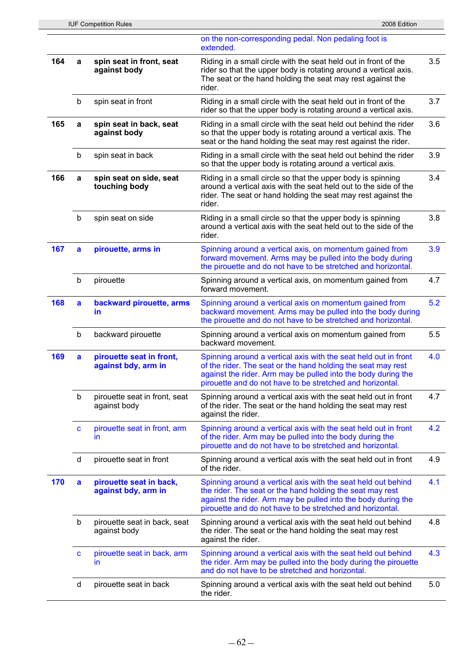|     |              | <b>IUF Competition Rules</b>                    | 2008 Edition                                                                                                                                                                                                                                                  |     |
|-----|--------------|-------------------------------------------------|---------------------------------------------------------------------------------------------------------------------------------------------------------------------------------------------------------------------------------------------------------------|-----|
|     |              |                                                 | on the non-corresponding pedal. Non pedaling foot is<br>extended.                                                                                                                                                                                             |     |
| 164 | a            | spin seat in front, seat<br>against body        | Riding in a small circle with the seat held out in front of the<br>rider so that the upper body is rotating around a vertical axis.<br>The seat or the hand holding the seat may rest against the<br>rider.                                                   | 3.5 |
|     | b            | spin seat in front                              | Riding in a small circle with the seat held out in front of the<br>rider so that the upper body is rotating around a vertical axis.                                                                                                                           | 3.7 |
| 165 | a            | spin seat in back, seat<br>against body         | Riding in a small circle with the seat held out behind the rider<br>so that the upper body is rotating around a vertical axis. The<br>seat or the hand holding the seat may rest against the rider.                                                           | 3.6 |
|     | b            | spin seat in back                               | Riding in a small circle with the seat held out behind the rider<br>so that the upper body is rotating around a vertical axis.                                                                                                                                | 3.9 |
| 166 | a            | spin seat on side, seat<br>touching body        | Riding in a small circle so that the upper body is spinning<br>around a vertical axis with the seat held out to the side of the<br>rider. The seat or hand holding the seat may rest against the<br>rider.                                                    | 3.4 |
|     | $\sf b$      | spin seat on side                               | Riding in a small circle so that the upper body is spinning<br>around a vertical axis with the seat held out to the side of the<br>rider.                                                                                                                     | 3.8 |
| 167 | a            | pirouette, arms in                              | Spinning around a vertical axis, on momentum gained from<br>forward movement. Arms may be pulled into the body during<br>the pirouette and do not have to be stretched and horizontal.                                                                        | 3.9 |
|     | $\sf b$      | pirouette                                       | Spinning around a vertical axis, on momentum gained from<br>forward movement.                                                                                                                                                                                 | 4.7 |
| 168 | $\mathbf{a}$ | backward pirouette, arms<br>in.                 | Spinning around a vertical axis on momentum gained from<br>backward movement. Arms may be pulled into the body during<br>the pirouette and do not have to be stretched and horizontal.                                                                        | 5.2 |
|     | $\mathsf b$  | backward pirouette                              | Spinning around a vertical axis on momentum gained from<br>backward movement.                                                                                                                                                                                 | 5.5 |
| 169 | a            | pirouette seat in front,<br>against bdy, arm in | Spinning around a vertical axis with the seat held out in front<br>of the rider. The seat or the hand holding the seat may rest<br>against the rider. Arm may be pulled into the body during the<br>pirouette and do not have to be stretched and horizontal. | 4.0 |
|     | b            | pirouette seat in front, seat<br>against body   | Spinning around a vertical axis with the seat held out in front<br>of the rider. The seat or the hand holding the seat may rest<br>against the rider.                                                                                                         | 4.7 |
|     | $\mathbf c$  | pirouette seat in front, arm<br>ın              | Spinning around a vertical axis with the seat held out in front<br>of the rider. Arm may be pulled into the body during the<br>pirouette and do not have to be stretched and horizontal.                                                                      | 4.2 |
|     | d            | pirouette seat in front                         | Spinning around a vertical axis with the seat held out in front<br>of the rider.                                                                                                                                                                              | 4.9 |
| 170 | a            | pirouette seat in back,<br>against bdy, arm in  | Spinning around a vertical axis with the seat held out behind<br>the rider. The seat or the hand holding the seat may rest<br>against the rider. Arm may be pulled into the body during the<br>pirouette and do not have to be stretched and horizontal.      | 4.1 |
|     | $\sf b$      | pirouette seat in back, seat<br>against body    | Spinning around a vertical axis with the seat held out behind<br>the rider. The seat or the hand holding the seat may rest<br>against the rider.                                                                                                              | 4.8 |
|     | $\mathbf c$  | pirouette seat in back, arm<br>ın               | Spinning around a vertical axis with the seat held out behind<br>the rider. Arm may be pulled into the body during the pirouette<br>and do not have to be stretched and horizontal.                                                                           | 4.3 |
|     | d            | pirouette seat in back                          | Spinning around a vertical axis with the seat held out behind<br>the rider.                                                                                                                                                                                   | 5.0 |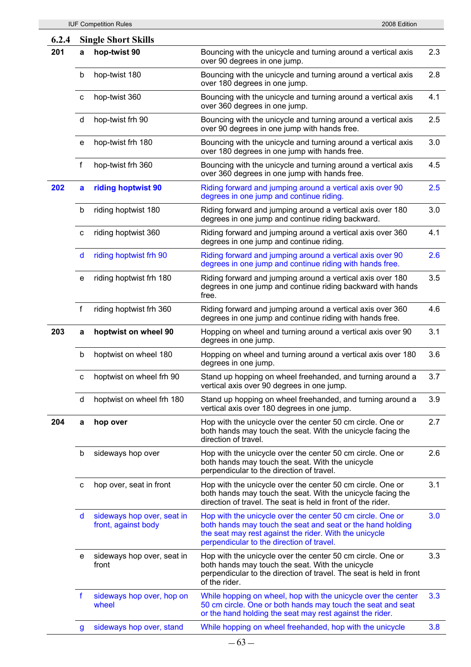| 6.2.4 |   | <b>Single Short Skills</b>                        |                                                                                                                                                                                                                                 |     |
|-------|---|---------------------------------------------------|---------------------------------------------------------------------------------------------------------------------------------------------------------------------------------------------------------------------------------|-----|
| 201   | a | hop-twist 90                                      | Bouncing with the unicycle and turning around a vertical axis<br>over 90 degrees in one jump.                                                                                                                                   | 2.3 |
|       | b | hop-twist 180                                     | Bouncing with the unicycle and turning around a vertical axis<br>over 180 degrees in one jump.                                                                                                                                  | 2.8 |
|       | C | hop-twist 360                                     | Bouncing with the unicycle and turning around a vertical axis<br>over 360 degrees in one jump.                                                                                                                                  | 4.1 |
|       | d | hop-twist frh 90                                  | Bouncing with the unicycle and turning around a vertical axis<br>over 90 degrees in one jump with hands free.                                                                                                                   | 2.5 |
|       | e | hop-twist frh 180                                 | Bouncing with the unicycle and turning around a vertical axis<br>over 180 degrees in one jump with hands free.                                                                                                                  | 3.0 |
|       | f | hop-twist frh 360                                 | Bouncing with the unicycle and turning around a vertical axis<br>over 360 degrees in one jump with hands free.                                                                                                                  | 4.5 |
| 202   | a | riding hoptwist 90                                | Riding forward and jumping around a vertical axis over 90<br>degrees in one jump and continue riding.                                                                                                                           | 2.5 |
|       | b | riding hoptwist 180                               | Riding forward and jumping around a vertical axis over 180<br>degrees in one jump and continue riding backward.                                                                                                                 | 3.0 |
|       | с | riding hoptwist 360                               | Riding forward and jumping around a vertical axis over 360<br>degrees in one jump and continue riding.                                                                                                                          | 4.1 |
|       | d | riding hoptwist frh 90                            | Riding forward and jumping around a vertical axis over 90<br>degrees in one jump and continue riding with hands free.                                                                                                           | 2.6 |
|       | e | riding hoptwist frh 180                           | Riding forward and jumping around a vertical axis over 180<br>degrees in one jump and continue riding backward with hands<br>free.                                                                                              | 3.5 |
|       | f | riding hoptwist frh 360                           | Riding forward and jumping around a vertical axis over 360<br>degrees in one jump and continue riding with hands free.                                                                                                          | 4.6 |
| 203   | a | hoptwist on wheel 90                              | Hopping on wheel and turning around a vertical axis over 90<br>degrees in one jump.                                                                                                                                             | 3.1 |
|       | b | hoptwist on wheel 180                             | Hopping on wheel and turning around a vertical axis over 180<br>degrees in one jump.                                                                                                                                            | 3.6 |
|       | с | hoptwist on wheel frh 90                          | Stand up hopping on wheel freehanded, and turning around a<br>vertical axis over 90 degrees in one jump.                                                                                                                        | 3.7 |
|       | d | hoptwist on wheel frh 180                         | Stand up hopping on wheel freehanded, and turning around a<br>vertical axis over 180 degrees in one jump.                                                                                                                       | 3.9 |
| 204   | a | hop over                                          | Hop with the unicycle over the center 50 cm circle. One or<br>both hands may touch the seat. With the unicycle facing the<br>direction of travel.                                                                               | 2.7 |
|       | b | sideways hop over                                 | Hop with the unicycle over the center 50 cm circle. One or<br>both hands may touch the seat. With the unicycle<br>perpendicular to the direction of travel.                                                                     | 2.6 |
|       | с | hop over, seat in front                           | Hop with the unicycle over the center 50 cm circle. One or<br>both hands may touch the seat. With the unicycle facing the<br>direction of travel. The seat is held in front of the rider.                                       | 3.1 |
|       | d | sideways hop over, seat in<br>front, against body | Hop with the unicycle over the center 50 cm circle. One or<br>both hands may touch the seat and seat or the hand holding<br>the seat may rest against the rider. With the unicycle<br>perpendicular to the direction of travel. | 3.0 |
|       | е | sideways hop over, seat in<br>front               | Hop with the unicycle over the center 50 cm circle. One or<br>both hands may touch the seat. With the unicycle<br>perpendicular to the direction of travel. The seat is held in front<br>of the rider.                          | 3.3 |
|       | f | sideways hop over, hop on<br>wheel                | While hopping on wheel, hop with the unicycle over the center<br>50 cm circle. One or both hands may touch the seat and seat<br>or the hand holding the seat may rest against the rider.                                        | 3.3 |
|       | g | sideways hop over, stand                          | While hopping on wheel freehanded, hop with the unicycle                                                                                                                                                                        | 3.8 |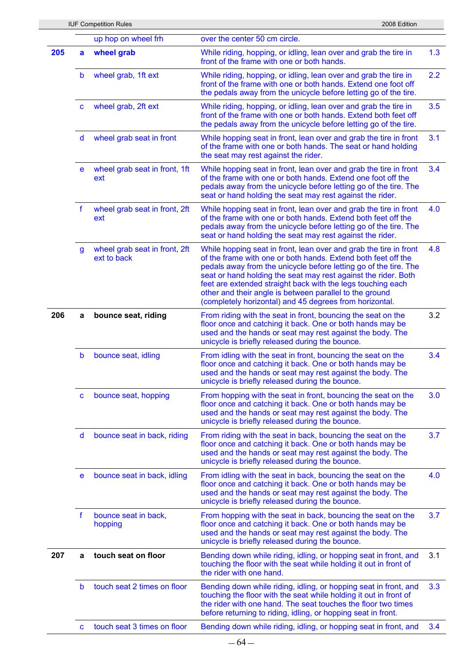|     |             | <b>IUF Competition Rules</b>                 | 2008 Edition                                                                                                                                                                                                                                                                                                                                                                                                                                                  |     |
|-----|-------------|----------------------------------------------|---------------------------------------------------------------------------------------------------------------------------------------------------------------------------------------------------------------------------------------------------------------------------------------------------------------------------------------------------------------------------------------------------------------------------------------------------------------|-----|
|     |             | up hop on wheel frh                          | over the center 50 cm circle.                                                                                                                                                                                                                                                                                                                                                                                                                                 |     |
| 205 | a           | wheel grab                                   | While riding, hopping, or idling, lean over and grab the tire in<br>front of the frame with one or both hands.                                                                                                                                                                                                                                                                                                                                                | 1.3 |
|     | b           | wheel grab, 1ft ext                          | While riding, hopping, or idling, lean over and grab the tire in<br>front of the frame with one or both hands. Extend one foot off<br>the pedals away from the unicycle before letting go of the tire.                                                                                                                                                                                                                                                        | 2.2 |
|     | $\mathbf c$ | wheel grab, 2ft ext                          | While riding, hopping, or idling, lean over and grab the tire in<br>front of the frame with one or both hands. Extend both feet off<br>the pedals away from the unicycle before letting go of the tire.                                                                                                                                                                                                                                                       | 3.5 |
|     | d           | wheel grab seat in front                     | While hopping seat in front, lean over and grab the tire in front<br>of the frame with one or both hands. The seat or hand holding<br>the seat may rest against the rider.                                                                                                                                                                                                                                                                                    | 3.1 |
|     | e           | wheel grab seat in front, 1ft<br>ext         | While hopping seat in front, lean over and grab the tire in front<br>of the frame with one or both hands. Extend one foot off the<br>pedals away from the unicycle before letting go of the tire. The<br>seat or hand holding the seat may rest against the rider.                                                                                                                                                                                            | 3.4 |
|     | f           | wheel grab seat in front, 2ft<br>ext         | While hopping seat in front, lean over and grab the tire in front<br>of the frame with one or both hands. Extend both feet off the<br>pedals away from the unicycle before letting go of the tire. The<br>seat or hand holding the seat may rest against the rider.                                                                                                                                                                                           | 4.0 |
|     | g           | wheel grab seat in front, 2ft<br>ext to back | While hopping seat in front, lean over and grab the tire in front<br>of the frame with one or both hands. Extend both feet off the<br>pedals away from the unicycle before letting go of the tire. The<br>seat or hand holding the seat may rest against the rider. Both<br>feet are extended straight back with the legs touching each<br>other and their angle is between parallel to the ground<br>(completely horizontal) and 45 degrees from horizontal. | 4.8 |
| 206 | a           | bounce seat, riding                          | From riding with the seat in front, bouncing the seat on the<br>floor once and catching it back. One or both hands may be<br>used and the hands or seat may rest against the body. The<br>unicycle is briefly released during the bounce.                                                                                                                                                                                                                     | 3.2 |
|     | $\mathsf b$ | bounce seat, idling                          | From idling with the seat in front, bouncing the seat on the<br>floor once and catching it back. One or both hands may be<br>used and the hands or seat may rest against the body. The<br>unicycle is briefly released during the bounce.                                                                                                                                                                                                                     | 3.4 |
|     | C           | bounce seat, hopping                         | From hopping with the seat in front, bouncing the seat on the<br>floor once and catching it back. One or both hands may be<br>used and the hands or seat may rest against the body. The<br>unicycle is briefly released during the bounce.                                                                                                                                                                                                                    | 3.0 |
|     | d           | bounce seat in back, riding                  | From riding with the seat in back, bouncing the seat on the<br>floor once and catching it back. One or both hands may be<br>used and the hands or seat may rest against the body. The<br>unicycle is briefly released during the bounce.                                                                                                                                                                                                                      | 3.7 |
|     | e           | bounce seat in back, idling                  | From idling with the seat in back, bouncing the seat on the<br>floor once and catching it back. One or both hands may be<br>used and the hands or seat may rest against the body. The<br>unicycle is briefly released during the bounce.                                                                                                                                                                                                                      | 4.0 |
|     | f           | bounce seat in back,<br>hopping              | From hopping with the seat in back, bouncing the seat on the<br>floor once and catching it back. One or both hands may be<br>used and the hands or seat may rest against the body. The<br>unicycle is briefly released during the bounce.                                                                                                                                                                                                                     | 3.7 |
| 207 | a           | touch seat on floor                          | Bending down while riding, idling, or hopping seat in front, and<br>touching the floor with the seat while holding it out in front of<br>the rider with one hand.                                                                                                                                                                                                                                                                                             | 3.1 |
|     | b           | touch seat 2 times on floor                  | Bending down while riding, idling, or hopping seat in front, and<br>touching the floor with the seat while holding it out in front of<br>the rider with one hand. The seat touches the floor two times<br>before returning to riding, idling, or hopping seat in front.                                                                                                                                                                                       | 3.3 |
|     | C           | touch seat 3 times on floor                  | Bending down while riding, idling, or hopping seat in front, and                                                                                                                                                                                                                                                                                                                                                                                              | 3.4 |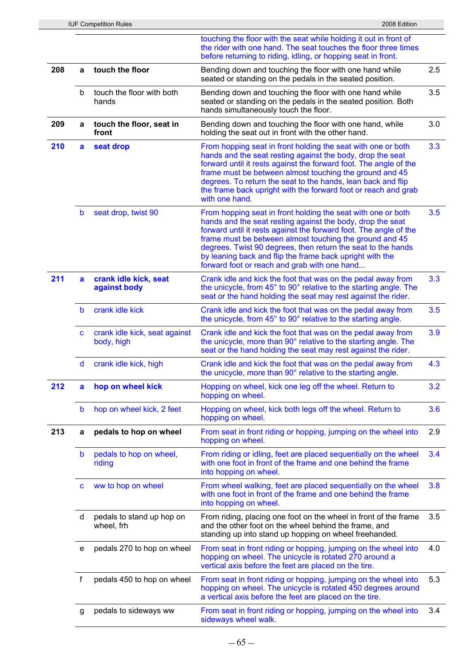|     |             | <b>IUF Competition Rules</b>                | 2008 Edition                                                                                                                                                                                                                                                                                                                                                                                                                           |     |
|-----|-------------|---------------------------------------------|----------------------------------------------------------------------------------------------------------------------------------------------------------------------------------------------------------------------------------------------------------------------------------------------------------------------------------------------------------------------------------------------------------------------------------------|-----|
|     |             |                                             | touching the floor with the seat while holding it out in front of<br>the rider with one hand. The seat touches the floor three times<br>before returning to riding, idling, or hopping seat in front.                                                                                                                                                                                                                                  |     |
| 208 | a           | touch the floor                             | Bending down and touching the floor with one hand while<br>seated or standing on the pedals in the seated position.                                                                                                                                                                                                                                                                                                                    | 2.5 |
|     | b           | touch the floor with both<br>hands          | Bending down and touching the floor with one hand while<br>seated or standing on the pedals in the seated position. Both<br>hands simultaneously touch the floor.                                                                                                                                                                                                                                                                      | 3.5 |
| 209 | a           | touch the floor, seat in<br>front           | Bending down and touching the floor with one hand, while<br>holding the seat out in front with the other hand.                                                                                                                                                                                                                                                                                                                         | 3.0 |
| 210 | a           | seat drop                                   | From hopping seat in front holding the seat with one or both<br>hands and the seat resting against the body, drop the seat<br>forward until it rests against the forward foot. The angle of the<br>frame must be between almost touching the ground and 45<br>degrees. To return the seat to the hands, lean back and flip<br>the frame back upright with the forward foot or reach and grab<br>with one hand.                         | 3.3 |
|     | $\mathsf b$ | seat drop, twist 90                         | From hopping seat in front holding the seat with one or both<br>hands and the seat resting against the body, drop the seat<br>forward until it rests against the forward foot. The angle of the<br>frame must be between almost touching the ground and 45<br>degrees. Twist 90 degrees, then return the seat to the hands<br>by leaning back and flip the frame back upright with the<br>forward foot or reach and grab with one hand | 3.5 |
| 211 | a           | crank idle kick, seat<br>against body       | Crank idle and kick the foot that was on the pedal away from<br>the unicycle, from 45° to 90° relative to the starting angle. The<br>seat or the hand holding the seat may rest against the rider.                                                                                                                                                                                                                                     | 3.3 |
|     | b           | crank idle kick                             | Crank idle and kick the foot that was on the pedal away from<br>the unicycle, from 45° to 90° relative to the starting angle.                                                                                                                                                                                                                                                                                                          | 3.5 |
|     | C           | crank idle kick, seat against<br>body, high | Crank idle and kick the foot that was on the pedal away from<br>the unicycle, more than 90° relative to the starting angle. The<br>seat or the hand holding the seat may rest against the rider.                                                                                                                                                                                                                                       | 3.9 |
|     | d           | crank idle kick, high                       | Crank idle and kick the foot that was on the pedal away from<br>the unicycle, more than 90° relative to the starting angle.                                                                                                                                                                                                                                                                                                            | 4.3 |
| 212 | a           | hop on wheel kick                           | Hopping on wheel, kick one leg off the wheel. Return to<br>hopping on wheel.                                                                                                                                                                                                                                                                                                                                                           | 3.2 |
|     | b           | hop on wheel kick, 2 feet                   | Hopping on wheel, kick both legs off the wheel. Return to<br>hopping on wheel.                                                                                                                                                                                                                                                                                                                                                         | 3.6 |
| 213 | a           | pedals to hop on wheel                      | From seat in front riding or hopping, jumping on the wheel into<br>hopping on wheel.                                                                                                                                                                                                                                                                                                                                                   | 2.9 |
|     | b           | pedals to hop on wheel,<br>riding           | From riding or idling, feet are placed sequentially on the wheel<br>with one foot in front of the frame and one behind the frame<br>into hopping on wheel.                                                                                                                                                                                                                                                                             | 3.4 |
|     | C           | ww to hop on wheel                          | From wheel walking, feet are placed sequentially on the wheel<br>with one foot in front of the frame and one behind the frame<br>into hopping on wheel.                                                                                                                                                                                                                                                                                | 3.8 |
|     | d           | pedals to stand up hop on<br>wheel, frh     | From riding, placing one foot on the wheel in front of the frame<br>and the other foot on the wheel behind the frame, and<br>standing up into stand up hopping on wheel freehanded.                                                                                                                                                                                                                                                    | 3.5 |
|     | е           | pedals 270 to hop on wheel                  | From seat in front riding or hopping, jumping on the wheel into<br>hopping on wheel. The unicycle is rotated 270 around a<br>vertical axis before the feet are placed on the tire.                                                                                                                                                                                                                                                     | 4.0 |
|     | f           | pedals 450 to hop on wheel                  | From seat in front riding or hopping, jumping on the wheel into<br>hopping on wheel. The unicycle is rotated 450 degrees around<br>a vertical axis before the feet are placed on the tire.                                                                                                                                                                                                                                             | 5.3 |
|     | g           | pedals to sideways ww                       | From seat in front riding or hopping, jumping on the wheel into<br>sideways wheel walk.                                                                                                                                                                                                                                                                                                                                                | 3.4 |
|     |             |                                             |                                                                                                                                                                                                                                                                                                                                                                                                                                        |     |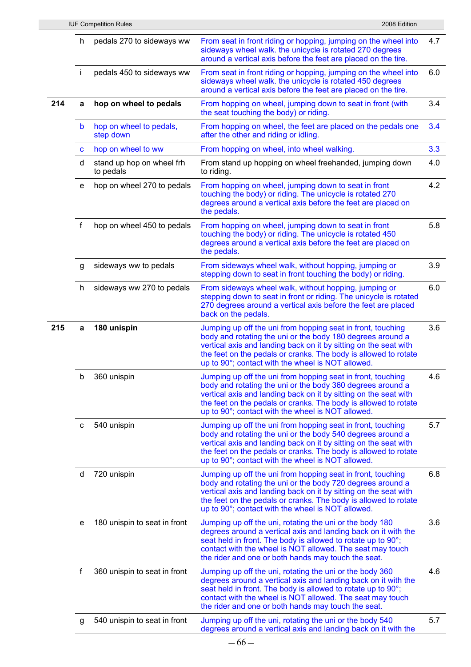|     |    | <b>IUF Competition Rules</b>           | 2008 Edition                                                                                                                                                                                                                                                                                                          |     |
|-----|----|----------------------------------------|-----------------------------------------------------------------------------------------------------------------------------------------------------------------------------------------------------------------------------------------------------------------------------------------------------------------------|-----|
|     | h  | pedals 270 to sideways ww              | From seat in front riding or hopping, jumping on the wheel into<br>sideways wheel walk. the unicycle is rotated 270 degrees<br>around a vertical axis before the feet are placed on the tire.                                                                                                                         | 4.7 |
|     | i. | pedals 450 to sideways ww              | From seat in front riding or hopping, jumping on the wheel into<br>sideways wheel walk. the unicycle is rotated 450 degrees<br>around a vertical axis before the feet are placed on the tire.                                                                                                                         | 6.0 |
| 214 | a  | hop on wheel to pedals                 | From hopping on wheel, jumping down to seat in front (with<br>the seat touching the body) or riding.                                                                                                                                                                                                                  | 3.4 |
|     | b  | hop on wheel to pedals,<br>step down   | From hopping on wheel, the feet are placed on the pedals one<br>after the other and riding or idling.                                                                                                                                                                                                                 | 3.4 |
|     | C  | hop on wheel to ww                     | From hopping on wheel, into wheel walking.                                                                                                                                                                                                                                                                            | 3.3 |
|     | d  | stand up hop on wheel frh<br>to pedals | From stand up hopping on wheel freehanded, jumping down<br>to riding.                                                                                                                                                                                                                                                 | 4.0 |
|     | e  | hop on wheel 270 to pedals             | From hopping on wheel, jumping down to seat in front<br>touching the body) or riding. The unicycle is rotated 270<br>degrees around a vertical axis before the feet are placed on<br>the pedals.                                                                                                                      | 4.2 |
|     | f  | hop on wheel 450 to pedals             | From hopping on wheel, jumping down to seat in front<br>touching the body) or riding. The unicycle is rotated 450<br>degrees around a vertical axis before the feet are placed on<br>the pedals.                                                                                                                      | 5.8 |
|     | g  | sideways ww to pedals                  | From sideways wheel walk, without hopping, jumping or<br>stepping down to seat in front touching the body) or riding.                                                                                                                                                                                                 | 3.9 |
|     | h  | sideways ww 270 to pedals              | From sideways wheel walk, without hopping, jumping or<br>stepping down to seat in front or riding. The unicycle is rotated<br>270 degrees around a vertical axis before the feet are placed<br>back on the pedals.                                                                                                    | 6.0 |
| 215 | a  | 180 unispin                            | Jumping up off the uni from hopping seat in front, touching<br>body and rotating the uni or the body 180 degrees around a<br>vertical axis and landing back on it by sitting on the seat with<br>the feet on the pedals or cranks. The body is allowed to rotate<br>up to 90°; contact with the wheel is NOT allowed. | 3.6 |
|     | b  | 360 unispin                            | Jumping up off the uni from hopping seat in front, touching<br>body and rotating the uni or the body 360 degrees around a<br>vertical axis and landing back on it by sitting on the seat with<br>the feet on the pedals or cranks. The body is allowed to rotate<br>up to 90°; contact with the wheel is NOT allowed. | 4.6 |
|     | с  | 540 unispin                            | Jumping up off the uni from hopping seat in front, touching<br>body and rotating the uni or the body 540 degrees around a<br>vertical axis and landing back on it by sitting on the seat with<br>the feet on the pedals or cranks. The body is allowed to rotate<br>up to 90°; contact with the wheel is NOT allowed. | 5.7 |
|     | d  | 720 unispin                            | Jumping up off the uni from hopping seat in front, touching<br>body and rotating the uni or the body 720 degrees around a<br>vertical axis and landing back on it by sitting on the seat with<br>the feet on the pedals or cranks. The body is allowed to rotate<br>up to 90°; contact with the wheel is NOT allowed. | 6.8 |
|     | e  | 180 unispin to seat in front           | Jumping up off the uni, rotating the uni or the body 180<br>degrees around a vertical axis and landing back on it with the<br>seat held in front. The body is allowed to rotate up to 90°;<br>contact with the wheel is NOT allowed. The seat may touch<br>the rider and one or both hands may touch the seat.        | 3.6 |
|     | f  | 360 unispin to seat in front           | Jumping up off the uni, rotating the uni or the body 360<br>degrees around a vertical axis and landing back on it with the<br>seat held in front. The body is allowed to rotate up to 90°;<br>contact with the wheel is NOT allowed. The seat may touch<br>the rider and one or both hands may touch the seat.        | 4.6 |
|     | g  | 540 unispin to seat in front           | Jumping up off the uni, rotating the uni or the body 540<br>degrees around a vertical axis and landing back on it with the                                                                                                                                                                                            | 5.7 |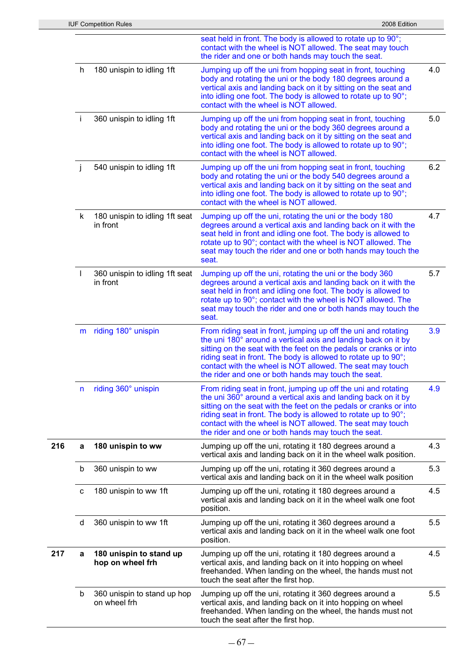|     |    | <b>IUF Competition Rules</b>                | 2008 Edition                                                                                                                                                                                                                                                                                                                                                                               |     |
|-----|----|---------------------------------------------|--------------------------------------------------------------------------------------------------------------------------------------------------------------------------------------------------------------------------------------------------------------------------------------------------------------------------------------------------------------------------------------------|-----|
|     |    |                                             | seat held in front. The body is allowed to rotate up to 90°;<br>contact with the wheel is NOT allowed. The seat may touch<br>the rider and one or both hands may touch the seat.                                                                                                                                                                                                           |     |
|     | h  | 180 unispin to idling 1ft                   | Jumping up off the uni from hopping seat in front, touching<br>body and rotating the uni or the body 180 degrees around a<br>vertical axis and landing back on it by sitting on the seat and<br>into idling one foot. The body is allowed to rotate up to 90°;<br>contact with the wheel is NOT allowed.                                                                                   | 4.0 |
|     | j. | 360 unispin to idling 1ft                   | Jumping up off the uni from hopping seat in front, touching<br>body and rotating the uni or the body 360 degrees around a<br>vertical axis and landing back on it by sitting on the seat and<br>into idling one foot. The body is allowed to rotate up to 90°;<br>contact with the wheel is NOT allowed.                                                                                   | 5.0 |
|     | j  | 540 unispin to idling 1ft                   | Jumping up off the uni from hopping seat in front, touching<br>body and rotating the uni or the body 540 degrees around a<br>vertical axis and landing back on it by sitting on the seat and<br>into idling one foot. The body is allowed to rotate up to 90°;<br>contact with the wheel is NOT allowed.                                                                                   | 6.2 |
|     | k. | 180 unispin to idling 1ft seat<br>in front  | Jumping up off the uni, rotating the uni or the body 180<br>degrees around a vertical axis and landing back on it with the<br>seat held in front and idling one foot. The body is allowed to<br>rotate up to 90°; contact with the wheel is NOT allowed. The<br>seat may touch the rider and one or both hands may touch the<br>seat.                                                      | 4.7 |
|     | L  | 360 unispin to idling 1ft seat<br>in front  | Jumping up off the uni, rotating the uni or the body 360<br>degrees around a vertical axis and landing back on it with the<br>seat held in front and idling one foot. The body is allowed to<br>rotate up to 90°; contact with the wheel is NOT allowed. The<br>seat may touch the rider and one or both hands may touch the<br>seat.                                                      | 5.7 |
|     | m  | riding 180° unispin                         | From riding seat in front, jumping up off the uni and rotating<br>the uni 180° around a vertical axis and landing back on it by<br>sitting on the seat with the feet on the pedals or cranks or into<br>riding seat in front. The body is allowed to rotate up to 90°;<br>contact with the wheel is NOT allowed. The seat may touch<br>the rider and one or both hands may touch the seat. | 3.9 |
|     | n  | riding 360° unispin                         | From riding seat in front, jumping up off the uni and rotating<br>the uni 360° around a vertical axis and landing back on it by<br>sitting on the seat with the feet on the pedals or cranks or into<br>riding seat in front. The body is allowed to rotate up to 90°;<br>contact with the wheel is NOT allowed. The seat may touch<br>the rider and one or both hands may touch the seat. | 4.9 |
| 216 | a  | 180 unispin to ww                           | Jumping up off the uni, rotating it 180 degrees around a<br>vertical axis and landing back on it in the wheel walk position.                                                                                                                                                                                                                                                               | 4.3 |
|     | b  | 360 unispin to ww                           | Jumping up off the uni, rotating it 360 degrees around a<br>vertical axis and landing back on it in the wheel walk position                                                                                                                                                                                                                                                                | 5.3 |
|     | с  | 180 unispin to ww 1ft                       | Jumping up off the uni, rotating it 180 degrees around a<br>vertical axis and landing back on it in the wheel walk one foot<br>position.                                                                                                                                                                                                                                                   | 4.5 |
|     | d  | 360 unispin to ww 1ft                       | Jumping up off the uni, rotating it 360 degrees around a<br>vertical axis and landing back on it in the wheel walk one foot<br>position.                                                                                                                                                                                                                                                   | 5.5 |
| 217 | a  | 180 unispin to stand up<br>hop on wheel frh | Jumping up off the uni, rotating it 180 degrees around a<br>vertical axis, and landing back on it into hopping on wheel<br>freehanded. When landing on the wheel, the hands must not<br>touch the seat after the first hop.                                                                                                                                                                | 4.5 |
|     | b  | 360 unispin to stand up hop<br>on wheel frh | Jumping up off the uni, rotating it 360 degrees around a<br>vertical axis, and landing back on it into hopping on wheel<br>freehanded. When landing on the wheel, the hands must not<br>touch the seat after the first hop.                                                                                                                                                                | 5.5 |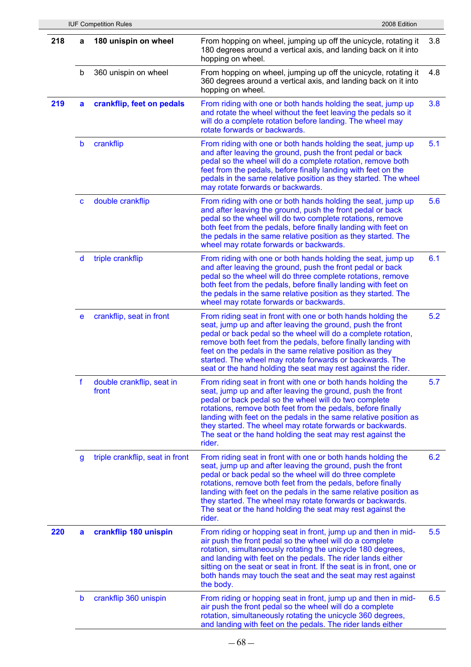|     |              | <b>IUF Competition Rules</b>       | 2008 Edition                                                                                                                                                                                                                                                                                                                                                                                                                                                  |     |
|-----|--------------|------------------------------------|---------------------------------------------------------------------------------------------------------------------------------------------------------------------------------------------------------------------------------------------------------------------------------------------------------------------------------------------------------------------------------------------------------------------------------------------------------------|-----|
| 218 | a            | 180 unispin on wheel               | From hopping on wheel, jumping up off the unicycle, rotating it<br>180 degrees around a vertical axis, and landing back on it into<br>hopping on wheel.                                                                                                                                                                                                                                                                                                       | 3.8 |
|     | b            | 360 unispin on wheel               | From hopping on wheel, jumping up off the unicycle, rotating it<br>360 degrees around a vertical axis, and landing back on it into<br>hopping on wheel.                                                                                                                                                                                                                                                                                                       | 4.8 |
| 219 | a            | crankflip, feet on pedals          | From riding with one or both hands holding the seat, jump up<br>and rotate the wheel without the feet leaving the pedals so it<br>will do a complete rotation before landing. The wheel may<br>rotate forwards or backwards.                                                                                                                                                                                                                                  | 3.8 |
|     | b            | crankflip                          | From riding with one or both hands holding the seat, jump up<br>and after leaving the ground, push the front pedal or back<br>pedal so the wheel will do a complete rotation, remove both<br>feet from the pedals, before finally landing with feet on the<br>pedals in the same relative position as they started. The wheel<br>may rotate forwards or backwards.                                                                                            | 5.1 |
|     | $\mathbf{C}$ | double crankflip                   | From riding with one or both hands holding the seat, jump up<br>and after leaving the ground, push the front pedal or back<br>pedal so the wheel will do two complete rotations, remove<br>both feet from the pedals, before finally landing with feet on<br>the pedals in the same relative position as they started. The<br>wheel may rotate forwards or backwards.                                                                                         | 5.6 |
|     | $\mathsf{d}$ | triple crankflip                   | From riding with one or both hands holding the seat, jump up<br>and after leaving the ground, push the front pedal or back<br>pedal so the wheel will do three complete rotations, remove<br>both feet from the pedals, before finally landing with feet on<br>the pedals in the same relative position as they started. The<br>wheel may rotate forwards or backwards.                                                                                       | 6.1 |
|     | e            | crankflip, seat in front           | From riding seat in front with one or both hands holding the<br>seat, jump up and after leaving the ground, push the front<br>pedal or back pedal so the wheel will do a complete rotation,<br>remove both feet from the pedals, before finally landing with<br>feet on the pedals in the same relative position as they<br>started. The wheel may rotate forwards or backwards. The<br>seat or the hand holding the seat may rest against the rider.         | 5.2 |
|     | f            | double crankflip, seat in<br>front | From riding seat in front with one or both hands holding the<br>seat, jump up and after leaving the ground, push the front<br>pedal or back pedal so the wheel will do two complete<br>rotations, remove both feet from the pedals, before finally<br>landing with feet on the pedals in the same relative position as<br>they started. The wheel may rotate forwards or backwards.<br>The seat or the hand holding the seat may rest against the<br>rider.   | 5.7 |
|     | g            | triple crankflip, seat in front    | From riding seat in front with one or both hands holding the<br>seat, jump up and after leaving the ground, push the front<br>pedal or back pedal so the wheel will do three complete<br>rotations, remove both feet from the pedals, before finally<br>landing with feet on the pedals in the same relative position as<br>they started. The wheel may rotate forwards or backwards.<br>The seat or the hand holding the seat may rest against the<br>rider. | 6.2 |
| 220 | a            | crankflip 180 unispin              | From riding or hopping seat in front, jump up and then in mid-<br>air push the front pedal so the wheel will do a complete<br>rotation, simultaneously rotating the unicycle 180 degrees,<br>and landing with feet on the pedals. The rider lands either<br>sitting on the seat or seat in front. If the seat is in front, one or<br>both hands may touch the seat and the seat may rest against<br>the body.                                                 | 5.5 |
|     | b            | crankflip 360 unispin              | From riding or hopping seat in front, jump up and then in mid-<br>air push the front pedal so the wheel will do a complete<br>rotation, simultaneously rotating the unicycle 360 degrees,<br>and landing with feet on the pedals. The rider lands either                                                                                                                                                                                                      | 6.5 |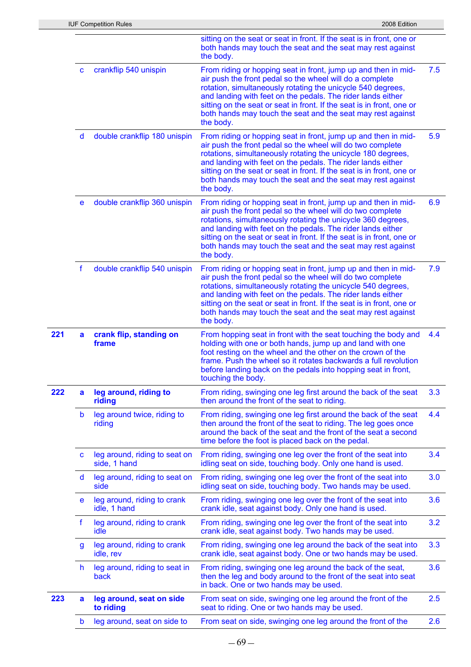|     |              | <b>IUF Competition Rules</b>                  | 2008 Edition                                                                                                                                                                                                                                                                                                                                                                                                     |     |
|-----|--------------|-----------------------------------------------|------------------------------------------------------------------------------------------------------------------------------------------------------------------------------------------------------------------------------------------------------------------------------------------------------------------------------------------------------------------------------------------------------------------|-----|
|     |              |                                               | sitting on the seat or seat in front. If the seat is in front, one or<br>both hands may touch the seat and the seat may rest against<br>the body.                                                                                                                                                                                                                                                                |     |
|     | C            | crankflip 540 unispin                         | From riding or hopping seat in front, jump up and then in mid-<br>air push the front pedal so the wheel will do a complete<br>rotation, simultaneously rotating the unicycle 540 degrees,<br>and landing with feet on the pedals. The rider lands either<br>sitting on the seat or seat in front. If the seat is in front, one or<br>both hands may touch the seat and the seat may rest against<br>the body.    | 7.5 |
|     | $\mathsf{d}$ | double crankflip 180 unispin                  | From riding or hopping seat in front, jump up and then in mid-<br>air push the front pedal so the wheel will do two complete<br>rotations, simultaneously rotating the unicycle 180 degrees,<br>and landing with feet on the pedals. The rider lands either<br>sitting on the seat or seat in front. If the seat is in front, one or<br>both hands may touch the seat and the seat may rest against<br>the body. | 5.9 |
|     | е            | double crankflip 360 unispin                  | From riding or hopping seat in front, jump up and then in mid-<br>air push the front pedal so the wheel will do two complete<br>rotations, simultaneously rotating the unicycle 360 degrees,<br>and landing with feet on the pedals. The rider lands either<br>sitting on the seat or seat in front. If the seat is in front, one or<br>both hands may touch the seat and the seat may rest against<br>the body. | 6.9 |
|     | f            | double crankflip 540 unispin                  | From riding or hopping seat in front, jump up and then in mid-<br>air push the front pedal so the wheel will do two complete<br>rotations, simultaneously rotating the unicycle 540 degrees,<br>and landing with feet on the pedals. The rider lands either<br>sitting on the seat or seat in front. If the seat is in front, one or<br>both hands may touch the seat and the seat may rest against<br>the body. | 7.9 |
| 221 | a            | crank flip, standing on<br>frame              | From hopping seat in front with the seat touching the body and<br>holding with one or both hands, jump up and land with one<br>foot resting on the wheel and the other on the crown of the<br>frame. Push the wheel so it rotates backwards a full revolution<br>before landing back on the pedals into hopping seat in front,<br>touching the body.                                                             | 4.4 |
| 222 | a            | leg around, riding to<br>riding               | From riding, swinging one leg first around the back of the seat<br>then around the front of the seat to riding.                                                                                                                                                                                                                                                                                                  | 3.3 |
|     | b            | leg around twice, riding to<br>riding         | From riding, swinging one leg first around the back of the seat<br>then around the front of the seat to riding. The leg goes once<br>around the back of the seat and the front of the seat a second<br>time before the foot is placed back on the pedal.                                                                                                                                                         | 4.4 |
|     | C            | leg around, riding to seat on<br>side, 1 hand | From riding, swinging one leg over the front of the seat into<br>idling seat on side, touching body. Only one hand is used.                                                                                                                                                                                                                                                                                      | 3.4 |
|     | d            | leg around, riding to seat on<br>side         | From riding, swinging one leg over the front of the seat into<br>idling seat on side, touching body. Two hands may be used.                                                                                                                                                                                                                                                                                      | 3.0 |
|     | e            | leg around, riding to crank<br>idle, 1 hand   | From riding, swinging one leg over the front of the seat into<br>crank idle, seat against body. Only one hand is used.                                                                                                                                                                                                                                                                                           | 3.6 |
|     | f            | leg around, riding to crank<br>idle           | From riding, swinging one leg over the front of the seat into<br>crank idle, seat against body. Two hands may be used.                                                                                                                                                                                                                                                                                           | 3.2 |
|     | g            | leg around, riding to crank<br>idle, rev      | From riding, swinging one leg around the back of the seat into<br>crank idle, seat against body. One or two hands may be used.                                                                                                                                                                                                                                                                                   | 3.3 |
|     | h.           | leg around, riding to seat in<br>back         | From riding, swinging one leg around the back of the seat,<br>then the leg and body around to the front of the seat into seat<br>in back. One or two hands may be used.                                                                                                                                                                                                                                          | 3.6 |
| 223 | a            | leg around, seat on side<br>to riding         | From seat on side, swinging one leg around the front of the<br>seat to riding. One or two hands may be used.                                                                                                                                                                                                                                                                                                     | 2.5 |
|     | b            | leg around, seat on side to                   | From seat on side, swinging one leg around the front of the                                                                                                                                                                                                                                                                                                                                                      | 2.6 |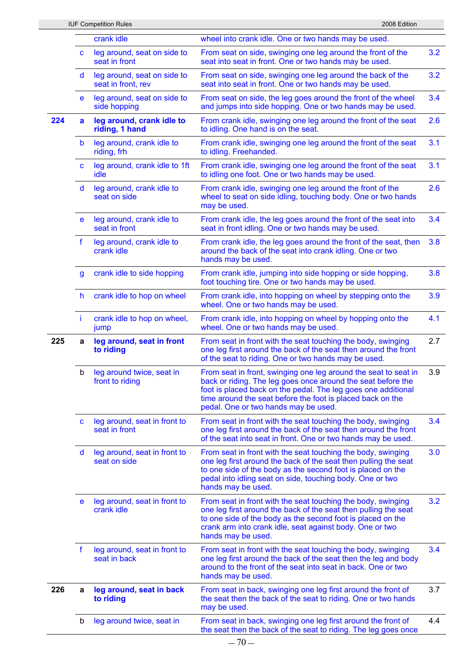|     |    | <b>IUF Competition Rules</b>                      | 2008 Edition                                                                                                                                                                                                                                                                                           |               |
|-----|----|---------------------------------------------------|--------------------------------------------------------------------------------------------------------------------------------------------------------------------------------------------------------------------------------------------------------------------------------------------------------|---------------|
|     |    | crank idle                                        | wheel into crank idle. One or two hands may be used.                                                                                                                                                                                                                                                   |               |
|     | C  | leg around, seat on side to<br>seat in front      | From seat on side, swinging one leg around the front of the<br>seat into seat in front. One or two hands may be used.                                                                                                                                                                                  | 3.2           |
|     | d  | leg around, seat on side to<br>seat in front, rev | From seat on side, swinging one leg around the back of the<br>seat into seat in front. One or two hands may be used.                                                                                                                                                                                   | 3.2           |
|     | e  | leg around, seat on side to<br>side hopping       | From seat on side, the leg goes around the front of the wheel<br>and jumps into side hopping. One or two hands may be used.                                                                                                                                                                            | 3.4           |
| 224 | a  | leg around, crank idle to<br>riding, 1 hand       | From crank idle, swinging one leg around the front of the seat<br>to idling. One hand is on the seat.                                                                                                                                                                                                  | 2.6           |
|     | b  | leg around, crank idle to<br>riding, frh          | From crank idle, swinging one leg around the front of the seat<br>to idling. Freehanded.                                                                                                                                                                                                               | 3.1           |
|     | C  | leg around, crank idle to 1ft<br>idle             | From crank idle, swinging one leg around the front of the seat<br>to idling one foot. One or two hands may be used.                                                                                                                                                                                    | 3.1           |
|     | d  | leg around, crank idle to<br>seat on side         | From crank idle, swinging one leg around the front of the<br>wheel to seat on side idling, touching body. One or two hands<br>may be used.                                                                                                                                                             | 2.6           |
|     | e  | leg around, crank idle to<br>seat in front        | From crank idle, the leg goes around the front of the seat into<br>seat in front idling. One or two hands may be used.                                                                                                                                                                                 | 3.4           |
|     | f  | leg around, crank idle to<br>crank idle           | From crank idle, the leg goes around the front of the seat, then<br>around the back of the seat into crank idling. One or two<br>hands may be used.                                                                                                                                                    | 3.8           |
|     | g  | crank idle to side hopping                        | From crank idle, jumping into side hopping or side hopping,<br>foot touching tire. One or two hands may be used.                                                                                                                                                                                       | 3.8           |
|     | h. | crank idle to hop on wheel                        | From crank idle, into hopping on wheel by stepping onto the<br>wheel. One or two hands may be used.                                                                                                                                                                                                    | 3.9           |
|     | Ť. | crank idle to hop on wheel,<br>jump               | From crank idle, into hopping on wheel by hopping onto the<br>wheel. One or two hands may be used.                                                                                                                                                                                                     | 4.1           |
| 225 | a  | leg around, seat in front<br>to riding            | From seat in front with the seat touching the body, swinging<br>one leg first around the back of the seat then around the front<br>of the seat to riding. One or two hands may be used.                                                                                                                | 2.7           |
|     | b  | leg around twice, seat in<br>front to riding      | From seat in front, swinging one leg around the seat to seat in<br>back or riding. The leg goes once around the seat before the<br>foot is placed back on the pedal. The leg goes one additional<br>time around the seat before the foot is placed back on the<br>pedal. One or two hands may be used. | 3.9           |
|     | C  | leg around, seat in front to<br>seat in front     | From seat in front with the seat touching the body, swinging<br>one leg first around the back of the seat then around the front<br>of the seat into seat in front. One or two hands may be used.                                                                                                       | 3.4           |
|     | d  | leg around, seat in front to<br>seat on side      | From seat in front with the seat touching the body, swinging<br>one leg first around the back of the seat then pulling the seat<br>to one side of the body as the second foot is placed on the<br>pedal into idling seat on side, touching body. One or two<br>hands may be used.                      | 3.0           |
|     | e  | leg around, seat in front to<br>crank idle        | From seat in front with the seat touching the body, swinging<br>one leg first around the back of the seat then pulling the seat<br>to one side of the body as the second foot is placed on the<br>crank arm into crank idle, seat against body. One or two<br>hands may be used.                       | 3.2           |
|     | f  | leg around, seat in front to<br>seat in back      | From seat in front with the seat touching the body, swinging<br>one leg first around the back of the seat then the leg and body<br>around to the front of the seat into seat in back. One or two<br>hands may be used.                                                                                 | $3.4^{\circ}$ |
| 226 | a  | leg around, seat in back<br>to riding             | From seat in back, swinging one leg first around the front of<br>the seat then the back of the seat to riding. One or two hands<br>may be used.                                                                                                                                                        | 3.7           |
|     | b  | leg around twice, seat in                         | From seat in back, swinging one leg first around the front of                                                                                                                                                                                                                                          | 4.4           |

the seat then the back of the seat to riding. The leg goes once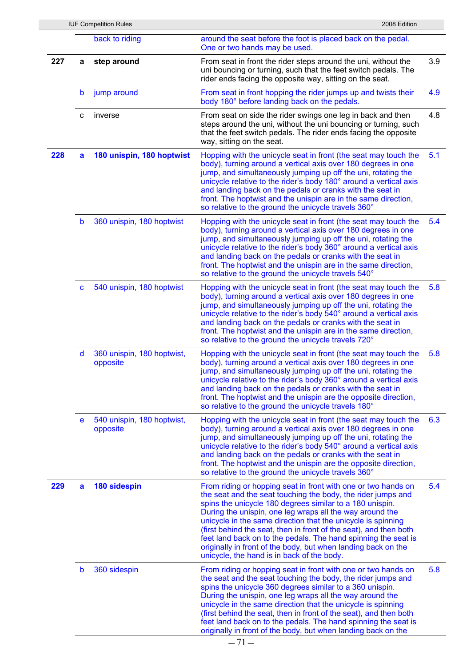|     |              | <b>IUF Competition Rules</b>           | 2008 Edition                                                                                                                                                                                                                                                                                                                                                                                                                                                                                                                                                                |     |
|-----|--------------|----------------------------------------|-----------------------------------------------------------------------------------------------------------------------------------------------------------------------------------------------------------------------------------------------------------------------------------------------------------------------------------------------------------------------------------------------------------------------------------------------------------------------------------------------------------------------------------------------------------------------------|-----|
|     |              | back to riding                         | around the seat before the foot is placed back on the pedal.<br>One or two hands may be used.                                                                                                                                                                                                                                                                                                                                                                                                                                                                               |     |
| 227 | а            | step around                            | From seat in front the rider steps around the uni, without the<br>uni bouncing or turning, such that the feet switch pedals. The<br>rider ends facing the opposite way, sitting on the seat.                                                                                                                                                                                                                                                                                                                                                                                | 3.9 |
|     | b            | jump around                            | From seat in front hopping the rider jumps up and twists their<br>body 180° before landing back on the pedals.                                                                                                                                                                                                                                                                                                                                                                                                                                                              | 4.9 |
|     | с            | inverse                                | From seat on side the rider swings one leg in back and then<br>steps around the uni, without the uni bouncing or turning, such<br>that the feet switch pedals. The rider ends facing the opposite<br>way, sitting on the seat.                                                                                                                                                                                                                                                                                                                                              | 4.8 |
| 228 | a            | 180 unispin, 180 hoptwist              | Hopping with the unicycle seat in front (the seat may touch the<br>body), turning around a vertical axis over 180 degrees in one<br>jump, and simultaneously jumping up off the uni, rotating the<br>unicycle relative to the rider's body 180° around a vertical axis<br>and landing back on the pedals or cranks with the seat in<br>front. The hoptwist and the unispin are in the same direction,<br>so relative to the ground the unicycle travels 360°                                                                                                                | 5.1 |
|     | $\mathbf b$  | 360 unispin, 180 hoptwist              | Hopping with the unicycle seat in front (the seat may touch the<br>body), turning around a vertical axis over 180 degrees in one<br>jump, and simultaneously jumping up off the uni, rotating the<br>unicycle relative to the rider's body 360° around a vertical axis<br>and landing back on the pedals or cranks with the seat in<br>front. The hoptwist and the unispin are in the same direction,<br>so relative to the ground the unicycle travels 540°                                                                                                                | 5.4 |
|     | $\mathbf{C}$ | 540 unispin, 180 hoptwist              | Hopping with the unicycle seat in front (the seat may touch the<br>body), turning around a vertical axis over 180 degrees in one<br>jump, and simultaneously jumping up off the uni, rotating the<br>unicycle relative to the rider's body 540° around a vertical axis<br>and landing back on the pedals or cranks with the seat in<br>front. The hoptwist and the unispin are in the same direction,<br>so relative to the ground the unicycle travels 720°                                                                                                                | 5.8 |
|     | d            | 360 unispin, 180 hoptwist,<br>opposite | Hopping with the unicycle seat in front (the seat may touch the<br>body), turning around a vertical axis over 180 degrees in one<br>jump, and simultaneously jumping up off the uni, rotating the<br>unicycle relative to the rider's body 360° around a vertical axis<br>and landing back on the pedals or cranks with the seat in<br>front. The hoptwist and the unispin are the opposite direction,<br>so relative to the ground the unicycle travels 180°                                                                                                               | 5.8 |
|     | e            | 540 unispin, 180 hoptwist,<br>opposite | Hopping with the unicycle seat in front (the seat may touch the<br>body), turning around a vertical axis over 180 degrees in one<br>jump, and simultaneously jumping up off the uni, rotating the<br>unicycle relative to the rider's body 540° around a vertical axis<br>and landing back on the pedals or cranks with the seat in<br>front. The hoptwist and the unispin are the opposite direction,<br>so relative to the ground the unicycle travels 360°                                                                                                               | 6.3 |
| 229 | a            | 180 sidespin                           | From riding or hopping seat in front with one or two hands on<br>the seat and the seat touching the body, the rider jumps and<br>spins the unicycle 180 degrees similar to a 180 unispin.<br>During the unispin, one leg wraps all the way around the<br>unicycle in the same direction that the unicycle is spinning<br>(first behind the seat, then in front of the seat), and then both<br>feet land back on to the pedals. The hand spinning the seat is<br>originally in front of the body, but when landing back on the<br>unicycle, the hand is in back of the body. | 5.4 |
|     | $\mathbf b$  | 360 sidespin                           | From riding or hopping seat in front with one or two hands on<br>the seat and the seat touching the body, the rider jumps and<br>spins the unicycle 360 degrees similar to a 360 unispin.<br>During the unispin, one leg wraps all the way around the<br>unicycle in the same direction that the unicycle is spinning<br>(first behind the seat, then in front of the seat), and then both<br>feet land back on to the pedals. The hand spinning the seat is<br>originally in front of the body, but when landing back on the                                               | 5.8 |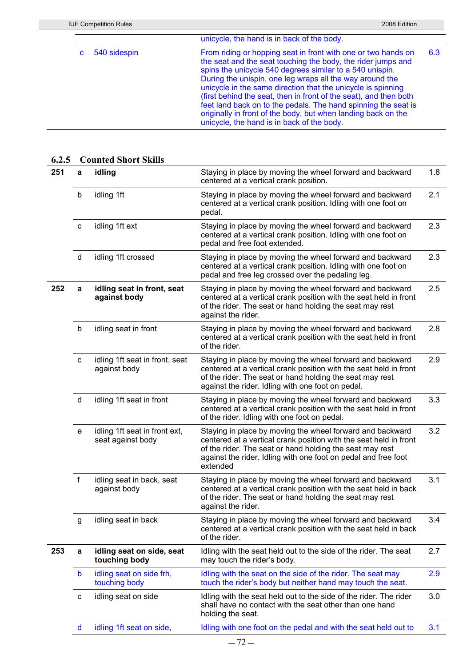|              | unicycle, the hand is in back of the body.                                                                                                                                                                                                                                                                                                                                                                                                                                                                                                                                  |     |
|--------------|-----------------------------------------------------------------------------------------------------------------------------------------------------------------------------------------------------------------------------------------------------------------------------------------------------------------------------------------------------------------------------------------------------------------------------------------------------------------------------------------------------------------------------------------------------------------------------|-----|
| 540 sidespin | From riding or hopping seat in front with one or two hands on<br>the seat and the seat touching the body, the rider jumps and<br>spins the unicycle 540 degrees similar to a 540 unispin.<br>During the unispin, one leg wraps all the way around the<br>unicycle in the same direction that the unicycle is spinning<br>(first behind the seat, then in front of the seat), and then both<br>feet land back on to the pedals. The hand spinning the seat is<br>originally in front of the body, but when landing back on the<br>unicycle, the hand is in back of the body. | 6.3 |

| 251 | а            | idling                                             | Staying in place by moving the wheel forward and backward<br>centered at a vertical crank position.                                                                                                                                                                      | 1.8 |
|-----|--------------|----------------------------------------------------|--------------------------------------------------------------------------------------------------------------------------------------------------------------------------------------------------------------------------------------------------------------------------|-----|
|     | b            | idling 1ft                                         | Staying in place by moving the wheel forward and backward<br>centered at a vertical crank position. Idling with one foot on<br>pedal.                                                                                                                                    | 2.1 |
|     | $\mathbf c$  | idling 1ft ext                                     | Staying in place by moving the wheel forward and backward<br>centered at a vertical crank position. Idling with one foot on<br>pedal and free foot extended.                                                                                                             | 2.3 |
|     | $\sf d$      | idling 1ft crossed                                 | Staying in place by moving the wheel forward and backward<br>centered at a vertical crank position. Idling with one foot on<br>pedal and free leg crossed over the pedaling leg.                                                                                         | 2.3 |
| 252 | a            | idling seat in front, seat<br>against body         | Staying in place by moving the wheel forward and backward<br>centered at a vertical crank position with the seat held in front<br>of the rider. The seat or hand holding the seat may rest<br>against the rider.                                                         | 2.5 |
|     | b            | idling seat in front                               | Staying in place by moving the wheel forward and backward<br>centered at a vertical crank position with the seat held in front<br>of the rider.                                                                                                                          | 2.8 |
|     | $\mathtt{C}$ | idling 1ft seat in front, seat<br>against body     | Staying in place by moving the wheel forward and backward<br>centered at a vertical crank position with the seat held in front<br>of the rider. The seat or hand holding the seat may rest<br>against the rider. Idling with one foot on pedal.                          | 2.9 |
|     | ${\sf d}$    | idling 1ft seat in front                           | Staying in place by moving the wheel forward and backward<br>centered at a vertical crank position with the seat held in front<br>of the rider. Idling with one foot on pedal.                                                                                           | 3.3 |
|     | e            | idling 1ft seat in front ext,<br>seat against body | Staying in place by moving the wheel forward and backward<br>centered at a vertical crank position with the seat held in front<br>of the rider. The seat or hand holding the seat may rest<br>against the rider. Idling with one foot on pedal and free foot<br>extended | 3.2 |
|     | f            | idling seat in back, seat<br>against body          | Staying in place by moving the wheel forward and backward<br>centered at a vertical crank position with the seat held in back<br>of the rider. The seat or hand holding the seat may rest<br>against the rider.                                                          | 3.1 |
|     | g            | idling seat in back                                | Staying in place by moving the wheel forward and backward<br>centered at a vertical crank position with the seat held in back<br>of the rider.                                                                                                                           | 3.4 |
| 253 | a            | idling seat on side, seat<br>touching body         | Idling with the seat held out to the side of the rider. The seat<br>may touch the rider's body.                                                                                                                                                                          | 2.7 |
|     | b            | idling seat on side frh,<br>touching body          | Idling with the seat on the side of the rider. The seat may<br>touch the rider's body but neither hand may touch the seat.                                                                                                                                               | 2.9 |
|     | C            | idling seat on side                                | Idling with the seat held out to the side of the rider. The rider<br>shall have no contact with the seat other than one hand<br>holding the seat.                                                                                                                        | 3.0 |
|     | $\mathsf{d}$ | idling 1ft seat on side,                           | Idling with one foot on the pedal and with the seat held out to                                                                                                                                                                                                          | 3.1 |

### **6.2.5 Counted Short Skills**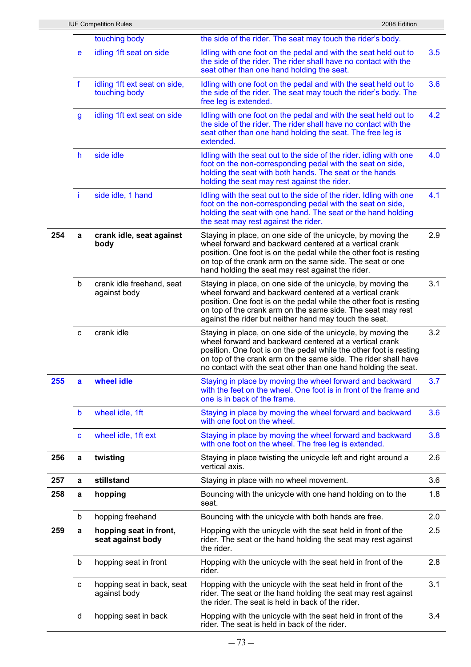|     |                                                              | <b>IUF Competition Rules</b>               | 2008 Edition                                                                                                                                                                                                                                                                                                                      |     |
|-----|--------------------------------------------------------------|--------------------------------------------|-----------------------------------------------------------------------------------------------------------------------------------------------------------------------------------------------------------------------------------------------------------------------------------------------------------------------------------|-----|
|     |                                                              | touching body                              | the side of the rider. The seat may touch the rider's body.                                                                                                                                                                                                                                                                       |     |
|     | e                                                            | idling 1ft seat on side                    | Idling with one foot on the pedal and with the seat held out to<br>the side of the rider. The rider shall have no contact with the<br>seat other than one hand holding the seat.                                                                                                                                                  | 3.5 |
|     | $\mathbf f$<br>idling 1ft ext seat on side,<br>touching body |                                            | Idling with one foot on the pedal and with the seat held out to<br>the side of the rider. The seat may touch the rider's body. The<br>free leg is extended.                                                                                                                                                                       | 3.6 |
|     | $\mathsf{g}$                                                 | idling 1ft ext seat on side                | Idling with one foot on the pedal and with the seat held out to<br>the side of the rider. The rider shall have no contact with the<br>seat other than one hand holding the seat. The free leg is<br>extended.                                                                                                                     | 4.2 |
|     | h                                                            | side idle                                  | Idling with the seat out to the side of the rider. idling with one<br>foot on the non-corresponding pedal with the seat on side,<br>holding the seat with both hands. The seat or the hands<br>holding the seat may rest against the rider.                                                                                       | 4.0 |
|     | ÷i.                                                          | side idle, 1 hand                          | Idling with the seat out to the side of the rider. Idling with one<br>foot on the non-corresponding pedal with the seat on side,<br>holding the seat with one hand. The seat or the hand holding<br>the seat may rest against the rider.                                                                                          | 4.1 |
| 254 | a                                                            | crank idle, seat against<br>body           | Staying in place, on one side of the unicycle, by moving the<br>wheel forward and backward centered at a vertical crank<br>position. One foot is on the pedal while the other foot is resting<br>on top of the crank arm on the same side. The seat or one<br>hand holding the seat may rest against the rider.                   | 2.9 |
|     | b                                                            | crank idle freehand, seat<br>against body  | Staying in place, on one side of the unicycle, by moving the<br>wheel forward and backward centered at a vertical crank<br>position. One foot is on the pedal while the other foot is resting<br>on top of the crank arm on the same side. The seat may rest<br>against the rider but neither hand may touch the seat.            | 3.1 |
|     | C                                                            | crank idle                                 | Staying in place, on one side of the unicycle, by moving the<br>wheel forward and backward centered at a vertical crank<br>position. One foot is on the pedal while the other foot is resting<br>on top of the crank arm on the same side. The rider shall have<br>no contact with the seat other than one hand holding the seat. | 3.2 |
| 255 | a                                                            | wheel idle                                 | Staying in place by moving the wheel forward and backward<br>with the feet on the wheel. One foot is in front of the frame and<br>one is in back of the frame.                                                                                                                                                                    | 3.7 |
|     | b                                                            | wheel idle, 1ft                            | Staying in place by moving the wheel forward and backward<br>with one foot on the wheel.                                                                                                                                                                                                                                          | 3.6 |
|     | C                                                            | wheel idle, 1ft ext                        | Staying in place by moving the wheel forward and backward<br>with one foot on the wheel. The free leg is extended.                                                                                                                                                                                                                | 3.8 |
| 256 | a                                                            | twisting                                   | Staying in place twisting the unicycle left and right around a<br>vertical axis.                                                                                                                                                                                                                                                  | 2.6 |
| 257 | a                                                            | stillstand                                 | Staying in place with no wheel movement.                                                                                                                                                                                                                                                                                          | 3.6 |
| 258 | a                                                            | hopping                                    | Bouncing with the unicycle with one hand holding on to the<br>seat.                                                                                                                                                                                                                                                               | 1.8 |
|     | b                                                            | hopping freehand                           | Bouncing with the unicycle with both hands are free.                                                                                                                                                                                                                                                                              | 2.0 |
| 259 | hopping seat in front,<br>а<br>seat against body             |                                            | Hopping with the unicycle with the seat held in front of the<br>rider. The seat or the hand holding the seat may rest against<br>the rider.                                                                                                                                                                                       | 2.5 |
|     | b                                                            | hopping seat in front                      | Hopping with the unicycle with the seat held in front of the<br>rider.                                                                                                                                                                                                                                                            | 2.8 |
|     | с                                                            | hopping seat in back, seat<br>against body | Hopping with the unicycle with the seat held in front of the<br>rider. The seat or the hand holding the seat may rest against<br>the rider. The seat is held in back of the rider.                                                                                                                                                | 3.1 |
|     | d                                                            | hopping seat in back                       | Hopping with the unicycle with the seat held in front of the<br>rider. The seat is held in back of the rider.                                                                                                                                                                                                                     | 3.4 |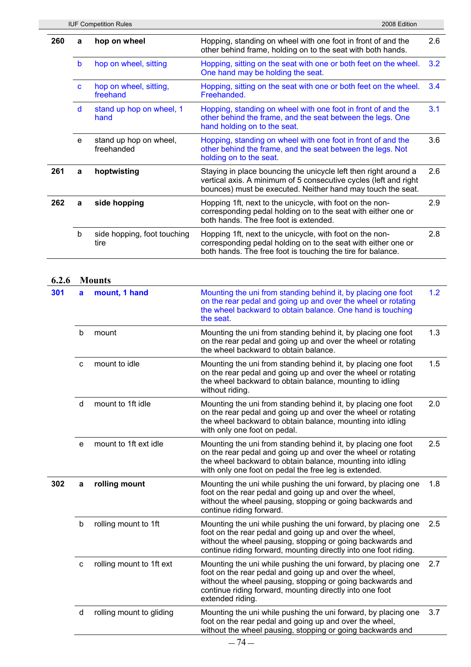|     | <b>IUF Competition Rules</b><br>2008 Edition |                                      |                                                                                                                                                                                                    |     |  |  |  |  |  |
|-----|----------------------------------------------|--------------------------------------|----------------------------------------------------------------------------------------------------------------------------------------------------------------------------------------------------|-----|--|--|--|--|--|
| 260 | a                                            | hop on wheel                         | Hopping, standing on wheel with one foot in front of and the<br>other behind frame, holding on to the seat with both hands.                                                                        |     |  |  |  |  |  |
|     | b                                            | hop on wheel, sitting                | Hopping, sitting on the seat with one or both feet on the wheel.<br>One hand may be holding the seat.                                                                                              | 3.2 |  |  |  |  |  |
|     | C                                            | hop on wheel, sitting,<br>freehand   | Hopping, sitting on the seat with one or both feet on the wheel.<br>Freehanded.                                                                                                                    | 3.4 |  |  |  |  |  |
|     | d                                            | stand up hop on wheel, 1<br>hand     | Hopping, standing on wheel with one foot in front of and the<br>other behind the frame, and the seat between the legs. One<br>hand holding on to the seat.                                         | 3.1 |  |  |  |  |  |
|     | e                                            | stand up hop on wheel,<br>freehanded | Hopping, standing on wheel with one foot in front of and the<br>other behind the frame, and the seat between the legs. Not<br>holding on to the seat.                                              | 3.6 |  |  |  |  |  |
| 261 | a                                            | hoptwisting                          | Staying in place bouncing the unicycle left then right around a<br>vertical axis. A minimum of 5 consecutive cycles (left and right<br>bounces) must be executed. Neither hand may touch the seat. | 2.6 |  |  |  |  |  |
| 262 | a                                            | side hopping                         | Hopping 1ft, next to the unicycle, with foot on the non-<br>corresponding pedal holding on to the seat with either one or<br>both hands. The free foot is extended.                                | 2.9 |  |  |  |  |  |
|     | b                                            | side hopping, foot touching<br>tire  | Hopping 1ft, next to the unicycle, with foot on the non-<br>corresponding pedal holding on to the seat with either one or<br>both hands. The free foot is touching the tire for balance.           | 2.8 |  |  |  |  |  |
|     |                                              |                                      |                                                                                                                                                                                                    |     |  |  |  |  |  |

# **6.2.6 Mounts**

| 301 | a            | mount, 1 hand            | Mounting the uni from standing behind it, by placing one foot<br>on the rear pedal and going up and over the wheel or rotating<br>the wheel backward to obtain balance. One hand is touching<br>the seat.                                                               | 1.2 |
|-----|--------------|--------------------------|-------------------------------------------------------------------------------------------------------------------------------------------------------------------------------------------------------------------------------------------------------------------------|-----|
|     | $\mathsf b$  | mount                    | Mounting the uni from standing behind it, by placing one foot<br>on the rear pedal and going up and over the wheel or rotating<br>the wheel backward to obtain balance.                                                                                                 | 1.3 |
|     | $\mathbf{C}$ | mount to idle            | Mounting the uni from standing behind it, by placing one foot<br>on the rear pedal and going up and over the wheel or rotating<br>the wheel backward to obtain balance, mounting to idling<br>without riding.                                                           | 1.5 |
|     | d            | mount to 1ft idle        | Mounting the uni from standing behind it, by placing one foot<br>on the rear pedal and going up and over the wheel or rotating<br>the wheel backward to obtain balance, mounting into idling<br>with only one foot on pedal.                                            | 2.0 |
|     | e            | mount to 1ft ext idle    | Mounting the uni from standing behind it, by placing one foot<br>on the rear pedal and going up and over the wheel or rotating<br>the wheel backward to obtain balance, mounting into idling<br>with only one foot on pedal the free leg is extended.                   | 2.5 |
| 302 | a            | rolling mount            | Mounting the uni while pushing the uni forward, by placing one<br>foot on the rear pedal and going up and over the wheel,<br>without the wheel pausing, stopping or going backwards and<br>continue riding forward.                                                     | 1.8 |
|     | b            | rolling mount to 1ft     | Mounting the uni while pushing the uni forward, by placing one<br>foot on the rear pedal and going up and over the wheel,<br>without the wheel pausing, stopping or going backwards and<br>continue riding forward, mounting directly into one foot riding.             | 2.5 |
|     | $\mathbf C$  | rolling mount to 1ft ext | Mounting the uni while pushing the uni forward, by placing one<br>foot on the rear pedal and going up and over the wheel,<br>without the wheel pausing, stopping or going backwards and<br>continue riding forward, mounting directly into one foot<br>extended riding. | 2.7 |
|     | d            | rolling mount to gliding | Mounting the uni while pushing the uni forward, by placing one<br>foot on the rear pedal and going up and over the wheel,<br>without the wheel pausing, stopping or going backwards and                                                                                 | 3.7 |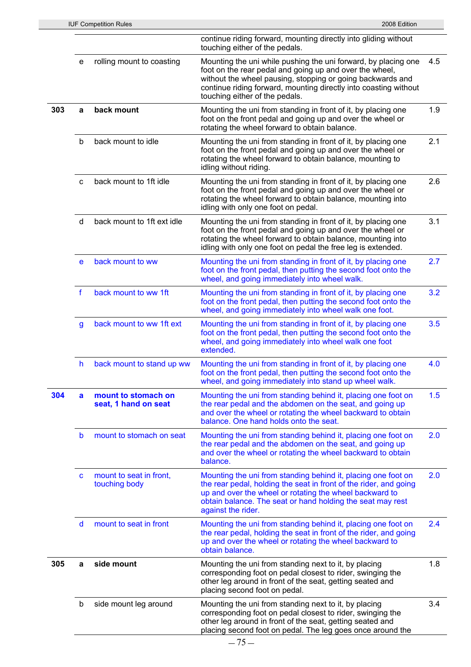|     |                                | <b>IUF Competition Rules</b>                | 2008 Edition                                                                                                                                                                                                                                                                                  |     |  |  |  |  |
|-----|--------------------------------|---------------------------------------------|-----------------------------------------------------------------------------------------------------------------------------------------------------------------------------------------------------------------------------------------------------------------------------------------------|-----|--|--|--|--|
|     |                                |                                             | continue riding forward, mounting directly into gliding without<br>touching either of the pedals.                                                                                                                                                                                             |     |  |  |  |  |
|     | e                              | rolling mount to coasting                   | Mounting the uni while pushing the uni forward, by placing one<br>foot on the rear pedal and going up and over the wheel,<br>without the wheel pausing, stopping or going backwards and<br>continue riding forward, mounting directly into coasting without<br>touching either of the pedals. | 4.5 |  |  |  |  |
| 303 | back mount<br>a                |                                             | Mounting the uni from standing in front of it, by placing one<br>foot on the front pedal and going up and over the wheel or<br>rotating the wheel forward to obtain balance.                                                                                                                  | 1.9 |  |  |  |  |
|     | b                              | back mount to idle                          | Mounting the uni from standing in front of it, by placing one<br>foot on the front pedal and going up and over the wheel or<br>rotating the wheel forward to obtain balance, mounting to<br>idling without riding.                                                                            | 2.1 |  |  |  |  |
|     | C                              | back mount to 1ft idle                      | Mounting the uni from standing in front of it, by placing one<br>foot on the front pedal and going up and over the wheel or<br>rotating the wheel forward to obtain balance, mounting into<br>idling with only one foot on pedal.                                                             | 2.6 |  |  |  |  |
|     | d                              | back mount to 1ft ext idle                  | Mounting the uni from standing in front of it, by placing one<br>foot on the front pedal and going up and over the wheel or<br>rotating the wheel forward to obtain balance, mounting into<br>idling with only one foot on pedal the free leg is extended.                                    | 3.1 |  |  |  |  |
|     | e                              | back mount to ww                            | Mounting the uni from standing in front of it, by placing one<br>foot on the front pedal, then putting the second foot onto the<br>wheel, and going immediately into wheel walk.                                                                                                              | 2.7 |  |  |  |  |
|     | f                              | back mount to ww 1ft                        | Mounting the uni from standing in front of it, by placing one<br>foot on the front pedal, then putting the second foot onto the<br>wheel, and going immediately into wheel walk one foot.                                                                                                     | 3.2 |  |  |  |  |
|     | $\mathbf{g}$                   | back mount to ww 1ft ext                    | Mounting the uni from standing in front of it, by placing one<br>foot on the front pedal, then putting the second foot onto the<br>wheel, and going immediately into wheel walk one foot<br>extended.                                                                                         | 3.5 |  |  |  |  |
|     | h<br>back mount to stand up ww |                                             | Mounting the uni from standing in front of it, by placing one<br>foot on the front pedal, then putting the second foot onto the<br>wheel, and going immediately into stand up wheel walk.                                                                                                     |     |  |  |  |  |
| 304 | a                              | mount to stomach on<br>seat, 1 hand on seat | Mounting the uni from standing behind it, placing one foot on<br>the rear pedal and the abdomen on the seat, and going up<br>and over the wheel or rotating the wheel backward to obtain<br>balance. One hand holds onto the seat.                                                            | 1.5 |  |  |  |  |
|     | b                              | mount to stomach on seat                    | Mounting the uni from standing behind it, placing one foot on<br>the rear pedal and the abdomen on the seat, and going up<br>and over the wheel or rotating the wheel backward to obtain<br>balance.                                                                                          | 2.0 |  |  |  |  |
|     | C                              | mount to seat in front,<br>touching body    | Mounting the uni from standing behind it, placing one foot on<br>the rear pedal, holding the seat in front of the rider, and going<br>up and over the wheel or rotating the wheel backward to<br>obtain balance. The seat or hand holding the seat may rest<br>against the rider.             | 2.0 |  |  |  |  |
|     | $\mathsf{d}$                   | mount to seat in front                      | Mounting the uni from standing behind it, placing one foot on<br>the rear pedal, holding the seat in front of the rider, and going<br>up and over the wheel or rotating the wheel backward to<br>obtain balance.                                                                              | 2.4 |  |  |  |  |
| 305 | a                              | side mount                                  | Mounting the uni from standing next to it, by placing<br>corresponding foot on pedal closest to rider, swinging the<br>other leg around in front of the seat, getting seated and<br>placing second foot on pedal.                                                                             | 1.8 |  |  |  |  |
|     | b                              | side mount leg around                       | Mounting the uni from standing next to it, by placing<br>corresponding foot on pedal closest to rider, swinging the<br>other leg around in front of the seat, getting seated and<br>placing second foot on pedal. The leg goes once around the                                                | 3.4 |  |  |  |  |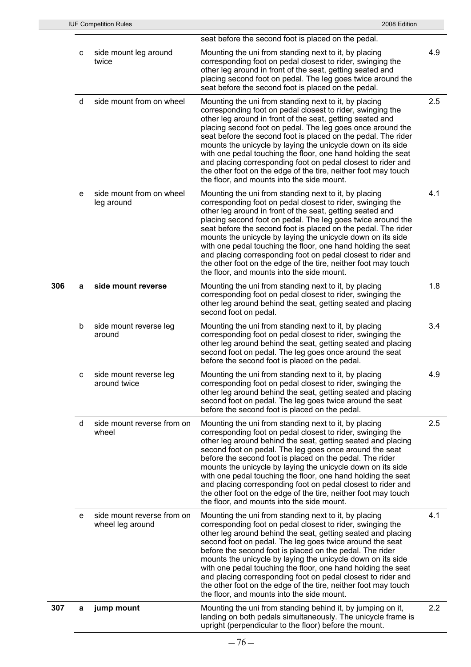|     |   | <b>IUF Competition Rules</b>                   | 2008 Edition                                                                                                                                                                                                                                                                                                                                                                                                                                                                                                                                                                                                                    |     |
|-----|---|------------------------------------------------|---------------------------------------------------------------------------------------------------------------------------------------------------------------------------------------------------------------------------------------------------------------------------------------------------------------------------------------------------------------------------------------------------------------------------------------------------------------------------------------------------------------------------------------------------------------------------------------------------------------------------------|-----|
|     |   |                                                | seat before the second foot is placed on the pedal.                                                                                                                                                                                                                                                                                                                                                                                                                                                                                                                                                                             |     |
| 306 | с | side mount leg around<br>twice                 | Mounting the uni from standing next to it, by placing<br>corresponding foot on pedal closest to rider, swinging the<br>other leg around in front of the seat, getting seated and<br>placing second foot on pedal. The leg goes twice around the<br>seat before the second foot is placed on the pedal.                                                                                                                                                                                                                                                                                                                          | 4.9 |
|     | d | side mount from on wheel                       | Mounting the uni from standing next to it, by placing<br>corresponding foot on pedal closest to rider, swinging the<br>other leg around in front of the seat, getting seated and<br>placing second foot on pedal. The leg goes once around the<br>seat before the second foot is placed on the pedal. The rider<br>mounts the unicycle by laying the unicycle down on its side<br>with one pedal touching the floor, one hand holding the seat<br>and placing corresponding foot on pedal closest to rider and<br>the other foot on the edge of the tire, neither foot may touch<br>the floor, and mounts into the side mount.  | 2.5 |
|     | е | side mount from on wheel<br>leg around         | Mounting the uni from standing next to it, by placing<br>corresponding foot on pedal closest to rider, swinging the<br>other leg around in front of the seat, getting seated and<br>placing second foot on pedal. The leg goes twice around the<br>seat before the second foot is placed on the pedal. The rider<br>mounts the unicycle by laying the unicycle down on its side<br>with one pedal touching the floor, one hand holding the seat<br>and placing corresponding foot on pedal closest to rider and<br>the other foot on the edge of the tire, neither foot may touch<br>the floor, and mounts into the side mount. | 4.1 |
|     | a | side mount reverse                             | Mounting the uni from standing next to it, by placing<br>corresponding foot on pedal closest to rider, swinging the<br>other leg around behind the seat, getting seated and placing<br>second foot on pedal.                                                                                                                                                                                                                                                                                                                                                                                                                    | 1.8 |
|     | b | side mount reverse leg<br>around               | Mounting the uni from standing next to it, by placing<br>corresponding foot on pedal closest to rider, swinging the<br>other leg around behind the seat, getting seated and placing<br>second foot on pedal. The leg goes once around the seat<br>before the second foot is placed on the pedal.                                                                                                                                                                                                                                                                                                                                | 3.4 |
|     | с | side mount reverse leg<br>around twice         | Mounting the uni from standing next to it, by placing<br>corresponding foot on pedal closest to rider, swinging the<br>other leg around behind the seat, getting seated and placing<br>second foot on pedal. The leg goes twice around the seat<br>before the second foot is placed on the pedal.                                                                                                                                                                                                                                                                                                                               | 4.9 |
|     | d | side mount reverse from on<br>wheel            | Mounting the uni from standing next to it, by placing<br>corresponding foot on pedal closest to rider, swinging the<br>other leg around behind the seat, getting seated and placing<br>second foot on pedal. The leg goes once around the seat<br>before the second foot is placed on the pedal. The rider<br>mounts the unicycle by laying the unicycle down on its side<br>with one pedal touching the floor, one hand holding the seat<br>and placing corresponding foot on pedal closest to rider and<br>the other foot on the edge of the tire, neither foot may touch<br>the floor, and mounts into the side mount.       | 2.5 |
|     | е | side mount reverse from on<br>wheel leg around | Mounting the uni from standing next to it, by placing<br>corresponding foot on pedal closest to rider, swinging the<br>other leg around behind the seat, getting seated and placing<br>second foot on pedal. The leg goes twice around the seat<br>before the second foot is placed on the pedal. The rider<br>mounts the unicycle by laying the unicycle down on its side<br>with one pedal touching the floor, one hand holding the seat<br>and placing corresponding foot on pedal closest to rider and<br>the other foot on the edge of the tire, neither foot may touch<br>the floor, and mounts into the side mount.      | 4.1 |
| 307 | а | jump mount                                     | Mounting the uni from standing behind it, by jumping on it,<br>landing on both pedals simultaneously. The unicycle frame is<br>upright (perpendicular to the floor) before the mount.                                                                                                                                                                                                                                                                                                                                                                                                                                           | 2.2 |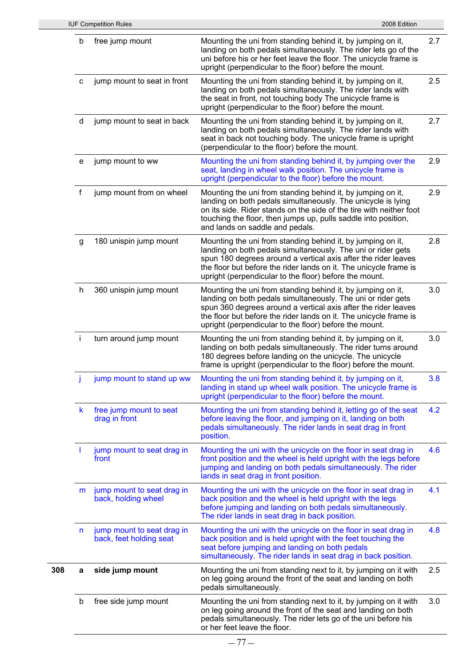|     |              | <b>IUF Competition Rules</b>                          | 2008 Edition                                                                                                                                                                                                                                                                                                                 |     |
|-----|--------------|-------------------------------------------------------|------------------------------------------------------------------------------------------------------------------------------------------------------------------------------------------------------------------------------------------------------------------------------------------------------------------------------|-----|
|     | b            | free jump mount                                       | Mounting the uni from standing behind it, by jumping on it,<br>landing on both pedals simultaneously. The rider lets go of the<br>uni before his or her feet leave the floor. The unicycle frame is<br>upright (perpendicular to the floor) before the mount.                                                                | 2.7 |
|     | с            | jump mount to seat in front                           | Mounting the uni from standing behind it, by jumping on it,<br>landing on both pedals simultaneously. The rider lands with<br>the seat in front, not touching body The unicycle frame is<br>upright (perpendicular to the floor) before the mount.                                                                           | 2.5 |
|     | d            | jump mount to seat in back                            | Mounting the uni from standing behind it, by jumping on it,<br>landing on both pedals simultaneously. The rider lands with<br>seat in back not touching body. The unicycle frame is upright<br>(perpendicular to the floor) before the mount.                                                                                | 2.7 |
|     | е            | jump mount to ww                                      | Mounting the uni from standing behind it, by jumping over the<br>seat, landing in wheel walk position. The unicycle frame is<br>upright (perpendicular to the floor) before the mount.                                                                                                                                       | 2.9 |
|     | f            | jump mount from on wheel                              | Mounting the uni from standing behind it, by jumping on it,<br>landing on both pedals simultaneously. The unicycle is lying<br>on its side. Rider stands on the side of the tire with neither foot<br>touching the floor, then jumps up, pulls saddle into position,<br>and lands on saddle and pedals.                      | 2.9 |
|     | g            | 180 unispin jump mount                                | Mounting the uni from standing behind it, by jumping on it,<br>landing on both pedals simultaneously. The uni or rider gets<br>spun 180 degrees around a vertical axis after the rider leaves<br>the floor but before the rider lands on it. The unicycle frame is<br>upright (perpendicular to the floor) before the mount. | 2.8 |
|     | h            | 360 unispin jump mount                                | Mounting the uni from standing behind it, by jumping on it,<br>landing on both pedals simultaneously. The uni or rider gets<br>spun 360 degrees around a vertical axis after the rider leaves<br>the floor but before the rider lands on it. The unicycle frame is<br>upright (perpendicular to the floor) before the mount. | 3.0 |
|     | $\mathbf{i}$ | turn around jump mount                                | Mounting the uni from standing behind it, by jumping on it,<br>landing on both pedals simultaneously. The rider turns around<br>180 degrees before landing on the unicycle. The unicycle<br>frame is upright (perpendicular to the floor) before the mount.                                                                  | 3.0 |
|     |              | jump mount to stand up ww                             | Mounting the uni from standing behind it, by jumping on it,<br>landing in stand up wheel walk position. The unicycle frame is<br>upright (perpendicular to the floor) before the mount.                                                                                                                                      | 3.8 |
|     | $\mathsf{k}$ | free jump mount to seat<br>drag in front              | Mounting the uni from standing behind it, letting go of the seat<br>before leaving the floor, and jumping on it, landing on both<br>pedals simultaneously. The rider lands in seat drag in front<br>position.                                                                                                                | 4.2 |
|     |              | jump mount to seat drag in<br>front                   | Mounting the uni with the unicycle on the floor in seat drag in<br>front position and the wheel is held upright with the legs before<br>jumping and landing on both pedals simultaneously. The rider<br>lands in seat drag in front position.                                                                                | 4.6 |
|     | m            | jump mount to seat drag in<br>back, holding wheel     | Mounting the uni with the unicycle on the floor in seat drag in<br>back position and the wheel is held upright with the legs<br>before jumping and landing on both pedals simultaneously.<br>The rider lands in seat drag in back position.                                                                                  | 4.1 |
|     | n            | jump mount to seat drag in<br>back, feet holding seat | Mounting the uni with the unicycle on the floor in seat drag in<br>back position and is held upright with the feet touching the<br>seat before jumping and landing on both pedals<br>simultaneously. The rider lands in seat drag in back position.                                                                          | 4.8 |
| 308 | а            | side jump mount                                       | Mounting the uni from standing next to it, by jumping on it with<br>on leg going around the front of the seat and landing on both<br>pedals simultaneously.                                                                                                                                                                  | 2.5 |
|     | b            | free side jump mount                                  | Mounting the uni from standing next to it, by jumping on it with<br>on leg going around the front of the seat and landing on both<br>pedals simultaneously. The rider lets go of the uni before his<br>or her feet leave the floor.                                                                                          | 3.0 |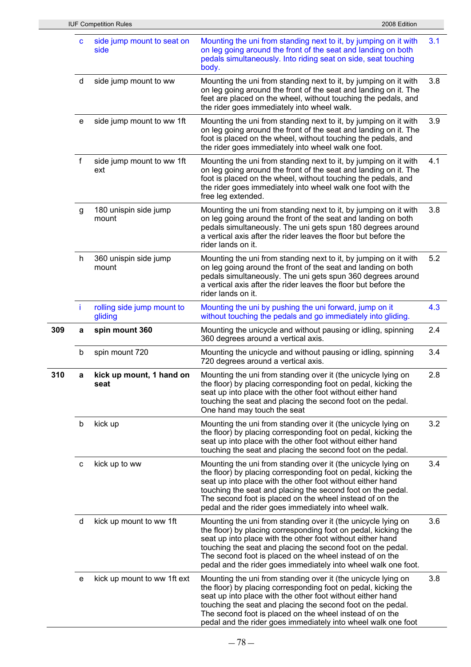|     |                     | <b>IUF Competition Rules</b>          | 2008 Edition                                                                                                                                                                                                                                                                                                                                                                               |     |  |  |  |  |  |  |
|-----|---------------------|---------------------------------------|--------------------------------------------------------------------------------------------------------------------------------------------------------------------------------------------------------------------------------------------------------------------------------------------------------------------------------------------------------------------------------------------|-----|--|--|--|--|--|--|
|     | C                   | side jump mount to seat on<br>side    | Mounting the uni from standing next to it, by jumping on it with<br>on leg going around the front of the seat and landing on both<br>pedals simultaneously. Into riding seat on side, seat touching<br>body.                                                                                                                                                                               | 3.1 |  |  |  |  |  |  |
|     | d                   | side jump mount to ww                 | Mounting the uni from standing next to it, by jumping on it with<br>on leg going around the front of the seat and landing on it. The<br>feet are placed on the wheel, without touching the pedals, and<br>the rider goes immediately into wheel walk.                                                                                                                                      |     |  |  |  |  |  |  |
|     | е                   | side jump mount to ww 1ft             | Mounting the uni from standing next to it, by jumping on it with<br>on leg going around the front of the seat and landing on it. The<br>foot is placed on the wheel, without touching the pedals, and<br>the rider goes immediately into wheel walk one foot.                                                                                                                              | 3.9 |  |  |  |  |  |  |
|     | f                   | side jump mount to ww 1ft<br>ext      | Mounting the uni from standing next to it, by jumping on it with<br>on leg going around the front of the seat and landing on it. The<br>foot is placed on the wheel, without touching the pedals, and<br>the rider goes immediately into wheel walk one foot with the<br>free leg extended.                                                                                                | 4.1 |  |  |  |  |  |  |
|     | g                   | 180 unispin side jump<br>mount        | Mounting the uni from standing next to it, by jumping on it with<br>on leg going around the front of the seat and landing on both<br>pedals simultaneously. The uni gets spun 180 degrees around<br>a vertical axis after the rider leaves the floor but before the<br>rider lands on it.                                                                                                  | 3.8 |  |  |  |  |  |  |
|     | h                   | 360 unispin side jump<br>mount        | Mounting the uni from standing next to it, by jumping on it with<br>on leg going around the front of the seat and landing on both<br>pedals simultaneously. The uni gets spun 360 degrees around<br>a vertical axis after the rider leaves the floor but before the<br>rider lands on it.                                                                                                  | 5.2 |  |  |  |  |  |  |
|     | ÷                   | rolling side jump mount to<br>gliding | Mounting the uni by pushing the uni forward, jump on it<br>without touching the pedals and go immediately into gliding.                                                                                                                                                                                                                                                                    |     |  |  |  |  |  |  |
| 309 | spin mount 360<br>а |                                       | Mounting the unicycle and without pausing or idling, spinning<br>360 degrees around a vertical axis.                                                                                                                                                                                                                                                                                       |     |  |  |  |  |  |  |
|     | b                   | spin mount 720                        | Mounting the unicycle and without pausing or idling, spinning<br>720 degrees around a vertical axis.                                                                                                                                                                                                                                                                                       | 3.4 |  |  |  |  |  |  |
| 310 | a                   | kick up mount. 1 hand on<br>seat      | Mounting the uni from standing over it (the unicycle lying on<br>the floor) by placing corresponding foot on pedal, kicking the<br>seat up into place with the other foot without either hand<br>touching the seat and placing the second foot on the pedal.<br>One hand may touch the seat                                                                                                |     |  |  |  |  |  |  |
|     | b                   | kick up                               | Mounting the uni from standing over it (the unicycle lying on<br>the floor) by placing corresponding foot on pedal, kicking the<br>seat up into place with the other foot without either hand<br>touching the seat and placing the second foot on the pedal.                                                                                                                               | 3.2 |  |  |  |  |  |  |
|     | с                   | kick up to ww                         | Mounting the uni from standing over it (the unicycle lying on<br>the floor) by placing corresponding foot on pedal, kicking the<br>seat up into place with the other foot without either hand<br>touching the seat and placing the second foot on the pedal.<br>The second foot is placed on the wheel instead of on the<br>pedal and the rider goes immediately into wheel walk.          | 3.4 |  |  |  |  |  |  |
|     | d                   | kick up mount to ww 1ft               | Mounting the uni from standing over it (the unicycle lying on<br>the floor) by placing corresponding foot on pedal, kicking the<br>seat up into place with the other foot without either hand<br>touching the seat and placing the second foot on the pedal.<br>The second foot is placed on the wheel instead of on the<br>pedal and the rider goes immediately into wheel walk one foot. | 3.6 |  |  |  |  |  |  |
|     | е                   | kick up mount to ww 1ft ext           | Mounting the uni from standing over it (the unicycle lying on<br>the floor) by placing corresponding foot on pedal, kicking the<br>seat up into place with the other foot without either hand<br>touching the seat and placing the second foot on the pedal.<br>The second foot is placed on the wheel instead of on the<br>pedal and the rider goes immediately into wheel walk one foot  | 3.8 |  |  |  |  |  |  |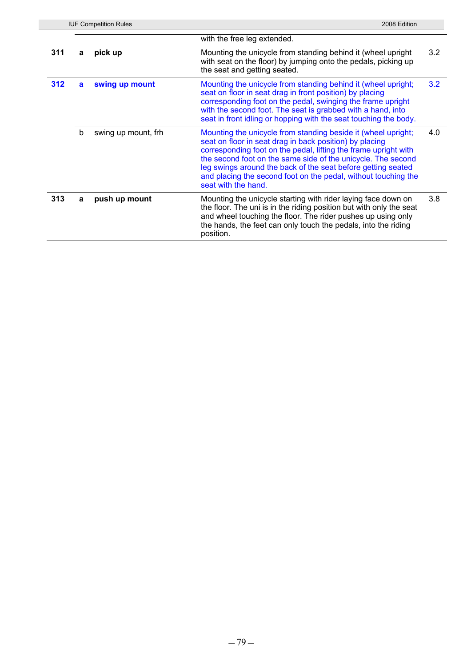|     | <b>IUF Competition Rules</b><br>2008 Edition |                     |                                                                                                                                                                                                                                                                                                                                                                                                                      |     |  |  |
|-----|----------------------------------------------|---------------------|----------------------------------------------------------------------------------------------------------------------------------------------------------------------------------------------------------------------------------------------------------------------------------------------------------------------------------------------------------------------------------------------------------------------|-----|--|--|
|     |                                              |                     | with the free leg extended.                                                                                                                                                                                                                                                                                                                                                                                          |     |  |  |
| 311 | a                                            | pick up             | Mounting the unicycle from standing behind it (wheel upright<br>with seat on the floor) by jumping onto the pedals, picking up<br>the seat and getting seated.                                                                                                                                                                                                                                                       | 3.2 |  |  |
| 312 | a                                            | swing up mount      | Mounting the unicycle from standing behind it (wheel upright;<br>seat on floor in seat drag in front position) by placing<br>corresponding foot on the pedal, swinging the frame upright<br>with the second foot. The seat is grabbed with a hand, into<br>seat in front idling or hopping with the seat touching the body.                                                                                          | 3.2 |  |  |
|     | b                                            | swing up mount, frh | Mounting the unicycle from standing beside it (wheel upright;<br>seat on floor in seat drag in back position) by placing<br>corresponding foot on the pedal, lifting the frame upright with<br>the second foot on the same side of the unicycle. The second<br>leg swings around the back of the seat before getting seated<br>and placing the second foot on the pedal, without touching the<br>seat with the hand. | 4.0 |  |  |
| 313 | a                                            | push up mount       | Mounting the unicycle starting with rider laying face down on<br>the floor. The uni is in the riding position but with only the seat<br>and wheel touching the floor. The rider pushes up using only<br>the hands, the feet can only touch the pedals, into the riding<br>position.                                                                                                                                  | 3.8 |  |  |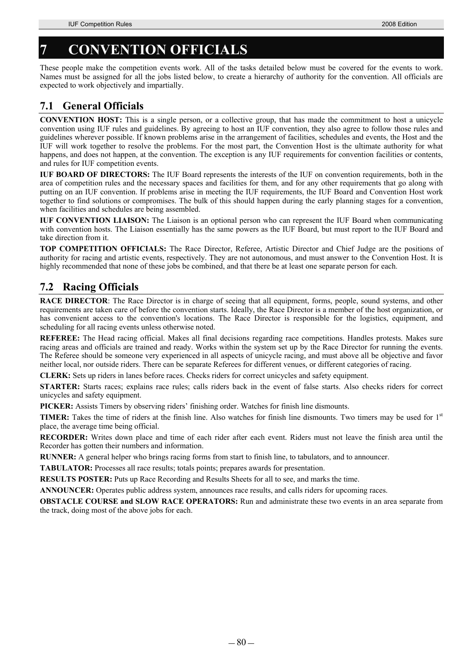# **7 CONVENTION OFFICIALS**

These people make the competition events work. All of the tasks detailed below must be covered for the events to work. Names must be assigned for all the jobs listed below, to create a hierarchy of authority for the convention. All officials are expected to work objectively and impartially.

# **7.1 General Officials**

**CONVENTION HOST:** This is a single person, or a collective group, that has made the commitment to host a unicycle convention using IUF rules and guidelines. By agreeing to host an IUF convention, they also agree to follow those rules and guidelines wherever possible. If known problems arise in the arrangement of facilities, schedules and events, the Host and the IUF will work together to resolve the problems. For the most part, the Convention Host is the ultimate authority for what happens, and does not happen, at the convention. The exception is any IUF requirements for convention facilities or contents, and rules for IUF competition events.

**IUF BOARD OF DIRECTORS:** The IUF Board represents the interests of the IUF on convention requirements, both in the area of competition rules and the necessary spaces and facilities for them, and for any other requirements that go along with putting on an IUF convention. If problems arise in meeting the IUF requirements, the IUF Board and Convention Host work together to find solutions or compromises. The bulk of this should happen during the early planning stages for a convention, when facilities and schedules are being assembled.

**IUF CONVENTION LIAISON:** The Liaison is an optional person who can represent the IUF Board when communicating with convention hosts. The Liaison essentially has the same powers as the IUF Board, but must report to the IUF Board and take direction from it.

**TOP COMPETITION OFFICIALS:** The Race Director, Referee, Artistic Director and Chief Judge are the positions of authority for racing and artistic events, respectively. They are not autonomous, and must answer to the Convention Host. It is highly recommended that none of these jobs be combined, and that there be at least one separate person for each.

# **7.2 Racing Officials**

**RACE DIRECTOR:** The Race Director is in charge of seeing that all equipment, forms, people, sound systems, and other requirements are taken care of before the convention starts. Ideally, the Race Director is a member of the host organization, or has convenient access to the convention's locations. The Race Director is responsible for the logistics, equipment, and scheduling for all racing events unless otherwise noted.

**REFEREE:** The Head racing official. Makes all final decisions regarding race competitions. Handles protests. Makes sure racing areas and officials are trained and ready. Works within the system set up by the Race Director for running the events. The Referee should be someone very experienced in all aspects of unicycle racing, and must above all be objective and favor neither local, nor outside riders. There can be separate Referees for different venues, or different categories of racing.

**CLERK:** Sets up riders in lanes before races. Checks riders for correct unicycles and safety equipment.

**STARTER:** Starts races; explains race rules; calls riders back in the event of false starts. Also checks riders for correct unicycles and safety equipment.

**PICKER:** Assists Timers by observing riders' finishing order. Watches for finish line dismounts.

**TIMER:** Takes the time of riders at the finish line. Also watches for finish line dismounts. Two timers may be used for 1<sup>st</sup> place, the average time being official.

**RECORDER:** Writes down place and time of each rider after each event. Riders must not leave the finish area until the Recorder has gotten their numbers and information.

**RUNNER:** A general helper who brings racing forms from start to finish line, to tabulators, and to announcer.

**TABULATOR:** Processes all race results; totals points; prepares awards for presentation.

**RESULTS POSTER:** Puts up Race Recording and Results Sheets for all to see, and marks the time.

**ANNOUNCER:** Operates public address system, announces race results, and calls riders for upcoming races.

**OBSTACLE COURSE and SLOW RACE OPERATORS:** Run and administrate these two events in an area separate from the track, doing most of the above jobs for each.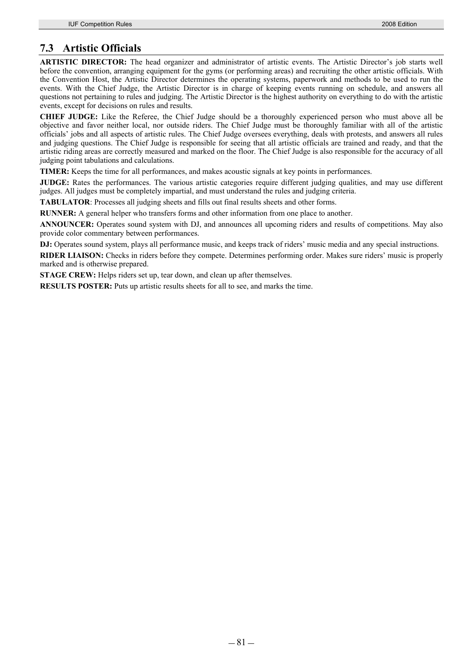## **7.3 Artistic Officials**

**ARTISTIC DIRECTOR:** The head organizer and administrator of artistic events. The Artistic Director's job starts well before the convention, arranging equipment for the gyms (or performing areas) and recruiting the other artistic officials. With the Convention Host, the Artistic Director determines the operating systems, paperwork and methods to be used to run the events. With the Chief Judge, the Artistic Director is in charge of keeping events running on schedule, and answers all questions not pertaining to rules and judging. The Artistic Director is the highest authority on everything to do with the artistic events, except for decisions on rules and results.

**CHIEF JUDGE:** Like the Referee, the Chief Judge should be a thoroughly experienced person who must above all be objective and favor neither local, nor outside riders. The Chief Judge must be thoroughly familiar with all of the artistic officials' jobs and all aspects of artistic rules. The Chief Judge oversees everything, deals with protests, and answers all rules and judging questions. The Chief Judge is responsible for seeing that all artistic officials are trained and ready, and that the artistic riding areas are correctly measured and marked on the floor. The Chief Judge is also responsible for the accuracy of all judging point tabulations and calculations.

**TIMER:** Keeps the time for all performances, and makes acoustic signals at key points in performances.

**JUDGE:** Rates the performances. The various artistic categories require different judging qualities, and may use different judges. All judges must be completely impartial, and must understand the rules and judging criteria.

**TABULATOR**: Processes all judging sheets and fills out final results sheets and other forms.

**RUNNER:** A general helper who transfers forms and other information from one place to another.

**ANNOUNCER:** Operates sound system with DJ, and announces all upcoming riders and results of competitions. May also provide color commentary between performances.

**DJ:** Operates sound system, plays all performance music, and keeps track of riders' music media and any special instructions.

**RIDER LIAISON:** Checks in riders before they compete. Determines performing order. Makes sure riders' music is properly marked and is otherwise prepared.

**STAGE CREW:** Helps riders set up, tear down, and clean up after themselves.

**RESULTS POSTER:** Puts up artistic results sheets for all to see, and marks the time.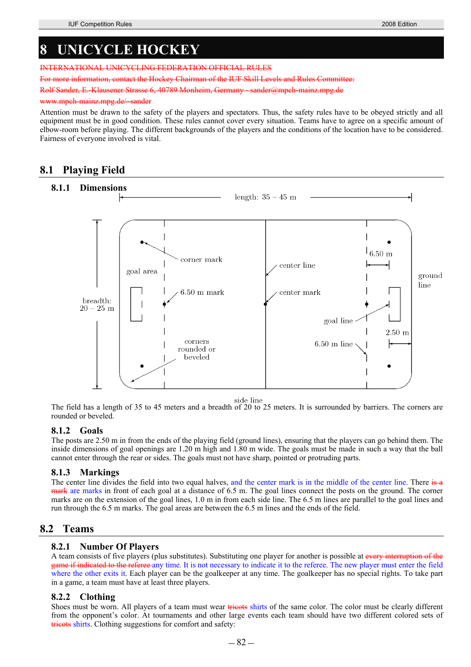# **8 UNICYCLE HOCKEY**

INTERNATIONAL UNICYCLING FEDERATION OFFICIAL RULES

Chairman of the HIE Skill Levels

Rolf Sander, E.-Klausener Strasse 6, 40789 Monheim, Germany - sander@mpch-mainz.mpg.de

#### www.mpch-mainz.mpg.de/

Attention must be drawn to the safety of the players and spectators. Thus, the safety rules have to be obeyed strictly and all equipment must be in good condition. These rules cannot cover every situation. Teams have to agree on a specific amount of elbow-room before playing. The different backgrounds of the players and the conditions of the location have to be considered. Fairness of everyone involved is vital.

## **8.1 Playing Field**



side line<br>The field has a length of 35 to 45 meters and a breadth of 20 to 25 meters. It is surrounded by barriers. The corners are rounded or beveled.

### **8.1.2 Goals**

The posts are 2.50 m in from the ends of the playing field (ground lines), ensuring that the players can go behind them. The inside dimensions of goal openings are 1.20 m high and 1.80 m wide. The goals must be made in such a way that the ball cannot enter through the rear or sides. The goals must not have sharp, pointed or protruding parts.

### **8.1.3 Markings**

The center line divides the field into two equal halves, and the center mark is in the middle of the center line. There is a mark are marks in front of each goal at a distance of 6.5 m. The goal lines connect the posts on the ground. The corner marks are on the extension of the goal lines, 1.0 m in from each side line. The 6.5 m lines are parallel to the goal lines and run through the 6.5 m marks. The goal areas are between the 6.5 m lines and the ends of the field.

### **8.2 Teams**

### **8.2.1 Number Of Players**

A team consists of five players (plus substitutes). Substituting one player for another is possible at every interruption of the game if indicated to the referee any time. It is not necessary to indicate it to the referee. The new player must enter the field where the other exits it. Each player can be the goalkeeper at any time. The goalkeeper has no special rights. To take part in a game, a team must have at least three players.

### **8.2.2 Clothing**

Shoes must be worn. All players of a team must wear tricots shirts of the same color. The color must be clearly different from the opponent's color. At tournaments and other large events each team should have two different colored sets of tricots shirts. Clothing suggestions for comfort and safety: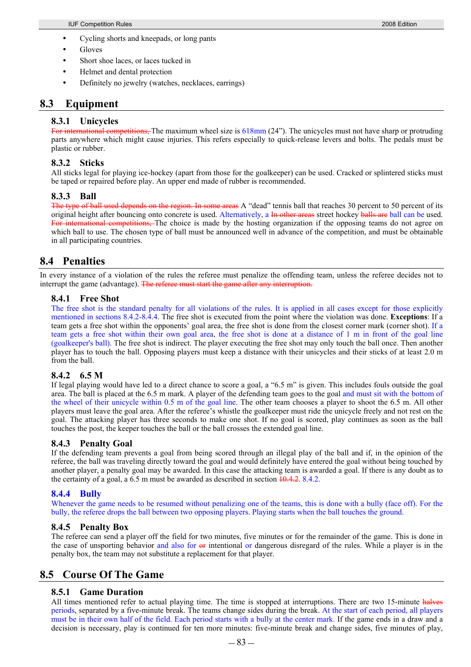- Cycling shorts and kneepads, or long pants
- Gloves
- Short shoe laces, or laces tucked in
- Helmet and dental protection
- Definitely no jewelry (watches, necklaces, earrings)

### **8.3 Equipment**

### **8.3.1 Unicycles**

For international competitions, The maximum wheel size is 618mm (24"). The unicycles must not have sharp or protruding parts anywhere which might cause injuries. This refers especially to quick-release levers and bolts. The pedals must be plastic or rubber.

### **8.3.2 Sticks**

All sticks legal for playing ice-hockey (apart from those for the goalkeeper) can be used. Cracked or splintered sticks must be taped or repaired before play. An upper end made of rubber is recommended.

### **8.3.3 Ball**

The type of ball used depends on the region. In some areas A "dead" tennis ball that reaches 30 percent to 50 percent of its original height after bouncing onto concrete is used. Alternatively, a In other areas street hockey balls are ball can be used. **Example 2** international competitions. The choice is made by the hosting organization if the opposing teams do not agree on which ball to use. The chosen type of ball must be announced well in advance of the competition, and must be obtainable in all participating countries.

### **8.4 Penalties**

In every instance of a violation of the rules the referee must penalize the offending team, unless the referee decides not to interrupt the game (advantage). The referee must start the game after any interruption.

### **8.4.1 Free Shot**

The free shot is the standard penalty for all violations of the rules. It is applied in all cases except for those explicitly mentioned in sections 8.4.2-8.4.4. The free shot is executed from the point where the violation was done. **Exceptions**: If a team gets a free shot within the opponents' goal area, the free shot is done from the closest corner mark (corner shot). If a team gets a free shot within their own goal area, the free shot is done at a distance of 1 m in front of the goal line (goalkeeper's ball). The free shot is indirect. The player executing the free shot may only touch the ball once. Then another player has to touch the ball. Opposing players must keep a distance with their unicycles and their sticks of at least 2.0 m from the ball.

### **8.4.2 6.5 M**

If legal playing would have led to a direct chance to score a goal, a "6.5 m" is given. This includes fouls outside the goal area. The ball is placed at the 6.5 m mark. A player of the defending team goes to the goal and must sit with the bottom of the wheel of their unicycle within 0.5 m of the goal line. The other team chooses a player to shoot the 6.5 m. All other players must leave the goal area. After the referee's whistle the goalkeeper must ride the unicycle freely and not rest on the goal. The attacking player has three seconds to make one shot. If no goal is scored, play continues as soon as the ball touches the post, the keeper touches the ball or the ball crosses the extended goal line.

### **8.4.3 Penalty Goal**

If the defending team prevents a goal from being scored through an illegal play of the ball and if, in the opinion of the referee, the ball was traveling directly toward the goal and would definitely have entered the goal without being touched by another player, a penalty goal may be awarded. In this case the attacking team is awarded a goal. If there is any doubt as to the certainty of a goal, a  $6.5$  m must be awarded as described in section  $10.4.2$ .  $8.4.2$ .

### **8.4.4 Bully**

Whenever the game needs to be resumed without penalizing one of the teams, this is done with a bully (face off). For the bully, the referee drops the ball between two opposing players. Playing starts when the ball touches the ground.

### **8.4.5 Penalty Box**

The referee can send a player off the field for two minutes, five minutes or for the remainder of the game. This is done in the case of unsporting behavior and also for  $\Theta$  intentional or dangerous disregard of the rules. While a player is in the penalty box, the team may not substitute a replacement for that player.

### **8.5 Course Of The Game**

### **8.5.1 Game Duration**

All times mentioned refer to actual playing time. The time is stopped at interruptions. There are two 15-minute halves periods, separated by a five-minute break. The teams change sides during the break. At the start of each period, all players must be in their own half of the field. Each period starts with a bully at the center mark. If the game ends in a draw and a decision is necessary, play is continued for ten more minutes: five-minute break and change sides, five minutes of play,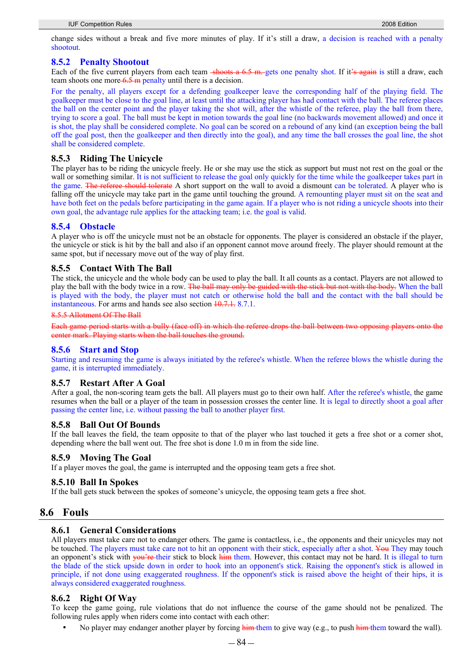change sides without a break and five more minutes of play. If it's still a draw, a decision is reached with a penalty shootout.

### **8.5.2 Penalty Shootout**

Each of the five current players from each team  $\frac{\text{-(1)}}{\text{6}}$  = 6.5 m. gets one penalty shot. If it's again is still a draw, each team shoots one more 6.5 m penalty until there is a decision.

For the penalty, all players except for a defending goalkeeper leave the corresponding half of the playing field. The goalkeeper must be close to the goal line, at least until the attacking player has had contact with the ball. The referee places the ball on the center point and the player taking the shot will, after the whistle of the referee, play the ball from there, trying to score a goal. The ball must be kept in motion towards the goal line (no backwards movement allowed) and once it is shot, the play shall be considered complete. No goal can be scored on a rebound of any kind (an exception being the ball off the goal post, then the goalkeeper and then directly into the goal), and any time the ball crosses the goal line, the shot shall be considered complete.

### **8.5.3 Riding The Unicycle**

The player has to be riding the unicycle freely. He or she may use the stick as support but must not rest on the goal or the wall or something similar. It is not sufficient to release the goal only quickly for the time while the goalkeeper takes part in the game. The referee should tolerate A short support on the wall to avoid a dismount can be tolerated. A player who is falling off the unicycle may take part in the game until touching the ground. A remounting player must sit on the seat and have both feet on the pedals before participating in the game again. If a player who is not riding a unicycle shoots into their own goal, the advantage rule applies for the attacking team; i.e. the goal is valid.

### **8.5.4 Obstacle**

A player who is off the unicycle must not be an obstacle for opponents. The player is considered an obstacle if the player, the unicycle or stick is hit by the ball and also if an opponent cannot move around freely. The player should remount at the same spot, but if necessary move out of the way of play first.

### **8.5.5 Contact With The Ball**

The stick, the unicycle and the whole body can be used to play the ball. It all counts as a contact. Players are not allowed to play the ball with the body twice in a row. The ball may only be guided with the stick but not with the body. When the ball is played with the body, the player must not catch or otherwise hold the ball and the contact with the ball should be instantaneous. For arms and hands see also section 10.7.1. 8.7.1.

#### 8.5.5 Allotment Of The Ball

Each game period starts with a bully (face off) in which the referee drops the ball between two opposing players onto the center mark. Playing starts when the ball touches the ground.

### **8.5.6 Start and Stop**

Starting and resuming the game is always initiated by the referee's whistle. When the referee blows the whistle during the game, it is interrupted immediately.

### **8.5.7 Restart After A Goal**

After a goal, the non-scoring team gets the ball. All players must go to their own half. After the referee's whistle, the game resumes when the ball or a player of the team in possession crosses the center line. It is legal to directly shoot a goal after passing the center line, i.e. without passing the ball to another player first.

### **8.5.8 Ball Out Of Bounds**

If the ball leaves the field, the team opposite to that of the player who last touched it gets a free shot or a corner shot, depending where the ball went out. The free shot is done 1.0 m in from the side line.

### **8.5.9 Moving The Goal**

If a player moves the goal, the game is interrupted and the opposing team gets a free shot.

### **8.5.10 Ball In Spokes**

If the ball gets stuck between the spokes of someone's unicycle, the opposing team gets a free shot.

### **8.6 Fouls**

#### **8.6.1 General Considerations**

All players must take care not to endanger others. The game is contactless, i.e., the opponents and their unicycles may not be touched. The players must take care not to hit an opponent with their stick, especially after a shot. You They may touch an opponent's stick with you're their stick to block him them. However, this contact may not be hard. It is illegal to turn the blade of the stick upside down in order to hook into an opponent's stick. Raising the opponent's stick is allowed in principle, if not done using exaggerated roughness. If the opponent's stick is raised above the height of their hips, it is always considered exaggerated roughness.

### **8.6.2 Right Of Way**

To keep the game going, rule violations that do not influence the course of the game should not be penalized. The following rules apply when riders come into contact with each other:

No player may endanger another player by forcing him them to give way (e.g., to push him them toward the wall).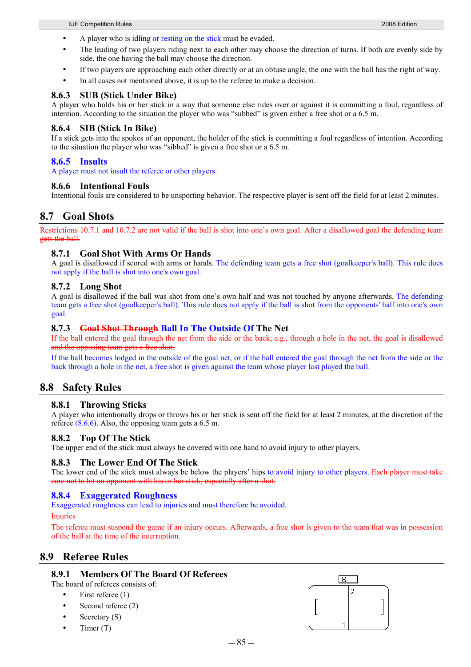- A player who is idling or resting on the stick must be evaded.
- The leading of two players riding next to each other may choose the direction of turns. If both are evenly side by side, the one having the ball may choose the direction.
- If two players are approaching each other directly or at an obtuse angle, the one with the ball has the right of way.
- In all cases not mentioned above, it is up to the referee to make a decision.

### **8.6.3 SUB (Stick Under Bike)**

A player who holds his or her stick in a way that someone else rides over or against it is committing a foul, regardless of intention. According to the situation the player who was "subbed" is given either a free shot or a 6.5 m.

### **8.6.4 SIB (Stick In Bike)**

If a stick gets into the spokes of an opponent, the holder of the stick is committing a foul regardless of intention. According to the situation the player who was "sibbed" is given a free shot or a 6.5 m.

### **8.6.5 Insults**

A player must not insult the referee or other players.

### **8.6.6 Intentional Fouls**

Intentional fouls are considered to be unsporting behavior. The respective player is sent off the field for at least 2 minutes.

### **8.7 Goal Shots**

Restrictions 10.7.1 and 10.7.2 are not valid if the ball is shot into one's own goal. After a disallowed goal the defending team gets the ball.

### **8.7.1 Goal Shot With Arms Or Hands**

A goal is disallowed if scored with arms or hands. The defending team gets a free shot (goalkeeper's ball). This rule does not apply if the ball is shot into one's own goal.

### **8.7.2 Long Shot**

A goal is disallowed if the ball was shot from one's own half and was not touched by anyone afterwards. The defending team gets a free shot (goalkeeper's ball). This rule does not apply if the ball is shot from the opponents' half into one's own goal.

### **8.7.3 Goal Shot Through Ball In The Outside Of The Net**

If the ball entered the goal through the net from the side or the back, e.g., through a hole in the net, the goal is disallowed and the opposing team gets a free shot.

If the ball becomes lodged in the outside of the goal net, or if the ball entered the goal through the net from the side or the back through a hole in the net, a free shot is given against the team whose player last played the ball.

### **8.8 Safety Rules**

### **8.8.1 Throwing Sticks**

A player who intentionally drops or throws his or her stick is sent off the field for at least 2 minutes, at the discretion of the referee (8.6.6). Also, the opposing team gets a 6.5 m.

### **8.8.2 Top Of The Stick**

The upper end of the stick must always be covered with one hand to avoid injury to other players.

### **8.8.3 The Lower End Of The Stick**

The lower end of the stick must always be below the players' hips to avoid injury to other players. Each player must take care not to hit an opponent with his or her stick, especially after a shot.

### **8.8.4 Exaggerated Roughness**

Exaggerated roughness can lead to injuries and must therefore be avoided.

#### **Injuries**

The referee must suspend the game if an injury occurs. of the ball at the time of the interruption.

### **8.9 Referee Rules**

### **8.9.1 Members Of The Board Of Referees**

The board of referees consists of:

- First referee (1)
- Second referee (2)
- Secretary  $(S)$
- Timer  $(T)$

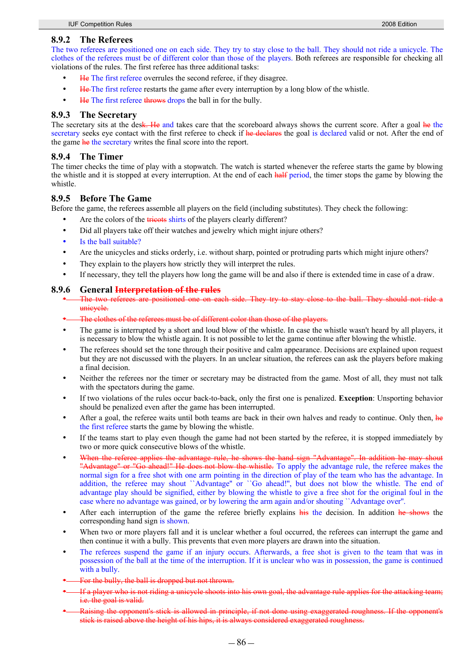### **8.9.2 The Referees**

The two referees are positioned one on each side. They try to stay close to the ball. They should not ride a unicycle. The clothes of the referees must be of different color than those of the players. Both referees are responsible for checking all violations of the rules. The first referee has three additional tasks:

- He The first referee overrules the second referee, if they disagree.
- He The first referee restarts the game after every interruption by a long blow of the whistle.
- He The first referee throws drops the ball in for the bully.

#### **8.9.3 The Secretary**

The secretary sits at the desk. He and takes care that the scoreboard always shows the current score. After a goal he the secretary seeks eye contact with the first referee to check if he declares the goal is declared valid or not. After the end of the game he the secretary writes the final score into the report.

#### **8.9.4 The Timer**

The timer checks the time of play with a stopwatch. The watch is started whenever the referee starts the game by blowing the whistle and it is stopped at every interruption. At the end of each half period, the timer stops the game by blowing the whistle.

### **8.9.5 Before The Game**

Before the game, the referees assemble all players on the field (including substitutes). They check the following:

- Are the colors of the **tricots** shirts of the players clearly different?
- Did all players take off their watches and jewelry which might injure others?
- Is the ball suitable?
- Are the unicycles and sticks orderly, i.e. without sharp, pointed or protruding parts which might injure others?
- They explain to the players how strictly they will interpret the rules.
- If necessary, they tell the players how long the game will be and also if there is extended time in case of a draw.

#### **8.9.6 General Interpretation of the rules**

- The two referees are positioned one on each side. They try to stay close to the ball. They should not ride a unicycle.
- The clothes of the referees must be of different color than those of the players.
- The game is interrupted by a short and loud blow of the whistle. In case the whistle wasn't heard by all players, it is necessary to blow the whistle again. It is not possible to let the game continue after blowing the whistle.
- The referees should set the tone through their positive and calm appearance. Decisions are explained upon request but they are not discussed with the players. In an unclear situation, the referees can ask the players before making a final decision.
- Neither the referees nor the timer or secretary may be distracted from the game. Most of all, they must not talk with the spectators during the game.
- y If two violations of the rules occur back-to-back, only the first one is penalized. **Exception**: Unsporting behavior should be penalized even after the game has been interrupted.
- After a goal, the referee waits until both teams are back in their own halves and ready to continue. Only then, he the first referee starts the game by blowing the whistle.
- If the teams start to play even though the game had not been started by the referee, it is stopped immediately by two or more quick consecutive blows of the whistle.
- When the referee applies the advantage rule, he shows the hand sign "Advantage". In addition he may shout "Advantage" or "Go ahead!" He does not blow the whistle. To apply the advantage rule, the referee makes the normal sign for a free shot with one arm pointing in the direction of play of the team who has the advantage. In addition, the referee may shout ``Advantage" or ``Go ahead!", but does not blow the whistle. The end of advantage play should be signified, either by blowing the whistle to give a free shot for the original foul in the case where no advantage was gained, or by lowering the arm again and/or shouting ``Advantage over''.
- After each interruption of the game the referee briefly explains his the decision. In addition he shows the corresponding hand sign is shown.
- When two or more players fall and it is unclear whether a foul occurred, the referees can interrupt the game and then continue it with a bully. This prevents that even more players are drawn into the situation.
- The referees suspend the game if an injury occurs. Afterwards, a free shot is given to the team that was in possession of the ball at the time of the interruption. If it is unclear who was in possession, the game is continued with a bully.
- For the bully, the ball is dropped but not thrown.
- If a player who is not riding a unicycle shoots into his own goal, the advantage rule applies for the attacking tea i.e. the goal is valid.
- Raising the opponent's stick is allowed in principle, if not done using exaggerated roughness. If the opponent's stick is raised above the height of his hips, it is always considered exaggerated roughness.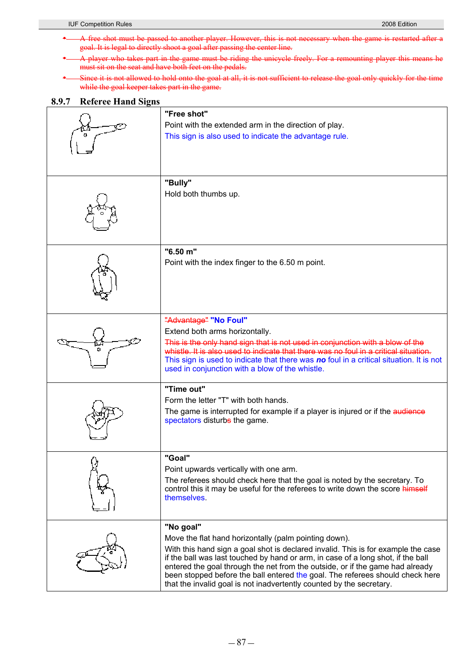- \* A free shot must be passed to another player. However, this is not necessary when the game is restarted after a goal. It is legal to directly shoot a goal after passing the center line.
- \* A player who takes part in the game must be riding the unicycle freely. For a remounting player this means he must sit on the seat and have both feet on the pedals.
- Since it is not allowed to hold onto the goal at all, it is not sufficient to release the goal only quickly for the time while the goal keeper takes part in the game.

### **8.9.7 Referee Hand Signs**

| "Free shot"                                                                                                                                                       |
|-------------------------------------------------------------------------------------------------------------------------------------------------------------------|
| Point with the extended arm in the direction of play.                                                                                                             |
| This sign is also used to indicate the advantage rule.                                                                                                            |
|                                                                                                                                                                   |
|                                                                                                                                                                   |
|                                                                                                                                                                   |
| "Bully"                                                                                                                                                           |
| Hold both thumbs up.                                                                                                                                              |
|                                                                                                                                                                   |
|                                                                                                                                                                   |
|                                                                                                                                                                   |
|                                                                                                                                                                   |
| "6.50 m"                                                                                                                                                          |
| Point with the index finger to the 6.50 m point.                                                                                                                  |
|                                                                                                                                                                   |
|                                                                                                                                                                   |
|                                                                                                                                                                   |
|                                                                                                                                                                   |
| "Advantage" "No Foul"                                                                                                                                             |
| Extend both arms horizontally.                                                                                                                                    |
| This is the only hand sign that is not used in conjunction with a blow of the                                                                                     |
| whistle. It is also used to indicate that there was no foul in a critical situation.                                                                              |
| This sign is used to indicate that there was no foul in a critical situation. It is not                                                                           |
| used in conjunction with a blow of the whistle.                                                                                                                   |
| "Time out"                                                                                                                                                        |
| Form the letter "T" with both hands.                                                                                                                              |
| The game is interrupted for example if a player is injured or if the audience                                                                                     |
| spectators disturbs the game.                                                                                                                                     |
|                                                                                                                                                                   |
|                                                                                                                                                                   |
| "Goal"                                                                                                                                                            |
| Point upwards vertically with one arm.                                                                                                                            |
| The referees should check here that the goal is noted by the secretary. To                                                                                        |
| control this it may be useful for the referees to write down the score himself<br>themselves.                                                                     |
|                                                                                                                                                                   |
|                                                                                                                                                                   |
| "No goal"                                                                                                                                                         |
| Move the flat hand horizontally (palm pointing down).                                                                                                             |
| With this hand sign a goal shot is declared invalid. This is for example the case                                                                                 |
| if the ball was last touched by hand or arm, in case of a long shot, if the ball<br>entered the goal through the net from the outside, or if the game had already |
| been stopped before the ball entered the goal. The referees should check here                                                                                     |
| that the invalid goal is not inadvertently counted by the secretary.                                                                                              |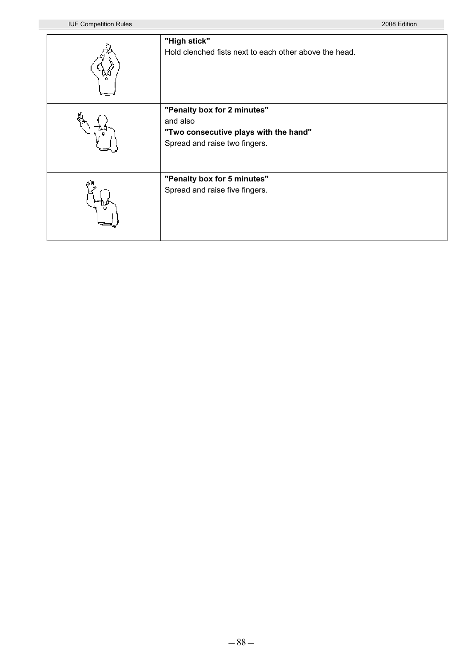| "High stick"<br>Hold clenched fists next to each other above the head.                                            |
|-------------------------------------------------------------------------------------------------------------------|
| "Penalty box for 2 minutes"<br>and also<br>"Two consecutive plays with the hand"<br>Spread and raise two fingers. |
| "Penalty box for 5 minutes"<br>Spread and raise five fingers.                                                     |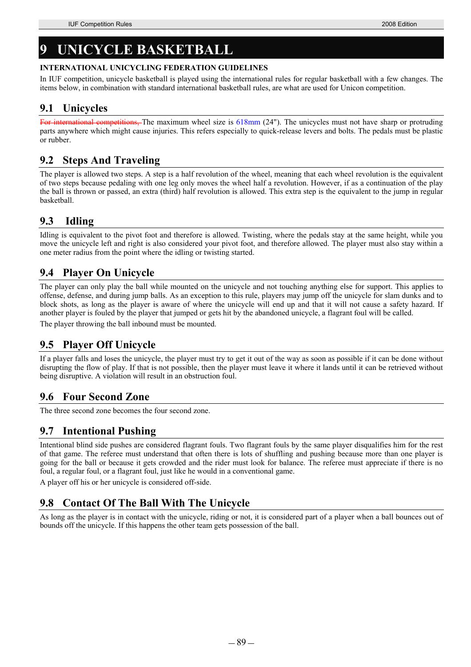# **9 UNICYCLE BASKETBALL**

### **INTERNATIONAL UNICYCLING FEDERATION GUIDELINES**

In IUF competition, unicycle basketball is played using the international rules for regular basketball with a few changes. The items below, in combination with standard international basketball rules, are what are used for Unicon competition.

## **9.1 Unicycles**

For international competitions, The maximum wheel size is 618mm (24"). The unicycles must not have sharp or protruding parts anywhere which might cause injuries. This refers especially to quick-release levers and bolts. The pedals must be plastic or rubber.

# **9.2 Steps And Traveling**

The player is allowed two steps. A step is a half revolution of the wheel, meaning that each wheel revolution is the equivalent of two steps because pedaling with one leg only moves the wheel half a revolution. However, if as a continuation of the play the ball is thrown or passed, an extra (third) half revolution is allowed. This extra step is the equivalent to the jump in regular basketball.

# **9.3 Idling**

Idling is equivalent to the pivot foot and therefore is allowed. Twisting, where the pedals stay at the same height, while you move the unicycle left and right is also considered your pivot foot, and therefore allowed. The player must also stay within a one meter radius from the point where the idling or twisting started.

# **9.4 Player On Unicycle**

The player can only play the ball while mounted on the unicycle and not touching anything else for support. This applies to offense, defense, and during jump balls. As an exception to this rule, players may jump off the unicycle for slam dunks and to block shots, as long as the player is aware of where the unicycle will end up and that it will not cause a safety hazard. If another player is fouled by the player that jumped or gets hit by the abandoned unicycle, a flagrant foul will be called.

The player throwing the ball inbound must be mounted.

# **9.5 Player Off Unicycle**

If a player falls and loses the unicycle, the player must try to get it out of the way as soon as possible if it can be done without disrupting the flow of play. If that is not possible, then the player must leave it where it lands until it can be retrieved without being disruptive. A violation will result in an obstruction foul.

# **9.6 Four Second Zone**

The three second zone becomes the four second zone.

# **9.7 Intentional Pushing**

Intentional blind side pushes are considered flagrant fouls. Two flagrant fouls by the same player disqualifies him for the rest of that game. The referee must understand that often there is lots of shuffling and pushing because more than one player is going for the ball or because it gets crowded and the rider must look for balance. The referee must appreciate if there is no foul, a regular foul, or a flagrant foul, just like he would in a conventional game.

A player off his or her unicycle is considered off-side.

# **9.8 Contact Of The Ball With The Unicycle**

As long as the player is in contact with the unicycle, riding or not, it is considered part of a player when a ball bounces out of bounds off the unicycle. If this happens the other team gets possession of the ball.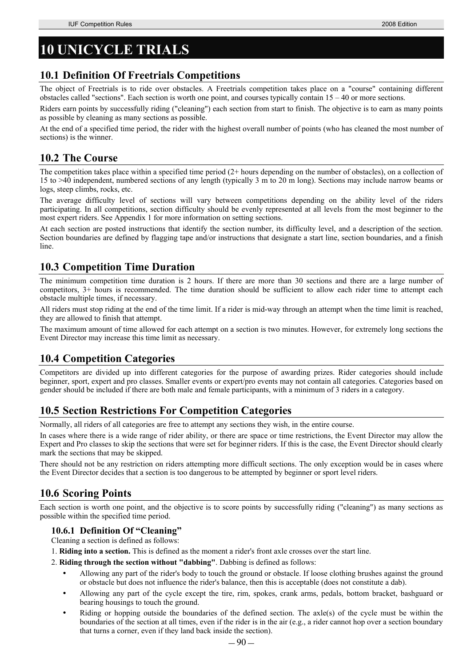# **10 UNICYCLE TRIALS**

### **10.1 Definition Of Freetrials Competitions**

The object of Freetrials is to ride over obstacles. A Freetrials competition takes place on a "course" containing different obstacles called "sections". Each section is worth one point, and courses typically contain 15 – 40 or more sections.

Riders earn points by successfully riding ("cleaning") each section from start to finish. The objective is to earn as many points as possible by cleaning as many sections as possible.

At the end of a specified time period, the rider with the highest overall number of points (who has cleaned the most number of sections) is the winner.

### **10.2 The Course**

The competition takes place within a specified time period (2+ hours depending on the number of obstacles), on a collection of 15 to >40 independent, numbered sections of any length (typically 3 m to 20 m long). Sections may include narrow beams or logs, steep climbs, rocks, etc.

The average difficulty level of sections will vary between competitions depending on the ability level of the riders participating. In all competitions, section difficulty should be evenly represented at all levels from the most beginner to the most expert riders. See Appendix 1 for more information on setting sections.

At each section are posted instructions that identify the section number, its difficulty level, and a description of the section. Section boundaries are defined by flagging tape and/or instructions that designate a start line, section boundaries, and a finish line.

## **10.3 Competition Time Duration**

The minimum competition time duration is 2 hours. If there are more than 30 sections and there are a large number of competitors, 3+ hours is recommended. The time duration should be sufficient to allow each rider time to attempt each obstacle multiple times, if necessary.

All riders must stop riding at the end of the time limit. If a rider is mid-way through an attempt when the time limit is reached, they are allowed to finish that attempt.

The maximum amount of time allowed for each attempt on a section is two minutes. However, for extremely long sections the Event Director may increase this time limit as necessary.

## **10.4 Competition Categories**

Competitors are divided up into different categories for the purpose of awarding prizes. Rider categories should include beginner, sport, expert and pro classes. Smaller events or expert/pro events may not contain all categories. Categories based on gender should be included if there are both male and female participants, with a minimum of 3 riders in a category.

# **10.5 Section Restrictions For Competition Categories**

Normally, all riders of all categories are free to attempt any sections they wish, in the entire course.

In cases where there is a wide range of rider ability, or there are space or time restrictions, the Event Director may allow the Expert and Pro classes to skip the sections that were set for beginner riders. If this is the case, the Event Director should clearly mark the sections that may be skipped.

There should not be any restriction on riders attempting more difficult sections. The only exception would be in cases where the Event Director decides that a section is too dangerous to be attempted by beginner or sport level riders.

## **10.6 Scoring Points**

Each section is worth one point, and the objective is to score points by successfully riding ("cleaning") as many sections as possible within the specified time period.

### **10.6.1 Definition Of "Cleaning"**

Cleaning a section is defined as follows:

- 1. **Riding into a section.** This is defined as the moment a rider's front axle crosses over the start line.
- 2. **Riding through the section without "dabbing"**. Dabbing is defined as follows:
	- Allowing any part of the rider's body to touch the ground or obstacle. If loose clothing brushes against the ground or obstacle but does not influence the rider's balance, then this is acceptable (does not constitute a dab).
	- Allowing any part of the cycle except the tire, rim, spokes, crank arms, pedals, bottom bracket, bashguard or bearing housings to touch the ground.
	- Riding or hopping outside the boundaries of the defined section. The axle(s) of the cycle must be within the boundaries of the section at all times, even if the rider is in the air (e.g., a rider cannot hop over a section boundary that turns a corner, even if they land back inside the section).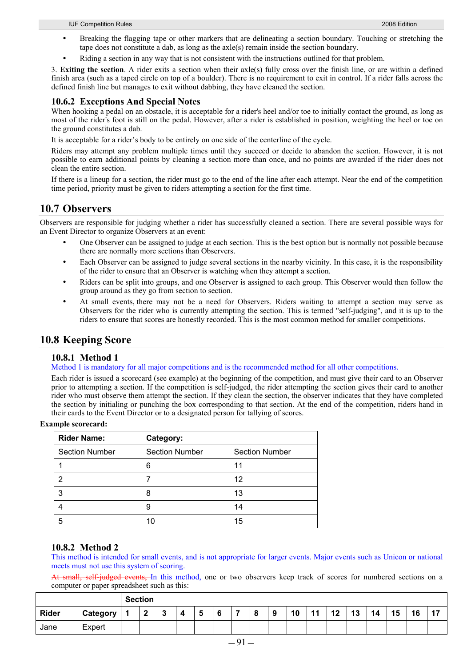- Breaking the flagging tape or other markers that are delineating a section boundary. Touching or stretching the tape does not constitute a dab, as long as the axle(s) remain inside the section boundary.
- Riding a section in any way that is not consistent with the instructions outlined for that problem.

3. **Exiting the section**. A rider exits a section when their axle(s) fully cross over the finish line, or are within a defined finish area (such as a taped circle on top of a boulder). There is no requirement to exit in control. If a rider falls across the defined finish line but manages to exit without dabbing, they have cleaned the section.

### **10.6.2 Exceptions And Special Notes**

When hooking a pedal on an obstacle, it is acceptable for a rider's heel and/or toe to initially contact the ground, as long as most of the rider's foot is still on the pedal. However, after a rider is established in position, weighting the heel or toe on the ground constitutes a dab.

It is acceptable for a rider's body to be entirely on one side of the centerline of the cycle.

Riders may attempt any problem multiple times until they succeed or decide to abandon the section. However, it is not possible to earn additional points by cleaning a section more than once, and no points are awarded if the rider does not clean the entire section.

If there is a lineup for a section, the rider must go to the end of the line after each attempt. Near the end of the competition time period, priority must be given to riders attempting a section for the first time.

### **10.7 Observers**

Observers are responsible for judging whether a rider has successfully cleaned a section. There are several possible ways for an Event Director to organize Observers at an event:

- One Observer can be assigned to judge at each section. This is the best option but is normally not possible because there are normally more sections than Observers.
- Each Observer can be assigned to judge several sections in the nearby vicinity. In this case, it is the responsibility of the rider to ensure that an Observer is watching when they attempt a section.
- Riders can be split into groups, and one Observer is assigned to each group. This Observer would then follow the group around as they go from section to section.
- At small events, there may not be a need for Observers. Riders waiting to attempt a section may serve as Observers for the rider who is currently attempting the section. This is termed "self-judging", and it is up to the riders to ensure that scores are honestly recorded. This is the most common method for smaller competitions.

## **10.8 Keeping Score**

### **10.8.1 Method 1**

#### Method 1 is mandatory for all major competitions and is the recommended method for all other competitions.

Each rider is issued a scorecard (see example) at the beginning of the competition, and must give their card to an Observer prior to attempting a section. If the competition is self-judged, the rider attempting the section gives their card to another rider who must observe them attempt the section. If they clean the section, the observer indicates that they have completed the section by initialing or punching the box corresponding to that section. At the end of the competition, riders hand in their cards to the Event Director or to a designated person for tallying of scores.

#### **Example scorecard:**

| <b>Rider Name:</b>    | Category:             |                       |  |  |  |  |
|-----------------------|-----------------------|-----------------------|--|--|--|--|
| <b>Section Number</b> | <b>Section Number</b> | <b>Section Number</b> |  |  |  |  |
|                       | 6                     | 11                    |  |  |  |  |
|                       |                       | 12                    |  |  |  |  |
|                       | 8                     | 13                    |  |  |  |  |
|                       | 9                     | 14                    |  |  |  |  |
| 5                     |                       | 15                    |  |  |  |  |

#### **10.8.2 Method 2**

This method is intended for small events, and is not appropriate for larger events. Major events such as Unicon or national meets must not use this system of scoring.

At small, self-judged events, In this method, one or two observers keep track of scores for numbered sections on a computer or paper spreadsheet such as this:

|              |                                    | <b>Section</b> |        |        |   |   |   |   |   |  |    |    |                                |    |    |    |    |    |
|--------------|------------------------------------|----------------|--------|--------|---|---|---|---|---|--|----|----|--------------------------------|----|----|----|----|----|
| <b>Rider</b> | Category                           |                | ົ<br>∸ | G<br>N | 4 | 5 | O | - | 8 |  | 10 | 11 | 12<br>$\overline{\phantom{a}}$ | 13 | 14 | 15 | 16 | 47 |
| Jane         | $\overline{\phantom{0}}$<br>Expert |                |        |        |   |   |   |   |   |  |    |    |                                |    |    |    |    |    |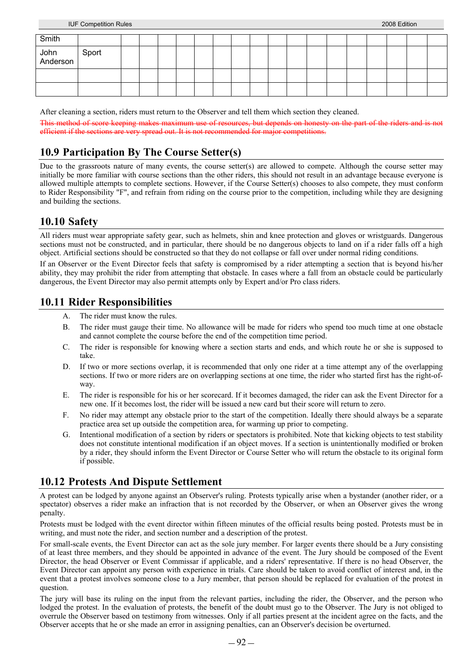| Smith      |  |  |  |  |  |  |  |  |  |
|------------|--|--|--|--|--|--|--|--|--|
| John Sport |  |  |  |  |  |  |  |  |  |
|            |  |  |  |  |  |  |  |  |  |
|            |  |  |  |  |  |  |  |  |  |

After cleaning a section, riders must return to the Observer and tell them which section they cleaned.

This method of score keeping makes maximum use of resources, but depends on honesty on the part of the ride efficient if the sections are very spread out. It is not recommended for major competitions.

# **10.9 Participation By The Course Setter(s)**

Due to the grassroots nature of many events, the course setter(s) are allowed to compete. Although the course setter may initially be more familiar with course sections than the other riders, this should not result in an advantage because everyone is allowed multiple attempts to complete sections. However, if the Course Setter(s) chooses to also compete, they must conform to Rider Responsibility "F", and refrain from riding on the course prior to the competition, including while they are designing and building the sections.

## **10.10 Safety**

All riders must wear appropriate safety gear, such as helmets, shin and knee protection and gloves or wristguards. Dangerous sections must not be constructed, and in particular, there should be no dangerous objects to land on if a rider falls off a high object. Artificial sections should be constructed so that they do not collapse or fall over under normal riding conditions.

If an Observer or the Event Director feels that safety is compromised by a rider attempting a section that is beyond his/her ability, they may prohibit the rider from attempting that obstacle. In cases where a fall from an obstacle could be particularly dangerous, the Event Director may also permit attempts only by Expert and/or Pro class riders.

## **10.11 Rider Responsibilities**

- A. The rider must know the rules.
- B. The rider must gauge their time. No allowance will be made for riders who spend too much time at one obstacle and cannot complete the course before the end of the competition time period.
- C. The rider is responsible for knowing where a section starts and ends, and which route he or she is supposed to take.
- D. If two or more sections overlap, it is recommended that only one rider at a time attempt any of the overlapping sections. If two or more riders are on overlapping sections at one time, the rider who started first has the right-ofway.
- E. The rider is responsible for his or her scorecard. If it becomes damaged, the rider can ask the Event Director for a new one. If it becomes lost, the rider will be issued a new card but their score will return to zero.
- F. No rider may attempt any obstacle prior to the start of the competition. Ideally there should always be a separate practice area set up outside the competition area, for warming up prior to competing.
- G. Intentional modification of a section by riders or spectators is prohibited. Note that kicking objects to test stability does not constitute intentional modification if an object moves. If a section is unintentionally modified or broken by a rider, they should inform the Event Director or Course Setter who will return the obstacle to its original form if possible.

# **10.12 Protests And Dispute Settlement**

A protest can be lodged by anyone against an Observer's ruling. Protests typically arise when a bystander (another rider, or a spectator) observes a rider make an infraction that is not recorded by the Observer, or when an Observer gives the wrong penalty.

Protests must be lodged with the event director within fifteen minutes of the official results being posted. Protests must be in writing, and must note the rider, and section number and a description of the protest.

For small-scale events, the Event Director can act as the sole jury member. For larger events there should be a Jury consisting of at least three members, and they should be appointed in advance of the event. The Jury should be composed of the Event Director, the head Observer or Event Commissar if applicable, and a riders' representative. If there is no head Observer, the Event Director can appoint any person with experience in trials. Care should be taken to avoid conflict of interest and, in the event that a protest involves someone close to a Jury member, that person should be replaced for evaluation of the protest in question.

The jury will base its ruling on the input from the relevant parties, including the rider, the Observer, and the person who lodged the protest. In the evaluation of protests, the benefit of the doubt must go to the Observer. The Jury is not obliged to overrule the Observer based on testimony from witnesses. Only if all parties present at the incident agree on the facts, and the Observer accepts that he or she made an error in assigning penalties, can an Observer's decision be overturned.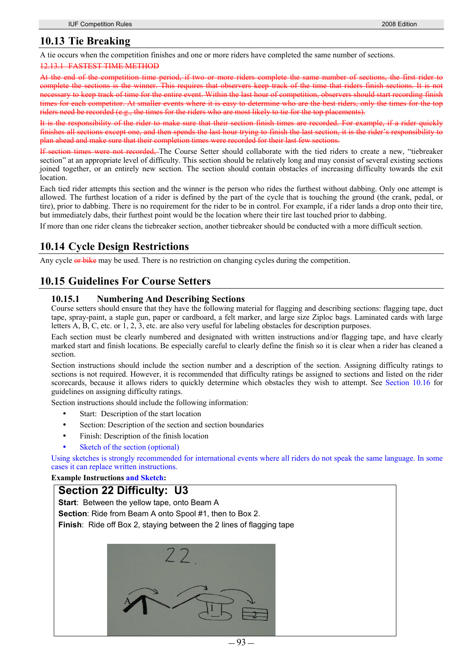## **10.13 Tie Breaking**

A tie occurs when the competition finishes and one or more riders have completed the same number of sections.

#### 12.13.1 FASTEST TIME METHOD

At the end of the competition time period, if two or more riders complete the same number of sections, the first rider to complete the sections is the winner. This requires that observers keep track of the time that riders finish sections. It is not necessary to keep track of time for the entire event. Within the last hour of competition, observers should start recording finish times for each competitor. At smaller events where it is easy to determine who are the best riders, only the times for the top riders need be recorded (e.g., the times for the riders who are most likely to tie for the top placements).

It is the responsibility of the rider to make sure that their section finish times are recorded. For example, if a rider quickly finishes all sections except one, and then spends the last hour trying to finish the last section, it is the rider's responsibility plan ahead and make sure that their completion times were recorded for their last few sections.

If section times were not recorded, The Course Setter should collaborate with the tied riders to create a new, "tiebreaker section" at an appropriate level of difficulty. This section should be relatively long and may consist of several existing sections joined together, or an entirely new section. The section should contain obstacles of increasing difficulty towards the exit location.

Each tied rider attempts this section and the winner is the person who rides the furthest without dabbing. Only one attempt is allowed. The furthest location of a rider is defined by the part of the cycle that is touching the ground (the crank, pedal, or tire), prior to dabbing. There is no requirement for the rider to be in control. For example, if a rider lands a drop onto their tire, but immediately dabs, their furthest point would be the location where their tire last touched prior to dabbing.

If more than one rider cleans the tiebreaker section, another tiebreaker should be conducted with a more difficult section.

# **10.14 Cycle Design Restrictions**

Any cycle or bike may be used. There is no restriction on changing cycles during the competition.

## **10.15 Guidelines For Course Setters**

### **10.15.1 Numbering And Describing Sections**

Course setters should ensure that they have the following material for flagging and describing sections: flagging tape, duct tape, spray-paint, a staple gun, paper or cardboard, a felt marker, and large size Ziploc bags. Laminated cards with large letters A, B, C, etc. or 1, 2, 3, etc. are also very useful for labeling obstacles for description purposes.

Each section must be clearly numbered and designated with written instructions and/or flagging tape, and have clearly marked start and finish locations. Be especially careful to clearly define the finish so it is clear when a rider has cleaned a section.

Section instructions should include the section number and a description of the section. Assigning difficulty ratings to sections is not required. However, it is recommended that difficulty ratings be assigned to sections and listed on the rider scorecards, because it allows riders to quickly determine which obstacles they wish to attempt. See Section 10.16 for guidelines on assigning difficulty ratings.

Section instructions should include the following information:

- Start: Description of the start location
- Section: Description of the section and section boundaries
- Finish: Description of the finish location
- Sketch of the section (optional)

Using sketches is strongly recommended for international events where all riders do not speak the same language. In some cases it can replace written instructions.

#### **Example Instructions and Sketch:**

### **Section 22 Difficulty: U3**

**Start**: Between the yellow tape, onto Beam A

**Section**: Ride from Beam A onto Spool #1, then to Box 2.

**Finish:** Ride off Box 2, staving between the 2 lines of flagging tape

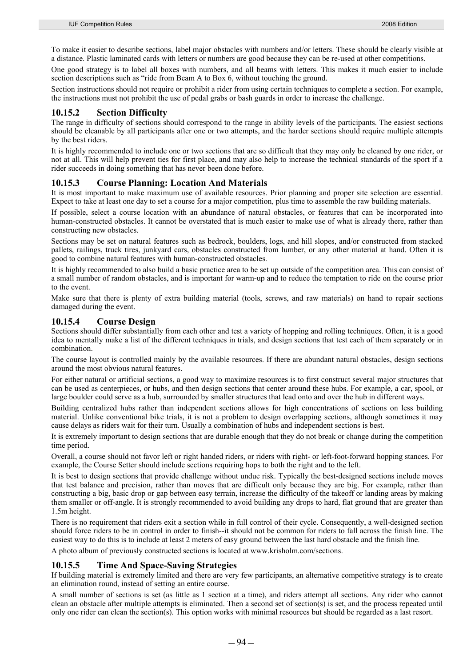To make it easier to describe sections, label major obstacles with numbers and/or letters. These should be clearly visible at a distance. Plastic laminated cards with letters or numbers are good because they can be re-used at other competitions.

One good strategy is to label all boxes with numbers, and all beams with letters. This makes it much easier to include section descriptions such as "ride from Beam A to Box 6, without touching the ground.

Section instructions should not require or prohibit a rider from using certain techniques to complete a section. For example, the instructions must not prohibit the use of pedal grabs or bash guards in order to increase the challenge.

### **10.15.2 Section Difficulty**

The range in difficulty of sections should correspond to the range in ability levels of the participants. The easiest sections should be cleanable by all participants after one or two attempts, and the harder sections should require multiple attempts by the best riders.

It is highly recommended to include one or two sections that are so difficult that they may only be cleaned by one rider, or not at all. This will help prevent ties for first place, and may also help to increase the technical standards of the sport if a rider succeeds in doing something that has never been done before.

### **10.15.3 Course Planning: Location And Materials**

It is most important to make maximum use of available resources. Prior planning and proper site selection are essential. Expect to take at least one day to set a course for a major competition, plus time to assemble the raw building materials.

If possible, select a course location with an abundance of natural obstacles, or features that can be incorporated into human-constructed obstacles. It cannot be overstated that is much easier to make use of what is already there, rather than constructing new obstacles.

Sections may be set on natural features such as bedrock, boulders, logs, and hill slopes, and/or constructed from stacked pallets, railings, truck tires, junkyard cars, obstacles constructed from lumber, or any other material at hand. Often it is good to combine natural features with human-constructed obstacles.

It is highly recommended to also build a basic practice area to be set up outside of the competition area. This can consist of a small number of random obstacles, and is important for warm-up and to reduce the temptation to ride on the course prior to the event.

Make sure that there is plenty of extra building material (tools, screws, and raw materials) on hand to repair sections damaged during the event.

### **10.15.4 Course Design**

Sections should differ substantially from each other and test a variety of hopping and rolling techniques. Often, it is a good idea to mentally make a list of the different techniques in trials, and design sections that test each of them separately or in combination.

The course layout is controlled mainly by the available resources. If there are abundant natural obstacles, design sections around the most obvious natural features.

For either natural or artificial sections, a good way to maximize resources is to first construct several major structures that can be used as centerpieces, or hubs, and then design sections that center around these hubs. For example, a car, spool, or large boulder could serve as a hub, surrounded by smaller structures that lead onto and over the hub in different ways.

Building centralized hubs rather than independent sections allows for high concentrations of sections on less building material. Unlike conventional bike trials, it is not a problem to design overlapping sections, although sometimes it may cause delays as riders wait for their turn. Usually a combination of hubs and independent sections is best.

It is extremely important to design sections that are durable enough that they do not break or change during the competition time period.

Overall, a course should not favor left or right handed riders, or riders with right- or left-foot-forward hopping stances. For example, the Course Setter should include sections requiring hops to both the right and to the left.

It is best to design sections that provide challenge without undue risk. Typically the best-designed sections include moves that test balance and precision, rather than moves that are difficult only because they are big. For example, rather than constructing a big, basic drop or gap between easy terrain, increase the difficulty of the takeoff or landing areas by making them smaller or off-angle. It is strongly recommended to avoid building any drops to hard, flat ground that are greater than 1.5m height.

There is no requirement that riders exit a section while in full control of their cycle. Consequently, a well-designed section should force riders to be in control in order to finish--it should not be common for riders to fall across the finish line. The easiest way to do this is to include at least 2 meters of easy ground between the last hard obstacle and the finish line.

A photo album of previously constructed sections is located at www.krisholm.com/sections.

### **10.15.5 Time And Space-Saving Strategies**

If building material is extremely limited and there are very few participants, an alternative competitive strategy is to create an elimination round, instead of setting an entire course.

A small number of sections is set (as little as 1 section at a time), and riders attempt all sections. Any rider who cannot clean an obstacle after multiple attempts is eliminated. Then a second set of section(s) is set, and the process repeated until only one rider can clean the section(s). This option works with minimal resources but should be regarded as a last resort.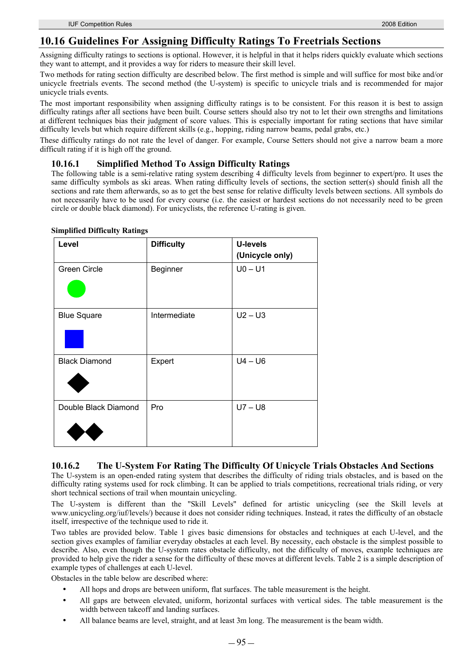### **10.16 Guidelines For Assigning Difficulty Ratings To Freetrials Sections**

Assigning difficulty ratings to sections is optional. However, it is helpful in that it helps riders quickly evaluate which sections they want to attempt, and it provides a way for riders to measure their skill level.

Two methods for rating section difficulty are described below. The first method is simple and will suffice for most bike and/or unicycle freetrials events. The second method (the U-system) is specific to unicycle trials and is recommended for major unicycle trials events.

The most important responsibility when assigning difficulty ratings is to be consistent. For this reason it is best to assign difficulty ratings after all sections have been built. Course setters should also try not to let their own strengths and limitations at different techniques bias their judgment of score values. This is especially important for rating sections that have similar difficulty levels but which require different skills (e.g., hopping, riding narrow beams, pedal grabs, etc.)

These difficulty ratings do not rate the level of danger. For example, Course Setters should not give a narrow beam a more difficult rating if it is high off the ground.

### **10.16.1 Simplified Method To Assign Difficulty Ratings**

The following table is a semi-relative rating system describing 4 difficulty levels from beginner to expert/pro. It uses the same difficulty symbols as ski areas. When rating difficulty levels of sections, the section setter(s) should finish all the sections and rate them afterwards, so as to get the best sense for relative difficulty levels between sections. All symbols do not necessarily have to be used for every course (i.e. the easiest or hardest sections do not necessarily need to be green circle or double black diamond). For unicyclists, the reference U-rating is given.

| Level                | <b>Difficulty</b> | <b>U-levels</b><br>(Unicycle only) |
|----------------------|-------------------|------------------------------------|
| <b>Green Circle</b>  | Beginner          | $U0 - U1$                          |
| <b>Blue Square</b>   | Intermediate      | $U2 - U3$                          |
| <b>Black Diamond</b> | Expert            | $U4 - U6$                          |
| Double Black Diamond | Pro               | $U7 - U8$                          |

#### **Simplified Difficulty Ratings**

### **10.16.2 The U-System For Rating The Difficulty Of Unicycle Trials Obstacles And Sections**

The U-system is an open-ended rating system that describes the difficulty of riding trials obstacles, and is based on the difficulty rating systems used for rock climbing. It can be applied to trials competitions, recreational trials riding, or very short technical sections of trail when mountain unicycling.

The U-system is different than the "Skill Levels" defined for artistic unicycling (see the Skill levels at www.unicycling.org/iuf/levels/) because it does not consider riding techniques. Instead, it rates the difficulty of an obstacle itself, irrespective of the technique used to ride it.

Two tables are provided below. Table 1 gives basic dimensions for obstacles and techniques at each U-level, and the section gives examples of familiar everyday obstacles at each level. By necessity, each obstacle is the simplest possible to describe. Also, even though the U-system rates obstacle difficulty, not the difficulty of moves, example techniques are provided to help give the rider a sense for the difficulty of these moves at different levels. Table 2 is a simple description of example types of challenges at each U-level.

Obstacles in the table below are described where:

- All hops and drops are between uniform, flat surfaces. The table measurement is the height.
- All gaps are between elevated, uniform, horizontal surfaces with vertical sides. The table measurement is the width between takeoff and landing surfaces.
- All balance beams are level, straight, and at least 3m long. The measurement is the beam width.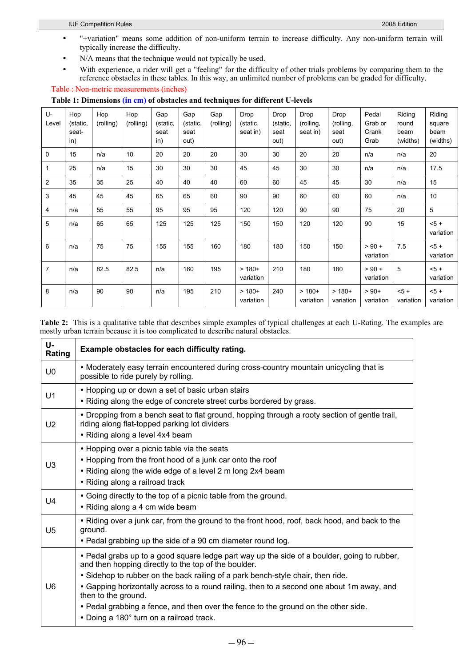- "+variation" means some addition of non-uniform terrain to increase difficulty. Any non-uniform terrain will typically increase the difficulty.
- N/A means that the technique would not typically be used.
- With experience, a rider will get a "feeling" for the difficulty of other trials problems by comparing them to the reference obstacles in these tables. In this way, an unlimited number of problems can be graded for difficulty.

Table : Non-metric measurements (inches)

|  |  |  | Table 1: Dimensions (in cm) of obstacles and techniques for different U-levels |
|--|--|--|--------------------------------------------------------------------------------|
|--|--|--|--------------------------------------------------------------------------------|

| U-<br>Level    | Hop<br>(static,<br>seat-<br>in) | Hop<br>(rolling) | Hop<br>(rolling) | Gap<br>(static,<br>seat<br>in) | Gap<br>(static,<br>seat<br>out) | Gap<br>(rolling) | Drop<br>(static,<br>seat in) | Drop<br>(static,<br>seat<br>out) | Drop<br>(rolling,<br>seat in) | Drop<br>(rolling,<br>seat<br>out) | Pedal<br>Grab or<br>Crank<br>Grab | Riding<br>round<br>beam<br>(widths) | Riding<br>square<br>beam<br>(widths) |
|----------------|---------------------------------|------------------|------------------|--------------------------------|---------------------------------|------------------|------------------------------|----------------------------------|-------------------------------|-----------------------------------|-----------------------------------|-------------------------------------|--------------------------------------|
| 0              | 15                              | n/a              | 10               | 20                             | 20                              | 20               | 30                           | 30                               | 20                            | 20                                | n/a                               | n/a                                 | 20                                   |
| 1              | 25                              | n/a              | 15               | 30                             | 30                              | 30               | 45                           | 45                               | 30                            | 30                                | n/a                               | n/a                                 | 17.5                                 |
| 2              | 35                              | 35               | 25               | 40                             | 40                              | 40               | 60                           | 60                               | 45                            | 45                                | 30                                | n/a                                 | 15                                   |
| 3              | 45                              | 45               | 45               | 65                             | 65                              | 60               | 90                           | 90                               | 60                            | 60                                | 60                                | n/a                                 | 10                                   |
| 4              | n/a                             | 55               | 55               | 95                             | 95                              | 95               | 120                          | 120                              | 90                            | 90                                | 75                                | 20                                  | 5                                    |
| 5              | n/a                             | 65               | 65               | 125                            | 125                             | 125              | 150                          | 150                              | 120                           | 120                               | 90                                | 15                                  | $5 +$<br>variation                   |
| 6              | n/a                             | 75               | 75               | 155                            | 155                             | 160              | 180                          | 180                              | 150                           | 150                               | $> 90 +$<br>variation             | 7.5                                 | $5 +$<br>variation                   |
| $\overline{7}$ | n/a                             | 82.5             | 82.5             | n/a                            | 160                             | 195              | $>180+$<br>variation         | 210                              | 180                           | 180                               | $> 90 +$<br>variation             | 5                                   | $5 +$<br>variation                   |
| 8              | n/a                             | 90               | 90               | n/a                            | 195                             | 210              | $>180+$<br>variation         | 240                              | $>180+$<br>variation          | $>180+$<br>variation              | $> 90+$<br>variation              | $5 +$<br>variation                  | $5 +$<br>variation                   |

**Table 2:** This is a qualitative table that describes simple examples of typical challenges at each U-Rating. The examples are mostly urban terrain because it is too complicated to describe natural obstacles.

| U-<br>Rating   | Example obstacles for each difficulty rating.                                                                                                                                                                                                                                                                                                                                                                                                                                                |
|----------------|----------------------------------------------------------------------------------------------------------------------------------------------------------------------------------------------------------------------------------------------------------------------------------------------------------------------------------------------------------------------------------------------------------------------------------------------------------------------------------------------|
| U <sub>0</sub> | • Moderately easy terrain encountered during cross-country mountain unicycling that is<br>possible to ride purely by rolling.                                                                                                                                                                                                                                                                                                                                                                |
| U <sub>1</sub> | • Hopping up or down a set of basic urban stairs<br>• Riding along the edge of concrete street curbs bordered by grass.                                                                                                                                                                                                                                                                                                                                                                      |
| U <sub>2</sub> | . Dropping from a bench seat to flat ground, hopping through a rooty section of gentle trail,<br>riding along flat-topped parking lot dividers<br>• Riding along a level 4x4 beam                                                                                                                                                                                                                                                                                                            |
| U <sub>3</sub> | • Hopping over a picnic table via the seats<br>• Hopping from the front hood of a junk car onto the roof<br>• Riding along the wide edge of a level 2 m long 2x4 beam<br>• Riding along a railroad track                                                                                                                                                                                                                                                                                     |
| $U_4$          | • Going directly to the top of a picnic table from the ground.<br>• Riding along a 4 cm wide beam                                                                                                                                                                                                                                                                                                                                                                                            |
| U <sub>5</sub> | • Riding over a junk car, from the ground to the front hood, roof, back hood, and back to the<br>ground.<br>• Pedal grabbing up the side of a 90 cm diameter round log.                                                                                                                                                                                                                                                                                                                      |
| U6             | . Pedal grabs up to a good square ledge part way up the side of a boulder, going to rubber,<br>and then hopping directly to the top of the boulder.<br>. Sidehop to rubber on the back railing of a park bench-style chair, then ride.<br>• Gapping horizontally across to a round railing, then to a second one about 1m away, and<br>then to the ground.<br>. Pedal grabbing a fence, and then over the fence to the ground on the other side.<br>• Doing a 180° turn on a railroad track. |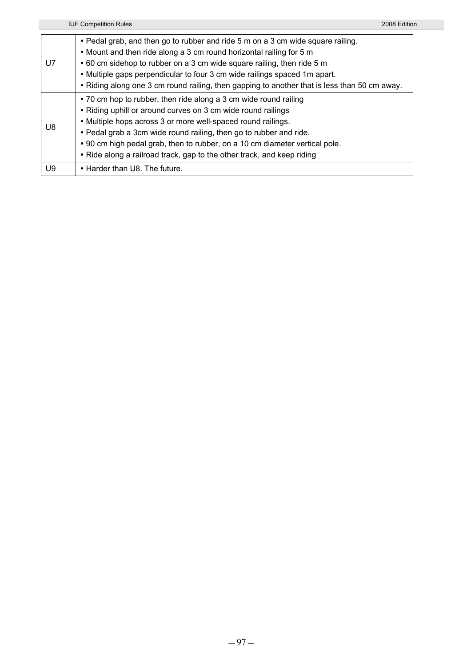IUF Competition Rules 2008 Edition U7 • Pedal grab, and then go to rubber and ride 5 m on a 3 cm wide square railing. • Mount and then ride along a 3 cm round horizontal railing for 5 m • 60 cm sidehop to rubber on a 3 cm wide square railing, then ride 5 m • Multiple gaps perpendicular to four 3 cm wide railings spaced 1m apart. • Riding along one 3 cm round railing, then gapping to another that is less than 50 cm away. U8 • 70 cm hop to rubber, then ride along a 3 cm wide round railing • Riding uphill or around curves on 3 cm wide round railings • Multiple hops across 3 or more well-spaced round railings. • Pedal grab a 3cm wide round railing, then go to rubber and ride. • 90 cm high pedal grab, then to rubber, on a 10 cm diameter vertical pole. • Ride along a railroad track, gap to the other track, and keep riding U9 | + Harder than U8. The future.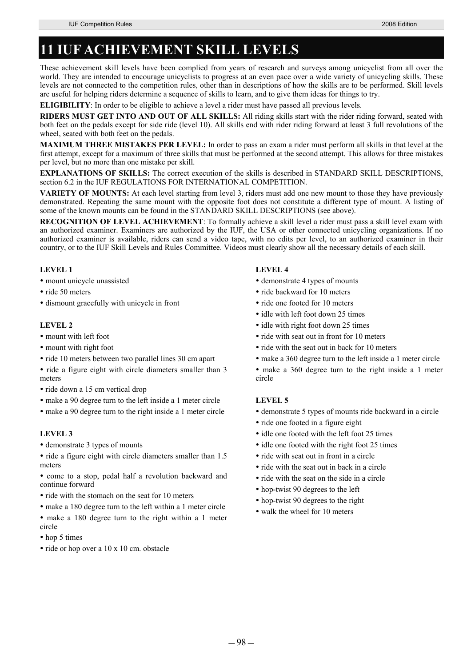# **11 IUF ACHIEVEMENT SKILL LEVELS**

These achievement skill levels have been complied from years of research and surveys among unicyclist from all over the world. They are intended to encourage unicyclists to progress at an even pace over a wide variety of unicycling skills. These levels are not connected to the competition rules, other than in descriptions of how the skills are to be performed. Skill levels are useful for helping riders determine a sequence of skills to learn, and to give them ideas for things to try.

**ELIGIBILITY**: In order to be eligible to achieve a level a rider must have passed all previous levels.

**RIDERS MUST GET INTO AND OUT OF ALL SKILLS:** All riding skills start with the rider riding forward, seated with both feet on the pedals except for side ride (level 10). All skills end with rider riding forward at least 3 full revolutions of the wheel, seated with both feet on the pedals.

**MAXIMUM THREE MISTAKES PER LEVEL:** In order to pass an exam a rider must perform all skills in that level at the first attempt, except for a maximum of three skills that must be performed at the second attempt. This allows for three mistakes per level, but no more than one mistake per skill.

**EXPLANATIONS OF SKILLS:** The correct execution of the skills is described in STANDARD SKILL DESCRIPTIONS, section 6.2 in the IUF REGULATIONS FOR INTERNATIONAL COMPETITION.

**VARIETY OF MOUNTS:** At each level starting from level 3, riders must add one new mount to those they have previously demonstrated. Repeating the same mount with the opposite foot does not constitute a different type of mount. A listing of some of the known mounts can be found in the STANDARD SKILL DESCRIPTIONS (see above).

**RECOGNITION OF LEVEL ACHIEVEMENT**: To formally achieve a skill level a rider must pass a skill level exam with an authorized examiner. Examiners are authorized by the IUF, the USA or other connected unicycling organizations. If no authorized examiner is available, riders can send a video tape, with no edits per level, to an authorized examiner in their country, or to the IUF Skill Levels and Rules Committee. Videos must clearly show all the necessary details of each skill.

### **LEVEL 1**

- mount unicycle unassisted
- ride 50 meters
- dismount gracefully with unicycle in front

### **LEVEL 2**

- mount with left foot
- mount with right foot
- y ride 10 meters between two parallel lines 30 cm apart
- ride a figure eight with circle diameters smaller than 3 meters
- ride down a 15 cm vertical drop
- make a 90 degree turn to the left inside a 1 meter circle
- make a 90 degree turn to the right inside a 1 meter circle

#### **LEVEL 3**

• demonstrate 3 types of mounts

• ride a figure eight with circle diameters smaller than 1.5 meters

• come to a stop, pedal half a revolution backward and continue forward

- ride with the stomach on the seat for 10 meters
- make a 180 degree turn to the left within a 1 meter circle

• make a 180 degree turn to the right within a 1 meter circle

- hop 5 times
- ride or hop over a 10 x 10 cm. obstacle

#### **LEVEL 4**

- demonstrate 4 types of mounts
- ride backward for 10 meters
- ride one footed for 10 meters
- idle with left foot down 25 times
- idle with right foot down 25 times
- ride with seat out in front for 10 meters
- ride with the seat out in back for 10 meters
- make a 360 degree turn to the left inside a 1 meter circle
- make a 360 degree turn to the right inside a 1 meter circle

#### **LEVEL 5**

- y demonstrate 5 types of mounts ride backward in a circle
- ride one footed in a figure eight
- idle one footed with the left foot 25 times
- idle one footed with the right foot 25 times
- ride with seat out in front in a circle
- ride with the seat out in back in a circle
- ride with the seat on the side in a circle
- hop-twist 90 degrees to the left
- hop-twist 90 degrees to the right
- walk the wheel for 10 meters